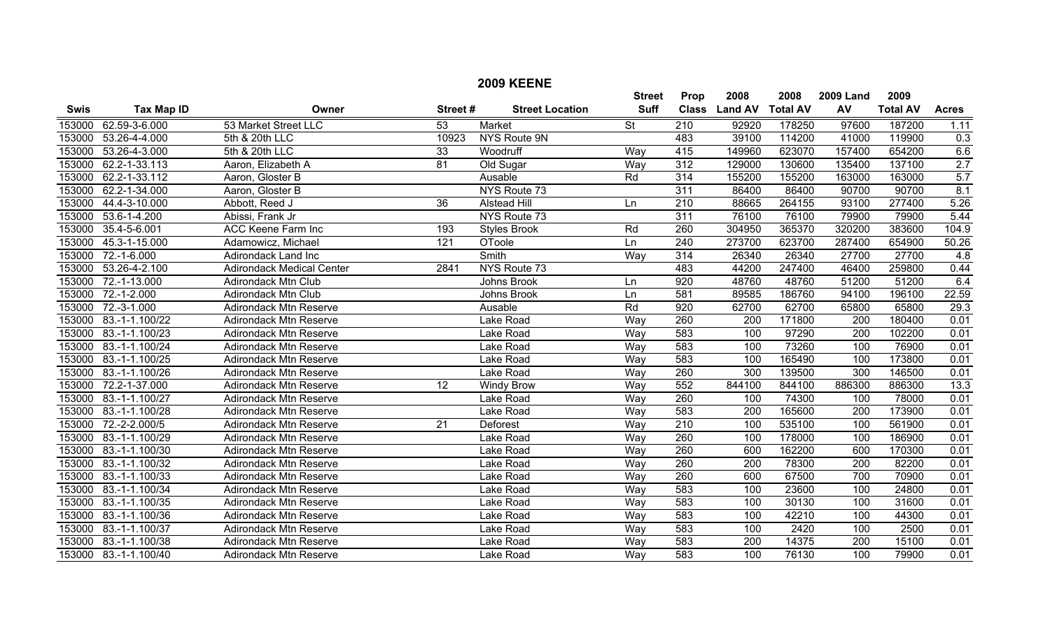|             |                       |                                  |                  | <b>2009 KEENE</b>      |                          |                  |                  |                 |                  |                 |                   |
|-------------|-----------------------|----------------------------------|------------------|------------------------|--------------------------|------------------|------------------|-----------------|------------------|-----------------|-------------------|
|             |                       |                                  |                  |                        | <b>Street</b>            | Prop             | 2008             | 2008            | <b>2009 Land</b> | 2009            |                   |
| <b>Swis</b> | <b>Tax Map ID</b>     | Owner                            | Street#          | <b>Street Location</b> | <b>Suff</b>              | <b>Class</b>     | <b>Land AV</b>   | <b>Total AV</b> | AV               | <b>Total AV</b> | <b>Acres</b>      |
| 153000      | 62.59-3-6.000         | 53 Market Street LLC             | $\overline{53}$  | <b>Market</b>          | $\overline{\mathsf{St}}$ | $\overline{210}$ | 92920            | 178250          | 97600            | 187200          | 1.11              |
| 153000      | 53.26-4-4.000         | 5th & 20th LLC                   | 10923            | NYS Route 9N           |                          | 483              | 39100            | 114200          | 41000            | 119900          | 0.3               |
| 153000      | 53.26-4-3.000         | 5th & 20th LLC                   | 33               | Woodruff               | Way                      | 415              | 149960           | 623070          | 157400           | 654200          | 6.6               |
| 153000      | 62.2-1-33.113         | Aaron, Elizabeth A               | 81               | Old Sugar              | Way                      | $\overline{312}$ | 129000           | 130600          | 135400           | 137100          | 2.7               |
| 153000      | 62.2-1-33.112         | Aaron, Gloster B                 |                  | Ausable                | Rd                       | 314              | 155200           | 155200          | 163000           | 163000          | 5.7               |
| 153000      | 62.2-1-34.000         | Aaron, Gloster B                 |                  | NYS Route 73           |                          | 311              | 86400            | 86400           | 90700            | 90700           | 8.1               |
| 153000      | 44.4-3-10.000         | Abbott, Reed J                   | 36               | <b>Alstead Hill</b>    | Ln                       | 210              | 88665            | 264155          | 93100            | 277400          | 5.26              |
| 153000      | 53.6-1-4.200          | Abissi, Frank Jr                 |                  | NYS Route 73           |                          | $\overline{311}$ | 76100            | 76100           | 79900            | 79900           | 5.44              |
| 153000      | 35.4-5-6.001          | ACC Keene Farm Inc               | 193              | <b>Styles Brook</b>    | Rd                       | 260              | 304950           | 365370          | 320200           | 383600          | 104.9             |
| 153000      | $45.3 - 1 - 15.000$   | Adamowicz, Michael               | $\overline{121}$ | OToole                 | Ln                       | 240              | 273700           | 623700          | 287400           | 654900          | 50.26             |
| 153000      | $72.-1-6.000$         | Adirondack Land Inc              |                  | Smith                  | Way                      | 314              | 26340            | 26340           | 27700            | 27700           | 4.8               |
| 153000      | 53.26-4-2.100         | <b>Adirondack Medical Center</b> | 2841             | NYS Route 73           |                          | 483              | 44200            | 247400          | 46400            | 259800          | 0.44              |
| 153000      | 72.-1-13.000          | Adirondack Mtn Club              |                  | Johns Brook            | Ln                       | 920              | 48760            | 48760           | 51200            | 51200           | 6.4               |
| 153000      | $72.-1-2.000$         | Adirondack Mtn Club              |                  | Johns Brook            | Ln                       | 581              | 89585            | 186760          | 94100            | 196100          | 22.59             |
| 153000      | 72.-3-1.000           | <b>Adirondack Mtn Reserve</b>    |                  | Ausable                | Rd                       | 920              | 62700            | 62700           | 65800            | 65800           | 29.3              |
| 153000      | 83.-1-1.100/22        | <b>Adirondack Mtn Reserve</b>    |                  | Lake Road              | Way                      | 260              | 200              | 171800          | 200              | 180400          | 0.01              |
| 153000      | 83.-1-1.100/23        | <b>Adirondack Mtn Reserve</b>    |                  | Lake Road              | Wav                      | 583              | 100              | 97290           | 200              | 102200          | 0.01              |
| 153000      | 83.-1-1.100/24        | <b>Adirondack Mtn Reserve</b>    |                  | Lake Road              | Way                      | 583              | 100              | 73260           | 100              | 76900           | 0.01              |
| 153000      | 83.-1-1.100/25        | <b>Adirondack Mtn Reserve</b>    |                  | Lake Road              | Way                      | 583              | 100              | 165490          | 100              | 173800          | 0.01              |
| 153000      | 83.-1-1.100/26        | <b>Adirondack Mtn Reserve</b>    |                  | Lake Road              | Way                      | 260              | 300              | 139500          | 300              | 146500          | 0.01              |
| 153000      | 72.2-1-37.000         | <b>Adirondack Mtn Reserve</b>    | 12               | <b>Windy Brow</b>      | Wav                      | 552              | 844100           | 844100          | 886300           | 886300          | 13.3              |
| 153000      | 83.-1-1.100/27        | <b>Adirondack Mtn Reserve</b>    |                  | Lake Road              | Wav                      | 260              | 100              | 74300           | 100              | 78000           | 0.01              |
| 153000      | 83.-1-1.100/28        | <b>Adirondack Mtn Reserve</b>    |                  | Lake Road              | Way                      | 583              | 200              | 165600          | 200              | 173900          | 0.01              |
| 153000      | 72.-2-2.000/5         | <b>Adirondack Mtn Reserve</b>    | 21               | Deforest               | Way                      | $\overline{210}$ | 100              | 535100          | 100              | 561900          | 0.01              |
| 153000      | 83.-1-1.100/29        | <b>Adirondack Mtn Reserve</b>    |                  | Lake Road              | Way                      | 260              | 100              | 178000          | 100              | 186900          | 0.01              |
| 153000      | 83.-1-1.100/30        | <b>Adirondack Mtn Reserve</b>    |                  | Lake Road              | Way                      | 260              | 600              | 162200          | 600              | 170300          | 0.01              |
| 153000      | 83.-1-1.100/32        | <b>Adirondack Mtn Reserve</b>    |                  | Lake Road              | Way                      | 260              | $\overline{200}$ | 78300           | $\overline{200}$ | 82200           | 0.01              |
| 153000      | 83.-1-1.100/33        | <b>Adirondack Mtn Reserve</b>    |                  | Lake Road              | Way                      | 260              | 600              | 67500           | 700              | 70900           | 0.01              |
| 153000      | 83.-1-1.100/34        | <b>Adirondack Mtn Reserve</b>    |                  | Lake Road              | Way                      | 583              | 100              | 23600           | 100              | 24800           | 0.01              |
| 153000      | 83.-1-1.100/35        | <b>Adirondack Mtn Reserve</b>    |                  | Lake Road              | Way                      | 583              | 100              | 30130           | 100              | 31600           | 0.01              |
| 153000      | 83.-1-1.100/36        | <b>Adirondack Mtn Reserve</b>    |                  | Lake Road              | Way                      | 583              | 100              | 42210           | 100              | 44300           | 0.01              |
| 153000      | 83.-1-1.100/37        | <b>Adirondack Mtn Reserve</b>    |                  | Lake Road              | Way                      | 583              | 100              | 2420            | 100              | 2500            | 0.01              |
| 153000      | 83.-1-1.100/38        | <b>Adirondack Mtn Reserve</b>    |                  | Lake Road              | Way                      | 583              | $\overline{200}$ | 14375           | $\overline{200}$ | 15100           | $\overline{0.01}$ |
|             | 153000 83.-1-1.100/40 | <b>Adirondack Mtn Reserve</b>    |                  | Lake Road              | Way                      | 583              | 100              | 76130           | 100              | 79900           | 0.01              |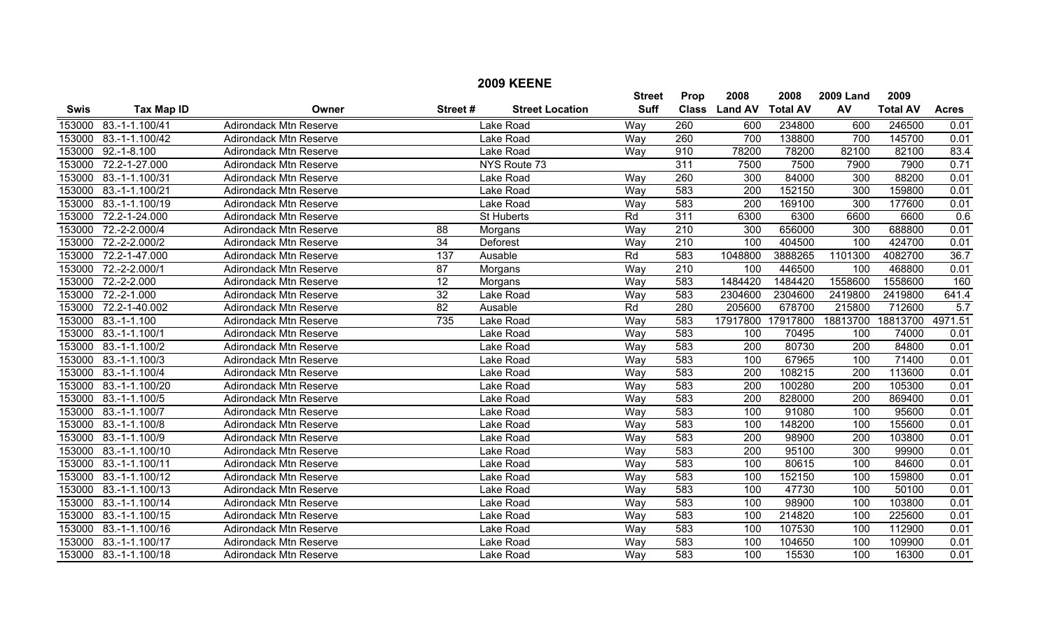| <b>Swis</b> | <b>Tax Map ID</b>   | Owner                         | Street#          | <b>Street Location</b> | <b>Street</b><br><b>Suff</b> | <b>Prop</b><br><b>Class</b> | 2008<br><b>Land AV</b> | 2008<br><b>Total AV</b> | <b>2009 Land</b><br>AV | 2009<br><b>Total AV</b> | <b>Acres</b>      |
|-------------|---------------------|-------------------------------|------------------|------------------------|------------------------------|-----------------------------|------------------------|-------------------------|------------------------|-------------------------|-------------------|
|             |                     |                               |                  |                        |                              |                             |                        |                         |                        |                         |                   |
| 153000      | 83.-1-1.100/41      | <b>Adirondack Mtn Reserve</b> |                  | Lake Road              | Way                          | 260<br>260                  | 600                    | 234800                  | 600<br>700             | 246500                  | 0.01              |
| 153000      | 83.-1-1.100/42      | <b>Adirondack Mtn Reserve</b> |                  | Lake Road              | Way                          |                             | 700                    | 138800                  |                        | 145700                  | 0.01              |
| 153000      | $92.-1-8.100$       | <b>Adirondack Mtn Reserve</b> |                  | Lake Road              | Way                          | 910                         | 78200                  | 78200                   | 82100                  | 82100                   | 83.4              |
| 153000      | 72.2-1-27.000       | <b>Adirondack Mtn Reserve</b> |                  | NYS Route 73           |                              | 311                         | 7500                   | 7500                    | 7900                   | 7900                    | 0.71              |
| 153000      | 83.-1-1.100/31      | <b>Adirondack Mtn Reserve</b> |                  | Lake Road              | Wav                          | 260                         | 300                    | 84000                   | 300                    | 88200                   | 0.01              |
| 153000      | 83.-1-1.100/21      | <b>Adirondack Mtn Reserve</b> |                  | Lake Road              | Way                          | 583                         | 200                    | 152150                  | 300                    | 159800                  | 0.01              |
| 153000      | 83.-1-1.100/19      | <b>Adirondack Mtn Reserve</b> |                  | Lake Road              | Wav                          | 583                         | 200                    | 169100                  | 300                    | 177600                  | 0.01              |
| 153000      | 72.2-1-24.000       | <b>Adirondack Mtn Reserve</b> |                  | <b>St Huberts</b>      | Rd                           | 311                         | 6300                   | 6300                    | 6600                   | 6600                    | 0.6               |
| 153000      | 72.-2-2.000/4       | <b>Adirondack Mtn Reserve</b> | 88               | Morgans                | Way                          | 210                         | 300                    | 656000                  | 300                    | 688800                  | 0.01              |
| 153000      | 72.-2-2.000/2       | Adirondack Mtn Reserve        | 34               | Deforest               | Way                          | 210                         | 100                    | 404500                  | 100                    | 424700                  | 0.01              |
| 153000      | $72.2 - 1 - 47.000$ | <b>Adirondack Mtn Reserve</b> | 137              | Ausable                | Rd                           | 583                         | 1048800                | 3888265                 | 1101300                | 4082700                 | 36.7              |
| 153000      | 72.-2-2.000/1       | <b>Adirondack Mtn Reserve</b> | $\overline{87}$  | Morgans                | Way                          | $\overline{210}$            | 100                    | 446500                  | 100                    | 468800                  | 0.01              |
| 153000      | $72.-2-.000$        | <b>Adirondack Mtn Reserve</b> | $\overline{12}$  | Morgans                | Way                          | 583                         | 1484420                | 1484420                 | 1558600                | 1558600                 | 160               |
| 153000      | 72.-2-1.000         | <b>Adirondack Mtn Reserve</b> | 32               | Lake Road              | Wav                          | 583                         | 2304600                | 2304600                 | 2419800                | 2419800                 | 641.4             |
| 153000      | 72.2-1-40.002       | <b>Adirondack Mtn Reserve</b> | $\overline{82}$  | Ausable                | Rd                           | 280                         | 205600                 | 678700                  | 215800                 | 712600                  | 5.7               |
| 153000      | $83.-1-1.100$       | <b>Adirondack Mtn Reserve</b> | $\overline{735}$ | Lake Road              | Way                          | 583                         | 17917800               | 17917800                | 18813700               | 18813700                | 4971.51           |
| 153000      | 83.-1-1.100/1       | <b>Adirondack Mtn Reserve</b> |                  | Lake Road              | Wav                          | 583                         | 100                    | 70495                   | 100                    | 74000                   | 0.01              |
| 153000      | 83.-1-1.100/2       | <b>Adirondack Mtn Reserve</b> |                  | Lake Road              | Way                          | 583                         | 200                    | 80730                   | 200                    | 84800                   | 0.01              |
| 153000      | 83.-1-1.100/3       | <b>Adirondack Mtn Reserve</b> |                  | Lake Road              | Way                          | 583                         | 100                    | 67965                   | 100                    | 71400                   | 0.01              |
| 153000      | 83.-1-1.100/4       | <b>Adirondack Mtn Reserve</b> |                  | Lake Road              | Way                          | 583                         | 200                    | 108215                  | 200                    | 113600                  | 0.01              |
| 153000      | 83.-1-1.100/20      | <b>Adirondack Mtn Reserve</b> |                  | Lake Road              | Way                          | 583                         | 200                    | 100280                  | 200                    | 105300                  | 0.01              |
| 153000      | 83.-1-1.100/5       | <b>Adirondack Mtn Reserve</b> |                  | Lake Road              | Way                          | 583                         | $\overline{200}$       | 828000                  | 200                    | 869400                  | 0.01              |
| 153000      | 83.-1-1.100/7       | <b>Adirondack Mtn Reserve</b> |                  | Lake Road              | Way                          | 583                         | 100                    | 91080                   | 100                    | 95600                   | 0.01              |
| 153000      | 83.-1-1.100/8       | <b>Adirondack Mtn Reserve</b> |                  | Lake Road              | Wav                          | 583                         | 100                    | 148200                  | 100                    | 155600                  | $\overline{0.01}$ |
| 153000      | 83.-1-1.100/9       | <b>Adirondack Mtn Reserve</b> |                  | Lake Road              | Way                          | 583                         | 200                    | 98900                   | $\overline{200}$       | 103800                  | 0.01              |
| 153000      | 83.-1-1.100/10      | <b>Adirondack Mtn Reserve</b> |                  | Lake Road              | Way                          | 583                         | 200                    | 95100                   | 300                    | 99900                   | 0.01              |
| 153000      | 83.-1-1.100/11      | <b>Adirondack Mtn Reserve</b> |                  | Lake Road              | Way                          | 583                         | 100                    | 80615                   | 100                    | 84600                   | 0.01              |
| 153000      | 83.-1-1.100/12      | <b>Adirondack Mtn Reserve</b> |                  | Lake Road              | Way                          | 583                         | 100                    | 152150                  | 100                    | 159800                  | 0.01              |
| 153000      | 83.-1-1.100/13      | <b>Adirondack Mtn Reserve</b> |                  | Lake Road              | Way                          | 583                         | 100                    | 47730                   | 100                    | 50100                   | 0.01              |
| 153000      | 83.-1-1.100/14      | <b>Adirondack Mtn Reserve</b> |                  | Lake Road              | Way                          | 583                         | 100                    | 98900                   | 100                    | 103800                  | 0.01              |
| 153000      | 83.-1-1.100/15      | <b>Adirondack Mtn Reserve</b> |                  | Lake Road              | Way                          | 583                         | 100                    | 214820                  | 100                    | 225600                  | 0.01              |
| 153000      | 83.-1-1.100/16      | <b>Adirondack Mtn Reserve</b> |                  | Lake Road              | Way                          | 583                         | 100                    | 107530                  | 100                    | 112900                  | 0.01              |
| 153000      | 83.-1-1.100/17      | <b>Adirondack Mtn Reserve</b> |                  | Lake Road              | Way                          | 583                         | 100                    | 104650                  | 100                    | 109900                  | 0.01              |
| 153000      | 83.-1-1.100/18      | <b>Adirondack Mtn Reserve</b> |                  | Lake Road              | Way                          | 583                         | 100                    | 15530                   | 100                    | 16300                   | 0.01              |

## **2009 KEENE**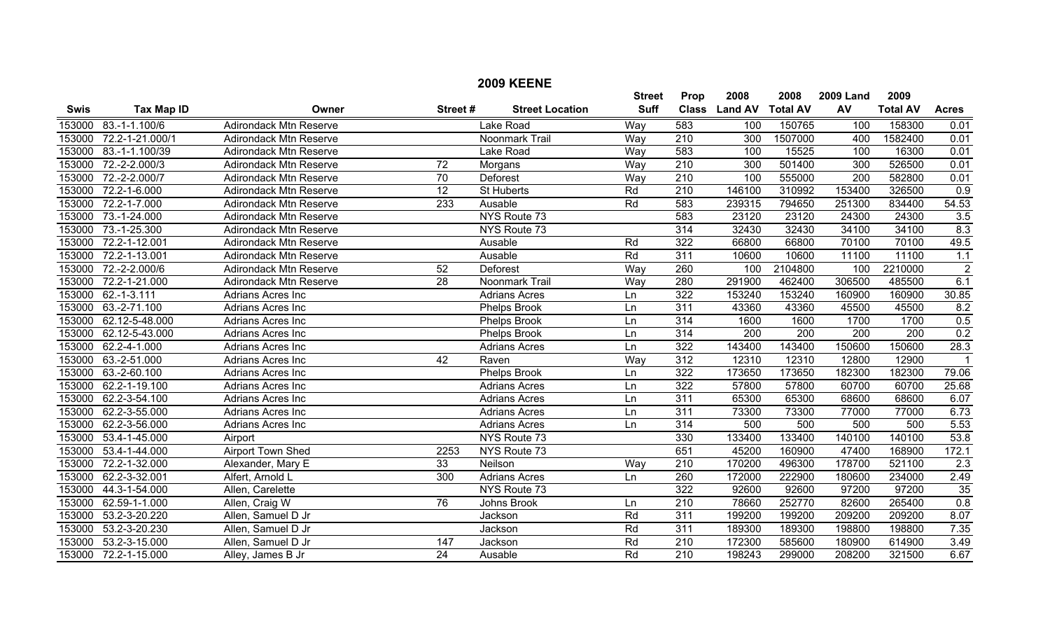|             | <b>2009 KEENE</b> |                               |                 |                        |               |                  |                |                 |                  |                 |                  |
|-------------|-------------------|-------------------------------|-----------------|------------------------|---------------|------------------|----------------|-----------------|------------------|-----------------|------------------|
|             |                   |                               |                 |                        | <b>Street</b> | Prop             | 2008           | 2008            | <b>2009 Land</b> | 2009            |                  |
| <b>Swis</b> | <b>Tax Map ID</b> | Owner                         | Street#         | <b>Street Location</b> | <b>Suff</b>   | <b>Class</b>     | <b>Land AV</b> | <b>Total AV</b> | AV               | <b>Total AV</b> | <b>Acres</b>     |
| 153000      | 83.-1-1.100/6     | <b>Adirondack Mtn Reserve</b> |                 | <b>Lake Road</b>       | Way           | 583              | 100            | 150765          | 100              | 158300          | 0.01             |
| 153000      | 72.2-1-21.000/1   | <b>Adirondack Mtn Reserve</b> |                 | Noonmark Trail         | Way           | $\overline{210}$ | 300            | 1507000         | 400              | 1582400         | 0.01             |
| 153000      | 83.-1-1.100/39    | <b>Adirondack Mtn Reserve</b> |                 | Lake Road              | Way           | 583              | 100            | 15525           | 100              | 16300           | 0.01             |
| 153000      | 72.-2-2.000/3     | <b>Adirondack Mtn Reserve</b> | 72              | Morgans                | Way           | 210              | 300            | 501400          | 300              | 526500          | 0.01             |
| 153000      | 72.-2-2.000/7     | <b>Adirondack Mtn Reserve</b> | 70              | Deforest               | Way           | 210              | 100            | 555000          | $\overline{200}$ | 582800          | 0.01             |
| 153000      | 72.2-1-6.000      | <b>Adirondack Mtn Reserve</b> | $\overline{12}$ | St Huberts             | Rd            | 210              | 146100         | 310992          | 153400           | 326500          | $\overline{0.9}$ |
| 153000      | 72.2-1-7.000      | <b>Adirondack Mtn Reserve</b> | 233             | Ausable                | Rd            | 583              | 239315         | 794650          | 251300           | 834400          | 54.53            |
| 153000      | 73.-1-24.000      | <b>Adirondack Mtn Reserve</b> |                 | NYS Route 73           |               | 583              | 23120          | 23120           | 24300            | 24300           | 3.5              |
| 153000      | 73.-1-25.300      | Adirondack Mtn Reserve        |                 | NYS Route 73           |               | 314              | 32430          | 32430           | 34100            | 34100           | 8.3              |
| 153000      | 72.2-1-12.001     | <b>Adirondack Mtn Reserve</b> |                 | Ausable                | Rd            | 322              | 66800          | 66800           | 70100            | 70100           | 49.5             |
| 153000      | 72.2-1-13.001     | <b>Adirondack Mtn Reserve</b> |                 | Ausable                | Rd            | 311              | 10600          | 10600           | 11100            | 11100           | 1.1              |
| 153000      | 72.-2-2.000/6     | <b>Adirondack Mtn Reserve</b> | $\overline{52}$ | <b>Deforest</b>        | Way           | 260              | 100            | 2104800         | 100              | 2210000         | $\overline{2}$   |
| 153000      | 72.2-1-21.000     | <b>Adirondack Mtn Reserve</b> | $\overline{28}$ | Noonmark Trail         | Way           | 280              | 291900         | 462400          | 306500           | 485500          | 6.1              |
| 153000      | 62.-1-3.111       | Adrians Acres Inc             |                 | <b>Adrians Acres</b>   | Ln            | 322              | 153240         | 153240          | 160900           | 160900          | 30.85            |
| 153000      | 63.-2-71.100      | Adrians Acres Inc             |                 | Phelps Brook           | Ln            | $\overline{311}$ | 43360          | 43360           | 45500            | 45500           | 8.2              |
| 153000      | 62.12-5-48.000    | Adrians Acres Inc             |                 | Phelps Brook           | Ln            | $\overline{314}$ | 1600           | 1600            | 1700             | 1700            | 0.5              |
| 153000      | 62.12-5-43.000    | Adrians Acres Inc             |                 | <b>Phelps Brook</b>    | Ln            | 314              | 200            | 200             | 200              | 200             | 0.2              |
| 153000      | 62.2-4-1.000      | Adrians Acres Inc             |                 | <b>Adrians Acres</b>   | Ln            | 322              | 143400         | 143400          | 150600           | 150600          | 28.3             |
| 153000      | 63.-2-51.000      | Adrians Acres Inc             | 42              | Raven                  | Way           | 312              | 12310          | 12310           | 12800            | 12900           | $\overline{1}$   |
| 153000      | 63.-2-60.100      | Adrians Acres Inc             |                 | Phelps Brook           | Ln            | 322              | 173650         | 173650          | 182300           | 182300          | 79.06            |
| 153000      | 62.2-1-19.100     | Adrians Acres Inc             |                 | <b>Adrians Acres</b>   | Ln            | 322              | 57800          | 57800           | 60700            | 60700           | 25.68            |
| 153000      | 62.2-3-54.100     | Adrians Acres Inc             |                 | <b>Adrians Acres</b>   | Ln            | 311              | 65300          | 65300           | 68600            | 68600           | 6.07             |
| 153000      | 62.2-3-55.000     | Adrians Acres Inc             |                 | <b>Adrians Acres</b>   | Ln            | 311              | 73300          | 73300           | 77000            | 77000           | 6.73             |
| 153000      | 62.2-3-56.000     | Adrians Acres Inc             |                 | <b>Adrians Acres</b>   | Ln            | 314              | 500            | 500             | 500              | 500             | 5.53             |
| 153000      | 53.4-1-45.000     | Airport                       |                 | NYS Route 73           |               | 330              | 133400         | 133400          | 140100           | 140100          | 53.8             |
| 153000      | 53.4-1-44.000     | <b>Airport Town Shed</b>      | 2253            | NYS Route 73           |               | 651              | 45200          | 160900          | 47400            | 168900          | 172.1            |
| 153000      | 72.2-1-32.000     | Alexander, Mary E             | 33              | Neilson                | Way           | 210              | 170200         | 496300          | 178700           | 521100          | 2.3              |
| 153000      | 62.2-3-32.001     | Alfert, Arnold L              | 300             | <b>Adrians Acres</b>   | Ln            | 260              | 172000         | 222900          | 180600           | 234000          | 2.49             |
| 153000      | 44.3-1-54.000     | Allen, Carelette              |                 | NYS Route 73           |               | 322              | 92600          | 92600           | 97200            | 97200           | 35               |
| 153000      | 62.59-1-1.000     | Allen, Craig W                | 76              | Johns Brook            | Ln            | 210              | 78660          | 252770          | 82600            | 265400          | 0.8              |
| 153000      | 53.2-3-20.220     | Allen, Samuel D Jr            |                 | Jackson                | Rd            | 311              | 199200         | 199200          | 209200           | 209200          | 8.07             |
| 153000      | 53.2-3-20.230     | Allen, Samuel D Jr            |                 | Jackson                | Rd            | 311              | 189300         | 189300          | 198800           | 198800          | 7.35             |
| 153000      | 53.2-3-15.000     | Allen, Samuel D Jr            | 147             | Jackson                | Rd            | 210              | 172300         | 585600          | 180900           | 614900          | 3.49             |
| 153000      | 72.2-1-15.000     | Alley, James B Jr             | $\overline{24}$ | Ausable                | Rd            | 210              | 198243         | 299000          | 208200           | 321500          | 6.67             |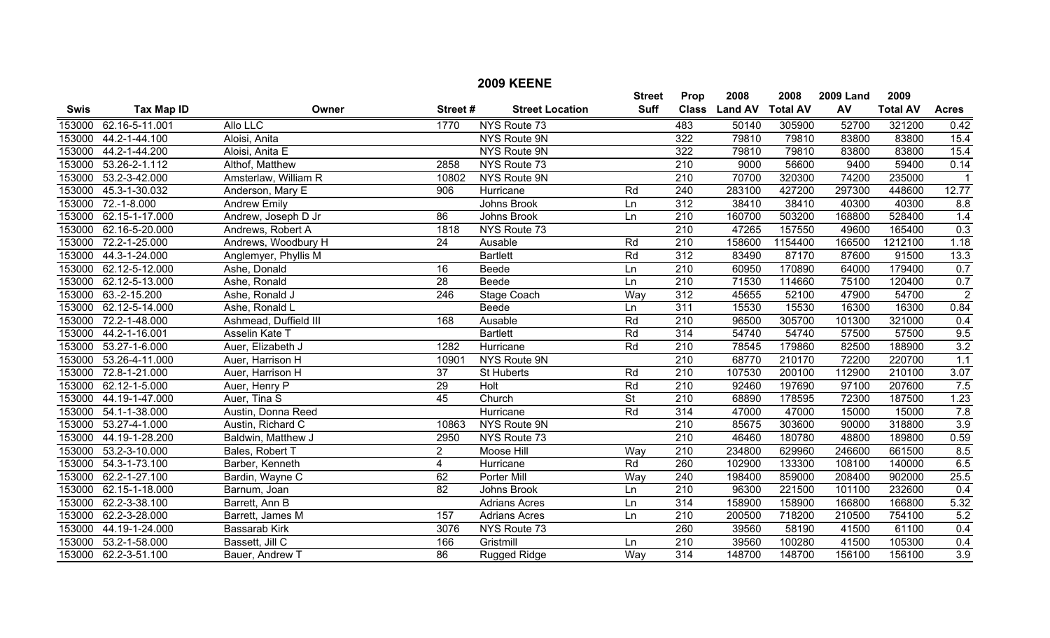|             |                       |                       |                  | <b>2009 KEENE</b>      |                              |                      |                          |         |                        |                         |                |
|-------------|-----------------------|-----------------------|------------------|------------------------|------------------------------|----------------------|--------------------------|---------|------------------------|-------------------------|----------------|
| <b>Swis</b> | <b>Tax Map ID</b>     | Owner                 | Street#          | <b>Street Location</b> | <b>Street</b><br><b>Suff</b> | Prop<br><b>Class</b> | 2008<br>Land AV Total AV | 2008    | <b>2009 Land</b><br>AV | 2009<br><b>Total AV</b> | <b>Acres</b>   |
|             | 153000 62.16-5-11.001 | <b>Allo LLC</b>       | 1770             | NYS Route 73           |                              | 483                  | 50140                    | 305900  | 52700                  | 321200                  | 0.42           |
| 153000      | 44.2-1-44.100         | Aloisi, Anita         |                  | NYS Route 9N           |                              | 322                  | 79810                    | 79810   | 83800                  | 83800                   | 15.4           |
| 153000      | 44.2-1-44.200         | Aloisi, Anita E       |                  | NYS Route 9N           |                              | 322                  | 79810                    | 79810   | 83800                  | 83800                   | 15.4           |
| 153000      | 53.26-2-1.112         | Althof, Matthew       | 2858             | NYS Route 73           |                              | $\overline{210}$     | 9000                     | 56600   | 9400                   | 59400                   | 0.14           |
| 153000      | 53.2-3-42.000         | Amsterlaw, William R  | 10802            | NYS Route 9N           |                              | 210                  | 70700                    | 320300  | 74200                  | 235000                  | $\mathbf 1$    |
| 153000      | 45.3-1-30.032         | Anderson, Mary E      | 906              | Hurricane              | Rd                           | 240                  | 283100                   | 427200  | 297300                 | 448600                  | 12.77          |
| 153000      | $72.-1-8.000$         | <b>Andrew Emily</b>   |                  | Johns Brook            | Ln                           | 312                  | 38410                    | 38410   | 40300                  | 40300                   | 8.8            |
| 153000      | 62.15-1-17.000        | Andrew, Joseph D Jr   | 86               | Johns Brook            | Ln                           | 210                  | 160700                   | 503200  | 168800                 | 528400                  | 1.4            |
| 153000      | 62.16-5-20.000        | Andrews, Robert A     | 1818             | NYS Route 73           |                              | $\overline{210}$     | 47265                    | 157550  | 49600                  | 165400                  | 0.3            |
| 153000      | 72.2-1-25.000         | Andrews, Woodbury H   | 24               | Ausable                | Rd                           | 210                  | 158600                   | 1154400 | 166500                 | 1212100                 | 1.18           |
| 153000      | 44.3-1-24.000         | Anglemyer, Phyllis M  |                  | <b>Bartlett</b>        | Rd                           | 312                  | 83490                    | 87170   | 87600                  | 91500                   | 13.3           |
| 153000      | 62.12-5-12.000        | Ashe, Donald          | 16               | Beede                  | Ln                           | 210                  | 60950                    | 170890  | 64000                  | 179400                  | 0.7            |
| 153000      | 62.12-5-13.000        | Ashe, Ronald          | $\overline{28}$  | Beede                  | Ln                           | $\overline{210}$     | 71530                    | 114660  | 75100                  | 120400                  | 0.7            |
|             | 153000 63.-2-15.200   | Ashe, Ronald J        | $\overline{246}$ | <b>Stage Coach</b>     | Way                          | $\overline{312}$     | 45655                    | 52100   | 47900                  | 54700                   | $\overline{2}$ |
|             | 153000 62.12-5-14.000 | Ashe, Ronald L        |                  | Beede                  | Ln                           | 311                  | 15530                    | 15530   | 16300                  | 16300                   | 0.84           |
| 153000      | 72.2-1-48.000         | Ashmead, Duffield III | 168              | Ausable                | Rd                           | 210                  | 96500                    | 305700  | 101300                 | 321000                  | 0.4            |
| 153000      | 44.2-1-16.001         | Asselin Kate T        |                  | <b>Bartlett</b>        | Rd                           | 314                  | 54740                    | 54740   | 57500                  | 57500                   | 9.5            |
|             | 153000 53.27-1-6.000  | Auer, Elizabeth J     | 1282             | Hurricane              | Rd                           | $\overline{210}$     | 78545                    | 179860  | 82500                  | 188900                  | 3.2            |
| 153000      | 53.26-4-11.000        | Auer, Harrison H      | 10901            | NYS Route 9N           |                              | $\overline{210}$     | 68770                    | 210170  | 72200                  | 220700                  | 1.1            |
| 153000      | 72.8-1-21.000         | Auer, Harrison H      | 37               | St Huberts             | Rd                           | 210                  | 107530                   | 200100  | 112900                 | 210100                  | 3.07           |
| 153000      | 62.12-1-5.000         | Auer, Henry P         | 29               | Holt                   | Rd                           | $\overline{210}$     | 92460                    | 197690  | 97100                  | 207600                  | 7.5            |
| 153000      | 44.19-1-47.000        | Auer, Tina S          | 45               | Church                 | $\overline{\mathsf{St}}$     | $\overline{210}$     | 68890                    | 178595  | 72300                  | 187500                  | 1.23           |
| 153000      | 54.1-1-38.000         | Austin, Donna Reed    |                  | Hurricane              | Rd                           | $\overline{314}$     | 47000                    | 47000   | 15000                  | 15000                   | 7.8            |
| 153000      | 53.27-4-1.000         | Austin, Richard C     | 10863            | NYS Route 9N           |                              | $\overline{210}$     | 85675                    | 303600  | 90000                  | 318800                  | 3.9            |
| 153000      | 44.19-1-28.200        | Baldwin, Matthew J    | 2950             | NYS Route 73           |                              | 210                  | 46460                    | 180780  | 48800                  | 189800                  | 0.59           |
| 153000      | 53.2-3-10.000         | Bales, Robert T       | $\overline{2}$   | Moose Hill             | Way                          | $\overline{210}$     | 234800                   | 629960  | 246600                 | 661500                  | 8.5            |
| 153000      | 54.3-1-73.100         | Barber, Kenneth       | $\overline{4}$   | Hurricane              | Rd                           | 260                  | 102900                   | 133300  | 108100                 | 140000                  | 6.5            |
| 153000      | 62.2-1-27.100         | Bardin, Wayne C       | 62               | Porter Mill            | Way                          | 240                  | 198400                   | 859000  | 208400                 | 902000                  | 25.5           |
| 153000      | 62.15-1-18.000        | Barnum, Joan          | 82               | Johns Brook            | Ln                           | 210                  | 96300                    | 221500  | 101100                 | 232600                  | 0.4            |
| 153000      | 62.2-3-38.100         | Barrett, Ann B        |                  | <b>Adrians Acres</b>   | Ln                           | $\overline{314}$     | 158900                   | 158900  | 166800                 | 166800                  | 5.32           |
| 153000      | 62.2-3-28.000         | Barrett, James M      | 157              | <b>Adrians Acres</b>   | Ln                           | $\overline{210}$     | 200500                   | 718200  | 210500                 | 754100                  | 5.2            |
| 153000      | 44.19-1-24.000        | Bassarab Kirk         | 3076             | NYS Route 73           |                              | 260                  | 39560                    | 58190   | 41500                  | 61100                   | 0.4            |
| 153000      | 53.2-1-58.000         | Bassett, Jill C       | 166              | Gristmill              | Ln                           | $\overline{210}$     | 39560                    | 100280  | 41500                  | 105300                  | 0.4            |
|             | 153000 62.2-3-51.100  | Bauer, Andrew T       | $\overline{86}$  | <b>Rugged Ridge</b>    | Way                          | $\overline{314}$     | 148700                   | 148700  | 156100                 | 156100                  | 3.9            |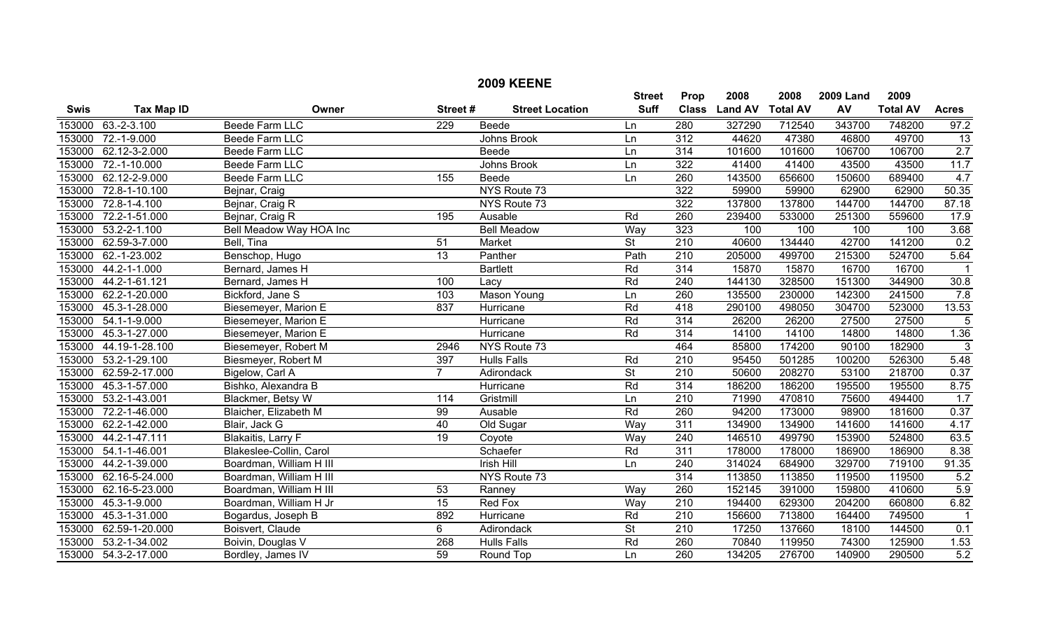|             |                      |                           |                 | <b>2009 KEENE</b>      |                          |                  |                |                 |                  |                 |                         |
|-------------|----------------------|---------------------------|-----------------|------------------------|--------------------------|------------------|----------------|-----------------|------------------|-----------------|-------------------------|
|             |                      |                           |                 |                        | <b>Street</b>            | Prop             | 2008           | 2008            | <b>2009 Land</b> | 2009            |                         |
| <b>Swis</b> | <b>Tax Map ID</b>    | Owner                     | Street#         | <b>Street Location</b> | <b>Suff</b>              | <b>Class</b>     | <b>Land AV</b> | <b>Total AV</b> | AV               | <b>Total AV</b> | <b>Acres</b>            |
| 153000      | $63.-2-3.100$        | <b>Beede Farm LLC</b>     | 229             | Beede                  | Ln                       | 280              | 327290         | 712540          | 343700           | 748200          | 97.2                    |
| 153000      | 72.-1-9.000          | Beede Farm LLC            |                 | Johns Brook            | Ln                       | 312              | 44620          | 47380           | 46800            | 49700           | 13                      |
| 153000      | 62.12-3-2.000        | <b>Beede Farm LLC</b>     |                 | <b>Beede</b>           | Ln                       | 314              | 101600         | 101600          | 106700           | 106700          | 2.7                     |
| 153000      | 72.-1-10.000         | <b>Beede Farm LLC</b>     |                 | <b>Johns Brook</b>     | Ln                       | $\overline{322}$ | 41400          | 41400           | 43500            | 43500           | 11.7                    |
| 153000      | 62.12-2-9.000        | Beede Farm LLC            | 155             | Beede                  | Ln                       | 260              | 143500         | 656600          | 150600           | 689400          | 4.7                     |
| 153000      | 72.8-1-10.100        | Bejnar, Craig             |                 | NYS Route 73           |                          | $\overline{322}$ | 59900          | 59900           | 62900            | 62900           | 50.35                   |
| 153000      | 72.8-1-4.100         | Bejnar, Craig R           |                 | NYS Route 73           |                          | $\overline{322}$ | 137800         | 137800          | 144700           | 144700          | 87.18                   |
| 153000      | 72.2-1-51.000        | Bejnar, Craig R           | 195             | Ausable                | Rd                       | 260              | 239400         | 533000          | 251300           | 559600          | 17.9                    |
| 153000      | $53.2 - 2 - 1.100$   | Bell Meadow Way HOA Inc   |                 | <b>Bell Meadow</b>     | Way                      | 323              | 100            | 100             | 100              | 100             | 3.68                    |
| 153000      | 62.59-3-7.000        | Bell, Tina                | 51              | Market                 | $\overline{\mathsf{St}}$ | 210              | 40600          | 134440          | 42700            | 141200          | 0.2                     |
| 153000      | 62.-1-23.002         | Benschop, Hugo            | $\overline{13}$ | Panther                | Path                     | 210              | 205000         | 499700          | 215300           | 524700          | 5.64                    |
| 153000      | 44.2-1-1.000         | Bernard, James H          |                 | <b>Bartlett</b>        | Rd                       | 314              | 15870          | 15870           | 16700            | 16700           | $\overline{1}$          |
| 153000      | 44.2-1-61.121        | Bernard, James H          | 100             | Lacy                   | Rd                       | $\overline{240}$ | 144130         | 328500          | 151300           | 344900          | 30.8                    |
| 153000      | 62.2-1-20.000        | Bickford, Jane S          | 103             | Mason Young            | Ln                       | 260              | 135500         | 230000          | 142300           | 241500          | 7.8                     |
| 153000      | 45.3-1-28.000        | Biesemeyer, Marion E      | 837             | Hurricane              | Rd                       | 418              | 290100         | 498050          | 304700           | 523000          | 13.53                   |
| 153000      | 54.1-1-9.000         | Biesemeyer, Marion E      |                 | Hurricane              | Rd                       | 314              | 26200          | 26200           | 27500            | 27500           | 5                       |
| 153000      | 45.3-1-27.000        | Biesemeyer, Marion E      |                 | Hurricane              | Rd                       | 314              | 14100          | 14100           | 14800            | 14800           | 1.36                    |
| 153000      | 44.19-1-28.100       | Biesemeyer, Robert M      | 2946            | NYS Route 73           |                          | 464              | 85800          | 174200          | 90100            | 182900          | $\mathbf{3}$            |
| 153000      | 53.2-1-29.100        | Biesmeyer, Robert M       | 397             | <b>Hulls Falls</b>     | Rd                       | $\overline{210}$ | 95450          | 501285          | 100200           | 526300          | 5.48                    |
| 153000      | 62.59-2-17.000       | Bigelow, Carl A           | $\overline{7}$  | Adirondack             | $\overline{\mathsf{St}}$ | $\overline{210}$ | 50600          | 208270          | 53100            | 218700          | 0.37                    |
| 153000      | 45.3-1-57.000        | Bishko, Alexandra B       |                 | Hurricane              | Rd                       | 314              | 186200         | 186200          | 195500           | 195500          | 8.75                    |
| 153000      | 53.2-1-43.001        | Blackmer, Betsy W         | 114             | Gristmill              | Ln                       | $\overline{210}$ | 71990          | 470810          | 75600            | 494400          | 1.7                     |
| 153000      | 72.2-1-46.000        | Blaicher, Elizabeth M     | 99              | Ausable                | Rd                       | 260              | 94200          | 173000          | 98900            | 181600          | 0.37                    |
| 153000      | 62.2-1-42.000        | Blair, Jack G             | 40              | Old Sugar              | Way                      | 311              | 134900         | 134900          | 141600           | 141600          | 4.17                    |
| 153000      | 44.2-1-47.111        | <b>Blakaitis, Larry F</b> | $\overline{19}$ | Coyote                 | Way                      | $\overline{240}$ | 146510         | 499790          | 153900           | 524800          | 63.5                    |
| 153000      | 54.1-1-46.001        | Blakeslee-Collin, Carol   |                 | Schaefer               | Rd                       | 311              | 178000         | 178000          | 186900           | 186900          | 8.38                    |
| 153000      | 44.2-1-39.000        | Boardman, William H III   |                 | <b>Irish Hill</b>      | Ln                       | $\overline{240}$ | 314024         | 684900          | 329700           | 719100          | 91.35                   |
| 153000      | 62.16-5-24.000       | Boardman, William H III   |                 | NYS Route 73           |                          | 314              | 113850         | 113850          | 119500           | 119500          | 5.2                     |
| 153000      | 62.16-5-23.000       | Boardman, William H III   | 53              | Ranney                 | Way                      | 260              | 152145         | 391000          | 159800           | 410600          | 5.9                     |
| 153000      | 45.3-1-9.000         | Boardman, William H Jr    | 15              | <b>Red Fox</b>         | Way                      | $\overline{210}$ | 194400         | 629300          | 204200           | 660800          | 6.82                    |
| 153000      | 45.3-1-31.000        | Bogardus, Joseph B        | 892             | Hurricane              | Rd                       | $\overline{210}$ | 156600         | 713800          | 164400           | 749500          | $\overline{\mathbf{1}}$ |
| 153000      | 62.59-1-20.000       | Boisvert, Claude          | 6               | Adirondack             | $\overline{\mathsf{St}}$ | 210              | 17250          | 137660          | 18100            | 144500          | 0.1                     |
| 153000      | 53.2-1-34.002        | Boivin, Douglas V         | 268             | <b>Hulls Falls</b>     | Rd                       | 260              | 70840          | 119950          | 74300            | 125900          | 1.53                    |
|             | 153000 54.3-2-17.000 | Bordley, James IV         | 59              | Round Top              | Ln                       | 260              | 134205         | 276700          | 140900           | 290500          | 5.2                     |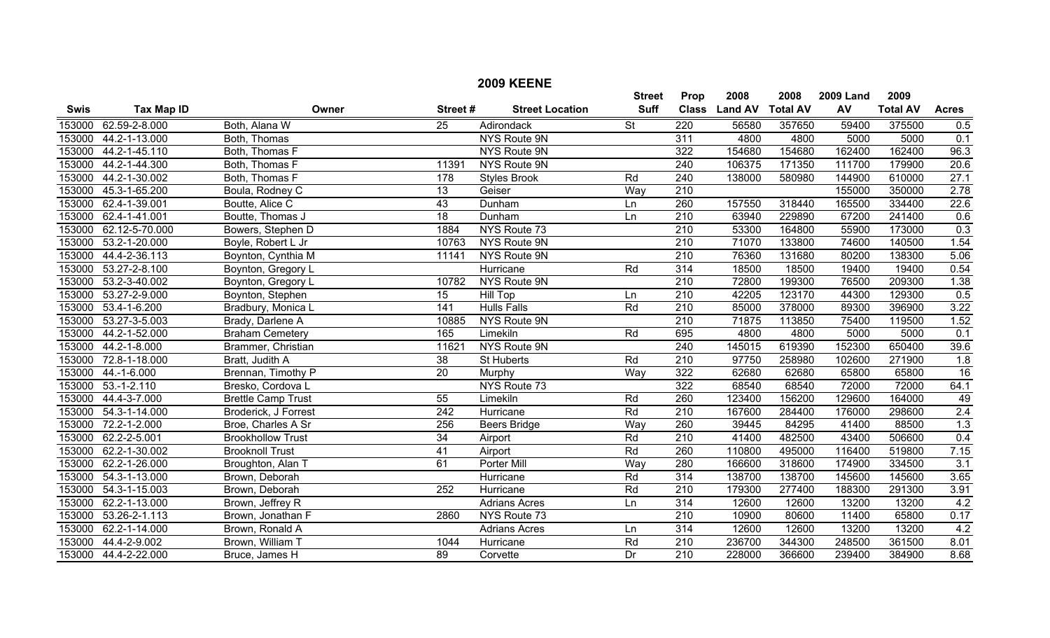|             |                      |                           |                  | <b>2009 KEENE</b>      |                              |                      |                        |                         |                        |                         |                 |
|-------------|----------------------|---------------------------|------------------|------------------------|------------------------------|----------------------|------------------------|-------------------------|------------------------|-------------------------|-----------------|
| <b>Swis</b> | <b>Tax Map ID</b>    | Owner                     | Street#          | <b>Street Location</b> | <b>Street</b><br><b>Suff</b> | Prop<br><b>Class</b> | 2008<br><b>Land AV</b> | 2008<br><b>Total AV</b> | <b>2009 Land</b><br>AV | 2009<br><b>Total AV</b> | <b>Acres</b>    |
|             | 153000 62.59-2-8.000 | Both, Alana W             | $\overline{25}$  | Adirondack             | $\overline{\mathsf{St}}$     | $\overline{220}$     | 56580                  | 357650                  | 59400                  | 375500                  | 0.5             |
| 153000      | 44.2-1-13.000        | Both, Thomas              |                  | NYS Route 9N           |                              | 311                  | 4800                   | 4800                    | 5000                   | 5000                    | 0.1             |
| 153000      | 44.2-1-45.110        | Both, Thomas F            |                  | <b>NYS Route 9N</b>    |                              | 322                  | 154680                 | 154680                  | 162400                 | 162400                  | 96.3            |
| 153000      | 44.2-1-44.300        | Both, Thomas F            | 11391            | NYS Route 9N           |                              | 240                  | 106375                 | 171350                  | 111700                 | 179900                  | 20.6            |
| 153000      | 44.2-1-30.002        | Both, Thomas F            | 178              | <b>Styles Brook</b>    | Rd                           | 240                  | 138000                 | 580980                  | 144900                 | 610000                  | 27.1            |
| 153000      | 45.3-1-65.200        | Boula, Rodney C           | $\overline{13}$  | Geiser                 | Way                          | $\overline{210}$     |                        |                         | 155000                 | 350000                  | 2.78            |
| 153000      | 62.4-1-39.001        | Boutte, Alice C           | 43               | Dunham                 | Ln                           | 260                  | 157550                 | 318440                  | 165500                 | 334400                  | 22.6            |
| 153000      | 62.4-1-41.001        | Boutte, Thomas J          | $\overline{18}$  | Dunham                 | Ln                           | $\overline{210}$     | 63940                  | 229890                  | 67200                  | 241400                  | 0.6             |
| 153000      | 62.12-5-70.000       | Bowers, Stephen D         | 1884             | NYS Route 73           |                              | 210                  | 53300                  | 164800                  | 55900                  | 173000                  | 0.3             |
| 153000      | 53.2-1-20.000        | Boyle, Robert L Jr        | 10763            | NYS Route 9N           |                              | 210                  | 71070                  | 133800                  | 74600                  | 140500                  | 1.54            |
| 153000      | 44.4-2-36.113        | Boynton, Cynthia M        | 11141            | NYS Route 9N           |                              | $\overline{210}$     | 76360                  | 131680                  | 80200                  | 138300                  | 5.06            |
| 153000      | 53.27-2-8.100        | Boynton, Gregory L        |                  | Hurricane              | Rd                           | 314                  | 18500                  | 18500                   | 19400                  | 19400                   | 0.54            |
| 153000      | 53.2-3-40.002        | Boynton, Gregory L        | 10782            | NYS Route 9N           |                              | $\overline{210}$     | 72800                  | 199300                  | 76500                  | 209300                  | 1.38            |
| 153000      | 53.27-2-9.000        | Boynton, Stephen          | 15               | Hill Top               | Ln                           | 210                  | 42205                  | 123170                  | 44300                  | 129300                  | 0.5             |
| 153000      | $53.4 - 1 - 6.200$   | Bradbury, Monica L        | 141              | <b>Hulls Falls</b>     | Rd                           | $\overline{210}$     | 85000                  | 378000                  | 89300                  | 396900                  | 3.22            |
| 153000      | 53.27-3-5.003        | Brady, Darlene A          | 10885            | NYS Route 9N           |                              | $\overline{210}$     | 71875                  | 113850                  | 75400                  | 119500                  | 1.52            |
| 153000      | 44.2-1-52.000        | <b>Braham Cemetery</b>    | 165              | Limekiln               | Rd                           | 695                  | 4800                   | 4800                    | 5000                   | 5000                    | 0.1             |
| 153000      | 44.2-1-8.000         | Brammer, Christian        | 11621            | NYS Route 9N           |                              | 240                  | 145015                 | 619390                  | 152300                 | 650400                  | 39.6            |
| 153000      | 72.8-1-18.000        | Bratt, Judith A           | 38               | St Huberts             | Rd                           | $\overline{210}$     | 97750                  | 258980                  | 102600                 | 271900                  | 1.8             |
| 153000      | 44.-1-6.000          | Brennan, Timothy P        | $\overline{20}$  | Murphy                 | Way                          | 322                  | 62680                  | 62680                   | 65800                  | 65800                   | $\overline{16}$ |
| 153000      | $53.-1-2.110$        | Bresko, Cordova L         |                  | NYS Route 73           |                              | 322                  | 68540                  | 68540                   | 72000                  | 72000                   | 64.1            |
| 153000      | 44.4-3-7.000         | <b>Brettle Camp Trust</b> | 55               | Limekiln               | Rd                           | 260                  | 123400                 | 156200                  | 129600                 | 164000                  | 49              |
| 153000      | 54.3-1-14.000        | Broderick, J Forrest      | $\overline{242}$ | Hurricane              | Rd                           | 210                  | 167600                 | 284400                  | 176000                 | 298600                  | 2.4             |
| 153000      | 72.2-1-2.000         | Broe, Charles A Sr        | 256              | <b>Beers Bridge</b>    | Way                          | 260                  | 39445                  | 84295                   | 41400                  | 88500                   | 1.3             |
| 153000      | 62.2-2-5.001         | <b>Brookhollow Trust</b>  | 34               | Airport                | Rd                           | $\overline{210}$     | 41400                  | 482500                  | 43400                  | 506600                  | 0.4             |
| 153000      | 62.2-1-30.002        | <b>Brooknoll Trust</b>    | 41               | Airport                | Rd                           | 260                  | 110800                 | 495000                  | 116400                 | 519800                  | 7.15            |
| 153000      | 62.2-1-26.000        | Broughton, Alan T         | 61               | Porter Mill            | Way                          | 280                  | 166600                 | 318600                  | 174900                 | 334500                  | 3.1             |
| 153000      | 54.3-1-13.000        | Brown, Deborah            |                  | Hurricane              | Rd                           | 314                  | 138700                 | 138700                  | 145600                 | 145600                  | 3.65            |
| 153000      | 54.3-1-15.003        | Brown, Deborah            | 252              | Hurricane              | Rd                           | $\overline{210}$     | 179300                 | 277400                  | 188300                 | 291300                  | 3.91            |
| 153000      | 62.2-1-13.000        | Brown, Jeffrey R          |                  | <b>Adrians Acres</b>   | Ln                           | 314                  | 12600                  | 12600                   | 13200                  | 13200                   | 4.2             |
| 153000      | 53.26-2-1.113        | Brown, Jonathan F         | 2860             | NYS Route 73           |                              | 210                  | 10900                  | 80600                   | 11400                  | 65800                   | 0.17            |
| 153000      | 62.2-1-14.000        | Brown, Ronald A           |                  | <b>Adrians Acres</b>   | Ln                           | 314                  | 12600                  | 12600                   | 13200                  | 13200                   | 4.2             |
| 153000      | 44.4-2-9.002         | Brown, William T          | 1044             | Hurricane              | Rd                           | $\overline{210}$     | 236700                 | 344300                  | 248500                 | 361500                  | 8.01            |
|             | 153000 44.4-2-22.000 | Bruce, James H            | $\overline{89}$  | Corvette               | $\overline{Dr}$              | $\overline{210}$     | 228000                 | 366600                  | 239400                 | 384900                  | 8.68            |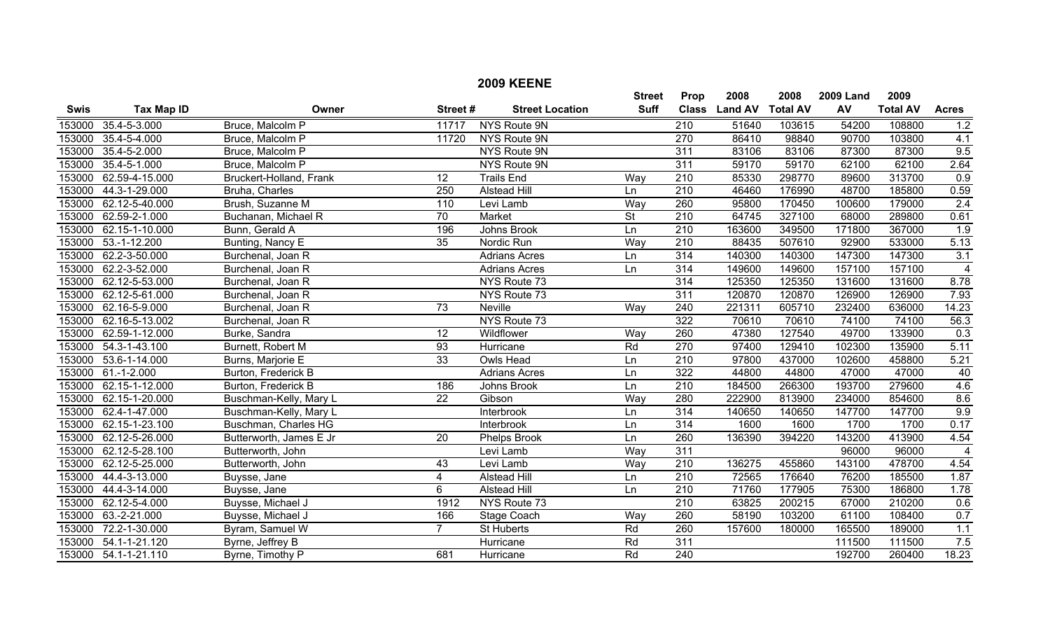|             |                       |                         |                 | <b>2009 KEENE</b>      |                          |                  |                |                 |                  |                 |                |
|-------------|-----------------------|-------------------------|-----------------|------------------------|--------------------------|------------------|----------------|-----------------|------------------|-----------------|----------------|
|             |                       |                         |                 |                        | <b>Street</b>            | Prop             | 2008           | 2008            | <b>2009 Land</b> | 2009            |                |
| <b>Swis</b> | <b>Tax Map ID</b>     | Owner                   | Street#         | <b>Street Location</b> | <b>Suff</b>              | <b>Class</b>     | <b>Land AV</b> | <b>Total AV</b> | AV               | <b>Total AV</b> | <b>Acres</b>   |
| 153000      | 35.4-5-3.000          | Bruce, Malcolm P        | 11717           | NYS Route 9N           |                          | $\overline{210}$ | 51640          | 103615          | 54200            | 108800          | 1.2            |
| 153000      | 35.4-5-4.000          | Bruce, Malcolm P        | 11720           | NYS Route 9N           |                          | 270              | 86410          | 98840           | 90700            | 103800          | 4.1            |
| 153000      | 35.4-5-2.000          | Bruce, Malcolm P        |                 | NYS Route 9N           |                          | $\overline{311}$ | 83106          | 83106           | 87300            | 87300           | 9.5            |
| 153000      | 35.4-5-1.000          | Bruce, Malcolm P        |                 | <b>NYS Route 9N</b>    |                          | 311              | 59170          | 59170           | 62100            | 62100           | 2.64           |
| 153000      | 62.59-4-15.000        | Bruckert-Holland, Frank | 12              | <b>Trails End</b>      | Way                      | 210              | 85330          | 298770          | 89600            | 313700          | 0.9            |
| 153000      | 44.3-1-29.000         | Bruha, Charles          | 250             | <b>Alstead Hill</b>    | Ln                       | 210              | 46460          | 176990          | 48700            | 185800          | 0.59           |
|             | 153000 62.12-5-40.000 | Brush, Suzanne M        | 110             | Levi Lamb              | Way                      | 260              | 95800          | 170450          | 100600           | 179000          | 2.4            |
| 153000      | 62.59-2-1.000         | Buchanan, Michael R     | 70              | Market                 | $\overline{\mathsf{St}}$ | $\overline{210}$ | 64745          | 327100          | 68000            | 289800          | 0.61           |
| 153000      | 62.15-1-10.000        | Bunn, Gerald A          | 196             | Johns Brook            | Ln                       | $\overline{210}$ | 163600         | 349500          | 171800           | 367000          | 1.9            |
|             | 153000 53.-1-12.200   | Bunting, Nancy E        | 35              | Nordic Run             | Wav                      | 210              | 88435          | 507610          | 92900            | 533000          | 5.13           |
|             | 153000 62.2-3-50.000  | Burchenal, Joan R       |                 | <b>Adrians Acres</b>   | Ln                       | 314              | 140300         | 140300          | 147300           | 147300          | 3.1            |
| 153000      | 62.2-3-52.000         | Burchenal, Joan R       |                 | <b>Adrians Acres</b>   | Ln                       | 314              | 149600         | 149600          | 157100           | 157100          | $\overline{4}$ |
|             | 153000 62.12-5-53.000 | Burchenal, Joan R       |                 | NYS Route 73           |                          | $\overline{314}$ | 125350         | 125350          | 131600           | 131600          | 8.78           |
|             | 153000 62.12-5-61.000 | Burchenal, Joan R       |                 | NYS Route 73           |                          | $\overline{311}$ | 120870         | 120870          | 126900           | 126900          | 7.93           |
|             | 153000 62.16-5-9.000  | Burchenal, Joan R       | 73              | <b>Neville</b>         | Way                      | 240              | 221311         | 605710          | 232400           | 636000          | 14.23          |
|             | 153000 62.16-5-13.002 | Burchenal, Joan R       |                 | NYS Route 73           |                          | 322              | 70610          | 70610           | 74100            | 74100           | 56.3           |
|             | 153000 62.59-1-12.000 | Burke, Sandra           | 12              | Wildflower             | Way                      | 260              | 47380          | 127540          | 49700            | 133900          | 0.3            |
|             | 153000 54.3-1-43.100  | Burnett, Robert M       | $\overline{93}$ | Hurricane              | Rd                       | $\overline{270}$ | 97400          | 129410          | 102300           | 135900          | 5.11           |
|             | 153000 53.6-1-14.000  | Burns, Marjorie E       | $\overline{33}$ | <b>Owls Head</b>       | Ln                       | $\overline{210}$ | 97800          | 437000          | 102600           | 458800          | 5.21           |
|             | 153000 61.-1-2.000    | Burton, Frederick B     |                 | <b>Adrians Acres</b>   | Ln                       | 322              | 44800          | 44800           | 47000            | 47000           | 40             |
|             | 153000 62.15-1-12.000 | Burton, Frederick B     | 186             | Johns Brook            | Ln                       | $\overline{210}$ | 184500         | 266300          | 193700           | 279600          | 4.6            |
|             | 153000 62.15-1-20.000 | Buschman-Kelly, Mary L  | $\overline{22}$ | Gibson                 | Way                      | 280              | 222900         | 813900          | 234000           | 854600          | 8.6            |
| 153000      | 62.4-1-47.000         | Buschman-Kelly, Mary L  |                 | Interbrook             | Ln                       | 314              | 140650         | 140650          | 147700           | 147700          | 9.9            |
| 153000      | 62.15-1-23.100        | Buschman, Charles HG    |                 | Interbrook             | Ln                       | 314              | 1600           | 1600            | 1700             | 1700            | 0.17           |
| 153000      | 62.12-5-26.000        | Butterworth, James E Jr | 20              | Phelps Brook           | Ln                       | 260              | 136390         | 394220          | 143200           | 413900          | 4.54           |
| 153000      | 62.12-5-28.100        | Butterworth, John       |                 | Levi Lamb              | Way                      | 311              |                |                 | 96000            | 96000           | $\overline{4}$ |
| 153000      | 62.12-5-25.000        | Butterworth, John       | 43              | Levi Lamb              | Way                      | $\overline{210}$ | 136275         | 455860          | 143100           | 478700          | 4.54           |
| 153000      | 44.4-3-13.000         | Buysse, Jane            | 4               | <b>Alstead Hill</b>    | Ln                       | 210              | 72565          | 176640          | 76200            | 185500          | 1.87           |
| 153000      | 44.4-3-14.000         | Buysse, Jane            | 6               | <b>Alstead Hill</b>    | Ln                       | $\overline{210}$ | 71760          | 177905          | 75300            | 186800          | 1.78           |
| 153000      | 62.12-5-4.000         | Buysse, Michael J       | 1912            | NYS Route 73           |                          | $\overline{210}$ | 63825          | 200215          | 67000            | 210200          | 0.6            |
| 153000      | 63.-2-21.000          | Buysse, Michael J       | 166             | Stage Coach            | Way                      | 260              | 58190          | 103200          | 61100            | 108400          | 0.7            |
| 153000      | 72.2-1-30.000         | Byram, Samuel W         | $\overline{7}$  | <b>St Huberts</b>      | Rd                       | 260              | 157600         | 180000          | 165500           | 189000          | 1.1            |
| 153000      | 54.1-1-21.120         | Byrne, Jeffrey B        |                 | Hurricane              | Rd                       | 311              |                |                 | 111500           | 111500          | 7.5            |
|             | 153000 54.1-1-21.110  | Byrne, Timothy P        | 681             | Hurricane              | Rd                       | $\overline{240}$ |                |                 | 192700           | 260400          | 18.23          |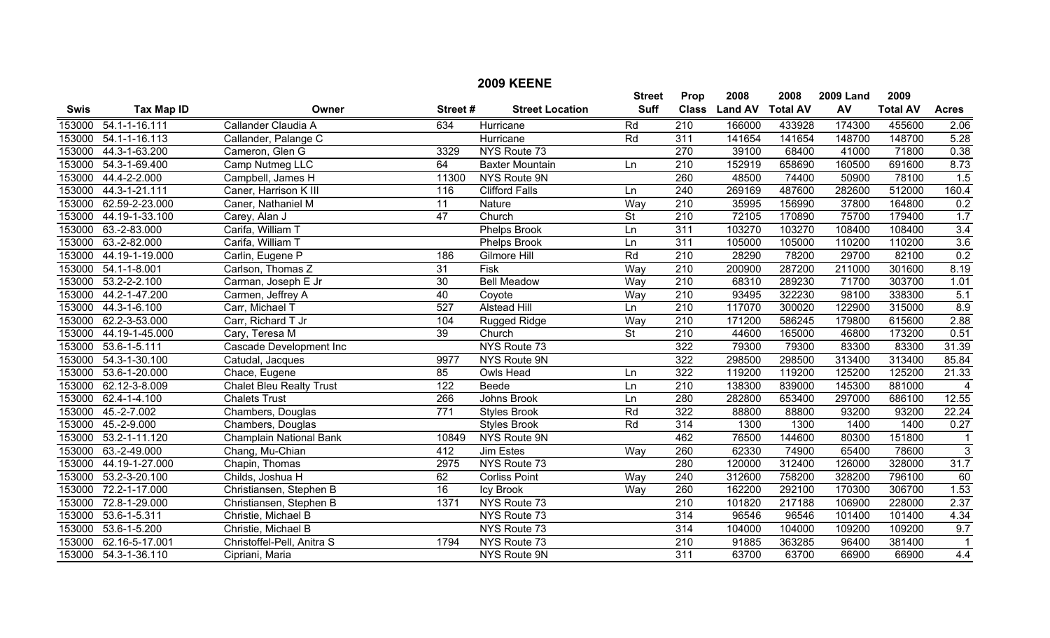|             |                     |                                 |                 | <b>2009 KEENE</b>      |                 |                  |                |                 |                  |                 |                         |
|-------------|---------------------|---------------------------------|-----------------|------------------------|-----------------|------------------|----------------|-----------------|------------------|-----------------|-------------------------|
|             |                     |                                 |                 |                        | <b>Street</b>   | Prop             | 2008           | 2008            | <b>2009 Land</b> | 2009            |                         |
| <b>Swis</b> | <b>Tax Map ID</b>   | Owner                           | Street#         | <b>Street Location</b> | <b>Suff</b>     | <b>Class</b>     | <b>Land AV</b> | <b>Total AV</b> | AV               | <b>Total AV</b> | <b>Acres</b>            |
| 153000      | $54.1 - 1 - 16.111$ | Callander Claudia A             | 634             | Hurricane              | Rd              | $\overline{210}$ | 166000         | 433928          | 174300           | 455600          | 2.06                    |
| 153000      | $54.1 - 1 - 16.113$ | Callander, Palange C            |                 | Hurricane              | Rd              | 311              | 141654         | 141654          | 148700           | 148700          | 5.28                    |
| 153000      | 44.3-1-63.200       | Cameron, Glen G                 | 3329            | NYS Route 73           |                 | 270              | 39100          | 68400           | 41000            | 71800           | 0.38                    |
| 153000      | 54.3-1-69.400       | Camp Nutmeg LLC                 | 64              | <b>Baxter Mountain</b> | Ln              | 210              | 152919         | 658690          | 160500           | 691600          | 8.73                    |
| 153000      | 44.4-2-2.000        | Campbell, James H               | 11300           | NYS Route 9N           |                 | 260              | 48500          | 74400           | 50900            | 78100           | 1.5                     |
| 153000      | 44.3-1-21.111       | Caner, Harrison K III           | 116             | <b>Clifford Falls</b>  | Ln              | 240              | 269169         | 487600          | 282600           | 512000          | 160.4                   |
| 153000      | 62.59-2-23.000      | Caner, Nathaniel M              | $\overline{11}$ | Nature                 | Way             | $\overline{210}$ | 35995          | 156990          | 37800            | 164800          | 0.2                     |
| 153000      | 44.19-1-33.100      | Carey, Alan J                   | 47              | Church                 | $\overline{St}$ | $\overline{210}$ | 72105          | 170890          | 75700            | 179400          | 1.7                     |
| 153000      | 63.-2-83.000        | Carifa, William T               |                 | <b>Phelps Brook</b>    | Ln              | 311              | 103270         | 103270          | 108400           | 108400          | 3.4                     |
| 153000      | 63.-2-82.000        | Carifa, William T               |                 | Phelps Brook           | Ln              | 311              | 105000         | 105000          | 110200           | 110200          | 3.6                     |
| 153000      | 44.19-1-19.000      | Carlin, Eugene P                | 186             | <b>Gilmore Hill</b>    | Rd              | $\overline{210}$ | 28290          | 78200           | 29700            | 82100           | 0.2                     |
| 153000      | $54.1 - 1 - 8.001$  | Carlson, Thomas Z               | $\overline{31}$ | <b>Fisk</b>            | Way             | $\overline{210}$ | 200900         | 287200          | 211000           | 301600          | 8.19                    |
| 153000      | $53.2 - 2 - 2.100$  | Carman, Joseph E Jr             | $\overline{30}$ | <b>Bell Meadow</b>     | Way             | $\overline{210}$ | 68310          | 289230          | 71700            | 303700          | 1.01                    |
| 153000      | 44.2-1-47.200       | Carmen, Jeffrey A               | 40              | Coyote                 | Way             | 210              | 93495          | 322230          | 98100            | 338300          | 5.1                     |
| 153000      | 44.3-1-6.100        | Carr, Michael T                 | 527             | Alstead Hill           | Ln              | $\overline{210}$ | 117070         | 300020          | 122900           | 315000          | 8.9                     |
| 153000      | 62.2-3-53.000       | Carr, Richard T Jr              | 104             | <b>Rugged Ridge</b>    | Way             | $\overline{210}$ | 171200         | 586245          | 179800           | 615600          | 2.88                    |
| 153000      | 44.19-1-45.000      | Cary, Teresa M                  | 39              | Church                 | <b>St</b>       | 210              | 44600          | 165000          | 46800            | 173200          | 0.51                    |
| 153000      | $53.6 - 1 - 5.111$  | Cascade Development Inc         |                 | NYS Route 73           |                 | 322              | 79300          | 79300           | 83300            | 83300           | 31.39                   |
| 153000      | 54.3-1-30.100       | Catudal, Jacques                | 9977            | NYS Route 9N           |                 | 322              | 298500         | 298500          | 313400           | 313400          | 85.84                   |
| 153000      | 53.6-1-20.000       | Chace, Eugene                   | 85              | <b>Owls Head</b>       | Ln              | 322              | 119200         | 119200          | 125200           | 125200          | $\overline{21.33}$      |
| 153000      | 62.12-3-8.009       | <b>Chalet Bleu Realty Trust</b> | 122             | Beede                  | Ln              | $\overline{210}$ | 138300         | 839000          | 145300           | 881000          | $\overline{4}$          |
| 153000      | 62.4-1-4.100        | <b>Chalets Trust</b>            | 266             | Johns Brook            | Ln              | 280              | 282800         | 653400          | 297000           | 686100          | 12.55                   |
| 153000      | $45.-2-7.002$       | Chambers, Douglas               | 771             | <b>Styles Brook</b>    | Rd              | 322              | 88800          | 88800           | 93200            | 93200           | 22.24                   |
| 153000      | 45.-2-9.000         | Chambers, Douglas               |                 | <b>Styles Brook</b>    | Rd              | $\overline{314}$ | 1300           | 1300            | 1400             | 1400            | $\overline{0.27}$       |
| 153000      | 53.2-1-11.120       | <b>Champlain National Bank</b>  | 10849           | <b>NYS Route 9N</b>    |                 | 462              | 76500          | 144600          | 80300            | 151800          | $\overline{\mathbf{1}}$ |
| 153000      | 63.-2-49.000        | Chang, Mu-Chian                 | 412             | <b>Jim Estes</b>       | Way             | 260              | 62330          | 74900           | 65400            | 78600           | 3                       |
| 153000      | 44.19-1-27.000      | Chapin, Thomas                  | 2975            | NYS Route 73           |                 | 280              | 120000         | 312400          | 126000           | 328000          | 31.7                    |
| 153000      | 53.2-3-20.100       | Childs, Joshua H                | 62              | <b>Corliss Point</b>   | Way             | 240              | 312600         | 758200          | 328200           | 796100          | 60                      |
| 153000      | 72.2-1-17.000       | Christiansen, Stephen B         | 16              | <b>Icy Brook</b>       | Way             | 260              | 162200         | 292100          | 170300           | 306700          | 1.53                    |
| 153000      | 72.8-1-29.000       | Christiansen, Stephen B         | 1371            | NYS Route 73           |                 | 210              | 101820         | 217188          | 106900           | 228000          | 2.37                    |
| 153000      | 53.6-1-5.311        | Christie, Michael B             |                 | NYS Route 73           |                 | 314              | 96546          | 96546           | 101400           | 101400          | 4.34                    |
| 153000      | 53.6-1-5.200        | Christie, Michael B             |                 | NYS Route 73           |                 | 314              | 104000         | 104000          | 109200           | 109200          | 9.7                     |
| 153000      | 62.16-5-17.001      | Christoffel-Pell, Anitra S      | 1794            | NYS Route 73           |                 | $\overline{210}$ | 91885          | 363285          | 96400            | 381400          | $\overline{1}$          |
| 153000      | 54.3-1-36.110       | Cipriani, Maria                 |                 | <b>NYS Route 9N</b>    |                 | $\overline{311}$ | 63700          | 63700           | 66900            | 66900           | 4.4                     |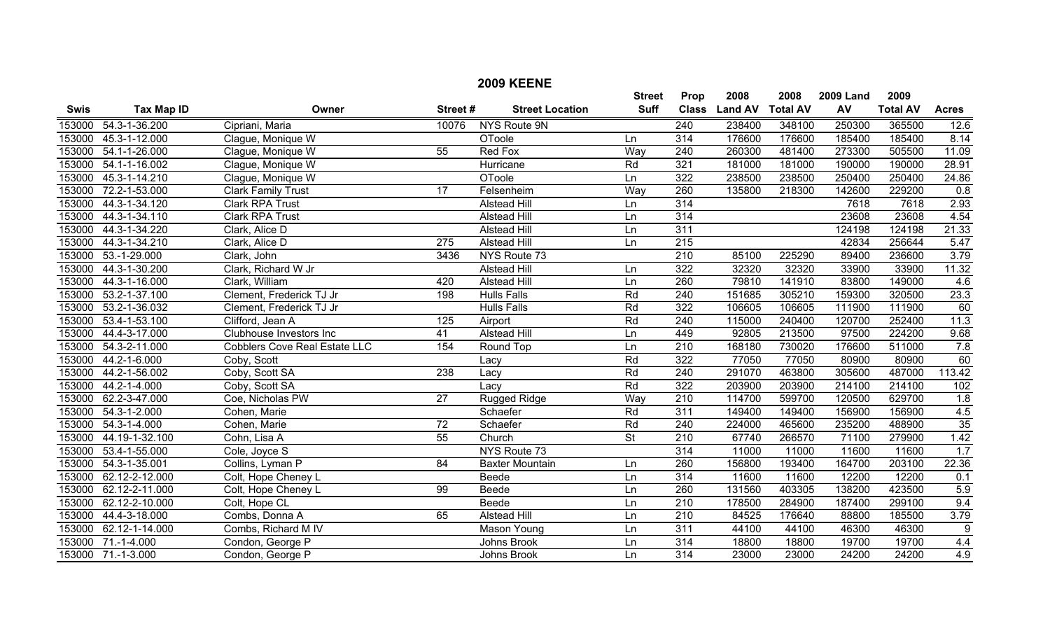|             |                    |                                      |                 | <b>2009 KEENE</b>      |                          |                  |                |                 |                  |                 |                  |
|-------------|--------------------|--------------------------------------|-----------------|------------------------|--------------------------|------------------|----------------|-----------------|------------------|-----------------|------------------|
|             |                    |                                      |                 |                        | <b>Street</b>            | Prop             | 2008           | 2008            | <b>2009 Land</b> | 2009            |                  |
| <b>Swis</b> | <b>Tax Map ID</b>  | Owner                                | Street#         | <b>Street Location</b> | <b>Suff</b>              | <b>Class</b>     | <b>Land AV</b> | <b>Total AV</b> | AV               | <b>Total AV</b> | <b>Acres</b>     |
| 153000      | 54.3-1-36.200      | Cipriani, Maria                      | 10076           | NYS Route 9N           |                          | 240              | 238400         | 348100          | 250300           | 365500          | 12.6             |
| 153000      | 45.3-1-12.000      | Clague, Monique W                    |                 | <b>OToole</b>          | Ln                       | 314              | 176600         | 176600          | 185400           | 185400          | 8.14             |
| 153000      | 54.1-1-26.000      | Clague, Monique W                    | 55              | <b>Red Fox</b>         | Way                      | $\overline{240}$ | 260300         | 481400          | 273300           | 505500          | 11.09            |
| 153000      | 54.1-1-16.002      | Clague, Monique W                    |                 | Hurricane              | Rd                       | 321              | 181000         | 181000          | 190000           | 190000          | 28.91            |
| 153000      | 45.3-1-14.210      | Clague, Monique W                    |                 | <b>OToole</b>          | Ln                       | 322              | 238500         | 238500          | 250400           | 250400          | 24.86            |
| 153000      | 72.2-1-53.000      | <b>Clark Family Trust</b>            | $\overline{17}$ | Felsenheim             | Way                      | 260              | 135800         | 218300          | 142600           | 229200          | $\overline{0.8}$ |
| 153000      | 44.3-1-34.120      | <b>Clark RPA Trust</b>               |                 | <b>Alstead Hill</b>    | Ln                       | 314              |                |                 | 7618             | 7618            | 2.93             |
| 153000      | 44.3-1-34.110      | <b>Clark RPA Trust</b>               |                 | <b>Alstead Hill</b>    | Ln                       | 314              |                |                 | 23608            | 23608           | 4.54             |
| 153000      | 44.3-1-34.220      | Clark, Alice D                       |                 | <b>Alstead Hill</b>    | Ln                       | 311              |                |                 | 124198           | 124198          | 21.33            |
| 153000      | 44.3-1-34.210      | Clark, Alice D                       | 275             | <b>Alstead Hill</b>    | Ln                       | 215              |                |                 | 42834            | 256644          | 5.47             |
| 153000      | $53.-1-29.000$     | Clark, John                          | 3436            | NYS Route 73           |                          | $\overline{210}$ | 85100          | 225290          | 89400            | 236600          | 3.79             |
| 153000      | 44.3-1-30.200      | Clark, Richard W Jr                  |                 | <b>Alstead Hill</b>    | Ln                       | 322              | 32320          | 32320           | 33900            | 33900           | 11.32            |
| 153000      | 44.3-1-16.000      | Clark, William                       | 420             | <b>Alstead Hill</b>    | Ln                       | 260              | 79810          | 141910          | 83800            | 149000          | 4.6              |
| 153000      | 53.2-1-37.100      | Clement, Frederick TJ Jr             | 198             | <b>Hulls Falls</b>     | Rd                       | $\overline{240}$ | 151685         | 305210          | 159300           | 320500          | 23.3             |
| 153000      | 53.2-1-36.032      | Clement, Frederick TJ Jr             |                 | <b>Hulls Falls</b>     | Rd                       | 322              | 106605         | 106605          | 111900           | 111900          | 60               |
| 153000      | 53.4-1-53.100      | Clifford, Jean A                     | 125             | Airport                | Rd                       | $\overline{240}$ | 115000         | 240400          | 120700           | 252400          | 11.3             |
| 153000      | 44.4-3-17.000      | Clubhouse Investors Inc              | 41              | Alstead Hill           | Ln                       | 449              | 92805          | 213500          | 97500            | 224200          | 9.68             |
| 153000      | 54.3-2-11.000      | <b>Cobblers Cove Real Estate LLC</b> | 154             | Round Top              | Ln                       | 210              | 168180         | 730020          | 176600           | 511000          | 7.8              |
| 153000      | 44.2-1-6.000       | Coby, Scott                          |                 | Lacy                   | Rd                       | 322              | 77050          | 77050           | 80900            | 80900           | 60               |
| 153000      | 44.2-1-56.002      | Coby, Scott SA                       | 238             | Lacy                   | Rd                       | $\overline{240}$ | 291070         | 463800          | 305600           | 487000          | 113.42           |
| 153000      | 44.2-1-4.000       | Coby, Scott SA                       |                 | Lacy                   | Rd                       | 322              | 203900         | 203900          | 214100           | 214100          | 102              |
| 153000      | 62.2-3-47.000      | Coe, Nicholas PW                     | $\overline{27}$ | Rugged Ridge           | Way                      | $\overline{210}$ | 114700         | 599700          | 120500           | 629700          | 1.8              |
| 153000      | 54.3-1-2.000       | Cohen, Marie                         |                 | Schaefer               | Rd                       | $\overline{311}$ | 149400         | 149400          | 156900           | 156900          | 4.5              |
| 153000      | $54.3 - 1 - 4.000$ | Cohen, Marie                         | $\overline{72}$ | Schaefer               | Rd                       | 240              | 224000         | 465600          | 235200           | 488900          | $\overline{35}$  |
| 153000      | 44.19-1-32.100     | Cohn, Lisa A                         | $\overline{55}$ | Church                 | $\overline{\mathsf{St}}$ | 210              | 67740          | 266570          | 71100            | 279900          | 1.42             |
| 153000      | 53.4-1-55.000      | Cole, Joyce S                        |                 | NYS Route 73           |                          | $\overline{314}$ | 11000          | 11000           | 11600            | 11600           | 1.7              |
| 153000      | 54.3-1-35.001      | Collins, Lyman P                     | $\overline{84}$ | <b>Baxter Mountain</b> | Ln                       | 260              | 156800         | 193400          | 164700           | 203100          | 22.36            |
| 153000      | 62.12-2-12.000     | Colt, Hope Cheney L                  |                 | Beede                  | Ln                       | 314              | 11600          | 11600           | 12200            | 12200           | 0.1              |
| 153000      | 62.12-2-11.000     | Colt, Hope Cheney L                  | $\overline{99}$ | <b>Beede</b>           | Ln                       | 260              | 131560         | 403305          | 138200           | 423500          | 5.9              |
| 153000      | 62.12-2-10.000     | Colt, Hope CL                        |                 | Beede                  | Ln                       | 210              | 178500         | 284900          | 187400           | 299100          | 9.4              |
| 153000      | 44.4-3-18.000      | Combs, Donna A                       | 65              | <b>Alstead Hill</b>    | Ln                       | 210              | 84525          | 176640          | 88800            | 185500          | 3.79             |
| 153000      | 62.12-1-14.000     | Combs, Richard M IV                  |                 | Mason Young            | Ln                       | 311              | 44100          | 44100           | 46300            | 46300           | $9\,$            |
| 153000      | $71.-1-4.000$      | Condon, George P                     |                 | Johns Brook            | Ln                       | 314              | 18800          | 18800           | 19700            | 19700           | 4.4              |
|             | 153000 71.-1-3.000 | Condon, George P                     |                 | Johns Brook            | Ln                       | $\overline{314}$ | 23000          | 23000           | 24200            | 24200           | 4.9              |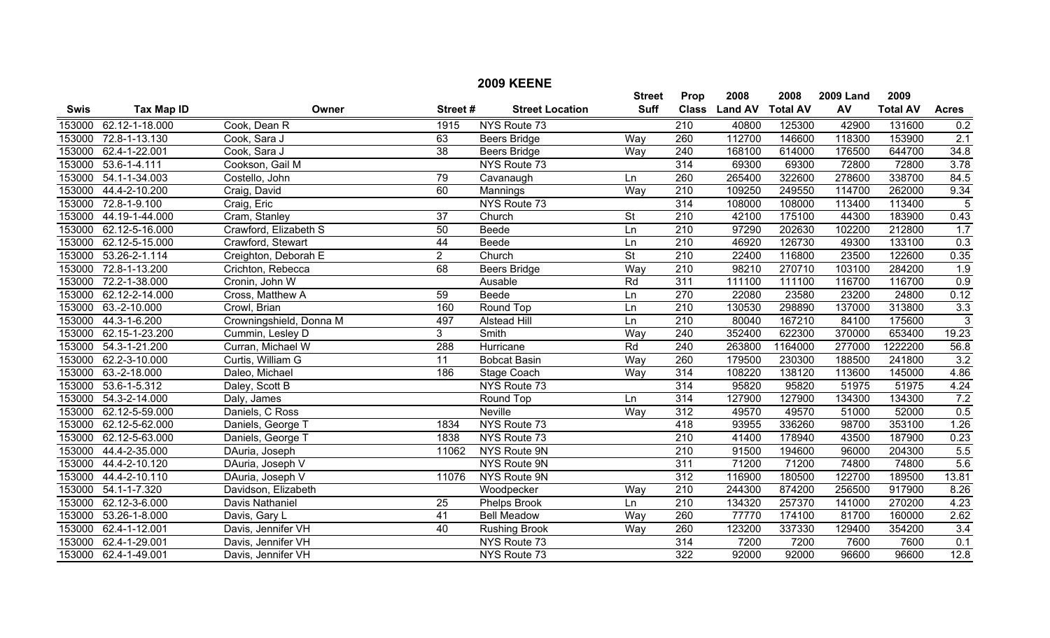|             |                      |                         |                 | <b>2009 KEENE</b>      |                 |                  |                |                 |                  |                 |                |
|-------------|----------------------|-------------------------|-----------------|------------------------|-----------------|------------------|----------------|-----------------|------------------|-----------------|----------------|
|             |                      |                         |                 |                        | <b>Street</b>   | Prop             | 2008           | 2008            | <b>2009 Land</b> | 2009            |                |
| <b>Swis</b> | <b>Tax Map ID</b>    | Owner                   | Street#         | <b>Street Location</b> | <b>Suff</b>     | <b>Class</b>     | <b>Land AV</b> | <b>Total AV</b> | AV               | <b>Total AV</b> | <b>Acres</b>   |
| 153000      | 62.12-1-18.000       | Cook, Dean R            | 1915            | NYS Route 73           |                 | $\overline{210}$ | 40800          | 125300          | 42900            | 131600          | 0.2            |
| 153000      | 72.8-1-13.130        | Cook, Sara J            | 63              | <b>Beers Bridge</b>    | Way             | 260              | 112700         | 146600          | 118300           | 153900          | 2.1            |
| 153000      | 62.4-1-22.001        | Cook, Sara J            | $\overline{38}$ | <b>Beers Bridge</b>    | Way             | $\overline{240}$ | 168100         | 614000          | 176500           | 644700          | 34.8           |
| 153000      | $53.6 - 1 - 4.111$   | Cookson, Gail M         |                 | NYS Route 73           |                 | 314              | 69300          | 69300           | 72800            | 72800           | 3.78           |
| 153000      | 54.1-1-34.003        | Costello, John          | 79              | Cavanaugh              | Ln              | 260              | 265400         | 322600          | 278600           | 338700          | 84.5           |
| 153000      | 44.4-2-10.200        | Craig, David            | 60              | Mannings               | Way             | $\overline{210}$ | 109250         | 249550          | 114700           | 262000          | 9.34           |
| 153000      | 72.8-1-9.100         | Craig, Eric             |                 | NYS Route 73           |                 | 314              | 108000         | 108000          | 113400           | 113400          | 5              |
| 153000      | 44.19-1-44.000       | Cram, Stanley           | $\overline{37}$ | Church                 | $\overline{St}$ | $\overline{210}$ | 42100          | 175100          | 44300            | 183900          | 0.43           |
| 153000      | 62.12-5-16.000       | Crawford, Elizabeth S   | 50              | Beede                  | Ln              | 210              | 97290          | 202630          | 102200           | 212800          | 1.7            |
| 153000      | 62.12-5-15.000       | Crawford, Stewart       | 44              | Beede                  | Ln              | 210              | 46920          | 126730          | 49300            | 133100          | 0.3            |
| 153000      | 53.26-2-1.114        | Creighton, Deborah E    | $\overline{2}$  | Church                 | $\overline{St}$ | $\overline{210}$ | 22400          | 116800          | 23500            | 122600          | 0.35           |
| 153000      | 72.8-1-13.200        | Crichton, Rebecca       | 68              | <b>Beers Bridge</b>    | Way             | $\overline{210}$ | 98210          | 270710          | 103100           | 284200          | 1.9            |
| 153000      | 72.2-1-38.000        | Cronin, John W          |                 | Ausable                | Rd              | $\overline{311}$ | 111100         | 111100          | 116700           | 116700          | 0.9            |
| 153000      | 62.12-2-14.000       | Cross, Matthew A        | 59              | <b>Beede</b>           | Ln              | 270              | 22080          | 23580           | 23200            | 24800           | 0.12           |
| 153000      | 63.-2-10.000         | Crowl, Brian            | 160             | Round Top              | Ln              | $\overline{210}$ | 130530         | 298890          | 137000           | 313800          | 3.3            |
| 153000      | 44.3-1-6.200         | Crowningshield, Donna M | 497             | <b>Alstead Hill</b>    | Ln              | $\overline{210}$ | 80040          | 167210          | 84100            | 175600          | $\overline{3}$ |
| 153000      | 62.15-1-23.200       | Cummin, Lesley D        | 3               | Smith                  | Way             | 240              | 352400         | 622300          | 370000           | 653400          | 19.23          |
| 153000      | 54.3-1-21.200        | Curran, Michael W       | 288             | Hurricane              | Rd              | 240              | 263800         | 1164000         | 277000           | 1222200         | 56.8           |
| 153000      | 62.2-3-10.000        | Curtis, William G       | $\overline{11}$ | <b>Bobcat Basin</b>    | Way             | 260              | 179500         | 230300          | 188500           | 241800          | 3.2            |
| 153000      | 63.-2-18.000         | Daleo, Michael          | 186             | Stage Coach            | Way             | 314              | 108220         | 138120          | 113600           | 145000          | 4.86           |
| 153000      | 53.6-1-5.312         | Daley, Scott B          |                 | NYS Route 73           |                 | $\overline{314}$ | 95820          | 95820           | 51975            | 51975           | 4.24           |
| 153000      | 54.3-2-14.000        | Daly, James             |                 | Round Top              | Ln              | 314              | 127900         | 127900          | 134300           | 134300          | 7.2            |
| 153000      | 62.12-5-59.000       | Daniels, C Ross         |                 | <b>Neville</b>         | Way             | 312              | 49570          | 49570           | 51000            | 52000           | 0.5            |
| 153000      | 62.12-5-62.000       | Daniels, George T       | 1834            | NYS Route 73           |                 | 418              | 93955          | 336260          | 98700            | 353100          | 1.26           |
| 153000      | 62.12-5-63.000       | Daniels, George T       | 1838            | NYS Route 73           |                 | $\overline{210}$ | 41400          | 178940          | 43500            | 187900          | 0.23           |
| 153000      | 44.4-2-35.000        | DAuria, Joseph          | 11062           | NYS Route 9N           |                 | 210              | 91500          | 194600          | 96000            | 204300          | 5.5            |
| 153000      | 44.4-2-10.120        | DAuria, Joseph V        |                 | NYS Route 9N           |                 | 311              | 71200          | 71200           | 74800            | 74800           | 5.6            |
| 153000      | 44.4-2-10.110        | DAuria, Joseph V        | 11076           | NYS Route 9N           |                 | 312              | 116900         | 180500          | 122700           | 189500          | 13.81          |
| 153000      | 54.1-1-7.320         | Davidson, Elizabeth     |                 | Woodpecker             | Way             | $\overline{210}$ | 244300         | 874200          | 256500           | 917900          | 8.26           |
| 153000      | 62.12-3-6.000        | Davis Nathaniel         | 25              | Phelps Brook           | Ln              | 210              | 134320         | 257370          | 141000           | 270200          | 4.23           |
| 153000      | 53.26-1-8.000        | Davis, Gary L           | 41              | <b>Bell Meadow</b>     | Way             | 260              | 77770          | 174100          | 81700            | 160000          | 2.62           |
| 153000      | 62.4-1-12.001        | Davis, Jennifer VH      | 40              | <b>Rushing Brook</b>   | Way             | 260              | 123200         | 337330          | 129400           | 354200          | 3.4            |
| 153000      | 62.4-1-29.001        | Davis, Jennifer VH      |                 | NYS Route 73           |                 | 314              | 7200           | 7200            | 7600             | 7600            | 0.1            |
|             | 153000 62.4-1-49.001 | Davis, Jennifer VH      |                 | NYS Route 73           |                 | $\overline{322}$ | 92000          | 92000           | 96600            | 96600           | 12.8           |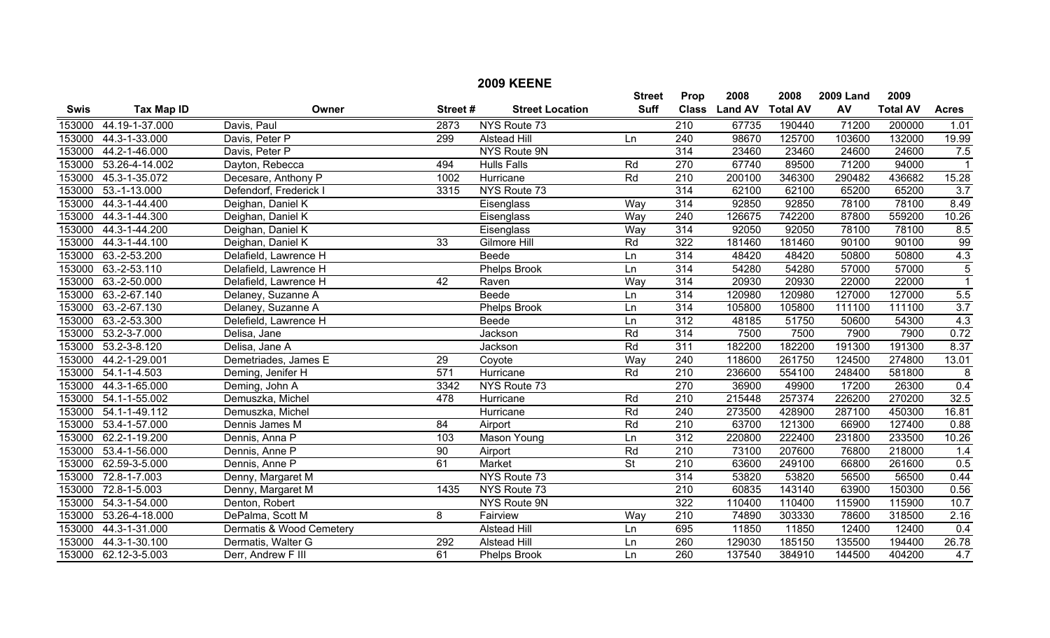|             |                   |                          |                 | <b>2009 KEENE</b>      |                          |                  |                |                 |                  |                 |                  |
|-------------|-------------------|--------------------------|-----------------|------------------------|--------------------------|------------------|----------------|-----------------|------------------|-----------------|------------------|
|             |                   |                          |                 |                        | <b>Street</b>            | Prop             | 2008           | 2008            | <b>2009 Land</b> | 2009            |                  |
| <b>Swis</b> | <b>Tax Map ID</b> | Owner                    | Street#         | <b>Street Location</b> | <b>Suff</b>              | <b>Class</b>     | <b>Land AV</b> | <b>Total AV</b> | AV               | <b>Total AV</b> | <b>Acres</b>     |
| 153000      | 44.19-1-37.000    | Davis, Paul              | 2873            | NYS Route 73           |                          | $\overline{210}$ | 67735          | 190440          | 71200            | 200000          | 1.01             |
| 153000      | 44.3-1-33.000     | Davis, Peter P           | 299             | <b>Alstead Hill</b>    | Ln                       | $\overline{240}$ | 98670          | 125700          | 103600           | 132000          | 19.99            |
| 153000      | 44.2-1-46.000     | Davis, Peter P           |                 | NYS Route 9N           |                          | 314              | 23460          | 23460           | 24600            | 24600           | 7.5              |
| 153000      | 53.26-4-14.002    | Dayton, Rebecca          | 494             | <b>Hulls Falls</b>     | Rd                       | 270              | 67740          | 89500           | 71200            | 94000           | -1               |
| 153000      | 45.3-1-35.072     | Decesare, Anthony P      | 1002            | Hurricane              | Rd                       | $\overline{210}$ | 200100         | 346300          | 290482           | 436682          | 15.28            |
| 153000      | $53.-1-13.000$    | Defendorf, Frederick I   | 3315            | NYS Route 73           |                          | 314              | 62100          | 62100           | 65200            | 65200           | $\overline{3.7}$ |
| 153000      | 44.3-1-44.400     | Deighan, Daniel K        |                 | Eisenglass             | Way                      | 314              | 92850          | 92850           | 78100            | 78100           | 8.49             |
| 153000      | 44.3-1-44.300     | Deighan, Daniel K        |                 | Eisenglass             | Way                      | $\overline{240}$ | 126675         | 742200          | 87800            | 559200          | 10.26            |
| 153000      | 44.3-1-44.200     | Deighan, Daniel K        |                 | Eisenglass             | Way                      | $\overline{314}$ | 92050          | 92050           | 78100            | 78100           | 8.5              |
| 153000      | 44.3-1-44.100     | Deighan, Daniel K        | 33              | Gilmore Hill           | Rd                       | 322              | 181460         | 181460          | 90100            | 90100           | 99               |
| 153000      | 63.-2-53.200      | Delafield, Lawrence H    |                 | Beede                  | Ln                       | 314              | 48420          | 48420           | 50800            | 50800           | 4.3              |
| 153000      | 63.-2-53.110      | Delafield, Lawrence H    |                 | <b>Phelps Brook</b>    | Ln                       | $\overline{314}$ | 54280          | 54280           | 57000            | 57000           | $\overline{5}$   |
| 153000      | 63.-2-50.000      | Delafield, Lawrence H    | $\overline{42}$ | Raven                  | Way                      | 314              | 20930          | 20930           | 22000            | 22000           | $\overline{1}$   |
| 153000      | 63.-2-67.140      | Delaney, Suzanne A       |                 | <b>Beede</b>           | Ln                       | 314              | 120980         | 120980          | 127000           | 127000          | 5.5              |
| 153000      | 63.-2-67.130      | Delaney, Suzanne A       |                 | <b>Phelps Brook</b>    | Ln                       | 314              | 105800         | 105800          | 111100           | 111100          | $\overline{3.7}$ |
| 153000      | 63.-2-53.300      | Delefield, Lawrence H    |                 | Beede                  | Ln                       | 312              | 48185          | 51750           | 50600            | 54300           | 4.3              |
| 153000      | 53.2-3-7.000      | Delisa, Jane             |                 | Jackson                | Rd                       | 314              | 7500           | 7500            | 7900             | 7900            | 0.72             |
| 153000      | 53.2-3-8.120      | Delisa, Jane A           |                 | Jackson                | Rd                       | 311              | 182200         | 182200          | 191300           | 191300          | 8.37             |
| 153000      | 44.2-1-29.001     | Demetriades, James E     | $\overline{29}$ | Coyote                 | Way                      | $\overline{240}$ | 118600         | 261750          | 124500           | 274800          | 13.01            |
| 153000      | 54.1-1-4.503      | Deming, Jenifer H        | 571             | Hurricane              | Rd                       | $\overline{210}$ | 236600         | 554100          | 248400           | 581800          | 8                |
| 153000      | 44.3-1-65.000     | Deming, John A           | 3342            | NYS Route 73           |                          | 270              | 36900          | 49900           | 17200            | 26300           | 0.4              |
| 153000      | 54.1-1-55.002     | Demuszka, Michel         | 478             | Hurricane              | Rd                       | $\overline{210}$ | 215448         | 257374          | 226200           | 270200          | 32.5             |
| 153000      | 54.1-1-49.112     | Demuszka, Michel         |                 | Hurricane              | Rd                       | $\overline{240}$ | 273500         | 428900          | 287100           | 450300          | 16.81            |
| 153000      | 53.4-1-57.000     | Dennis James M           | 84              | Airport                | Rd                       | 210              | 63700          | 121300          | 66900            | 127400          | 0.88             |
| 153000      | 62.2-1-19.200     | Dennis, Anna P           | 103             | Mason Young            | Ln                       | $\overline{312}$ | 220800         | 222400          | 231800           | 233500          | 10.26            |
| 153000      | 53.4-1-56.000     | Dennis, Anne P           | $\overline{90}$ | Airport                | Rd                       | $\overline{210}$ | 73100          | 207600          | 76800            | 218000          | 1.4              |
| 153000      | 62.59-3-5.000     | Dennis, Anne P           | 61              | <b>Market</b>          | $\overline{\mathsf{St}}$ | 210              | 63600          | 249100          | 66800            | 261600          | 0.5              |
| 153000      | 72.8-1-7.003      | Denny, Margaret M        |                 | NYS Route 73           |                          | 314              | 53820          | 53820           | 56500            | 56500           | 0.44             |
| 153000      | 72.8-1-5.003      | Denny, Margaret M        | 1435            | NYS Route 73           |                          | $\overline{210}$ | 60835          | 143140          | 63900            | 150300          | 0.56             |
| 153000      | 54.3-1-54.000     | Denton, Robert           |                 | <b>NYS Route 9N</b>    |                          | 322              | 110400         | 110400          | 115900           | 115900          | 10.7             |
| 153000      | 53.26-4-18.000    | DePalma, Scott M         | 8               | Fairview               | Way                      | $\overline{210}$ | 74890          | 303330          | 78600            | 318500          | 2.16             |
| 153000      | 44.3-1-31.000     | Dermatis & Wood Cemetery |                 | <b>Alstead Hill</b>    | Ln                       | 695              | 11850          | 11850           | 12400            | 12400           | 0.4              |
| 153000      | 44.3-1-30.100     | Dermatis, Walter G       | 292             | <b>Alstead Hill</b>    | Ln                       | 260              | 129030         | 185150          | 135500           | 194400          | 26.78            |
| 153000      | 62.12-3-5.003     | Derr, Andrew F III       | 61              | <b>Phelps Brook</b>    | Ln                       | 260              | 137540         | 384910          | 144500           | 404200          | 4.7              |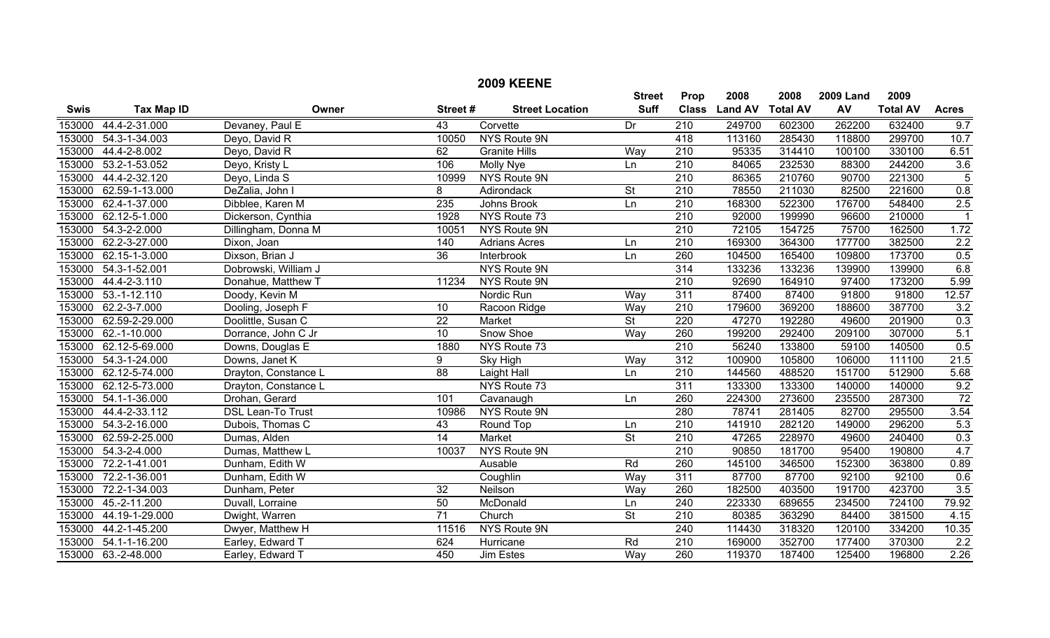|             |                     |                          |                 | <b>2009 KEENE</b>      |                          |                  |                |                 |                  |                 |                  |
|-------------|---------------------|--------------------------|-----------------|------------------------|--------------------------|------------------|----------------|-----------------|------------------|-----------------|------------------|
|             |                     |                          |                 |                        | <b>Street</b>            | Prop             | 2008           | 2008            | <b>2009 Land</b> | 2009            |                  |
| <b>Swis</b> | <b>Tax Map ID</b>   | Owner                    | Street#         | <b>Street Location</b> | <b>Suff</b>              | <b>Class</b>     | <b>Land AV</b> | <b>Total AV</b> | AV               | <b>Total AV</b> | <b>Acres</b>     |
| 153000      | 44.4-2-31.000       | Devaney, Paul E          | 43              | Corvette               | Dr                       | $\overline{210}$ | 249700         | 602300          | 262200           | 632400          | 9.7              |
| 153000      | 54.3-1-34.003       | Deyo, David R            | 10050           | NYS Route 9N           |                          | 418              | 113160         | 285430          | 118800           | 299700          | 10.7             |
| 153000      | 44.4-2-8.002        | Deyo, David R            | 62              | <b>Granite Hills</b>   | Way                      | $\overline{210}$ | 95335          | 314410          | 100100           | 330100          | 6.51             |
| 153000      | 53.2-1-53.052       | Deyo, Kristy L           | 106             | <b>Molly Nye</b>       | Ln                       | $\overline{210}$ | 84065          | 232530          | 88300            | 244200          | 3.6              |
| 153000      | 44.4-2-32.120       | Deyo, Linda S            | 10999           | NYS Route 9N           |                          | $\overline{210}$ | 86365          | 210760          | 90700            | 221300          | $\overline{5}$   |
| 153000      | 62.59-1-13.000      | DeZalia, John I          | 8               | Adirondack             | $\overline{\mathsf{St}}$ | 210              | 78550          | 211030          | 82500            | 221600          | $\overline{0.8}$ |
| 153000      | 62.4-1-37.000       | Dibblee, Karen M         | 235             | Johns Brook            | Ln                       | $\overline{210}$ | 168300         | 522300          | 176700           | 548400          | 2.5              |
| 153000      | 62.12-5-1.000       | Dickerson, Cynthia       | 1928            | NYS Route 73           |                          | $\overline{210}$ | 92000          | 199990          | 96600            | 210000          | $\overline{1}$   |
| 153000      | 54.3-2-2.000        | Dillingham, Donna M      | 10051           | NYS Route 9N           |                          | $\overline{210}$ | 72105          | 154725          | 75700            | 162500          | 1.72             |
| 153000      | 62.2-3-27.000       | Dixon, Joan              | 140             | <b>Adrians Acres</b>   | Ln                       | 210              | 169300         | 364300          | 177700           | 382500          | 2.2              |
| 153000      | 62.15-1-3.000       | Dixson, Brian J          | $\overline{36}$ | Interbrook             | Ln                       | 260              | 104500         | 165400          | 109800           | 173700          | 0.5              |
| 153000      | 54.3-1-52.001       | Dobrowski, William J     |                 | <b>NYS Route 9N</b>    |                          | $\overline{314}$ | 133236         | 133236          | 139900           | 139900          | 6.8              |
| 153000      | 44.4-2-3.110        | Donahue, Matthew T       | 11234           | NYS Route 9N           |                          | 210              | 92690          | 164910          | 97400            | 173200          | 5.99             |
| 153000      | $53.-1-12.110$      | Doody, Kevin M           |                 | Nordic Run             | Way                      | 311              | 87400          | 87400           | 91800            | 91800           | 12.57            |
| 153000      | 62.2-3-7.000        | Dooling, Joseph F        | 10              | Racoon Ridge           | Way                      | $\overline{210}$ | 179600         | 369200          | 188600           | 387700          | 3.2              |
| 153000      | 62.59-2-29.000      | Doolittle, Susan C       | $\overline{22}$ | <b>Market</b>          | $\overline{\mathsf{St}}$ | 220              | 47270          | 192280          | 49600            | 201900          | 0.3              |
| 153000      | 62.-1-10.000        | Dorrance, John C Jr      | 10              | Snow Shoe              | Way                      | 260              | 199200         | 292400          | 209100           | 307000          | 5.1              |
| 153000      | 62.12-5-69.000      | Downs, Douglas E         | 1880            | NYS Route 73           |                          | $\overline{210}$ | 56240          | 133800          | 59100            | 140500          | 0.5              |
| 153000      | 54.3-1-24.000       | Downs, Janet K           | 9               | <b>Sky High</b>        | Way                      | 312              | 100900         | 105800          | 106000           | 111100          | 21.5             |
| 153000      | 62.12-5-74.000      | Drayton, Constance L     | $\overline{88}$ | <b>Laight Hall</b>     | Ln                       | 210              | 144560         | 488520          | 151700           | 512900          | 5.68             |
| 153000      | 62.12-5-73.000      | Drayton, Constance L     |                 | NYS Route 73           |                          | 311              | 133300         | 133300          | 140000           | 140000          | 9.2              |
| 153000      | 54.1-1-36.000       | Drohan, Gerard           | 101             | Cavanaugh              | Ln                       | 260              | 224300         | 273600          | 235500           | 287300          | 72               |
| 153000      | 44.4-2-33.112       | <b>DSL Lean-To Trust</b> | 10986           | NYS Route 9N           |                          | 280              | 78741          | 281405          | 82700            | 295500          | 3.54             |
| 153000      | 54.3-2-16.000       | Dubois, Thomas C         | 43              | Round Top              | Ln                       | 210              | 141910         | 282120          | 149000           | 296200          | 5.3              |
| 153000      | 62.59-2-25.000      | Dumas, Alden             | $\overline{14}$ | <b>Market</b>          | $\overline{\mathsf{St}}$ | $\overline{210}$ | 47265          | 228970          | 49600            | 240400          | 0.3              |
| 153000      | 54.3-2-4.000        | Dumas, Matthew L         | 10037           | NYS Route 9N           |                          | $\overline{210}$ | 90850          | 181700          | 95400            | 190800          | 4.7              |
| 153000      | 72.2-1-41.001       | Dunham, Edith W          |                 | Ausable                | Rd                       | 260              | 145100         | 346500          | 152300           | 363800          | 0.89             |
| 153000      | 72.2-1-36.001       | Dunham, Edith W          |                 | Coughlin               | Way                      | 311              | 87700          | 87700           | 92100            | 92100           | 0.6              |
| 153000      | 72.2-1-34.003       | Dunham, Peter            | $\overline{32}$ | Neilson                | Way                      | 260              | 182500         | 403500          | 191700           | 423700          | $\overline{3.5}$ |
| 153000      | 45.-2-11.200        | Duvall, Lorraine         | 50              | McDonald               | Ln                       | 240              | 223330         | 689655          | 234500           | 724100          | 79.92            |
| 153000      | 44.19-1-29.000      | Dwight, Warren           | $\overline{71}$ | Church                 | $\overline{\mathsf{St}}$ | 210              | 80385          | 363290          | 84400            | 381500          | 4.15             |
| 153000      | 44.2-1-45.200       | Dwyer, Matthew H         | 11516           | NYS Route 9N           |                          | 240              | 114430         | 318320          | 120100           | 334200          | 10.35            |
| 153000      | 54.1-1-16.200       | Earley, Edward T         | 624             | Hurricane              | Rd                       | $\overline{210}$ | 169000         | 352700          | 177400           | 370300          | 2.2              |
|             | 153000 63.-2-48.000 | Earley, Edward T         | 450             | Jim Estes              | Way                      | 260              | 119370         | 187400          | 125400           | 196800          | 2.26             |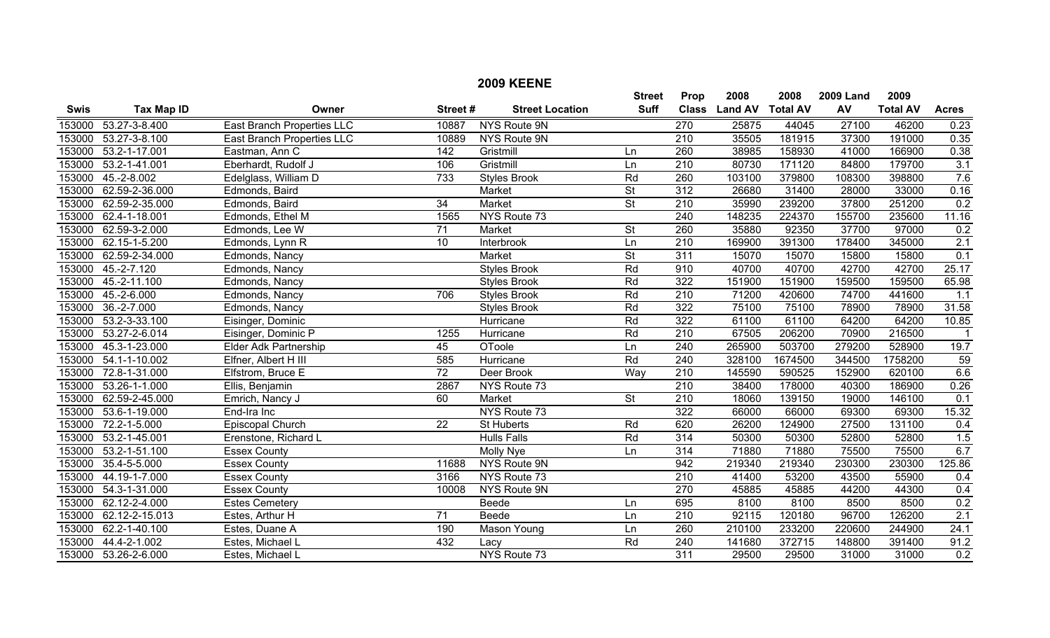|             |                      |                              |                  | <b>2009 KEENE</b>      |                          |                  |                  |         |                  |                 |                    |
|-------------|----------------------|------------------------------|------------------|------------------------|--------------------------|------------------|------------------|---------|------------------|-----------------|--------------------|
|             |                      |                              |                  |                        | <b>Street</b>            | Prop             | 2008             | 2008    | <b>2009 Land</b> | 2009            |                    |
| <b>Swis</b> | <b>Tax Map ID</b>    | Owner                        | Street#          | <b>Street Location</b> | <b>Suff</b>              | <b>Class</b>     | Land AV Total AV |         | AV               | <b>Total AV</b> | <b>Acres</b>       |
| 153000      | 53.27-3-8.400        | East Branch Properties LLC   | 10887            | NYS Route 9N           |                          | 270              | 25875            | 44045   | 27100            | 46200           | 0.23               |
| 153000      | 53.27-3-8.100        | East Branch Properties LLC   | 10889            | <b>NYS Route 9N</b>    |                          | 210              | 35505            | 181915  | 37300            | 191000          | 0.35               |
| 153000      | 53.2-1-17.001        | Eastman, Ann C               | $\overline{142}$ | Gristmill              | Ln                       | 260              | 38985            | 158930  | 41000            | 166900          | 0.38               |
| 153000      | 53.2-1-41.001        | Eberhardt, Rudolf J          | 106              | Gristmill              | Ln                       | $\overline{210}$ | 80730            | 171120  | 84800            | 179700          | $\overline{3.1}$   |
| 153000      | $45.-2-8.002$        | Edelglass, William D         | 733              | <b>Styles Brook</b>    | Rd                       | 260              | 103100           | 379800  | 108300           | 398800          | 7.6                |
| 153000      | 62.59-2-36.000       | Edmonds, Baird               |                  | Market                 | $\overline{\mathsf{St}}$ | 312              | 26680            | 31400   | 28000            | 33000           | 0.16               |
| 153000      | 62.59-2-35.000       | Edmonds, Baird               | $\overline{34}$  | Market                 | $\overline{\mathsf{St}}$ | $\overline{210}$ | 35990            | 239200  | 37800            | 251200          | 0.2                |
| 153000      | 62.4-1-18.001        | Edmonds, Ethel M             | 1565             | NYS Route 73           |                          | 240              | 148235           | 224370  | 155700           | 235600          | 11.16              |
| 153000      | 62.59-3-2.000        | Edmonds, Lee W               | 71               | Market                 | $\overline{\mathsf{St}}$ | 260              | 35880            | 92350   | 37700            | 97000           | 0.2                |
| 153000      | 62.15-1-5.200        | Edmonds, Lynn R              | 10               | Interbrook             | Ln                       | 210              | 169900           | 391300  | 178400           | 345000          | 2.1                |
| 153000      | 62.59-2-34.000       | Edmonds, Nancy               |                  | <b>Market</b>          | $\overline{\mathsf{St}}$ | $\overline{311}$ | 15070            | 15070   | 15800            | 15800           | 0.1                |
| 153000      | 45.-2-7.120          | Edmonds, Nancy               |                  | <b>Styles Brook</b>    | Rd                       | 910              | 40700            | 40700   | 42700            | 42700           | 25.17              |
| 153000      | 45.-2-11.100         | Edmonds, Nancy               |                  | <b>Styles Brook</b>    | Rd                       | 322              | 151900           | 151900  | 159500           | 159500          | 65.98              |
| 153000      | $45.-2-6.000$        | Edmonds, Nancy               | 706              | <b>Styles Brook</b>    | Rd                       | $\overline{210}$ | 71200            | 420600  | 74700            | 441600          | 1.1                |
| 153000      | $36.-2-7.000$        | Edmonds, Nancy               |                  | <b>Styles Brook</b>    | Rd                       | 322              | 75100            | 75100   | 78900            | 78900           | 31.58              |
| 153000      | 53.2-3-33.100        | Eisinger, Dominic            |                  | Hurricane              | Rd                       | 322              | 61100            | 61100   | 64200            | 64200           | $\overline{10.85}$ |
| 153000      | 53.27-2-6.014        | Eisinger, Dominic P          | 1255             | Hurricane              | Rd                       | 210              | 67505            | 206200  | 70900            | 216500          |                    |
| 153000      | 45.3-1-23.000        | <b>Elder Adk Partnership</b> | $\overline{45}$  | OToole                 | Ln                       | 240              | 265900           | 503700  | 279200           | 528900          | 19.7               |
| 153000      | 54.1-1-10.002        | Elfner, Albert H III         | 585              | Hurricane              | Rd                       | 240              | 328100           | 1674500 | 344500           | 1758200         | 59                 |
| 153000      | 72.8-1-31.000        | Elfstrom, Bruce E            | $\overline{72}$  | Deer Brook             | Way                      | 210              | 145590           | 590525  | 152900           | 620100          | 6.6                |
| 153000      | 53.26-1-1.000        | Ellis, Benjamin              | 2867             | NYS Route 73           |                          | $\overline{210}$ | 38400            | 178000  | 40300            | 186900          | 0.26               |
| 153000      | 62.59-2-45.000       | Emrich, Nancy J              | 60               | Market                 | $\overline{\mathsf{St}}$ | 210              | 18060            | 139150  | 19000            | 146100          | 0.1                |
| 153000      | 53.6-1-19.000        | End-Ira Inc                  |                  | NYS Route 73           |                          | 322              | 66000            | 66000   | 69300            | 69300           | 15.32              |
| 153000      | 72.2-1-5.000         | Episcopal Church             | $\overline{22}$  | <b>St Huberts</b>      | Rd                       | 620              | 26200            | 124900  | 27500            | 131100          | 0.4                |
| 153000      | 53.2-1-45.001        | Erenstone, Richard L         |                  | <b>Hulls Falls</b>     | Rd                       | 314              | 50300            | 50300   | 52800            | 52800           | 1.5                |
| 153000      | 53.2-1-51.100        | <b>Essex County</b>          |                  | Molly Nye              | Ln                       | 314              | 71880            | 71880   | 75500            | 75500           | 6.7                |
| 153000      | 35.4-5-5.000         | <b>Essex County</b>          | 11688            | NYS Route 9N           |                          | 942              | 219340           | 219340  | 230300           | 230300          | 125.86             |
| 153000      | 44.19-1-7.000        | <b>Essex County</b>          | 3166             | NYS Route 73           |                          | 210              | 41400            | 53200   | 43500            | 55900           | 0.4                |
| 153000      | 54.3-1-31.000        | <b>Essex County</b>          | 10008            | NYS Route 9N           |                          | 270              | 45885            | 45885   | 44200            | 44300           | 0.4                |
| 153000      | 62.12-2-4.000        | <b>Estes Cemetery</b>        |                  | Beede                  | Ln                       | 695              | 8100             | 8100    | 8500             | 8500            | 0.2                |
| 153000      | 62.12-2-15.013       | Estes, Arthur H              | $\overline{71}$  | Beede                  | Ln                       | $\overline{210}$ | 92115            | 120180  | 96700            | 126200          | 2.1                |
| 153000      | 62.2-1-40.100        | Estes, Duane A               | 190              | Mason Young            | Ln                       | 260              | 210100           | 233200  | 220600           | 244900          | 24.1               |
| 153000      | 44.4-2-1.002         | Estes, Michael L             | 432              | Lacy                   | Rd                       | 240              | 141680           | 372715  | 148800           | 391400          | 91.2               |
|             | 153000 53.26-2-6.000 | Estes, Michael L             |                  | NYS Route 73           |                          | 311              | 29500            | 29500   | 31000            | 31000           | 0.2                |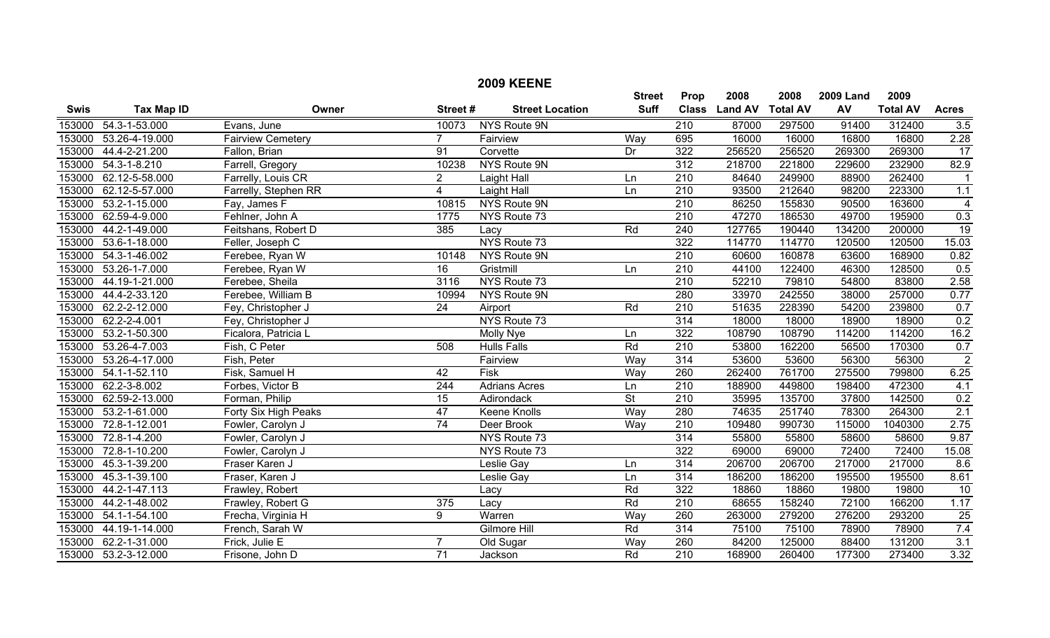|             |                      |                          |                 | <b>2009 KEENE</b>      |                 |                  |                |                 |                  |                 |                  |
|-------------|----------------------|--------------------------|-----------------|------------------------|-----------------|------------------|----------------|-----------------|------------------|-----------------|------------------|
|             |                      |                          |                 |                        | <b>Street</b>   | Prop             | 2008           | 2008            | <b>2009 Land</b> | 2009            |                  |
| <b>Swis</b> | <b>Tax Map ID</b>    | Owner                    | Street#         | <b>Street Location</b> | <b>Suff</b>     | <b>Class</b>     | <b>Land AV</b> | <b>Total AV</b> | AV               | <b>Total AV</b> | <b>Acres</b>     |
| 153000      | 54.3-1-53.000        | Evans, June              | 10073           | NYS Route 9N           |                 | $\overline{210}$ | 87000          | 297500          | 91400            | 312400          | 3.5              |
| 153000      | 53.26-4-19.000       | <b>Fairview Cemetery</b> | $\overline{7}$  | Fairview               | Way             | 695              | 16000          | 16000           | 16800            | 16800           | 2.28             |
| 153000      | 44.4-2-21.200        | Fallon, Brian            | 91              | Corvette               | Dr              | 322              | 256520         | 256520          | 269300           | 269300          | $\overline{17}$  |
| 153000      | $54.3 - 1 - 8.210$   | Farrell, Gregory         | 10238           | NYS Route 9N           |                 | $\overline{312}$ | 218700         | 221800          | 229600           | 232900          | 82.9             |
| 153000      | 62.12-5-58.000       | Farrelly, Louis CR       | $\overline{2}$  | Laight Hall            | Ln              | $\overline{210}$ | 84640          | 249900          | 88900            | 262400          |                  |
| 153000      | 62.12-5-57.000       | Farrelly, Stephen RR     | $\overline{4}$  | Laight Hall            | Ln              | $\overline{210}$ | 93500          | 212640          | 98200            | 223300          | 1.1              |
| 153000      | 53.2-1-15.000        | Fay, James F             | 10815           | NYS Route 9N           |                 | $\overline{210}$ | 86250          | 155830          | 90500            | 163600          | $\overline{4}$   |
| 153000      | 62.59-4-9.000        | Fehlner, John A          | 1775            | NYS Route 73           |                 | $\overline{210}$ | 47270          | 186530          | 49700            | 195900          | 0.3              |
| 153000      | 44.2-1-49.000        | Feitshans, Robert D      | 385             | Lacy                   | Rd              | $\overline{240}$ | 127765         | 190440          | 134200           | 200000          | $\overline{19}$  |
| 153000      | 53.6-1-18.000        | Feller, Joseph C         |                 | NYS Route 73           |                 | 322              | 114770         | 114770          | 120500           | 120500          | 15.03            |
| 153000      | 54.3-1-46.002        | Ferebee, Ryan W          | 10148           | NYS Route 9N           |                 | $\overline{210}$ | 60600          | 160878          | 63600            | 168900          | 0.82             |
| 153000      | 53.26-1-7.000        | Ferebee, Ryan W          | 16              | Gristmill              | Ln              | $\overline{210}$ | 44100          | 122400          | 46300            | 128500          | 0.5              |
| 153000      | 44.19-1-21.000       | Ferebee, Sheila          | 3116            | NYS Route 73           |                 | 210              | 52210          | 79810           | 54800            | 83800           | 2.58             |
| 153000      | 44.4-2-33.120        | Ferebee, William B       | 10994           | NYS Route 9N           |                 | 280              | 33970          | 242550          | 38000            | 257000          | 0.77             |
| 153000      | 62.2-2-12.000        | Fey, Christopher J       | $\overline{24}$ | Airport                | Rd              | $\overline{210}$ | 51635          | 228390          | 54200            | 239800          | 0.7              |
| 153000      | 62.2-2-4.001         | Fey, Christopher J       |                 | NYS Route 73           |                 | 314              | 18000          | 18000           | 18900            | 18900           | 0.2              |
| 153000      | 53.2-1-50.300        | Ficalora, Patricia L     |                 | Molly Nye              | Ln              | 322              | 108790         | 108790          | 114200           | 114200          | 16.2             |
| 153000      | 53.26-4-7.003        | Fish, C Peter            | 508             | <b>Hulls Falls</b>     | Rd              | $\overline{210}$ | 53800          | 162200          | 56500            | 170300          | 0.7              |
| 153000      | 53.26-4-17.000       | Fish, Peter              |                 | Fairview               | Way             | 314              | 53600          | 53600           | 56300            | 56300           | $\overline{2}$   |
| 153000      | 54.1-1-52.110        | Fisk, Samuel H           | 42              | Fisk                   | Way             | 260              | 262400         | 761700          | 275500           | 799800          | 6.25             |
| 153000      | 62.2-3-8.002         | Forbes, Victor B         | 244             | <b>Adrians Acres</b>   | Ln              | $\overline{210}$ | 188900         | 449800          | 198400           | 472300          | 4.1              |
| 153000      | 62.59-2-13.000       | Forman, Philip           | 15              | Adirondack             | $\overline{St}$ | $\overline{210}$ | 35995          | 135700          | 37800            | 142500          | 0.2              |
| 153000      | 53.2-1-61.000        | Forty Six High Peaks     | 47              | Keene Knolls           | Way             | 280              | 74635          | 251740          | 78300            | 264300          | 2.1              |
| 153000      | 72.8-1-12.001        | Fowler, Carolyn J        | $\overline{74}$ | Deer Brook             | Way             | 210              | 109480         | 990730          | 115000           | 1040300         | 2.75             |
| 153000      | 72.8-1-4.200         | Fowler, Carolyn J        |                 | NYS Route 73           |                 | 314              | 55800          | 55800           | 58600            | 58600           | 9.87             |
| 153000      | 72.8-1-10.200        | Fowler, Carolyn J        |                 | NYS Route 73           |                 | 322              | 69000          | 69000           | 72400            | 72400           | 15.08            |
| 153000      | 45.3-1-39.200        | Fraser Karen J           |                 | Leslie Gay             | Ln              | 314              | 206700         | 206700          | 217000           | 217000          | 8.6              |
| 153000      | 45.3-1-39.100        | Fraser, Karen J          |                 | Leslie Gay             | Ln              | 314              | 186200         | 186200          | 195500           | 195500          | 8.61             |
| 153000      | 44.2-1-47.113        | Frawley, Robert          |                 | Lacy                   | Rd              | 322              | 18860          | 18860           | 19800            | 19800           | 10               |
| 153000      | 44.2-1-48.002        | Frawley, Robert G        | 375             | Lacy                   | Rd              | 210              | 68655          | 158240          | 72100            | 166200          | 1.17             |
| 153000      | 54.1-1-54.100        | Frecha, Virginia H       | $\overline{9}$  | Warren                 | Way             | 260              | 263000         | 279200          | 276200           | 293200          | $\overline{25}$  |
| 153000      | 44.19-1-14.000       | French, Sarah W          |                 | Gilmore Hill           | Rd              | 314              | 75100          | 75100           | 78900            | 78900           | 7.4              |
| 153000      | 62.2-1-31.000        | Frick, Julie E           | $\overline{7}$  | Old Sugar              | Way             | 260              | 84200          | 125000          | 88400            | 131200          | $\overline{3.1}$ |
|             | 153000 53.2-3-12.000 | Frisone, John D          | $\overline{71}$ | Jackson                | Rd              | $\overline{210}$ | 168900         | 260400          | 177300           | 273400          | 3.32             |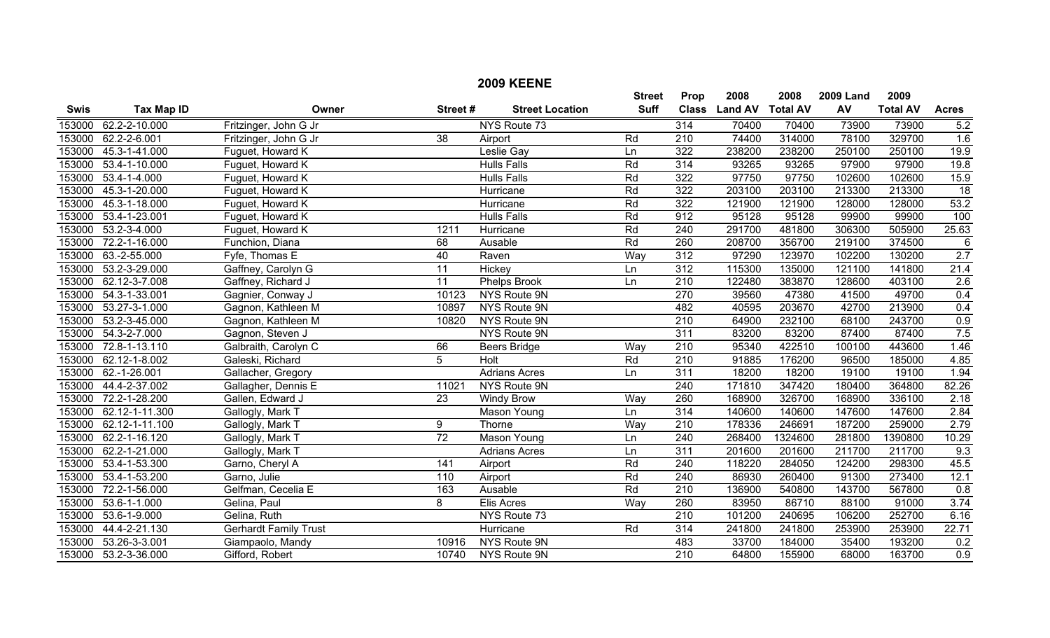|             |                      |                              |                 | <b>2009 KEENE</b>      |               |                  |                |                 |                  |                 |              |
|-------------|----------------------|------------------------------|-----------------|------------------------|---------------|------------------|----------------|-----------------|------------------|-----------------|--------------|
|             |                      |                              |                 |                        | <b>Street</b> | Prop             | 2008           | 2008            | <b>2009 Land</b> | 2009            |              |
| <b>Swis</b> | <b>Tax Map ID</b>    | Owner                        | Street#         | <b>Street Location</b> | <b>Suff</b>   | <b>Class</b>     | <b>Land AV</b> | <b>Total AV</b> | AV               | <b>Total AV</b> | <b>Acres</b> |
| 153000      | 62.2-2-10.000        | Fritzinger, John G Jr        |                 | NYS Route 73           |               | 314              | 70400          | 70400           | 73900            | 73900           | 5.2          |
| 153000      | 62.2-2-6.001         | Fritzinger, John G Jr        | 38              | Airport                | Rd            | 210              | 74400          | 314000          | 78100            | 329700          | 1.6          |
| 153000      | 45.3-1-41.000        | Fuguet, Howard K             |                 | Leslie Gay             | Ln            | 322              | 238200         | 238200          | 250100           | 250100          | 19.9         |
| 153000      | 53.4-1-10.000        | Fuguet, Howard K             |                 | <b>Hulls Falls</b>     | Rd            | $\overline{314}$ | 93265          | 93265           | 97900            | 97900           | 19.8         |
| 153000      | $53.4 - 1 - 4.000$   | Fuguet, Howard K             |                 | <b>Hulls Falls</b>     | Rd            | 322              | 97750          | 97750           | 102600           | 102600          | 15.9         |
| 153000      | 45.3-1-20.000        | Fuguet, Howard K             |                 | Hurricane              | Rd            | 322              | 203100         | 203100          | 213300           | 213300          | 18           |
| 153000      | 45.3-1-18.000        | Fuguet, Howard K             |                 | Hurricane              | Rd            | 322              | 121900         | 121900          | 128000           | 128000          | 53.2         |
| 153000      | 53.4-1-23.001        | Fuguet, Howard K             |                 | <b>Hulls Falls</b>     | Rd            | 912              | 95128          | 95128           | 99900            | 99900           | 100          |
| 153000      | 53.2-3-4.000         | Fuguet, Howard K             | 1211            | Hurricane              | Rd            | $\overline{240}$ | 291700         | 481800          | 306300           | 505900          | 25.63        |
| 153000      | 72.2-1-16.000        | Funchion, Diana              | 68              | Ausable                | Rd            | 260              | 208700         | 356700          | 219100           | 374500          | $\,6$        |
| 153000      | 63.-2-55.000         | Fyfe, Thomas E               | 40              | Raven                  | Way           | 312              | 97290          | 123970          | 102200           | 130200          | 2.7          |
| 153000      | 53.2-3-29.000        | Gaffney, Carolyn G           | $\overline{11}$ | Hickey                 | Ln            | $\overline{312}$ | 115300         | 135000          | 121100           | 141800          | 21.4         |
| 153000      | 62.12-3-7.008        | Gaffney, Richard J           | $\overline{11}$ | <b>Phelps Brook</b>    | Ln            | $\overline{210}$ | 122480         | 383870          | 128600           | 403100          | 2.6          |
| 153000      | 54.3-1-33.001        | Gagnier, Conway J            | 10123           | NYS Route 9N           |               | 270              | 39560          | 47380           | 41500            | 49700           | 0.4          |
| 153000      | 53.27-3-1.000        | Gagnon, Kathleen M           | 10897           | NYS Route 9N           |               | 482              | 40595          | 203670          | 42700            | 213900          | 0.4          |
| 153000      | 53.2-3-45.000        | Gagnon, Kathleen M           | 10820           | NYS Route 9N           |               | $\overline{210}$ | 64900          | 232100          | 68100            | 243700          | 0.9          |
| 153000      | 54.3-2-7.000         | Gagnon, Steven J             |                 | NYS Route 9N           |               | 311              | 83200          | 83200           | 87400            | 87400           | 7.5          |
| 153000      | 72.8-1-13.110        | Galbraith, Carolyn C         | 66              | <b>Beers Bridge</b>    | Way           | 210              | 95340          | 422510          | 100100           | 443600          | 1.46         |
| 153000      | 62.12-1-8.002        | Galeski, Richard             | $\overline{5}$  | <b>Holt</b>            | Rd            | $\overline{210}$ | 91885          | 176200          | 96500            | 185000          | 4.85         |
| 153000      | 62.-1-26.001         | Gallacher, Gregory           |                 | <b>Adrians Acres</b>   | Ln            | 311              | 18200          | 18200           | 19100            | 19100           | 1.94         |
| 153000      | 44.4-2-37.002        | Gallagher, Dennis E          | 11021           | NYS Route 9N           |               | $\overline{240}$ | 171810         | 347420          | 180400           | 364800          | 82.26        |
| 153000      | 72.2-1-28.200        | Gallen, Edward J             | $\overline{23}$ | <b>Windy Brow</b>      | Way           | 260              | 168900         | 326700          | 168900           | 336100          | 2.18         |
| 153000      | 62.12-1-11.300       | Gallogly, Mark T             |                 | Mason Young            | Ln            | 314              | 140600         | 140600          | 147600           | 147600          | 2.84         |
| 153000      | 62.12-1-11.100       | Gallogly, Mark T             | 9               | Thorne                 | Way           | $\overline{210}$ | 178336         | 246691          | 187200           | 259000          | 2.79         |
| 153000      | 62.2-1-16.120        | Gallogly, Mark T             | $\overline{72}$ | <b>Mason Young</b>     | Ln            | $\overline{240}$ | 268400         | 1324600         | 281800           | 1390800         | 10.29        |
| 153000      | 62.2-1-21.000        | Gallogly, Mark T             |                 | <b>Adrians Acres</b>   | Ln            | 311              | 201600         | 201600          | 211700           | 211700          | 9.3          |
| 153000      | 53.4-1-53.300        | Garno, Cheryl A              | 141             | Airport                | Rd            | $\overline{240}$ | 118220         | 284050          | 124200           | 298300          | 45.5         |
| 153000      | 53.4-1-53.200        | Garno, Julie                 | 110             | Airport                | Rd            | 240              | 86930          | 260400          | 91300            | 273400          | 12.1         |
| 153000      | 72.2-1-56.000        | Gelfman, Cecelia E           | 163             | Ausable                | Rd            | $\overline{210}$ | 136900         | 540800          | 143700           | 567800          | 0.8          |
| 153000      | 53.6-1-1.000         | Gelina, Paul                 | 8               | <b>Elis Acres</b>      | Way           | 260              | 83950          | 86710           | 88100            | 91000           | 3.74         |
| 153000      | 53.6-1-9.000         | Gelina, Ruth                 |                 | NYS Route 73           |               | $\overline{210}$ | 101200         | 240695          | 106200           | 252700          | 6.16         |
| 153000      | 44.4-2-21.130        | <b>Gerhardt Family Trust</b> |                 | Hurricane              | Rd            | 314              | 241800         | 241800          | 253900           | 253900          | 22.71        |
| 153000      | 53.26-3-3.001        | Giampaolo, Mandy             | 10916           | NYS Route 9N           |               | 483              | 33700          | 184000          | 35400            | 193200          | 0.2          |
|             | 153000 53.2-3-36.000 | Gifford, Robert              | 10740           | NYS Route 9N           |               | $\overline{210}$ | 64800          | 155900          | 68000            | 163700          | 0.9          |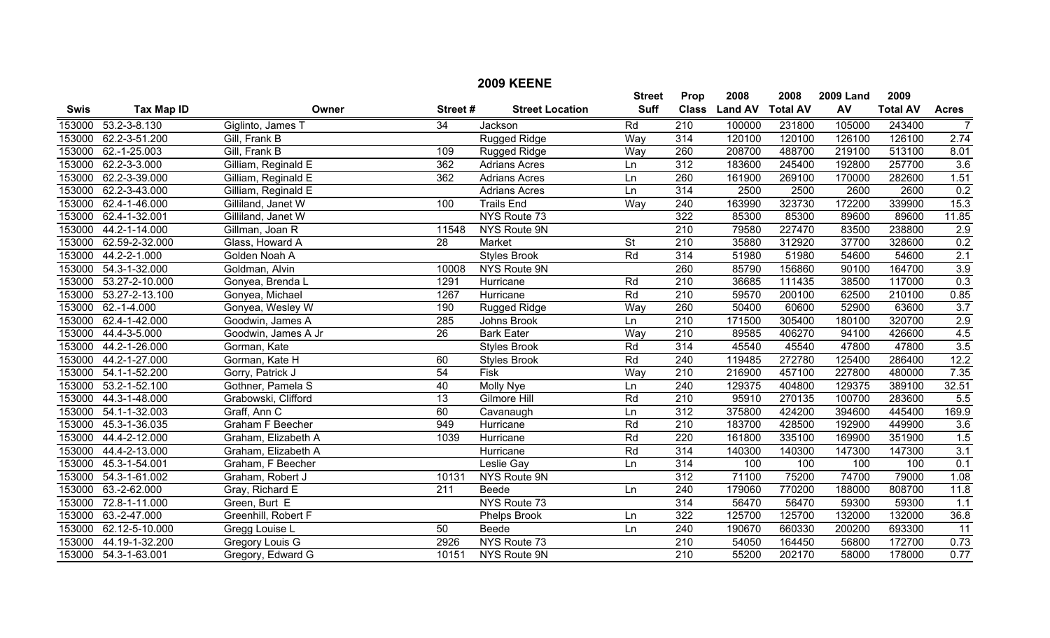|             |                      |                         |                  | <b>2009 KEENE</b>      |                              |                      |                |                         |                  |                         |                  |
|-------------|----------------------|-------------------------|------------------|------------------------|------------------------------|----------------------|----------------|-------------------------|------------------|-------------------------|------------------|
|             |                      | Owner                   |                  |                        | <b>Street</b><br><b>Suff</b> | Prop<br><b>Class</b> | 2008           | 2008<br><b>Total AV</b> | <b>2009 Land</b> | 2009<br><b>Total AV</b> |                  |
| <b>Swis</b> | <b>Tax Map ID</b>    |                         | Street#          | <b>Street Location</b> |                              |                      | <b>Land AV</b> |                         | AV               |                         | <b>Acres</b>     |
| 153000      | $53.2 - 3 - 8.130$   | Giglinto, James T       | $\overline{34}$  | Jackson                | Rd                           | 210                  | 100000         | 231800                  | 105000           | 243400                  | $\overline{7}$   |
| 153000      | 62.2-3-51.200        | Gill, Frank B           |                  | <b>Rugged Ridge</b>    | Way                          | 314                  | 120100         | 120100                  | 126100           | 126100                  | 2.74             |
| 153000      | 62.-1-25.003         | Gill, Frank B           | 109              | Rugged Ridge           | Way                          | 260                  | 208700         | 488700                  | 219100           | 513100                  | 8.01             |
| 153000      | 62.2-3-3.000         | Gilliam, Reginald E     | 362              | <b>Adrians Acres</b>   | Ln                           | 312                  | 183600         | 245400                  | 192800           | 257700                  | 3.6              |
| 153000      | 62.2-3-39.000        | Gilliam, Reginald E     | 362              | <b>Adrians Acres</b>   | Ln                           | 260                  | 161900         | 269100                  | 170000           | 282600                  | 1.51             |
| 153000      | 62.2-3-43.000        | Gilliam, Reginald E     |                  | <b>Adrians Acres</b>   | Ln                           | $\overline{314}$     | 2500           | 2500                    | 2600             | 2600                    | 0.2              |
| 153000      | 62.4-1-46.000        | Gilliland, Janet W      | 100              | <b>Trails End</b>      | Way                          | 240                  | 163990         | 323730                  | 172200           | 339900                  | 15.3             |
| 153000      | 62.4-1-32.001        | Gilliland, Janet W      |                  | NYS Route 73           |                              | 322                  | 85300          | 85300                   | 89600            | 89600                   | 11.85            |
| 153000      | 44.2-1-14.000        | Gillman, Joan R         | 11548            | NYS Route 9N           |                              | $\overline{210}$     | 79580          | 227470                  | 83500            | 238800                  | 2.9              |
| 153000      | 62.59-2-32.000       | Glass, Howard A         | 28               | Market                 | St                           | 210                  | 35880          | 312920                  | 37700            | 328600                  | 0.2              |
| 153000      | 44.2-2-1.000         | Golden Noah A           |                  | <b>Styles Brook</b>    | Rd                           | 314                  | 51980          | 51980                   | 54600            | 54600                   | 2.1              |
| 153000      | 54.3-1-32.000        | Goldman, Alvin          | 10008            | NYS Route 9N           |                              | 260                  | 85790          | 156860                  | 90100            | 164700                  | 3.9              |
| 153000      | 53.27-2-10.000       | Gonyea, Brenda L        | 1291             | Hurricane              | Rd                           | $\overline{210}$     | 36685          | 111435                  | 38500            | 117000                  | 0.3              |
| 153000      | 53.27-2-13.100       | Gonyea, Michael         | 1267             | Hurricane              | Rd                           | $\overline{210}$     | 59570          | 200100                  | 62500            | 210100                  | 0.85             |
| 153000      | $62.-1-4.000$        | Gonyea, Wesley W        | 190              | Rugged Ridge           | Way                          | 260                  | 50400          | 60600                   | 52900            | 63600                   | $\overline{3.7}$ |
| 153000      | 62.4-1-42.000        | Goodwin, James A        | 285              | Johns Brook            | Ln                           | 210                  | 171500         | 305400                  | 180100           | 320700                  | 2.9              |
| 153000      | 44.4-3-5.000         | Goodwin, James A Jr     | 26               | <b>Bark Eater</b>      | Way                          | 210                  | 89585          | 406270                  | 94100            | 426600                  | 4.5              |
| 153000      | 44.2-1-26.000        | Gorman, Kate            |                  | <b>Styles Brook</b>    | Rd                           | 314                  | 45540          | 45540                   | 47800            | 47800                   | 3.5              |
| 153000      | 44.2-1-27.000        | Gorman, Kate H          | 60               | <b>Styles Brook</b>    | Rd                           | $\overline{240}$     | 119485         | 272780                  | 125400           | 286400                  | 12.2             |
| 153000      | 54.1-1-52.200        | Gorry, Patrick J        | $\overline{54}$  | Fisk                   | Way                          | 210                  | 216900         | 457100                  | 227800           | 480000                  | 7.35             |
| 153000      | 53.2-1-52.100        | Gothner, Pamela S       | 40               | <b>Molly Nye</b>       | Ln                           | 240                  | 129375         | 404800                  | 129375           | 389100                  | 32.51            |
| 153000      | 44.3-1-48.000        | Grabowski, Clifford     | $\overline{13}$  | Gilmore Hill           | Rd                           | $\overline{210}$     | 95910          | 270135                  | 100700           | 283600                  | 5.5              |
| 153000      | 54.1-1-32.003        | Graff, Ann C            | 60               | Cavanaugh              | Ln                           | 312                  | 375800         | 424200                  | 394600           | 445400                  | 169.9            |
| 153000      | 45.3-1-36.035        | <b>Graham F Beecher</b> | 949              | Hurricane              | Rd                           | 210                  | 183700         | 428500                  | 192900           | 449900                  | 3.6              |
| 153000      | 44.4-2-12.000        | Graham, Elizabeth A     | 1039             | Hurricane              | Rd                           | 220                  | 161800         | 335100                  | 169900           | 351900                  | 1.5              |
| 153000      | 44.4-2-13.000        | Graham, Elizabeth A     |                  | Hurricane              | Rd                           | 314                  | 140300         | 140300                  | 147300           | 147300                  | 3.1              |
| 153000      | 45.3-1-54.001        | Graham, F Beecher       |                  | Leslie Gay             | Ln                           | 314                  | 100            | 100                     | 100              | 100                     | 0.1              |
| 153000      | 54.3-1-61.002        | Graham, Robert J        | 10131            | NYS Route 9N           |                              | 312                  | 71100          | 75200                   | 74700            | 79000                   | 1.08             |
| 153000      | 63.-2-62.000         | Gray, Richard E         | $\overline{211}$ | Beede                  | Ln                           | 240                  | 179060         | 770200                  | 188000           | 808700                  | 11.8             |
| 153000      | 72.8-1-11.000        | Green, Burt E           |                  | NYS Route 73           |                              | 314                  | 56470          | 56470                   | 59300            | 59300                   | $\overline{1.1}$ |
| 153000      | 63.-2-47.000         | Greenhill, Robert F     |                  | Phelps Brook           | Ln                           | 322                  | 125700         | 125700                  | 132000           | 132000                  | 36.8             |
| 153000      | 62.12-5-10.000       | Gregg Louise L          | 50               | Beede                  | Ln                           | 240                  | 190670         | 660330                  | 200200           | 693300                  | $\overline{11}$  |
| 153000      | 44.19-1-32.200       | Gregory Louis G         | 2926             | NYS Route 73           |                              | $\overline{210}$     | 54050          | 164450                  | 56800            | 172700                  | 0.73             |
|             | 153000 54.3-1-63.001 | Gregory, Edward G       | 10151            | NYS Route 9N           |                              | $\overline{210}$     | 55200          | 202170                  | 58000            | 178000                  | 0.77             |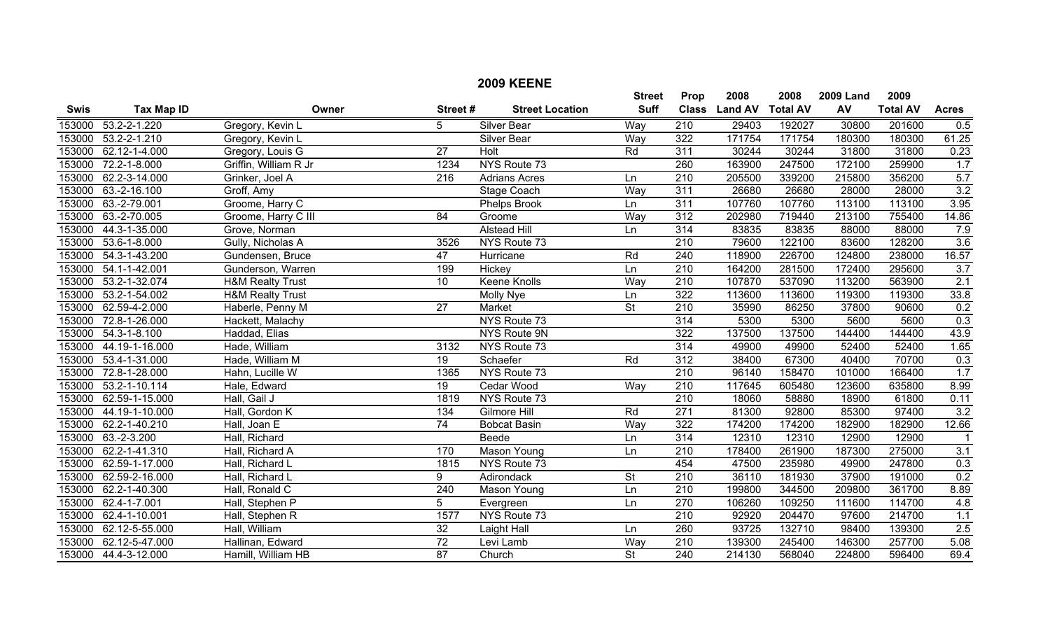|             |                      |                             |                  | <b>2009 KEENE</b>      |                          |                  |                |                 |                  |                 |                         |
|-------------|----------------------|-----------------------------|------------------|------------------------|--------------------------|------------------|----------------|-----------------|------------------|-----------------|-------------------------|
|             |                      |                             |                  |                        | <b>Street</b>            | Prop             | 2008           | 2008            | <b>2009 Land</b> | 2009            |                         |
| <b>Swis</b> | <b>Tax Map ID</b>    | Owner                       | Street#          | <b>Street Location</b> | <b>Suff</b>              | <b>Class</b>     | <b>Land AV</b> | <b>Total AV</b> | AV               | <b>Total AV</b> | <b>Acres</b>            |
|             | 153000 53.2-2-1.220  | Gregory, Kevin L            | 5                | <b>Silver Bear</b>     | Way                      | $\overline{210}$ | 29403          | 192027          | 30800            | 201600          | 0.5                     |
| 153000      | $53.2 - 2 - 1.210$   | Gregory, Kevin L            |                  | Silver Bear            | Way                      | 322              | 171754         | 171754          | 180300           | 180300          | 61.25                   |
| 153000      | 62.12-1-4.000        | Gregory, Louis G            | $\overline{27}$  | <b>Holt</b>            | Rd                       | 311              | 30244          | 30244           | 31800            | 31800           | 0.23                    |
| 153000      | 72.2-1-8.000         | Griffin, William R Jr       | 1234             | NYS Route 73           |                          | 260              | 163900         | 247500          | 172100           | 259900          | 1.7                     |
| 153000      | 62.2-3-14.000        | Grinker, Joel A             | $\overline{216}$ | <b>Adrians Acres</b>   | Ln                       | 210              | 205500         | 339200          | 215800           | 356200          | 5.7                     |
| 153000      | 63.-2-16.100         | Groff, Amy                  |                  | <b>Stage Coach</b>     | Way                      | 311              | 26680          | 26680           | 28000            | 28000           | 3.2                     |
| 153000      | 63.-2-79.001         | Groome, Harry C             |                  | <b>Phelps Brook</b>    | Ln                       | 311              | 107760         | 107760          | 113100           | 113100          | 3.95                    |
| 153000      | 63.-2-70.005         | Groome, Harry C III         | $\overline{84}$  | Groome                 | Way                      | 312              | 202980         | 719440          | 213100           | 755400          | 14.86                   |
| 153000      | 44.3-1-35.000        | Grove, Norman               |                  | <b>Alstead Hill</b>    | Ln                       | 314              | 83835          | 83835           | 88000            | 88000           | 7.9                     |
|             | 153000 53.6-1-8.000  | Gully, Nicholas A           | 3526             | NYS Route 73           |                          | 210              | 79600          | 122100          | 83600            | 128200          | 3.6                     |
| 153000      | 54.3-1-43.200        | Gundensen, Bruce            | 47               | Hurricane              | Rd                       | 240              | 118900         | 226700          | 124800           | 238000          | 16.57                   |
| 153000      | 54.1-1-42.001        | Gunderson, Warren           | 199              | Hickey                 | Ln                       | $\overline{210}$ | 164200         | 281500          | 172400           | 295600          | 3.7                     |
| 153000      | 53.2-1-32.074        | <b>H&amp;M Realty Trust</b> | $\overline{10}$  | <b>Keene Knolls</b>    | Way                      | 210              | 107870         | 537090          | 113200           | 563900          | 2.1                     |
| 153000      | 53.2-1-54.002        | <b>H&amp;M Realty Trust</b> |                  | Molly Nye              | Ln                       | 322              | 113600         | 113600          | 119300           | 119300          | 33.8                    |
|             | 153000 62.59-4-2.000 | Haberle, Penny M            | $\overline{27}$  | Market                 | $\overline{St}$          | $\overline{210}$ | 35990          | 86250           | 37800            | 90600           | 0.2                     |
| 153000      | 72.8-1-26.000        | Hackett, Malachy            |                  | NYS Route 73           |                          | 314              | 5300           | 5300            | 5600             | 5600            | 0.3                     |
| 153000      | 54.3-1-8.100         | Haddad, Elias               |                  | NYS Route 9N           |                          | 322              | 137500         | 137500          | 144400           | 144400          | 43.9                    |
| 153000      | 44.19-1-16.000       | Hade, William               | 3132             | NYS Route 73           |                          | 314              | 49900          | 49900           | 52400            | 52400           | 1.65                    |
| 153000      | 53.4-1-31.000        | Hade, William M             | 19               | Schaefer               | Rd                       | 312              | 38400          | 67300           | 40400            | 70700           | 0.3                     |
| 153000      | 72.8-1-28.000        | Hahn, Lucille W             | 1365             | NYS Route 73           |                          | $\overline{210}$ | 96140          | 158470          | 101000           | 166400          | 1.7                     |
| 153000      | 53.2-1-10.114        | Hale, Edward                | $\overline{19}$  | Cedar Wood             | Way                      | $\overline{210}$ | 117645         | 605480          | 123600           | 635800          | 8.99                    |
| 153000      | 62.59-1-15.000       | Hall, Gail J                | 1819             | NYS Route 73           |                          | 210              | 18060          | 58880           | 18900            | 61800           | 0.11                    |
| 153000      | 44.19-1-10.000       | Hall, Gordon K              | 134              | Gilmore Hill           | Rd                       | 271              | 81300          | 92800           | 85300            | 97400           | 3.2                     |
|             | 153000 62.2-1-40.210 | Hall, Joan E                | 74               | <b>Bobcat Basin</b>    | Way                      | 322              | 174200         | 174200          | 182900           | 182900          | 12.66                   |
| 153000      | $63.-2-3.200$        | Hall, Richard               |                  | Beede                  | Ln                       | $\overline{314}$ | 12310          | 12310           | 12900            | 12900           | $\overline{\mathbf{1}}$ |
| 153000      | 62.2-1-41.310        | Hall, Richard A             | 170              | Mason Young            | Ln                       | 210              | 178400         | 261900          | 187300           | 275000          | 3.1                     |
| 153000      | 62.59-1-17.000       | Hall, Richard L             | 1815             | NYS Route 73           |                          | 454              | 47500          | 235980          | 49900            | 247800          | 0.3                     |
| 153000      | 62.59-2-16.000       | Hall, Richard L             | 9                | Adirondack             | $\overline{\mathsf{St}}$ | 210              | 36110          | 181930          | 37900            | 191000          | 0.2                     |
| 153000      | 62.2-1-40.300        | Hall, Ronald C              | $\overline{240}$ | <b>Mason Young</b>     | Ln                       | $\overline{210}$ | 199800         | 344500          | 209800           | 361700          | 8.89                    |
| 153000      | 62.4-1-7.001         | Hall, Stephen P             | 5                | Evergreen              | Ln                       | 270              | 106260         | 109250          | 111600           | 114700          | 4.8                     |
| 153000      | 62.4-1-10.001        | Hall, Stephen R             | 1577             | NYS Route 73           |                          | 210              | 92920          | 204470          | 97600            | 214700          | 1.1                     |
| 153000      | 62.12-5-55.000       | Hall, William               | $\overline{32}$  | <b>Laight Hall</b>     | Ln                       | 260              | 93725          | 132710          | 98400            | 139300          | 2.5                     |
| 153000      | 62.12-5-47.000       | Hallinan, Edward            | 72               | Levi Lamb              | Way                      | 210              | 139300         | 245400          | 146300           | 257700          | 5.08                    |
|             | 153000 44.4-3-12.000 | Hamill, William HB          | 87               | Church                 | $\overline{\mathsf{St}}$ | $\overline{240}$ | 214130         | 568040          | 224800           | 596400          | 69.4                    |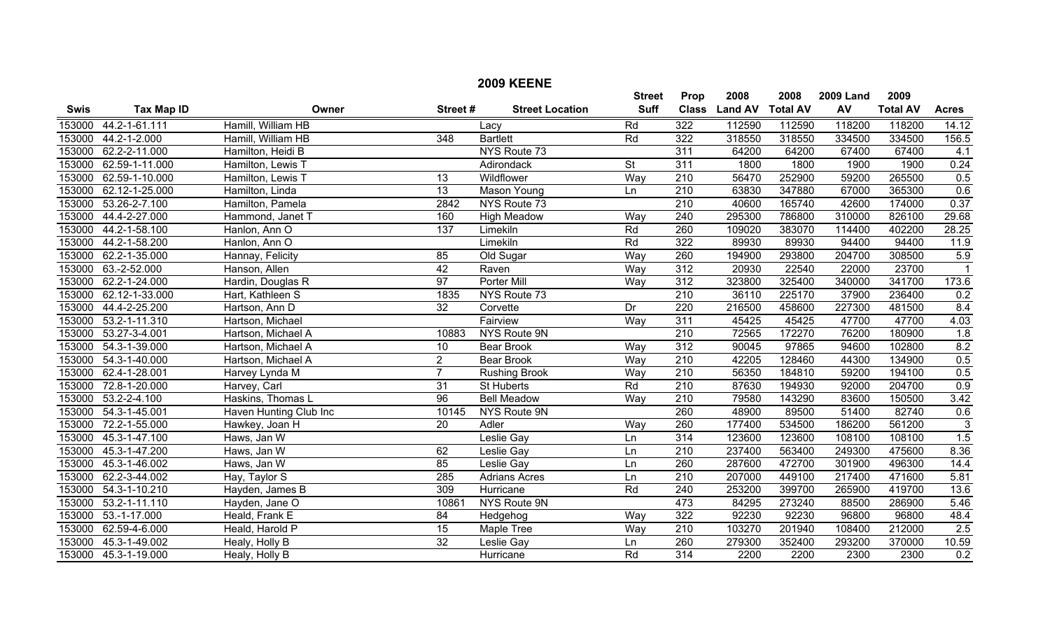|             | <b>2009 KEENE</b>  |                        |                  |                        |                 |                  |                |                 |                  |                 |                |
|-------------|--------------------|------------------------|------------------|------------------------|-----------------|------------------|----------------|-----------------|------------------|-----------------|----------------|
|             |                    |                        |                  |                        | <b>Street</b>   | Prop             | 2008           | 2008            | <b>2009 Land</b> | 2009            |                |
| <b>Swis</b> | <b>Tax Map ID</b>  | Owner                  | Street#          | <b>Street Location</b> | <b>Suff</b>     | <b>Class</b>     | <b>Land AV</b> | <b>Total AV</b> | AV               | <b>Total AV</b> | <b>Acres</b>   |
| 153000      | 44.2-1-61.111      | Hamill, William HB     |                  | Lacy                   | Rd              | $\overline{322}$ | 112590         | 112590          | 118200           | 118200          | 14.12          |
| 153000      | 44.2-1-2.000       | Hamill, William HB     | $\overline{348}$ | <b>Bartlett</b>        | Rd              | 322              | 318550         | 318550          | 334500           | 334500          | 156.5          |
| 153000      | 62.2-2-11.000      | Hamilton, Heidi B      |                  | NYS Route 73           |                 | 311              | 64200          | 64200           | 67400            | 67400           | 4.1            |
| 153000      | 62.59-1-11.000     | Hamilton, Lewis T      |                  | Adirondack             | $\overline{St}$ | 311              | 1800           | 1800            | 1900             | 1900            | 0.24           |
| 153000      | 62.59-1-10.000     | Hamilton, Lewis T      | 13               | Wildflower             | Way             | $\overline{210}$ | 56470          | 252900          | 59200            | 265500          | 0.5            |
| 153000      | 62.12-1-25.000     | Hamilton, Linda        | $\overline{13}$  | <b>Mason Young</b>     | Ln              | 210              | 63830          | 347880          | 67000            | 365300          | 0.6            |
| 153000      | 53.26-2-7.100      | Hamilton, Pamela       | 2842             | NYS Route 73           |                 | $\overline{210}$ | 40600          | 165740          | 42600            | 174000          | 0.37           |
| 153000      | 44.4-2-27.000      | Hammond, Janet T       | 160              | <b>High Meadow</b>     | Way             | 240              | 295300         | 786800          | 310000           | 826100          | 29.68          |
| 153000      | 44.2-1-58.100      | Hanlon, Ann O          | 137              | Limekiln               | Rd              | 260              | 109020         | 383070          | 114400           | 402200          | 28.25          |
| 153000      | 44.2-1-58.200      | Hanlon, Ann O          |                  | Limekiln               | Rd              | 322              | 89930          | 89930           | 94400            | 94400           | 11.9           |
| 153000      | 62.2-1-35.000      | Hannay, Felicity       | 85               | Old Sugar              | Way             | 260              | 194900         | 293800          | 204700           | 308500          | 5.9            |
| 153000      | 63.-2-52.000       | Hanson, Allen          | 42               | Raven                  | Way             | 312              | 20930          | 22540           | 22000            | 23700           | $\overline{1}$ |
| 153000      | 62.2-1-24.000      | Hardin, Douglas R      | 97               | <b>Porter Mill</b>     | Way             | 312              | 323800         | 325400          | 340000           | 341700          | 173.6          |
| 153000      | 62.12-1-33.000     | Hart, Kathleen S       | 1835             | NYS Route 73           |                 | $\overline{210}$ | 36110          | 225170          | 37900            | 236400          | 0.2            |
| 153000      | 44.4-2-25.200      | Hartson, Ann D         | $\overline{32}$  | Corvette               | Dr              | 220              | 216500         | 458600          | 227300           | 481500          | 8.4            |
| 153000      | 53.2-1-11.310      | Hartson, Michael       |                  | Fairview               | Way             | 311              | 45425          | 45425           | 47700            | 47700           | 4.03           |
| 153000      | 53.27-3-4.001      | Hartson, Michael A     | 10883            | NYS Route 9N           |                 | 210              | 72565          | 172270          | 76200            | 180900          | 1.8            |
| 153000      | 54.3-1-39.000      | Hartson, Michael A     | 10               | <b>Bear Brook</b>      | Way             | 312              | 90045          | 97865           | 94600            | 102800          | 8.2            |
| 153000      | 54.3-1-40.000      | Hartson, Michael A     | $\overline{2}$   | <b>Bear Brook</b>      | Way             | $\overline{210}$ | 42205          | 128460          | 44300            | 134900          | 0.5            |
| 153000      | 62.4-1-28.001      | Harvey Lynda M         | $\overline{7}$   | <b>Rushing Brook</b>   | Way             | $\overline{210}$ | 56350          | 184810          | 59200            | 194100          | 0.5            |
| 153000      | 72.8-1-20.000      | Harvey, Carl           | $\overline{31}$  | St Huberts             | Rd              | $\overline{210}$ | 87630          | 194930          | 92000            | 204700          | 0.9            |
| 153000      | $53.2 - 2 - 4.100$ | Haskins, Thomas L      | $\overline{96}$  | <b>Bell Meadow</b>     | Way             | $\overline{210}$ | 79580          | 143290          | 83600            | 150500          | 3.42           |
| 153000      | 54.3-1-45.001      | Haven Hunting Club Inc | 10145            | NYS Route 9N           |                 | 260              | 48900          | 89500           | 51400            | 82740           | 0.6            |
| 153000      | 72.2-1-55.000      | Hawkey, Joan H         | $\overline{20}$  | Adler                  | Way             | 260              | 177400         | 534500          | 186200           | 561200          | $\overline{3}$ |
| 153000      | 45.3-1-47.100      | Haws, Jan W            |                  | Leslie Gay             | Ln              | 314              | 123600         | 123600          | 108100           | 108100          | 1.5            |
| 153000      | 45.3-1-47.200      | Haws, Jan W            | 62               | Leslie Gay             | Ln              | $\overline{210}$ | 237400         | 563400          | 249300           | 475600          | 8.36           |
| 153000      | 45.3-1-46.002      | Haws, Jan W            | 85               | Leslie Gay             | Ln              | 260              | 287600         | 472700          | 301900           | 496300          | 14.4           |
| 153000      | 62.2-3-44.002      | Hay, Taylor S          | 285              | <b>Adrians Acres</b>   | Ln              | 210              | 207000         | 449100          | 217400           | 471600          | 5.81           |
| 153000      | 54.3-1-10.210      | Hayden, James B        | 309              | Hurricane              | Rd              | $\overline{240}$ | 253200         | 399700          | 265900           | 419700          | 13.6           |
| 153000      | 53.2-1-11.110      | Hayden, Jane O         | 10861            | NYS Route 9N           |                 | 473              | 84295          | 273240          | 88500            | 286900          | 5.46           |
| 153000      | $53.-1-17.000$     | Heald, Frank E         | $\overline{84}$  | Hedgehog               | Way             | 322              | 92230          | 92230           | 96800            | 96800           | 48.4           |
| 153000      | 62.59-4-6.000      | Heald, Harold P        | 15               | <b>Maple Tree</b>      | Way             | $\overline{210}$ | 103270         | 201940          | 108400           | 212000          | 2.5            |
| 153000      | 45.3-1-49.002      | Healy, Holly B         | $\overline{32}$  | Leslie Gay             | Ln              | 260              | 279300         | 352400          | 293200           | 370000          | 10.59          |
| 153000      | 45.3-1-19.000      | Healy, Holly B         |                  | Hurricane              | Rd              | $\overline{314}$ | 2200           | 2200            | 2300             | 2300            | 0.2            |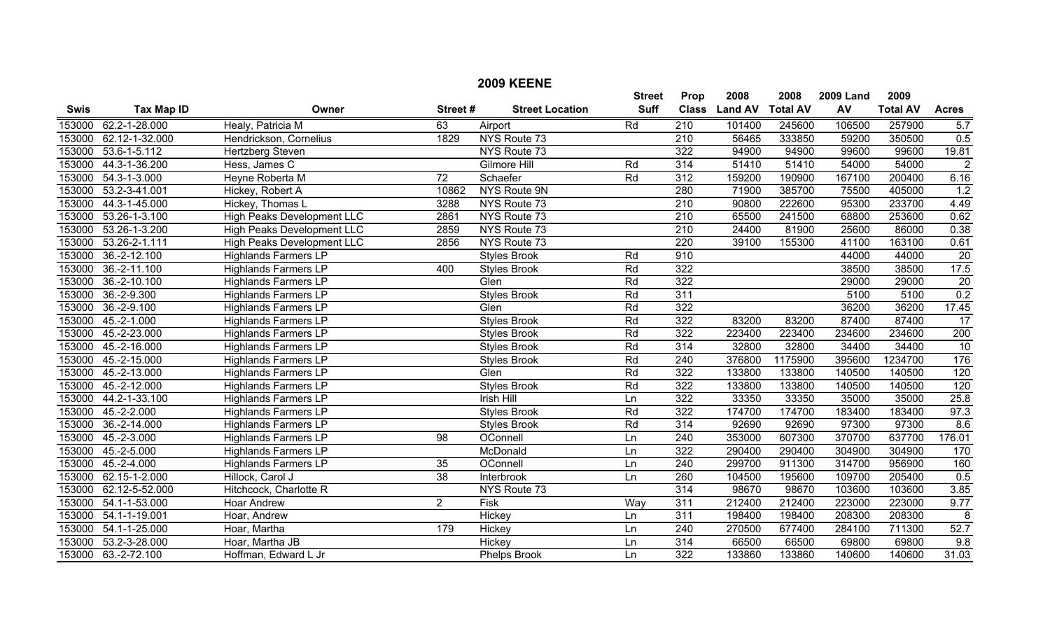|             |                    |                                   |                 | <b>2009 KEENE</b>      |                              |                      |                        |                         |                        |                         |                 |
|-------------|--------------------|-----------------------------------|-----------------|------------------------|------------------------------|----------------------|------------------------|-------------------------|------------------------|-------------------------|-----------------|
| <b>Swis</b> | <b>Tax Map ID</b>  | Owner                             | Street#         | <b>Street Location</b> | <b>Street</b><br><b>Suff</b> | Prop<br><b>Class</b> | 2008<br><b>Land AV</b> | 2008<br><b>Total AV</b> | <b>2009 Land</b><br>AV | 2009<br><b>Total AV</b> | <b>Acres</b>    |
| 153000      | 62.2-1-28.000      | Healy, Patricia M                 | 63              | Airport                | Rd                           | 210                  | 101400                 | 245600                  | 106500                 | 257900                  | 5.7             |
| 153000      | 62.12-1-32.000     | Hendrickson, Cornelius            | 1829            | NYS Route 73           |                              | $\overline{210}$     | 56465                  | 333850                  | 59200                  | 350500                  | 0.5             |
| 153000      | $53.6 - 1 - 5.112$ | Hertzberg Steven                  |                 | NYS Route 73           |                              | 322                  | 94900                  | 94900                   | 99600                  | 99600                   | 19.81           |
| 153000      | 44.3-1-36.200      | Hess, James C                     |                 | Gilmore Hill           | Rd                           | 314                  | 51410                  | 51410                   | 54000                  | 54000                   | $\overline{2}$  |
| 153000      | 54.3-1-3.000       | Heyne Roberta M                   | $\overline{72}$ | Schaefer               | Rd                           | 312                  | 159200                 | 190900                  | 167100                 | 200400                  | 6.16            |
| 153000      | 53.2-3-41.001      | Hickey, Robert A                  | 10862           | NYS Route 9N           |                              | 280                  | 71900                  | 385700                  | 75500                  | 405000                  | 1.2             |
| 153000      | 44.3-1-45.000      | Hickey, Thomas L                  | 3288            | NYS Route 73           |                              | $\overline{210}$     | 90800                  | 222600                  | 95300                  | 233700                  | 4.49            |
| 153000      | 53.26-1-3.100      | <b>High Peaks Development LLC</b> | 2861            | NYS Route 73           |                              | $\overline{210}$     | 65500                  | 241500                  | 68800                  | 253600                  | 0.62            |
| 153000      | 53.26-1-3.200      | High Peaks Development LLC        | 2859            | NYS Route 73           |                              | $\overline{210}$     | 24400                  | 81900                   | 25600                  | 86000                   | 0.38            |
| 153000      | 53.26-2-1.111      | High Peaks Development LLC        | 2856            | NYS Route 73           |                              | 220                  | 39100                  | 155300                  | 41100                  | 163100                  | 0.61            |
| 153000      | 36.-2-12.100       | <b>Highlands Farmers LP</b>       |                 | <b>Styles Brook</b>    | Rd                           | 910                  |                        |                         | 44000                  | 44000                   | $\overline{20}$ |
| 153000      | 36.-2-11.100       | <b>Highlands Farmers LP</b>       | 400             | <b>Styles Brook</b>    | Rd                           | 322                  |                        |                         | 38500                  | 38500                   | 17.5            |
| 153000      | $36. - 2 - 10.100$ | <b>Highlands Farmers LP</b>       |                 | Glen                   | Rd                           | 322                  |                        |                         | 29000                  | 29000                   | $\overline{20}$ |
| 153000      | $36.-2-9.300$      | <b>Highlands Farmers LP</b>       |                 | <b>Styles Brook</b>    | Rd                           | 311                  |                        |                         | 5100                   | 5100                    | 0.2             |
| 153000      | $36.-2-9.100$      | <b>Highlands Farmers LP</b>       |                 | Glen                   | Rd                           | 322                  |                        |                         | 36200                  | 36200                   | 17.45           |
| 153000      | $45.-2-1.000$      | <b>Highlands Farmers LP</b>       |                 | <b>Styles Brook</b>    | Rd                           | 322                  | 83200                  | 83200                   | 87400                  | 87400                   | $\overline{17}$ |
| 153000      | 45.-2-23.000       | <b>Highlands Farmers LP</b>       |                 | <b>Styles Brook</b>    | Rd                           | 322                  | 223400                 | 223400                  | 234600                 | 234600                  | 200             |
| 153000      | 45.-2-16.000       | <b>Highlands Farmers LP</b>       |                 | <b>Styles Brook</b>    | Rd                           | 314                  | 32800                  | 32800                   | 34400                  | 34400                   | 10              |
| 153000      | 45.-2-15.000       | <b>Highlands Farmers LP</b>       |                 | <b>Styles Brook</b>    | Rd                           | $\overline{240}$     | 376800                 | 1175900                 | 395600                 | 1234700                 | 176             |
| 153000      | 45.-2-13.000       | <b>Highlands Farmers LP</b>       |                 | Glen                   | Rd                           | 322                  | 133800                 | 133800                  | 140500                 | 140500                  | 120             |
| 153000      | 45.-2-12.000       | <b>Highlands Farmers LP</b>       |                 | <b>Styles Brook</b>    | Rd                           | 322                  | 133800                 | 133800                  | 140500                 | 140500                  | 120             |
| 153000      | 44.2-1-33.100      | <b>Highlands Farmers LP</b>       |                 | <b>Irish Hill</b>      | Ln                           | 322                  | 33350                  | 33350                   | 35000                  | 35000                   | 25.8            |
| 153000      | $45.-2-.2000$      | <b>Highlands Farmers LP</b>       |                 | <b>Styles Brook</b>    | Rd                           | 322                  | 174700                 | 174700                  | 183400                 | 183400                  | 97.3            |
| 153000      | 36.-2-14.000       | <b>Highlands Farmers LP</b>       |                 | <b>Styles Brook</b>    | Rd                           | $\overline{314}$     | 92690                  | 92690                   | 97300                  | 97300                   | 8.6             |
| 153000      | $45.-2-3.000$      | <b>Highlands Farmers LP</b>       | 98              | OConnell               | Ln                           | $\overline{240}$     | 353000                 | 607300                  | 370700                 | 637700                  | 176.01          |
| 153000      | 45.-2-5.000        | <b>Highlands Farmers LP</b>       |                 | McDonald               | Ln                           | 322                  | 290400                 | 290400                  | 304900                 | 304900                  | 170             |
| 153000      | 45.-2-4.000        | <b>Highlands Farmers LP</b>       | 35              | OConnell               | Ln                           | 240                  | 299700                 | 911300                  | 314700                 | 956900                  | 160             |
| 153000      | 62.15-1-2.000      | Hillock, Carol J                  | 38              | Interbrook             | Ln                           | 260                  | 104500                 | 195600                  | 109700                 | 205400                  | 0.5             |
| 153000      | 62.12-5-52.000     | Hitchcock, Charlotte R            |                 | NYS Route 73           |                              | $\overline{314}$     | 98670                  | 98670                   | 103600                 | 103600                  | 3.85            |
| 153000      | 54.1-1-53.000      | <b>Hoar Andrew</b>                | $\overline{2}$  | Fisk                   | Way                          | 311                  | 212400                 | 212400                  | 223000                 | 223000                  | 9.77            |
| 153000      | 54.1-1-19.001      | Hoar, Andrew                      |                 | <b>Hickey</b>          | Ln                           | 311                  | 198400                 | 198400                  | 208300                 | 208300                  | 8               |
| 153000      | 54.1-1-25.000      | Hoar, Martha                      | 179             | Hickey                 | Ln                           | $\overline{240}$     | 270500                 | 677400                  | 284100                 | 711300                  | 52.7            |
| 153000      | 53.2-3-28.000      | Hoar, Martha JB                   |                 | Hickey                 | Ln                           | 314                  | 66500                  | 66500                   | 69800                  | 69800                   | 9.8             |
| 153000      | 63.-2-72.100       | Hoffman, Edward L Jr              |                 | <b>Phelps Brook</b>    | Ln                           | $\overline{322}$     | 133860                 | 133860                  | 140600                 | 140600                  | 31.03           |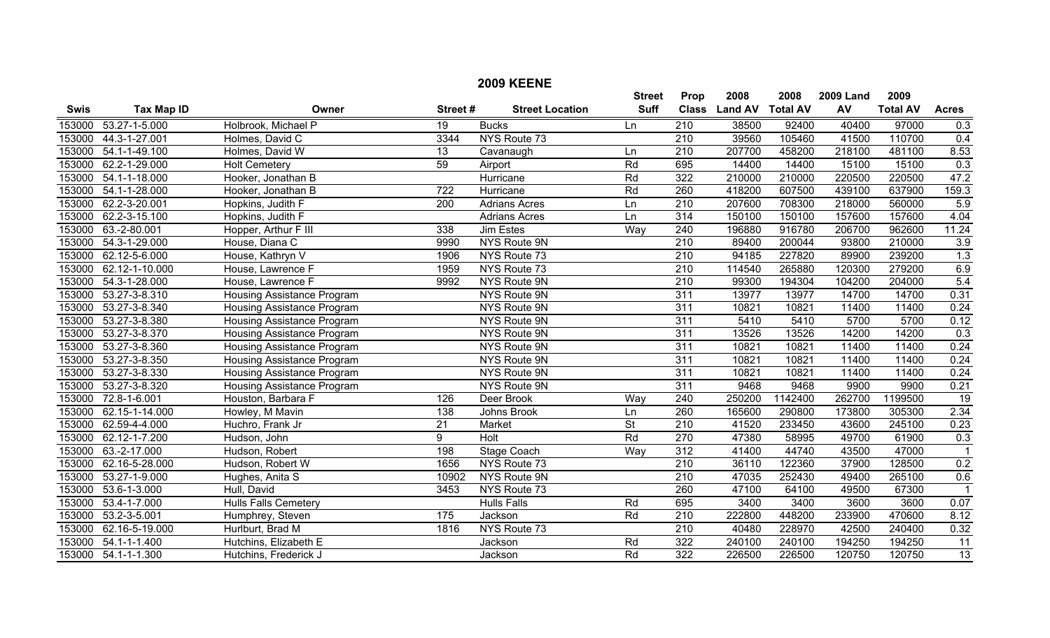|             |                     |                                   |                  | <b>2009 KEENE</b>      |                          |                  |                |                 |                  |                 |                         |
|-------------|---------------------|-----------------------------------|------------------|------------------------|--------------------------|------------------|----------------|-----------------|------------------|-----------------|-------------------------|
|             |                     |                                   |                  |                        | <b>Street</b>            | Prop             | 2008           | 2008            | <b>2009 Land</b> | 2009            |                         |
| <b>Swis</b> | <b>Tax Map ID</b>   | Owner                             | Street#          | <b>Street Location</b> | <b>Suff</b>              | <b>Class</b>     | <b>Land AV</b> | <b>Total AV</b> | AV               | <b>Total AV</b> | <b>Acres</b>            |
| 153000      | 53.27-1-5.000       | Holbrook, Michael P               | 19               | <b>Bucks</b>           | Ln                       | $\overline{210}$ | 38500          | 92400           | 40400            | 97000           | 0.3                     |
| 153000      | 44.3-1-27.001       | Holmes, David C                   | 3344             | NYS Route 73           |                          | $\overline{210}$ | 39560          | 105460          | 41500            | 110700          | 0.4                     |
| 153000      | 54.1-1-49.100       | Holmes, David W                   | $\overline{13}$  | Cavanaugh              | Ln                       | $\overline{210}$ | 207700         | 458200          | 218100           | 481100          | 8.53                    |
| 153000      | 62.2-1-29.000       | <b>Holt Cemetery</b>              | 59               | Airport                | Rd                       | 695              | 14400          | 14400           | 15100            | 15100           | 0.3                     |
| 153000      | 54.1-1-18.000       | Hooker, Jonathan B                |                  | Hurricane              | Rd                       | 322              | 210000         | 210000          | 220500           | 220500          | 47.2                    |
| 153000      | 54.1-1-28.000       | Hooker, Jonathan B                | 722              | Hurricane              | Rd                       | 260              | 418200         | 607500          | 439100           | 637900          | 159.3                   |
| 153000      | 62.2-3-20.001       | Hopkins, Judith F                 | $\overline{200}$ | <b>Adrians Acres</b>   | Ln                       | $\overline{210}$ | 207600         | 708300          | 218000           | 560000          | 5.9                     |
| 153000      | 62.2-3-15.100       | Hopkins, Judith F                 |                  | <b>Adrians Acres</b>   | Ln                       | $\overline{314}$ | 150100         | 150100          | 157600           | 157600          | 4.04                    |
| 153000      | 63.-2-80.001        | Hopper, Arthur F III              | 338              | <b>Jim Estes</b>       | Way                      | 240              | 196880         | 916780          | 206700           | 962600          | 11.24                   |
| 153000      | 54.3-1-29.000       | House, Diana C                    | 9990             | NYS Route 9N           |                          | 210              | 89400          | 200044          | 93800            | 210000          | 3.9                     |
| 153000      | 62.12-5-6.000       | House, Kathryn V                  | 1906             | NYS Route 73           |                          | $\overline{210}$ | 94185          | 227820          | 89900            | 239200          | 1.3                     |
| 153000      | 62.12-1-10.000      | House, Lawrence F                 | 1959             | NYS Route 73           |                          | $\overline{210}$ | 114540         | 265880          | 120300           | 279200          | 6.9                     |
| 153000      | 54.3-1-28.000       | House, Lawrence F                 | 9992             | NYS Route 9N           |                          | $\overline{210}$ | 99300          | 194304          | 104200           | 204000          | 5.4                     |
| 153000      | 53.27-3-8.310       | <b>Housing Assistance Program</b> |                  | NYS Route 9N           |                          | 311              | 13977          | 13977           | 14700            | 14700           | 0.31                    |
| 153000      | 53.27-3-8.340       | Housing Assistance Program        |                  | NYS Route 9N           |                          | $\overline{311}$ | 10821          | 10821           | 11400            | 11400           | 0.24                    |
| 153000      | 53.27-3-8.380       | Housing Assistance Program        |                  | <b>NYS Route 9N</b>    |                          | 311              | 5410           | 5410            | 5700             | 5700            | 0.12                    |
| 153000      | 53.27-3-8.370       | <b>Housing Assistance Program</b> |                  | NYS Route 9N           |                          | 311              | 13526          | 13526           | 14200            | 14200           | 0.3                     |
| 153000      | 53.27-3-8.360       | Housing Assistance Program        |                  | NYS Route 9N           |                          | 311              | 10821          | 10821           | 11400            | 11400           | 0.24                    |
| 153000      | 53.27-3-8.350       | Housing Assistance Program        |                  | NYS Route 9N           |                          | 311              | 10821          | 10821           | 11400            | 11400           | 0.24                    |
| 153000      | 53.27-3-8.330       | <b>Housing Assistance Program</b> |                  | <b>NYS Route 9N</b>    |                          | $\overline{311}$ | 10821          | 10821           | 11400            | 11400           | 0.24                    |
| 153000      | 53.27-3-8.320       | <b>Housing Assistance Program</b> |                  | NYS Route 9N           |                          | 311              | 9468           | 9468            | 9900             | 9900            | 0.21                    |
| 153000      | 72.8-1-6.001        | Houston, Barbara F                | 126              | Deer Brook             | Way                      | 240              | 250200         | 1142400         | 262700           | 1199500         | 19                      |
| 153000      | 62.15-1-14.000      | Howley, M Mavin                   | 138              | Johns Brook            | Ln                       | 260              | 165600         | 290800          | 173800           | 305300          | 2.34                    |
| 153000      | 62.59-4-4.000       | Huchro, Frank Jr                  | $\overline{21}$  | Market                 | $\overline{\mathsf{St}}$ | $\overline{210}$ | 41520          | 233450          | 43600            | 245100          | 0.23                    |
| 153000      | 62.12-1-7.200       | Hudson, John                      | 9                | <b>Holt</b>            | Rd                       | $\overline{270}$ | 47380          | 58995           | 49700            | 61900           | 0.3                     |
| 153000      | 63.-2-17.000        | Hudson, Robert                    | 198              | <b>Stage Coach</b>     | Way                      | 312              | 41400          | 44740           | 43500            | 47000           | $\overline{\mathbf{1}}$ |
| 153000      | 62.16-5-28.000      | Hudson, Robert W                  | 1656             | NYS Route 73           |                          | 210              | 36110          | 122360          | 37900            | 128500          | 0.2                     |
| 153000      | 53.27-1-9.000       | Hughes, Anita S                   | 10902            | NYS Route 9N           |                          | 210              | 47035          | 252430          | 49400            | 265100          | 0.6                     |
| 153000      | 53.6-1-3.000        | Hull, David                       | 3453             | NYS Route 73           |                          | 260              | 47100          | 64100           | 49500            | 67300           | $\overline{\mathbf{1}}$ |
| 153000      | 53.4-1-7.000        | <b>Hulls Falls Cemetery</b>       |                  | <b>Hulls Falls</b>     | Rd                       | 695              | 3400           | 3400            | 3600             | 3600            | 0.07                    |
| 153000      | $53.2 - 3 - 5.001$  | Humphrey, Steven                  | 175              | Jackson                | Rd                       | 210              | 222800         | 448200          | 233900           | 470600          | 8.12                    |
| 153000      | 62.16-5-19.000      | Hurlburt, Brad M                  | 1816             | NYS Route 73           |                          | $\overline{210}$ | 40480          | 228970          | 42500            | 240400          | 0.32                    |
| 153000      | $54.1 - 1 - 1.400$  | Hutchins, Elizabeth E             |                  | Jackson                | Rd                       | $\overline{322}$ | 240100         | 240100          | 194250           | 194250          | 11                      |
|             | 153000 54.1-1-1.300 | Hutchins, Frederick J             |                  | Jackson                | Rd                       | $\overline{322}$ | 226500         | 226500          | 120750           | 120750          | $\overline{13}$         |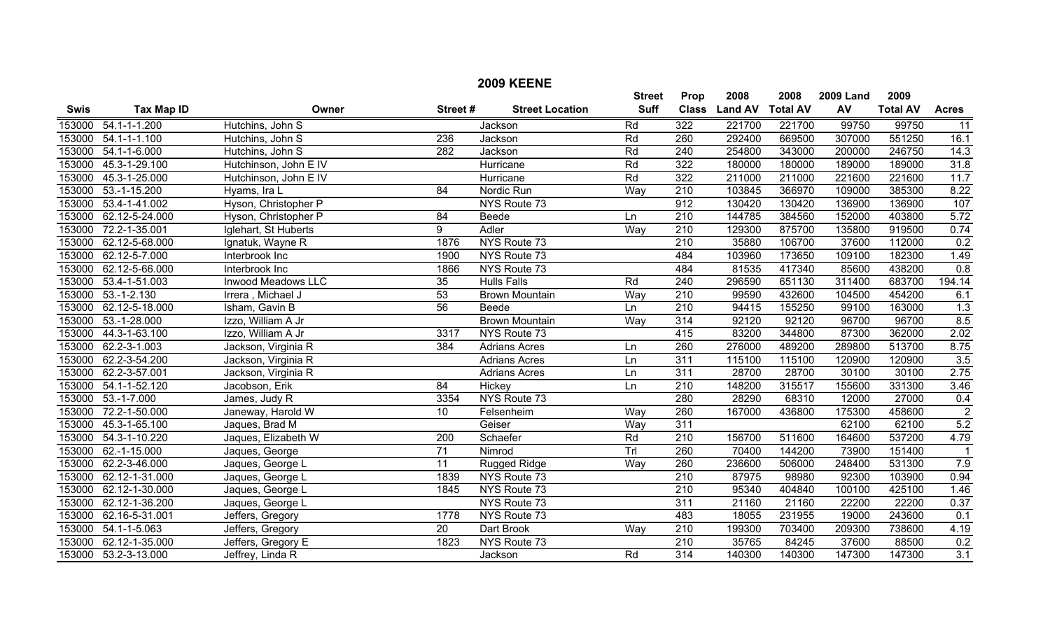| <b>2009 KEENE</b> |                      |                       |                  |                        |               |                  |                |                 |                  |                 |                         |
|-------------------|----------------------|-----------------------|------------------|------------------------|---------------|------------------|----------------|-----------------|------------------|-----------------|-------------------------|
|                   |                      |                       |                  |                        | <b>Street</b> | Prop             | 2008           | 2008            | <b>2009 Land</b> | 2009            |                         |
| <b>Swis</b>       | <b>Tax Map ID</b>    | Owner                 | Street#          | <b>Street Location</b> | <b>Suff</b>   | <b>Class</b>     | <b>Land AV</b> | <b>Total AV</b> | AV               | <b>Total AV</b> | <b>Acres</b>            |
| 153000            | $54.1 - 1 - 1.200$   | Hutchins, John S      |                  | Jackson                | Rd            | 322              | 221700         | 221700          | 99750            | 99750           | $\overline{11}$         |
| 153000            | 54.1-1-1.100         | Hutchins, John S      | 236              | Jackson                | Rd            | 260              | 292400         | 669500          | 307000           | 551250          | 16.1                    |
| 153000            | $54.1 - 1 - 6.000$   | Hutchins, John S      | 282              | Jackson                | Rd            | $\overline{240}$ | 254800         | 343000          | 200000           | 246750          | 14.3                    |
| 153000            | 45.3-1-29.100        | Hutchinson, John E IV |                  | Hurricane              | Rd            | 322              | 180000         | 180000          | 189000           | 189000          | 31.8                    |
| 153000            | 45.3-1-25.000        | Hutchinson, John E IV |                  | Hurricane              | Rd            | 322              | 211000         | 211000          | 221600           | 221600          | 11.7                    |
| 153000            | $53.-1-15.200$       | Hyams, Ira L          | 84               | Nordic Run             | Way           | 210              | 103845         | 366970          | 109000           | 385300          | 8.22                    |
| 153000            | 53.4-1-41.002        | Hyson, Christopher P  |                  | NYS Route 73           |               | 912              | 130420         | 130420          | 136900           | 136900          | 107                     |
| 153000            | 62.12-5-24.000       | Hyson, Christopher P  | 84               | Beede                  | Ln            | 210              | 144785         | 384560          | 152000           | 403800          | 5.72                    |
| 153000            | 72.2-1-35.001        | Iglehart, St Huberts  | 9                | <b>Adler</b>           | Way           | 210              | 129300         | 875700          | 135800           | 919500          | 0.74                    |
| 153000            | 62.12-5-68.000       | Ignatuk, Wayne R      | 1876             | NYS Route 73           |               | 210              | 35880          | 106700          | 37600            | 112000          | 0.2                     |
| 153000            | 62.12-5-7.000        | Interbrook Inc        | 1900             | NYS Route 73           |               | 484              | 103960         | 173650          | 109100           | 182300          | 1.49                    |
| 153000            | 62.12-5-66.000       | Interbrook Inc        | 1866             | NYS Route 73           |               | 484              | 81535          | 417340          | 85600            | 438200          | 0.8                     |
| 153000            | 53.4-1-51.003        | Inwood Meadows LLC    | $\overline{35}$  | <b>Hulls Falls</b>     | Rd            | $\overline{240}$ | 296590         | 651130          | 311400           | 683700          | 194.14                  |
| 153000            | $53.-1-2.130$        | Irrera, Michael J     | 53               | <b>Brown Mountain</b>  | Way           | 210              | 99590          | 432600          | 104500           | 454200          | 6.1                     |
| 153000            | 62.12-5-18.000       | Isham, Gavin B        | 56               | Beede                  | Ln            | $\overline{210}$ | 94415          | 155250          | 99100            | 163000          | 1.3                     |
| 153000            | 53.-1-28.000         | Izzo, William A Jr    |                  | <b>Brown Mountain</b>  | Way           | 314              | 92120          | 92120           | 96700            | 96700           | 8.5                     |
| 153000            | 44.3-1-63.100        | Izzo, William A Jr    | 3317             | NYS Route 73           |               | 415              | 83200          | 344800          | 87300            | 362000          | 2.02                    |
| 153000            | 62.2-3-1.003         | Jackson, Virginia R   | 384              | <b>Adrians Acres</b>   | Ln            | 260              | 276000         | 489200          | 289800           | 513700          | 8.75                    |
| 153000            | 62.2-3-54.200        | Jackson, Virginia R   |                  | <b>Adrians Acres</b>   | Ln            | $\overline{311}$ | 115100         | 115100          | 120900           | 120900          | $\overline{3.5}$        |
| 153000            | 62.2-3-57.001        | Jackson, Virginia R   |                  | <b>Adrians Acres</b>   | Ln            | 311              | 28700          | 28700           | 30100            | 30100           | 2.75                    |
| 153000            | 54.1-1-52.120        | Jacobson, Erik        | 84               | Hickey                 | Ln            | 210              | 148200         | 315517          | 155600           | 331300          | 3.46                    |
| 153000            | $53.-1-7.000$        | James, Judy R         | 3354             | NYS Route 73           |               | 280              | 28290          | 68310           | 12000            | 27000           | 0.4                     |
| 153000            | 72.2-1-50.000        | Janeway, Harold W     | 10               | Felsenheim             | Way           | 260              | 167000         | 436800          | 175300           | 458600          | $\overline{2}$          |
| 153000            | 45.3-1-65.100        | Jaques, Brad M        |                  | Geiser                 | Way           | 311              |                |                 | 62100            | 62100           | 5.2                     |
| 153000            | 54.3-1-10.220        | Jaques, Elizabeth W   | $\overline{200}$ | Schaefer               | Rd            | $\overline{210}$ | 156700         | 511600          | 164600           | 537200          | 4.79                    |
| 153000            | 62.-1-15.000         | Jaques, George        | 71               | Nimrod                 | Trl           | 260              | 70400          | 144200          | 73900            | 151400          | $\overline{\mathbf{1}}$ |
| 153000            | 62.2-3-46.000        | Jaques, George L      | $\overline{11}$  | Rugged Ridge           | Way           | 260              | 236600         | 506000          | 248400           | 531300          | 7.9                     |
| 153000            | 62.12-1-31.000       | Jaques, George L      | 1839             | NYS Route 73           |               | 210              | 87975          | 98980           | 92300            | 103900          | 0.94                    |
| 153000            | 62.12-1-30.000       | Jaques, George L      | 1845             | NYS Route 73           |               | 210              | 95340          | 404840          | 100100           | 425100          | 1.46                    |
| 153000            | 62.12-1-36.200       | Jaques, George L      |                  | NYS Route 73           |               | 311              | 21160          | 21160           | 22200            | 22200           | 0.37                    |
| 153000            | 62.16-5-31.001       | Jeffers, Gregory      | 1778             | NYS Route 73           |               | 483              | 18055          | 231955          | 19000            | 243600          | 0.1                     |
| 153000            | 54.1-1-5.063         | Jeffers, Gregory      | 20               | Dart Brook             | Way           | 210              | 199300         | 703400          | 209300           | 738600          | 4.19                    |
| 153000            | 62.12-1-35.000       | Jeffers, Gregory E    | 1823             | NYS Route 73           |               | 210              | 35765          | 84245           | 37600            | 88500           | 0.2                     |
|                   | 153000 53.2-3-13.000 | Jeffrey, Linda R      |                  | Jackson                | Rd            | $\overline{314}$ | 140300         | 140300          | 147300           | 147300          | $\overline{3.1}$        |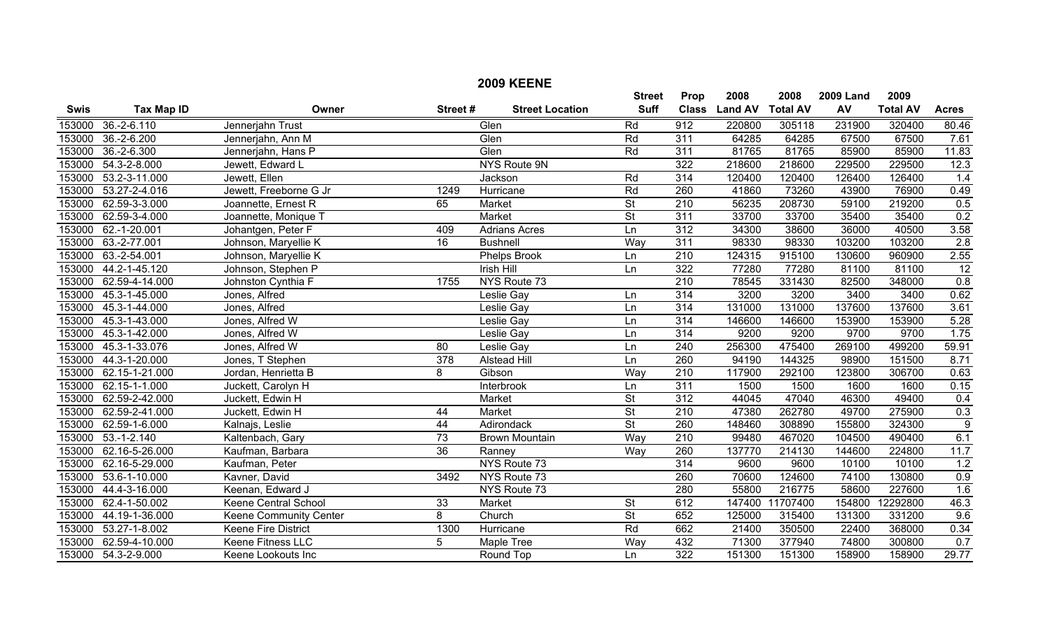| <b>Swis</b> | <b>Tax Map ID</b>   | Owner                       | Street#         | <b>Street Location</b> | <b>Street</b><br><b>Suff</b> | Prop<br><b>Class</b> | 2008<br><b>Land AV</b> | 2008<br><b>Total AV</b> | <b>2009 Land</b><br>AV | 2009<br><b>Total AV</b> | <b>Acres</b>    |
|-------------|---------------------|-----------------------------|-----------------|------------------------|------------------------------|----------------------|------------------------|-------------------------|------------------------|-------------------------|-----------------|
| 153000      | $36.-2-6.110$       | Jennerjahn Trust            |                 | Glen                   | Rd                           | $\overline{912}$     | 220800                 | 305118                  | 231900                 | 320400                  | 80.46           |
| 153000      | $36.-2-6.200$       | Jennerjahn, Ann M           |                 | Glen                   | Rd                           | 311                  | 64285                  | 64285                   | 67500                  | 67500                   | 7.61            |
| 153000      | 36.-2-6.300         | Jennerjahn, Hans P          |                 | Glen                   | Rd                           | 311                  | 81765                  | 81765                   | 85900                  | 85900                   | 11.83           |
| 153000      | 54.3-2-8.000        | Jewett, Edward L            |                 | <b>NYS Route 9N</b>    |                              | 322                  | 218600                 | 218600                  | 229500                 | 229500                  | 12.3            |
| 153000      | 53.2-3-11.000       | Jewett, Ellen               |                 | Jackson                | Rd                           | 314                  | 120400                 | 120400                  | 126400                 | 126400                  | 1.4             |
| 153000      | 53.27-2-4.016       | Jewett, Freeborne G Jr      | 1249            | Hurricane              | Rd                           | 260                  | 41860                  | 73260                   | 43900                  | 76900                   | 0.49            |
| 153000      | 62.59-3-3.000       | Joannette, Ernest R         | 65              | Market                 | $\overline{\mathsf{St}}$     | 210                  | 56235                  | 208730                  | 59100                  | 219200                  | 0.5             |
| 153000      | 62.59-3-4.000       | Joannette, Monique T        |                 | Market                 | $\overline{\mathsf{St}}$     | 311                  | 33700                  | 33700                   | 35400                  | 35400                   | 0.2             |
| 153000      | 62.-1-20.001        | Johantgen, Peter F          | 409             | <b>Adrians Acres</b>   | Ln                           | 312                  | 34300                  | 38600                   | 36000                  | 40500                   | 3.58            |
| 153000      | 63.-2-77.001        | Johnson, Maryellie K        | 16              | <b>Bushnell</b>        | Way                          | 311                  | 98330                  | 98330                   | 103200                 | 103200                  | 2.8             |
| 153000      | 63.-2-54.001        | Johnson, Maryellie K        |                 | Phelps Brook           | Ln                           | 210                  | 124315                 | 915100                  | 130600                 | 960900                  | 2.55            |
| 153000      | 44.2-1-45.120       | Johnson, Stephen P          |                 | <b>Irish Hill</b>      | Ln                           | 322                  | 77280                  | 77280                   | 81100                  | 81100                   | $\overline{12}$ |
| 153000      | 62.59-4-14.000      | Johnston Cynthia F          | 1755            | NYS Route 73           |                              | $\overline{210}$     | 78545                  | 331430                  | 82500                  | 348000                  | 0.8             |
| 153000      | 45.3-1-45.000       | Jones, Alfred               |                 | Leslie Gay             | Ln                           | 314                  | 3200                   | 3200                    | 3400                   | 3400                    | 0.62            |
| 153000      | 45.3-1-44.000       | Jones, Alfred               |                 | Leslie Gay             | Ln                           | 314                  | 131000                 | 131000                  | 137600                 | 137600                  | 3.61            |
| 153000      | 45.3-1-43.000       | Jones, Alfred W             |                 | <b>Leslie Gay</b>      | Ln                           | 314                  | 146600                 | 146600                  | 153900                 | 153900                  | 5.28            |
| 153000      | 45.3-1-42.000       | Jones, Alfred W             |                 | Leslie Gay             | Ln                           | 314                  | 9200                   | 9200                    | 9700                   | 9700                    | 1.75            |
| 153000      | 45.3-1-33.076       | Jones, Alfred W             | 80              | <b>Leslie Gay</b>      | Ln                           | $\overline{240}$     | 256300                 | 475400                  | 269100                 | 499200                  | 59.91           |
| 153000      | 44.3-1-20.000       | Jones, T Stephen            | 378             | <b>Alstead Hill</b>    | Ln                           | 260                  | 94190                  | 144325                  | 98900                  | 151500                  | 8.71            |
| 153000      | 62.15-1-21.000      | Jordan, Henrietta B         | 8               | Gibson                 | Way                          | $\overline{210}$     | 117900                 | 292100                  | 123800                 | 306700                  | 0.63            |
| 153000      | 62.15-1-1.000       | Juckett, Carolyn H          |                 | Interbrook             | Ln                           | 311                  | 1500                   | 1500                    | 1600                   | 1600                    | 0.15            |
| 153000      | 62.59-2-42.000      | Juckett, Edwin H            |                 | <b>Market</b>          | $\overline{\mathsf{St}}$     | 312                  | 44045                  | 47040                   | 46300                  | 49400                   | 0.4             |
| 153000      | 62.59-2-41.000      | Juckett, Edwin H            | 44              | Market                 | $\overline{\mathsf{St}}$     | $\overline{210}$     | 47380                  | 262780                  | 49700                  | 275900                  | 0.3             |
| 153000      | 62.59-1-6.000       | Kalnajs, Leslie             | 44              | Adirondack             | $\overline{\mathsf{St}}$     | 260                  | 148460                 | 308890                  | 155800                 | 324300                  | $\overline{9}$  |
| 153000      | $53.-1-2.140$       | Kaltenbach, Gary            | 73              | <b>Brown Mountain</b>  | Way                          | $\overline{210}$     | 99480                  | 467020                  | 104500                 | 490400                  | 6.1             |
| 153000      | 62.16-5-26.000      | Kaufman, Barbara            | $\overline{36}$ | Ranney                 | Way                          | 260                  | 137770                 | 214130                  | 144600                 | 224800                  | 11.7            |
| 153000      | 62.16-5-29.000      | Kaufman, Peter              |                 | NYS Route 73           |                              | 314                  | 9600                   | 9600                    | 10100                  | 10100                   | 1.2             |
| 153000      | 53.6-1-10.000       | Kavner, David               | 3492            | NYS Route 73           |                              | 260                  | 70600                  | 124600                  | 74100                  | 130800                  | 0.9             |
| 153000      | 44.4-3-16.000       | Keenan, Edward J            |                 | NYS Route 73           |                              | 280                  | 55800                  | 216775                  | 58600                  | 227600                  | 1.6             |
| 153000      | 62.4-1-50.002       | <b>Keene Central School</b> | 33              | Market                 | $\overline{\mathsf{St}}$     | 612                  | 147400                 | 11707400                | 154800                 | 12292800                | 46.3            |
| 153000      | 44.19-1-36.000      | Keene Community Center      | 8               | Church                 | $\overline{\mathsf{St}}$     | 652                  | 125000                 | 315400                  | 131300                 | 331200                  | 9.6             |
| 153000      | 53.27-1-8.002       | Keene Fire District         | 1300            | Hurricane              | Rd                           | 662                  | 21400                  | 350500                  | 22400                  | 368000                  | 0.34            |
| 153000      | 62.59-4-10.000      | Keene Fitness LLC           | $\overline{5}$  | Maple Tree             | Way                          | 432                  | 71300                  | 377940                  | 74800                  | 300800                  | 0.7             |
|             | 153000 54.3-2-9.000 | Keene Lookouts Inc          |                 | Round Top              | Ln                           | 322                  | 151300                 | 151300                  | 158900                 | 158900                  | 29.77           |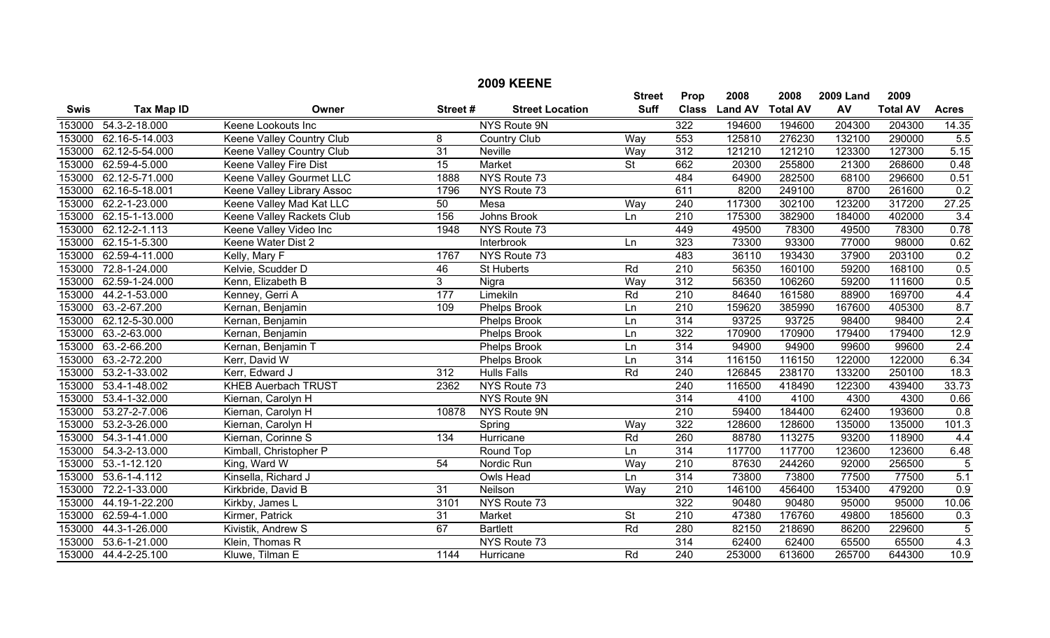|             |                       |                            |                 | <b>2009 KEENE</b>      |                          |                  |                |                 |                  |                 |                   |
|-------------|-----------------------|----------------------------|-----------------|------------------------|--------------------------|------------------|----------------|-----------------|------------------|-----------------|-------------------|
|             |                       |                            |                 |                        | <b>Street</b>            | Prop             | 2008           | 2008            | <b>2009 Land</b> | 2009            |                   |
| <b>Swis</b> | <b>Tax Map ID</b>     | Owner                      | Street#         | <b>Street Location</b> | <b>Suff</b>              | <b>Class</b>     | <b>Land AV</b> | <b>Total AV</b> | AV               | <b>Total AV</b> | <b>Acres</b>      |
| 153000      | 54.3-2-18.000         | Keene Lookouts Inc         |                 | NYS Route 9N           |                          | 322              | 194600         | 194600          | 204300           | 204300          | 14.35             |
| 153000      | 62.16-5-14.003        | Keene Valley Country Club  | 8               | <b>Country Club</b>    | Way                      | 553              | 125810         | 276230          | 132100           | 290000          | 5.5               |
| 153000      | 62.12-5-54.000        | Keene Valley Country Club  | 31              | Neville                | Way                      | $\overline{312}$ | 121210         | 121210          | 123300           | 127300          | 5.15              |
| 153000      | 62.59-4-5.000         | Keene Valley Fire Dist     | $\overline{15}$ | Market                 | $\overline{\mathsf{St}}$ | 662              | 20300          | 255800          | 21300            | 268600          | 0.48              |
| 153000      | 62.12-5-71.000        | Keene Valley Gourmet LLC   | 1888            | NYS Route 73           |                          | 484              | 64900          | 282500          | 68100            | 296600          | 0.51              |
| 153000      | 62.16-5-18.001        | Keene Valley Library Assoc | 1796            | NYS Route 73           |                          | 611              | 8200           | 249100          | 8700             | 261600          | 0.2               |
| 153000      | 62.2-1-23.000         | Keene Valley Mad Kat LLC   | 50              | Mesa                   | Way                      | 240              | 117300         | 302100          | 123200           | 317200          | 27.25             |
| 153000      | 62.15-1-13.000        | Keene Valley Rackets Club  | 156             | Johns Brook            | Ln                       | $\overline{210}$ | 175300         | 382900          | 184000           | 402000          | 3.4               |
| 153000      | $62.12 - 2 - 1.113$   | Keene Valley Video Inc     | 1948            | NYS Route 73           |                          | 449              | 49500          | 78300           | 49500            | 78300           | 0.78              |
| 153000      | 62.15-1-5.300         | Keene Water Dist 2         |                 | Interbrook             | Ln                       | 323              | 73300          | 93300           | 77000            | 98000           | 0.62              |
| 153000      | 62.59-4-11.000        | Kelly, Mary F              | 1767            | NYS Route 73           |                          | 483              | 36110          | 193430          | 37900            | 203100          | 0.2               |
| 153000      | 72.8-1-24.000         | Kelvie, Scudder D          | 46              | St Huberts             | Rd                       | 210              | 56350          | 160100          | 59200            | 168100          | 0.5               |
| 153000      | 62.59-1-24.000        | Kenn, Elizabeth B          | $\mathbf{3}$    | Nigra                  | Way                      | $\overline{312}$ | 56350          | 106260          | 59200            | 111600          | 0.5               |
| 153000      | 44.2-1-53.000         | Kenney, Gerri A            | 177             | Limekiln               | Rd                       | 210              | 84640          | 161580          | 88900            | 169700          | 4.4               |
|             | 153000 63.-2-67.200   | Kernan, Benjamin           | 109             | Phelps Brook           | Ln                       | $\overline{210}$ | 159620         | 385990          | 167600           | 405300          | 8.7               |
|             | 153000 62.12-5-30.000 | Kernan, Benjamin           |                 | Phelps Brook           | Ln                       | 314              | 93725          | 93725           | 98400            | 98400           | 2.4               |
| 153000      | 63.-2-63.000          | Kernan, Benjamin           |                 | <b>Phelps Brook</b>    | Ln                       | 322              | 170900         | 170900          | 179400           | 179400          | 12.9              |
| 153000      | 63.-2-66.200          | Kernan, Benjamin T         |                 | Phelps Brook           | Ln                       | 314              | 94900          | 94900           | 99600            | 99600           | 2.4               |
| 153000      | 63.-2-72.200          | Kerr, David W              |                 | <b>Phelps Brook</b>    | Ln                       | 314              | 116150         | 116150          | 122000           | 122000          | 6.34              |
| 153000      | 53.2-1-33.002         | Kerr, Edward J             | 312             | <b>Hulls Falls</b>     | Rd                       | $\overline{240}$ | 126845         | 238170          | 133200           | 250100          | 18.3              |
| 153000      | 53.4-1-48.002         | <b>KHEB Auerbach TRUST</b> | 2362            | NYS Route 73           |                          | $\overline{240}$ | 116500         | 418490          | 122300           | 439400          | 33.73             |
| 153000      | 53.4-1-32.000         | Kiernan, Carolyn H         |                 | NYS Route 9N           |                          | 314              | 4100           | 4100            | 4300             | 4300            | 0.66              |
| 153000      | 53.27-2-7.006         | Kiernan, Carolyn H         | 10878           | NYS Route 9N           |                          | 210              | 59400          | 184400          | 62400            | 193600          | 0.8               |
| 153000      | 53.2-3-26.000         | Kiernan, Carolyn H         |                 | Spring                 | Way                      | 322              | 128600         | 128600          | 135000           | 135000          | 101.3             |
| 153000      | 54.3-1-41.000         | Kiernan, Corinne S         | 134             | Hurricane              | Rd                       | 260              | 88780          | 113275          | 93200            | 118900          | 4.4               |
| 153000      | 54.3-2-13.000         | Kimball, Christopher P     |                 | Round Top              | Ln                       | $\overline{314}$ | 117700         | 117700          | 123600           | 123600          | 6.48              |
| 153000      | $53.-1-12.120$        | King, Ward W               | 54              | Nordic Run             | Way                      | 210              | 87630          | 244260          | 92000            | 256500          | 5                 |
| 153000      | 53.6-1-4.112          | Kinsella, Richard J        |                 | Owls Head              | Ln                       | 314              | 73800          | 73800           | 77500            | 77500           | 5.1               |
| 153000      | 72.2-1-33.000         | Kirkbride, David B         | $\overline{31}$ | Neilson                | Way                      | $\overline{210}$ | 146100         | 456400          | 153400           | 479200          | 0.9               |
| 153000      | 44.19-1-22.200        | Kirkby, James L            | 3101            | NYS Route 73           |                          | 322              | 90480          | 90480           | 95000            | 95000           | 10.06             |
| 153000      | 62.59-4-1.000         | Kirmer, Patrick            | 31              | Market                 | <b>St</b>                | 210              | 47380          | 176760          | 49800            | 185600          | 0.3               |
| 153000      | 44.3-1-26.000         | Kivistik, Andrew S         | 67              | <b>Bartlett</b>        | Rd                       | 280              | 82150          | 218690          | 86200            | 229600          | $\overline{5}$    |
| 153000      | 53.6-1-21.000         | Klein, Thomas R            |                 | NYS Route 73           |                          | $\overline{314}$ | 62400          | 62400           | 65500            | 65500           | 4.3               |
|             | 153000 44.4-2-25.100  | Kluwe, Tilman E            | 1144            | Hurricane              | Rd                       | $\overline{240}$ | 253000         | 613600          | 265700           | 644300          | $\overline{10.9}$ |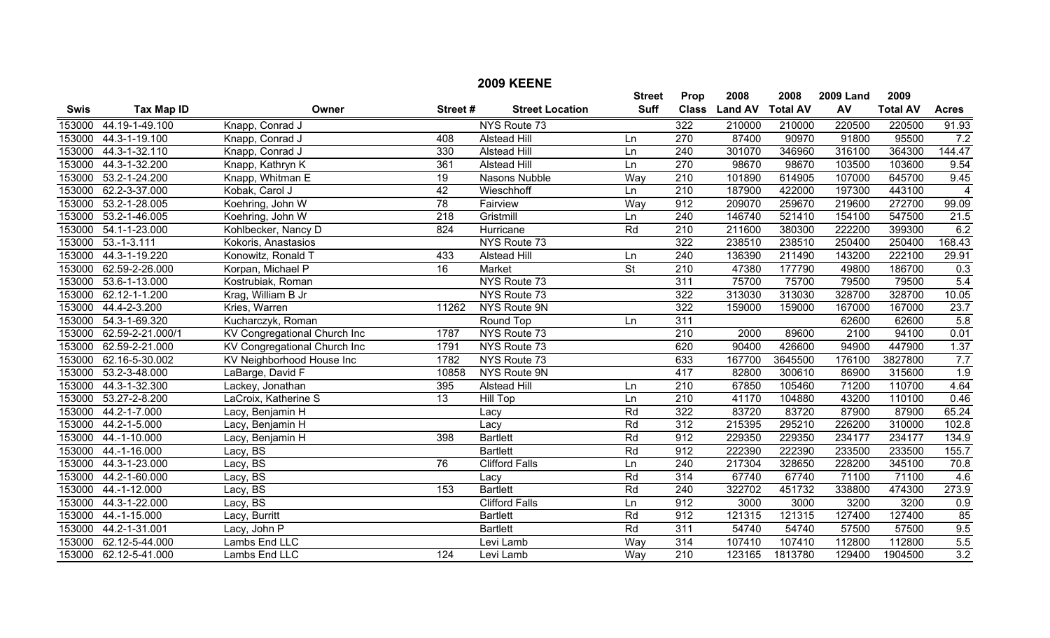|             |                   |                              |                 | <b>2009 KEENE</b>      |                 |                  |                |                 |                  |                 |                   |
|-------------|-------------------|------------------------------|-----------------|------------------------|-----------------|------------------|----------------|-----------------|------------------|-----------------|-------------------|
|             |                   |                              |                 |                        | <b>Street</b>   | Prop             | 2008           | 2008            | <b>2009 Land</b> | 2009            |                   |
| <b>Swis</b> | <b>Tax Map ID</b> | Owner                        | Street#         | <b>Street Location</b> | <b>Suff</b>     | <b>Class</b>     | <b>Land AV</b> | <b>Total AV</b> | AV               | <b>Total AV</b> | <b>Acres</b>      |
| 153000      | 44.19-1-49.100    | Knapp, Conrad J              |                 | NYS Route 73           |                 | 322              | 210000         | 210000          | 220500           | 220500          | 91.93             |
| 153000      | 44.3-1-19.100     | Knapp, Conrad J              | 408             | <b>Alstead Hill</b>    | Ln              | 270              | 87400          | 90970           | 91800            | 95500           | 7.2               |
| 153000      | 44.3-1-32.110     | Knapp, Conrad J              | 330             | <b>Alstead Hill</b>    | Ln              | $\overline{240}$ | 301070         | 346960          | 316100           | 364300          | 144.47            |
| 153000      | 44.3-1-32.200     | Knapp, Kathryn K             | 361             | <b>Alstead Hill</b>    | Ln              | $\overline{270}$ | 98670          | 98670           | 103500           | 103600          | 9.54              |
| 153000      | 53.2-1-24.200     | Knapp, Whitman E             | 19              | Nasons Nubble          | Way             | 210              | 101890         | 614905          | 107000           | 645700          | 9.45              |
| 153000      | 62.2-3-37.000     | Kobak, Carol J               | 42              | Wieschhoff             | Ln              | $\overline{210}$ | 187900         | 422000          | 197300           | 443100          | $\overline{4}$    |
| 153000      | 53.2-1-28.005     | Koehring, John W             | 78              | Fairview               | Way             | 912              | 209070         | 259670          | 219600           | 272700          | 99.09             |
| 153000      | 53.2-1-46.005     | Koehring, John W             | 218             | Gristmill              | Ln              | 240              | 146740         | 521410          | 154100           | 547500          | $\overline{21.5}$ |
| 153000      | 54.1-1-23.000     | Kohlbecker, Nancy D          | 824             | Hurricane              | Rd              | 210              | 211600         | 380300          | 222200           | 399300          | 6.2               |
| 153000      | $53 - 1 - 3.111$  | Kokoris, Anastasios          |                 | NYS Route 73           |                 | 322              | 238510         | 238510          | 250400           | 250400          | 168.43            |
| 153000      | 44.3-1-19.220     | Konowitz, Ronald T           | 433             | <b>Alstead Hill</b>    | Ln              | 240              | 136390         | 211490          | 143200           | 222100          | 29.91             |
| 153000      | 62.59-2-26.000    | Korpan, Michael P            | $\overline{16}$ | Market                 | $\overline{St}$ | 210              | 47380          | 177790          | 49800            | 186700          | 0.3               |
| 153000      | 53.6-1-13.000     | Kostrubiak, Roman            |                 | NYS Route 73           |                 | $\overline{311}$ | 75700          | 75700           | 79500            | 79500           | 5.4               |
| 153000      | 62.12-1-1.200     | Krag, William B Jr           |                 | NYS Route 73           |                 | $\overline{322}$ | 313030         | 313030          | 328700           | 328700          | 10.05             |
| 153000      | 44.4-2-3.200      | Kries, Warren                | 11262           | NYS Route 9N           |                 | $\overline{322}$ | 159000         | 159000          | 167000           | 167000          | 23.7              |
| 153000      | 54.3-1-69.320     | Kucharczyk, Roman            |                 | Round Top              | Ln              | 311              |                |                 | 62600            | 62600           | 5.8               |
| 153000      | 62.59-2-21.000/1  | KV Congregational Church Inc | 1787            | NYS Route 73           |                 | 210              | 2000           | 89600           | 2100             | 94100           | 0.01              |
| 153000      | 62.59-2-21.000    | KV Congregational Church Inc | 1791            | NYS Route 73           |                 | 620              | 90400          | 426600          | 94900            | 447900          | 1.37              |
| 153000      | 62.16-5-30.002    | KV Neighborhood House Inc    | 1782            | NYS Route 73           |                 | 633              | 167700         | 3645500         | 176100           | 3827800         | 7.7               |
| 153000      | 53.2-3-48.000     | LaBarge, David F             | 10858           | NYS Route 9N           |                 | 417              | 82800          | 300610          | 86900            | 315600          | 1.9               |
| 153000      | 44.3-1-32.300     | Lackey, Jonathan             | 395             | <b>Alstead Hill</b>    | Ln              | $\overline{210}$ | 67850          | 105460          | 71200            | 110700          | 4.64              |
| 153000      | 53.27-2-8.200     | LaCroix, Katherine S         | $\overline{13}$ | <b>Hill Top</b>        | Ln              | $\overline{210}$ | 41170          | 104880          | 43200            | 110100          | 0.46              |
| 153000      | 44.2-1-7.000      | Lacy, Benjamin H             |                 | Lacy                   | Rd              | 322              | 83720          | 83720           | 87900            | 87900           | 65.24             |
| 153000      | 44.2-1-5.000      | Lacy, Benjamin H             |                 | Lacy                   | Rd              | $\overline{312}$ | 215395         | 295210          | 226200           | 310000          | 102.8             |
| 153000      | 44.-1-10.000      | Lacy, Benjamin H             | 398             | <b>Bartlett</b>        | Rd              | 912              | 229350         | 229350          | 234177           | 234177          | 134.9             |
| 153000      | 44.-1-16.000      | Lacy, BS                     |                 | <b>Bartlett</b>        | Rd              | 912              | 222390         | 222390          | 233500           | 233500          | 155.7             |
| 153000      | 44.3-1-23.000     | Lacy, BS                     | $\overline{76}$ | <b>Clifford Falls</b>  | Ln              | $\overline{240}$ | 217304         | 328650          | 228200           | 345100          | 70.8              |
| 153000      | 44.2-1-60.000     | Lacy, BS                     |                 | Lacy                   | Rd              | 314              | 67740          | 67740           | 71100            | 71100           | 4.6               |
| 153000      | 44.-1-12.000      | Lacy, BS                     | 153             | <b>Bartlett</b>        | Rd              | 240              | 322702         | 451732          | 338800           | 474300          | 273.9             |
| 153000      | 44.3-1-22.000     | Lacy, BS                     |                 | <b>Clifford Falls</b>  | Ln              | 912              | 3000           | 3000            | 3200             | 3200            | 0.9               |
| 153000      | 44.-1-15.000      | Lacy, Burritt                |                 | <b>Bartlett</b>        | Rd              | 912              | 121315         | 121315          | 127400           | 127400          | 85                |
| 153000      | 44.2-1-31.001     | Lacy, John P                 |                 | <b>Bartlett</b>        | Rd              | 311              | 54740          | 54740           | 57500            | 57500           | 9.5               |
| 153000      | 62.12-5-44.000    | Lambs End LLC                |                 | Levi Lamb              | Way             | 314              | 107410         | 107410          | 112800           | 112800          | 5.5               |
| 153000      | 62.12-5-41.000    | Lambs End LLC                | 124             | Levi Lamb              | Way             | $\overline{210}$ | 123165         | 1813780         | 129400           | 1904500         | 3.2               |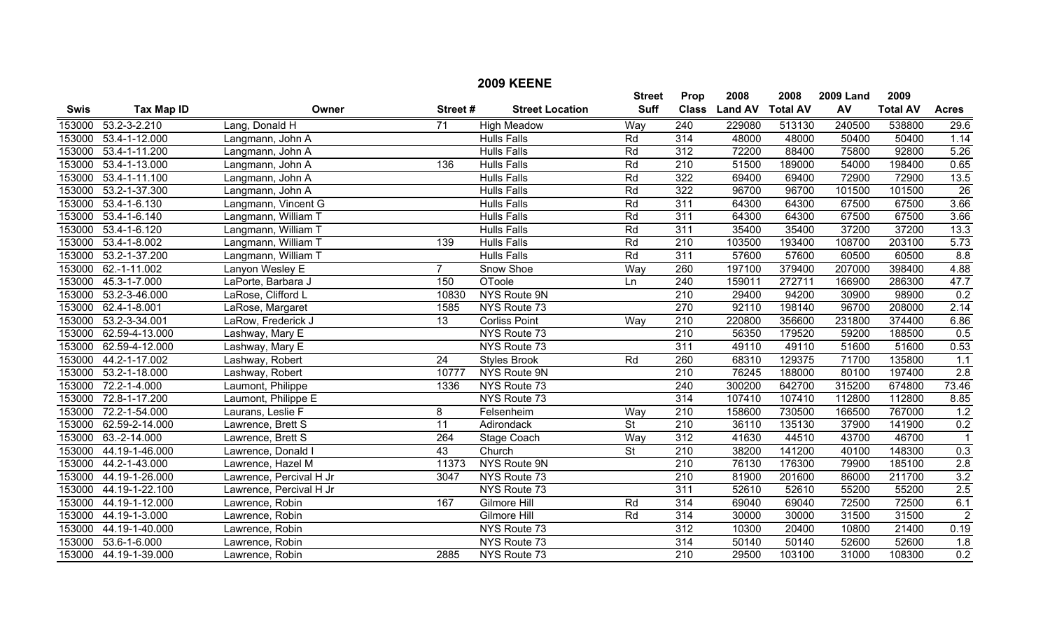|                  |                       |                         |                 | <b>2009 KEENE</b>                        |                              |                             |                        |                         |                        |                         |                 |
|------------------|-----------------------|-------------------------|-----------------|------------------------------------------|------------------------------|-----------------------------|------------------------|-------------------------|------------------------|-------------------------|-----------------|
| <b>Swis</b>      | <b>Tax Map ID</b>     | Owner                   | Street#         | <b>Street Location</b>                   | <b>Street</b><br><b>Suff</b> | <b>Prop</b><br><b>Class</b> | 2008<br><b>Land AV</b> | 2008<br><b>Total AV</b> | <b>2009 Land</b><br>AV | 2009<br><b>Total AV</b> | <b>Acres</b>    |
|                  | 53.2-3-2.210          |                         | $\overline{71}$ |                                          |                              | $\overline{240}$            |                        |                         | 240500                 | 538800                  |                 |
| 153000<br>153000 | 53.4-1-12.000         | Lang, Donald H          |                 | <b>High Meadow</b><br><b>Hulls Falls</b> | Way<br>Rd                    | 314                         | 229080<br>48000        | 513130<br>48000         | 50400                  | 50400                   | 29.6<br>1.14    |
| 153000           |                       | Langmann, John A        |                 |                                          |                              | 312                         | 72200                  |                         | 75800                  | 92800                   |                 |
|                  | 53.4-1-11.200         | Langmann, John A        |                 | <b>Hulls Falls</b>                       | Rd                           |                             |                        | 88400                   |                        |                         | 5.26            |
| 153000           | 53.4-1-13.000         | Langmann, John A        | 136             | <b>Hulls Falls</b>                       | Rd                           | 210                         | 51500                  | 189000                  | 54000                  | 198400                  | 0.65            |
| 153000           | 53.4-1-11.100         | Langmann, John A        |                 | <b>Hulls Falls</b>                       | Rd                           | 322                         | 69400                  | 69400                   | 72900                  | 72900                   | 13.5            |
| 153000           | 53.2-1-37.300         | Langmann, John A        |                 | <b>Hulls Falls</b>                       | Rd                           | 322                         | 96700                  | 96700                   | 101500                 | 101500                  | $\overline{26}$ |
| 153000           | $53.4 - 1 - 6.130$    | Langmann, Vincent G     |                 | <b>Hulls Falls</b>                       | Rd                           | 311                         | 64300                  | 64300                   | 67500                  | 67500                   | 3.66            |
| 153000           | $53.4 - 1 - 6.140$    | Langmann, William T     |                 | <b>Hulls Falls</b>                       | Rd                           | 311                         | 64300                  | 64300                   | 67500                  | 67500                   | 3.66            |
| 153000           | $53.4 - 1 - 6.120$    | Langmann, William T     |                 | <b>Hulls Falls</b>                       | Rd                           | 311                         | 35400                  | 35400                   | 37200                  | 37200                   | 13.3            |
| 153000           | 53.4-1-8.002          | Langmann, William T     | 139             | <b>Hulls Falls</b>                       | Rd                           | 210                         | 103500                 | 193400                  | 108700                 | 203100                  | 5.73            |
| 153000           | 53.2-1-37.200         | Langmann, William T     |                 | <b>Hulls Falls</b>                       | Rd                           | 311                         | 57600                  | 57600                   | 60500                  | 60500                   | 8.8             |
| 153000           | 62.-1-11.002          | Lanyon Wesley E         | $\overline{7}$  | Snow Shoe                                | Way                          | 260                         | 197100                 | 379400                  | 207000                 | 398400                  | 4.88            |
| 153000           | 45.3-1-7.000          | LaPorte, Barbara J      | 150             | OToole                                   | Ln                           | 240                         | 159011                 | 272711                  | 166900                 | 286300                  | 47.7            |
| 153000           | 53.2-3-46.000         | LaRose, Clifford L      | 10830           | NYS Route 9N                             |                              | 210                         | 29400                  | 94200                   | 30900                  | 98900                   | 0.2             |
| 153000           | 62.4-1-8.001          | LaRose, Margaret        | 1585            | NYS Route 73                             |                              | $\overline{270}$            | 92110                  | 198140                  | 96700                  | 208000                  | 2.14            |
| 153000           | 53.2-3-34.001         | LaRow, Frederick J      | $\overline{13}$ | <b>Corliss Point</b>                     | Way                          | $\overline{210}$            | 220800                 | 356600                  | 231800                 | 374400                  | 6.86            |
| 153000           | 62.59-4-13.000        | Lashway, Mary E         |                 | NYS Route 73                             |                              | 210                         | 56350                  | 179520                  | 59200                  | 188500                  | 0.5             |
| 153000           | 62.59-4-12.000        | Lashway, Mary E         |                 | NYS Route 73                             |                              | 311                         | 49110                  | 49110                   | 51600                  | 51600                   | 0.53            |
| 153000           | 44.2-1-17.002         | Lashway, Robert         | 24              | <b>Styles Brook</b>                      | Rd                           | 260                         | 68310                  | 129375                  | 71700                  | 135800                  | 1.1             |
| 153000           | 53.2-1-18.000         | Lashway, Robert         | 10777           | NYS Route 9N                             |                              | $\overline{210}$            | 76245                  | 188000                  | 80100                  | 197400                  | 2.8             |
| 153000           | 72.2-1-4.000          | Laumont, Philippe       | 1336            | NYS Route 73                             |                              | $\overline{240}$            | 300200                 | 642700                  | 315200                 | 674800                  | 73.46           |
| 153000           | 72.8-1-17.200         | Laumont, Philippe E     |                 | NYS Route 73                             |                              | 314                         | 107410                 | 107410                  | 112800                 | 112800                  | 8.85            |
| 153000           | 72.2-1-54.000         | Laurans, Leslie F       | 8               | Felsenheim                               | Way                          | 210                         | 158600                 | 730500                  | 166500                 | 767000                  | 1.2             |
| 153000           | 62.59-2-14.000        | Lawrence, Brett S       | $\overline{11}$ | Adirondack                               | $\overline{\mathsf{St}}$     | $\overline{210}$            | 36110                  | 135130                  | 37900                  | 141900                  | 0.2             |
| 153000           | 63.-2-14.000          | Lawrence, Brett S       | 264             | Stage Coach                              | Wav                          | $\overline{312}$            | 41630                  | 44510                   | 43700                  | 46700                   | $\mathbf{1}$    |
| 153000           | 44.19-1-46.000        | Lawrence, Donald I      | 43              | Church                                   | $\overline{\mathsf{St}}$     | 210                         | 38200                  | 141200                  | 40100                  | 148300                  | 0.3             |
| 153000           | 44.2-1-43.000         | Lawrence, Hazel M       | 11373           | NYS Route 9N                             |                              | 210                         | 76130                  | 176300                  | 79900                  | 185100                  | 2.8             |
| 153000           | 44.19-1-26.000        | Lawrence, Percival H Jr | 3047            | NYS Route 73                             |                              | 210                         | 81900                  | 201600                  | 86000                  | 211700                  | 3.2             |
| 153000           | 44.19-1-22.100        | Lawrence, Percival H Jr |                 | NYS Route 73                             |                              | $\overline{311}$            | 52610                  | 52610                   | 55200                  | 55200                   | 2.5             |
| 153000           | 44.19-1-12.000        | Lawrence, Robin         | 167             | Gilmore Hill                             | Rd                           | 314                         | 69040                  | 69040                   | 72500                  | 72500                   | 6.1             |
| 153000           | 44.19-1-3.000         | Lawrence, Robin         |                 | Gilmore Hill                             | Rd                           | 314                         | 30000                  | 30000                   | 31500                  | 31500                   | $\sqrt{2}$      |
| 153000           | 44.19-1-40.000        | Lawrence, Robin         |                 | NYS Route 73                             |                              | 312                         | 10300                  | 20400                   | 10800                  | 21400                   | 0.19            |
| 153000           | 53.6-1-6.000          | Lawrence, Robin         |                 | NYS Route 73                             |                              | 314                         | 50140                  | 50140                   | 52600                  | 52600                   | 1.8             |
|                  | 153000 44.19-1-39.000 | Lawrence, Robin         | 2885            | NYS Route 73                             |                              | $\overline{210}$            | 29500                  | 103100                  | 31000                  | 108300                  | 0.2             |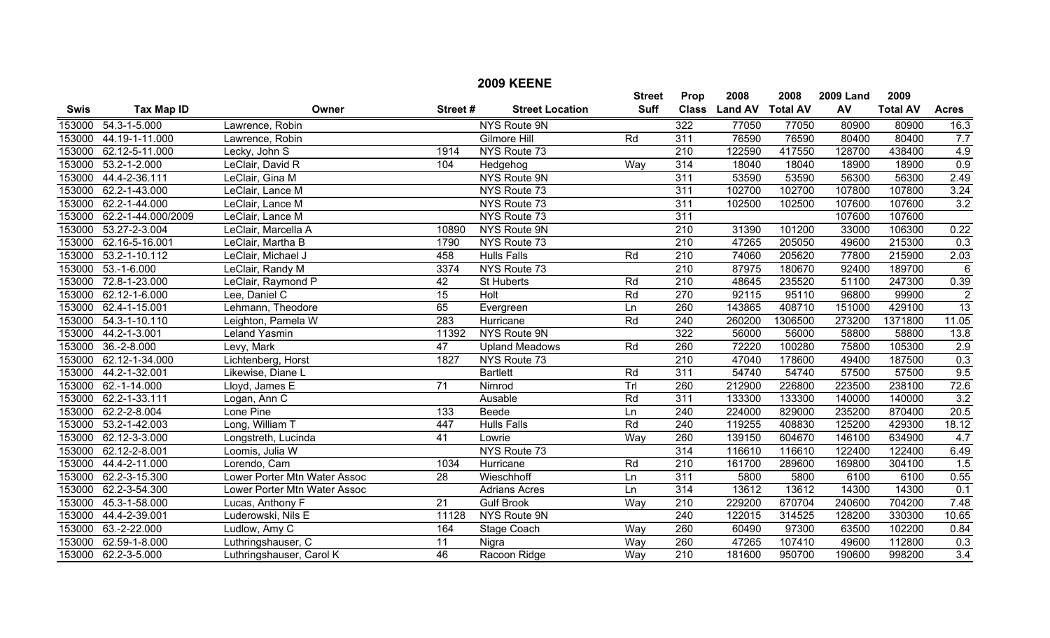|             |                     |                              |                 | <b>2009 KEENE</b>      |               |                  |                  |         |                  |                 |                  |
|-------------|---------------------|------------------------------|-----------------|------------------------|---------------|------------------|------------------|---------|------------------|-----------------|------------------|
|             |                     |                              |                 |                        | <b>Street</b> | Prop             | 2008             | 2008    | <b>2009 Land</b> | 2009            |                  |
| <b>Swis</b> | <b>Tax Map ID</b>   | Owner                        | Street#         | <b>Street Location</b> | <b>Suff</b>   | <b>Class</b>     | Land AV Total AV |         | AV               | <b>Total AV</b> | <b>Acres</b>     |
| 153000      | 54.3-1-5.000        | Lawrence, Robin              |                 | <b>NYS Route 9N</b>    |               | 322              | 77050            | 77050   | 80900            | 80900           | 16.3             |
| 153000      | 44.19-1-11.000      | Lawrence, Robin              |                 | Gilmore Hill           | Rd            | 311              | 76590            | 76590   | 80400            | 80400           | 7.7              |
| 153000      | 62.12-5-11.000      | Lecky, John S                | 1914            | NYS Route 73           |               | 210              | 122590           | 417550  | 128700           | 438400          | 4.9              |
| 153000      | $53.2 - 1 - 2.000$  | LeClair, David R             | 104             | Hedgehog               | Way           | 314              | 18040            | 18040   | 18900            | 18900           | 0.9              |
| 153000      | 44.4-2-36.111       | LeClair, Gina M              |                 | NYS Route 9N           |               | 311              | 53590            | 53590   | 56300            | 56300           | 2.49             |
| 153000      | 62.2-1-43.000       | LeClair, Lance M             |                 | NYS Route 73           |               | $\overline{311}$ | 102700           | 102700  | 107800           | 107800          | 3.24             |
| 153000      | 62.2-1-44.000       | LeClair, Lance M             |                 | NYS Route 73           |               | 311              | 102500           | 102500  | 107600           | 107600          | 3.2              |
| 153000      | 62.2-1-44.000/2009  | LeClair, Lance M             |                 | NYS Route 73           |               | 311              |                  |         | 107600           | 107600          |                  |
| 153000      | 53.27-2-3.004       | LeClair, Marcella A          | 10890           | NYS Route 9N           |               | $\overline{210}$ | 31390            | 101200  | 33000            | 106300          | 0.22             |
| 153000      | 62.16-5-16.001      | LeClair, Martha B            | 1790            | NYS Route 73           |               | $\overline{210}$ | 47265            | 205050  | 49600            | 215300          | 0.3              |
| 153000      | 53.2-1-10.112       | LeClair, Michael J           | 458             | <b>Hulls Falls</b>     | Rd            | 210              | 74060            | 205620  | 77800            | 215900          | 2.03             |
| 153000      | $53.-1-6.000$       | LeClair, Randy M             | 3374            | NYS Route 73           |               | $\overline{210}$ | 87975            | 180670  | 92400            | 189700          | $6\phantom{1}6$  |
| 153000      | 72.8-1-23.000       | LeClair, Raymond P           | $\overline{42}$ | St Huberts             | Rd            | $\overline{210}$ | 48645            | 235520  | 51100            | 247300          | 0.39             |
| 153000      | 62.12-1-6.000       | Lee, Daniel C                | 15              | <b>Holt</b>            | Rd            | 270              | 92115            | 95110   | 96800            | 99900           | $\overline{2}$   |
| 153000      | 62.4-1-15.001       | Lehmann, Theodore            | 65              | Evergreen              | Ln            | 260              | 143865           | 408710  | 151000           | 429100          | $\overline{13}$  |
| 153000      | 54.3-1-10.110       | Leighton, Pamela W           | 283             | Hurricane              | Rd            | 240              | 260200           | 1306500 | 273200           | 1371800         | 11.05            |
| 153000      | 44.2-1-3.001        | Leland Yasmin                | 11392           | NYS Route 9N           |               | 322              | 56000            | 56000   | 58800            | 58800           | 13.8             |
| 153000      | $36.-2-8.000$       | Levy, Mark                   | 47              | <b>Upland Meadows</b>  | Rd            | 260              | 72220            | 100280  | 75800            | 105300          | 2.9              |
| 153000      | 62.12-1-34.000      | Lichtenberg, Horst           | 1827            | NYS Route 73           |               | $\overline{210}$ | 47040            | 178600  | 49400            | 187500          | 0.3              |
| 153000      | 44.2-1-32.001       | Likewise, Diane L            |                 | <b>Bartlett</b>        | Rd            | 311              | 54740            | 54740   | 57500            | 57500           | 9.5              |
| 153000      | 62.-1-14.000        | Lloyd, James E               | $\overline{71}$ | Nimrod                 | Trl           | 260              | 212900           | 226800  | 223500           | 238100          | 72.6             |
| 153000      | 62.2-1-33.111       | Logan, Ann C                 |                 | Ausable                | Rd            | $\overline{311}$ | 133300           | 133300  | 140000           | 140000          | 3.2              |
| 153000      | 62.2-2-8.004        | Lone Pine                    | 133             | Beede                  | Ln            | 240              | 224000           | 829000  | 235200           | 870400          | 20.5             |
| 153000      | 53.2-1-42.003       | Long, William T              | 447             | <b>Hulls Falls</b>     | Rd            | $\overline{240}$ | 119255           | 408830  | 125200           | 429300          | 18.12            |
| 153000      | 62.12-3-3.000       | Longstreth, Lucinda          | $\overline{41}$ | Lowrie                 | Way           | 260              | 139150           | 604670  | 146100           | 634900          | 4.7              |
| 153000      | 62.12-2-8.001       | Loomis, Julia W              |                 | NYS Route 73           |               | $\overline{314}$ | 116610           | 116610  | 122400           | 122400          | 6.49             |
| 153000      | 44.4-2-11.000       | Lorendo, Cam                 | 1034            | Hurricane              | Rd            | 210              | 161700           | 289600  | 169800           | 304100          | 1.5              |
| 153000      | 62.2-3-15.300       | Lower Porter Mtn Water Assoc | 28              | Wieschhoff             | Ln            | 311              | 5800             | 5800    | 6100             | 6100            | 0.55             |
| 153000      | 62.2-3-54.300       | Lower Porter Mtn Water Assoc |                 | <b>Adrians Acres</b>   | Ln            | 314              | 13612            | 13612   | 14300            | 14300           | 0.1              |
| 153000      | 45.3-1-58.000       | Lucas, Anthony F             | $\overline{21}$ | <b>Gulf Brook</b>      | Way           | $\overline{210}$ | 229200           | 670704  | 240600           | 704200          | 7.48             |
| 153000      | 44.4-2-39.001       | Luderowski, Nils E           | 11128           | NYS Route 9N           |               | 240              | 122015           | 314525  | 128200           | 330300          | 10.65            |
| 153000      | 63.-2-22.000        | Ludlow, Amy C                | 164             | Stage Coach            | Way           | 260              | 60490            | 97300   | 63500            | 102200          | 0.84             |
| 153000      | 62.59-1-8.000       | Luthringshauser, C           | $\overline{11}$ | Nigra                  | Way           | 260              | 47265            | 107410  | 49600            | 112800          | 0.3              |
|             | 153000 62.2-3-5.000 | Luthringshauser, Carol K     | $\overline{46}$ | Racoon Ridge           | Way           | $\overline{210}$ | 181600           | 950700  | 190600           | 998200          | $\overline{3.4}$ |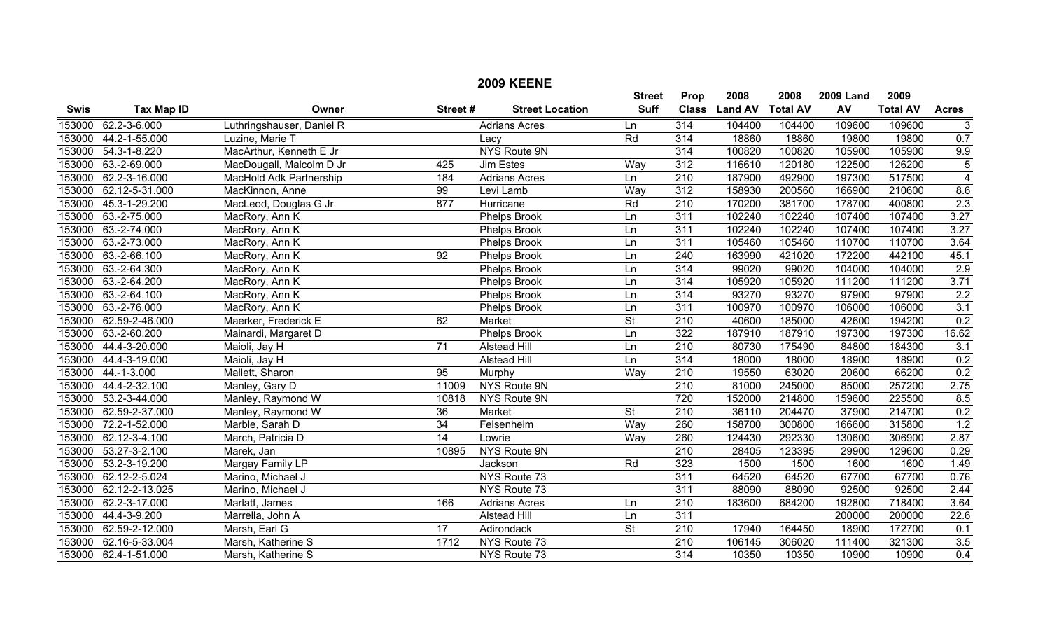|             |                   |                           |                 |                        | <b>Street</b>            | Prop             | 2008           | 2008            | <b>2009 Land</b> | 2009            |                |
|-------------|-------------------|---------------------------|-----------------|------------------------|--------------------------|------------------|----------------|-----------------|------------------|-----------------|----------------|
| <b>Swis</b> | <b>Tax Map ID</b> | Owner                     | Street#         | <b>Street Location</b> | <b>Suff</b>              | <b>Class</b>     | <b>Land AV</b> | <b>Total AV</b> | AV               | <b>Total AV</b> | <b>Acres</b>   |
| 153000      | 62.2-3-6.000      | Luthringshauser, Daniel R |                 | <b>Adrians Acres</b>   | Ln                       | 314              | 104400         | 104400          | 109600           | 109600          | $\overline{3}$ |
| 153000      | 44.2-1-55.000     | Luzine, Marie T           |                 | Lacy                   | Rd                       | $\overline{314}$ | 18860          | 18860           | 19800            | 19800           | 0.7            |
| 153000      | 54.3-1-8.220      | MacArthur, Kenneth E Jr   |                 | <b>NYS Route 9N</b>    |                          | 314              | 100820         | 100820          | 105900           | 105900          | 9.9            |
| 153000      | 63.-2-69.000      | MacDougall, Malcolm D Jr  | 425             | <b>Jim Estes</b>       | Way                      | 312              | 116610         | 120180          | 122500           | 126200          | $\overline{5}$ |
| 153000      | 62.2-3-16.000     | MacHold Adk Partnership   | 184             | <b>Adrians Acres</b>   | Ln                       | $\overline{210}$ | 187900         | 492900          | 197300           | 517500          | $\overline{4}$ |
| 153000      | 62.12-5-31.000    | MacKinnon, Anne           | $\overline{99}$ | Levi Lamb              | Way                      | 312              | 158930         | 200560          | 166900           | 210600          | 8.6            |
| 153000      | 45.3-1-29.200     | MacLeod, Douglas G Jr     | 877             | Hurricane              | Rd                       | $\overline{210}$ | 170200         | 381700          | 178700           | 400800          | 2.3            |
| 153000      | 63.-2-75.000      | MacRory, Ann K            |                 | Phelps Brook           | Ln                       | 311              | 102240         | 102240          | 107400           | 107400          | 3.27           |
| 153000      | 63.-2-74.000      | MacRory, Ann K            |                 | Phelps Brook           | Ln                       | 311              | 102240         | 102240          | 107400           | 107400          | 3.27           |
| 153000      | 63.-2-73.000      | MacRory, Ann K            |                 | Phelps Brook           | Ln                       | 311              | 105460         | 105460          | 110700           | 110700          | 3.64           |
| 153000      | 63.-2-66.100      | MacRory, Ann K            | $\overline{92}$ | Phelps Brook           | Ln                       | $\overline{240}$ | 163990         | 421020          | 172200           | 442100          | 45.1           |
| 153000      | 63.-2-64.300      | MacRory, Ann K            |                 | Phelps Brook           | Ln                       | $\overline{314}$ | 99020          | 99020           | 104000           | 104000          | 2.9            |
| 153000      | 63.-2-64.200      | MacRory, Ann K            |                 | <b>Phelps Brook</b>    | Ln                       | 314              | 105920         | 105920          | 111200           | 111200          | 3.71           |
| 153000      | 63.-2-64.100      | MacRory, Ann K            |                 | Phelps Brook           | Ln                       | 314              | 93270          | 93270           | 97900            | 97900           | 2.2            |
| 153000      | 63.-2-76.000      | MacRory, Ann K            |                 | <b>Phelps Brook</b>    | Ln                       | 311              | 100970         | 100970          | 106000           | 106000          | 3.1            |
| 153000      | 62.59-2-46.000    | Maerker, Frederick E      | 62              | Market                 | $\overline{\mathsf{St}}$ | 210              | 40600          | 185000          | 42600            | 194200          | 0.2            |
| 153000      | 63.-2-60.200      | Mainardi, Margaret D      |                 | Phelps Brook           | Ln                       | 322              | 187910         | 187910          | 197300           | 197300          | 16.62          |
| 153000      | 44.4-3-20.000     | Maioli, Jay H             | 71              | <b>Alstead Hill</b>    | Ln                       | $\overline{210}$ | 80730          | 175490          | 84800            | 184300          | 3.1            |
| 153000      | 44.4-3-19.000     | Maioli, Jay H             |                 | <b>Alstead Hill</b>    | Ln                       | 314              | 18000          | 18000           | 18900            | 18900           | 0.2            |
| 153000      | $44.-1-3.000$     | Mallett, Sharon           | $\overline{95}$ | Murphy                 | Way                      | $\overline{210}$ | 19550          | 63020           | 20600            | 66200           | 0.2            |
| 153000      | 44.4-2-32.100     | Manley, Gary D            | 11009           | NYS Route 9N           |                          | $\overline{210}$ | 81000          | 245000          | 85000            | 257200          | 2.75           |
| 153000      | 53.2-3-44.000     | Manley, Raymond W         | 10818           | NYS Route 9N           |                          | 720              | 152000         | 214800          | 159600           | 225500          | 8.5            |
| 153000      | 62.59-2-37.000    | Manley, Raymond W         | $\overline{36}$ | Market                 | $\overline{\mathsf{St}}$ | $\overline{210}$ | 36110          | 204470          | 37900            | 214700          | 0.2            |
| 153000      | 72.2-1-52.000     | Marble, Sarah D           | 34              | Felsenheim             | Way                      | 260              | 158700         | 300800          | 166600           | 315800          | 1.2            |
| 153000      | 62.12-3-4.100     | March, Patricia D         | 14              | Lowrie                 | Way                      | 260              | 124430         | 292330          | 130600           | 306900          | 2.87           |
| 153000      | 53.27-3-2.100     | Marek, Jan                | 10895           | NYS Route 9N           |                          | $\overline{210}$ | 28405          | 123395          | 29900            | 129600          | 0.29           |
| 153000      | 53.2-3-19.200     | Margay Family LP          |                 | Jackson                | Rd                       | 323              | 1500           | 1500            | 1600             | 1600            | 1.49           |
| 153000      | 62.12-2-5.024     | Marino, Michael J         |                 | NYS Route 73           |                          | 311              | 64520          | 64520           | 67700            | 67700           | 0.76           |
| 153000      | 62.12-2-13.025    | Marino, Michael J         |                 | NYS Route 73           |                          | $\overline{311}$ | 88090          | 88090           | 92500            | 92500           | 2.44           |
| 153000      | 62.2-3-17.000     | Marlatt, James            | 166             | <b>Adrians Acres</b>   | Ln                       | $\overline{210}$ | 183600         | 684200          | 192800           | 718400          | 3.64           |
| 153000      | 44.4-3-9.200      | Marrella, John A          |                 | <b>Alstead Hill</b>    | Ln                       | 311              |                |                 | 200000           | 200000          | 22.6           |
| 153000      | 62.59-2-12.000    | Marsh, Earl G             | $\overline{17}$ | Adirondack             | $\overline{\mathsf{St}}$ | $\overline{210}$ | 17940          | 164450          | 18900            | 172700          | 0.1            |
| 153000      | 62.16-5-33.004    | Marsh, Katherine S        | 1712            | NYS Route 73           |                          | $\overline{210}$ | 106145         | 306020          | 111400           | 321300          | 3.5            |
| 153000      | 62.4-1-51.000     | Marsh, Katherine S        |                 | NYS Route 73           |                          | $\overline{314}$ | 10350          | 10350           | 10900            | 10900           | 0.4            |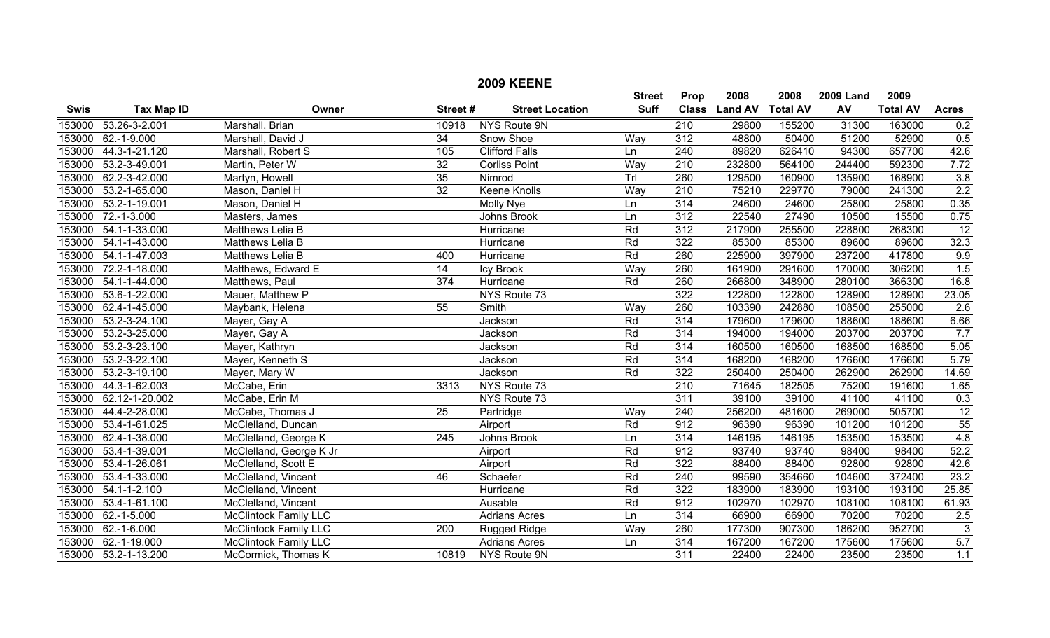|             |                      |                              |                  | <b>2009 KEENE</b>      |               |                  |                |                 |                  |                 |                 |
|-------------|----------------------|------------------------------|------------------|------------------------|---------------|------------------|----------------|-----------------|------------------|-----------------|-----------------|
|             |                      |                              |                  |                        | <b>Street</b> | Prop             | 2008           | 2008            | <b>2009 Land</b> | 2009            |                 |
| <b>Swis</b> | <b>Tax Map ID</b>    | Owner                        | Street#          | <b>Street Location</b> | <b>Suff</b>   | <b>Class</b>     | <b>Land AV</b> | <b>Total AV</b> | AV               | <b>Total AV</b> | <b>Acres</b>    |
| 153000      | 53.26-3-2.001        | Marshall, Brian              | 10918            | <b>NYS Route 9N</b>    |               | 210              | 29800          | 155200          | 31300            | 163000          | 0.2             |
| 153000      | $62.-1-9.000$        | Marshall, David J            | $\overline{34}$  | Snow Shoe              | Way           | 312              | 48800          | 50400           | 51200            | 52900           | 0.5             |
| 153000      | 44.3-1-21.120        | Marshall, Robert S           | 105              | <b>Clifford Falls</b>  | Ln            | $\overline{240}$ | 89820          | 626410          | 94300            | 657700          | 42.6            |
| 153000      | 53.2-3-49.001        | Martin, Peter W              | $\overline{32}$  | <b>Corliss Point</b>   | Way           | $\overline{210}$ | 232800         | 564100          | 244400           | 592300          | 7.72            |
| 153000      | 62.2-3-42.000        | Martyn, Howell               | 35               | Nimrod                 | TrI           | 260              | 129500         | 160900          | 135900           | 168900          | 3.8             |
| 153000      | 53.2-1-65.000        | Mason, Daniel H              | $\overline{32}$  | <b>Keene Knolls</b>    | Way           | $\overline{210}$ | 75210          | 229770          | 79000            | 241300          | 2.2             |
| 153000      | 53.2-1-19.001        | Mason, Daniel H              |                  | Molly Nye              | Ln            | 314              | 24600          | 24600           | 25800            | 25800           | 0.35            |
| 153000      | $72.-1-3.000$        | Masters, James               |                  | Johns Brook            | Ln            | $\overline{312}$ | 22540          | 27490           | 10500            | 15500           | 0.75            |
| 153000      | 54.1-1-33.000        | Matthews Lelia B             |                  | Hurricane              | Rd            | 312              | 217900         | 255500          | 228800           | 268300          | $\overline{12}$ |
| 153000      | 54.1-1-43.000        | Matthews Lelia B             |                  | Hurricane              | Rd            | 322              | 85300          | 85300           | 89600            | 89600           | 32.3            |
| 153000      | 54.1-1-47.003        | Matthews Lelia B             | 400              | Hurricane              | Rd            | 260              | 225900         | 397900          | 237200           | 417800          | 9.9             |
| 153000      | 72.2-1-18.000        | Matthews, Edward E           | $\overline{14}$  | Icy Brook              | Way           | 260              | 161900         | 291600          | 170000           | 306200          | 1.5             |
| 153000      | 54.1-1-44.000        | Matthews, Paul               | $\overline{374}$ | Hurricane              | Rd            | 260              | 266800         | 348900          | 280100           | 366300          | 16.8            |
| 153000      | 53.6-1-22.000        | Mauer, Matthew P             |                  | NYS Route 73           |               | 322              | 122800         | 122800          | 128900           | 128900          | 23.05           |
| 153000      | 62.4-1-45.000        | Maybank, Helena              | $\overline{55}$  | Smith                  | Way           | 260              | 103390         | 242880          | 108500           | 255000          | 2.6             |
| 153000      | 53.2-3-24.100        | Mayer, Gay A                 |                  | Jackson                | Rd            | 314              | 179600         | 179600          | 188600           | 188600          | 6.66            |
| 153000      | 53.2-3-25.000        | Mayer, Gay A                 |                  | Jackson                | Rd            | 314              | 194000         | 194000          | 203700           | 203700          | 7.7             |
| 153000      | 53.2-3-23.100        | Mayer, Kathryn               |                  | Jackson                | Rd            | 314              | 160500         | 160500          | 168500           | 168500          | 5.05            |
| 153000      | 53.2-3-22.100        | Mayer, Kenneth S             |                  | Jackson                | Rd            | 314              | 168200         | 168200          | 176600           | 176600          | 5.79            |
| 153000      | 53.2-3-19.100        | Mayer, Mary W                |                  | Jackson                | Rd            | 322              | 250400         | 250400          | 262900           | 262900          | 14.69           |
| 153000      | 44.3-1-62.003        | McCabe, Erin                 | 3313             | NYS Route 73           |               | $\overline{210}$ | 71645          | 182505          | 75200            | 191600          | 1.65            |
| 153000      | 62.12-1-20.002       | McCabe, Erin M               |                  | NYS Route 73           |               | $\overline{311}$ | 39100          | 39100           | 41100            | 41100           | 0.3             |
| 153000      | 44.4-2-28.000        | McCabe, Thomas J             | $\overline{25}$  | Partridge              | Way           | 240              | 256200         | 481600          | 269000           | 505700          | 12              |
| 153000      | 53.4-1-61.025        | McClelland, Duncan           |                  | Airport                | Rd            | 912              | 96390          | 96390           | 101200           | 101200          | 55              |
| 153000      | 62.4-1-38.000        | McClelland, George K         | 245              | Johns Brook            | Ln            | 314              | 146195         | 146195          | 153500           | 153500          | 4.8             |
| 153000      | 53.4-1-39.001        | McClelland, George K Jr      |                  | Airport                | Rd            | 912              | 93740          | 93740           | 98400            | 98400           | 52.2            |
| 153000      | 53.4-1-26.061        | McClelland, Scott E          |                  | Airport                | Rd            | 322              | 88400          | 88400           | 92800            | 92800           | 42.6            |
| 153000      | 53.4-1-33.000        | McClelland, Vincent          | 46               | Schaefer               | Rd            | 240              | 99590          | 354660          | 104600           | 372400          | 23.2            |
| 153000      | $54.1 - 1 - 2.100$   | McClelland, Vincent          |                  | Hurricane              | Rd            | 322              | 183900         | 183900          | 193100           | 193100          | 25.85           |
| 153000      | 53.4-1-61.100        | McClelland, Vincent          |                  | Ausable                | Rd            | 912              | 102970         | 102970          | 108100           | 108100          | 61.93           |
| 153000      | $62.-1-5.000$        | <b>McClintock Family LLC</b> |                  | Adrians Acres          | Ln            | $\overline{314}$ | 66900          | 66900           | 70200            | 70200           | 2.5             |
| 153000      | $62.-1-6.000$        | <b>McClintock Family LLC</b> | 200              | Rugged Ridge           | Way           | 260              | 177300         | 907300          | 186200           | 952700          | $\overline{3}$  |
| 153000      | 62.-1-19.000         | <b>McClintock Family LLC</b> |                  | <b>Adrians Acres</b>   | Ln            | 314              | 167200         | 167200          | 175600           | 175600          | 5.7             |
|             | 153000 53.2-1-13.200 | McCormick, Thomas K          | 10819            | NYS Route 9N           |               | $\overline{311}$ | 22400          | 22400           | 23500            | 23500           | 1.1             |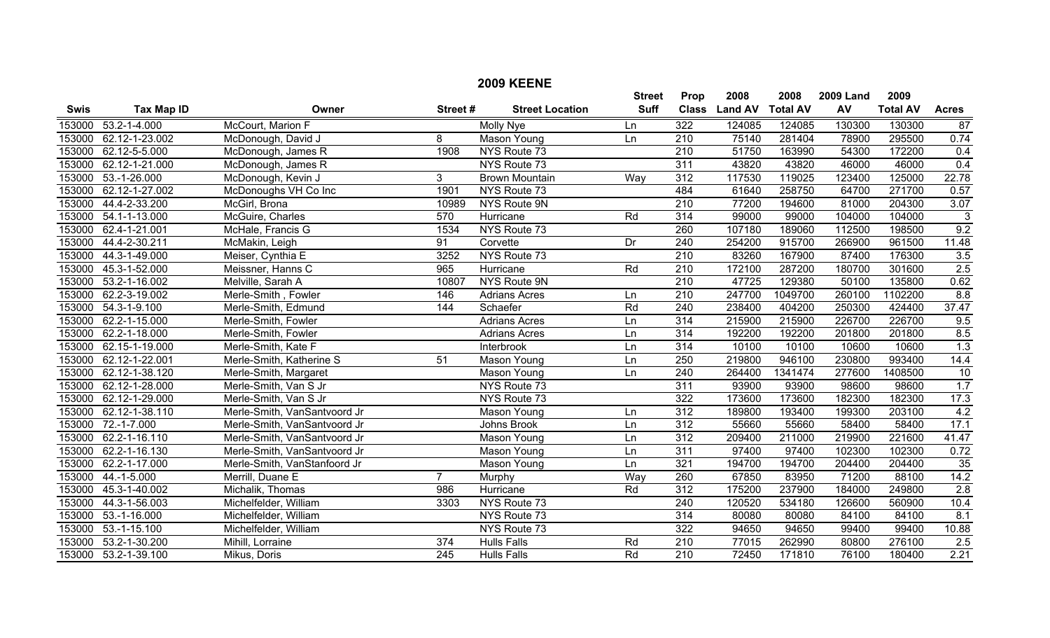|             |                      |                              |                  | <b>2009 KEENE</b>      |               |                  |                |                 |                  |                 |                  |
|-------------|----------------------|------------------------------|------------------|------------------------|---------------|------------------|----------------|-----------------|------------------|-----------------|------------------|
|             |                      |                              |                  |                        | <b>Street</b> | Prop             | 2008           | 2008            | <b>2009 Land</b> | 2009            |                  |
| <b>Swis</b> | <b>Tax Map ID</b>    | Owner                        | Street#          | <b>Street Location</b> | <b>Suff</b>   | <b>Class</b>     | <b>Land AV</b> | <b>Total AV</b> | AV               | <b>Total AV</b> | <b>Acres</b>     |
| 153000      | $53.2 - 1 - 4.000$   | McCourt, Marion F            |                  | <b>Molly Nye</b>       | Ln            | 322              | 124085         | 124085          | 130300           | 130300          | 87               |
| 153000      | 62.12-1-23.002       | McDonough, David J           | 8                | <b>Mason Young</b>     | Ln            | $\overline{210}$ | 75140          | 281404          | 78900            | 295500          | 0.74             |
| 153000      | 62.12-5-5.000        | McDonough, James R           | 1908             | NYS Route 73           |               | $\overline{210}$ | 51750          | 163990          | 54300            | 172200          | 0.4              |
| 153000      | 62.12-1-21.000       | McDonough, James R           |                  | NYS Route 73           |               | 311              | 43820          | 43820           | 46000            | 46000           | 0.4              |
| 153000      | $53.-1-26.000$       | McDonough, Kevin J           | 3                | <b>Brown Mountain</b>  | Way           | 312              | 117530         | 119025          | 123400           | 125000          | 22.78            |
| 153000      | 62.12-1-27.002       | McDonoughs VH Co Inc         | 1901             | NYS Route 73           |               | 484              | 61640          | 258750          | 64700            | 271700          | 0.57             |
| 153000      | 44.4-2-33.200        | McGirl, Brona                | 10989            | NYS Route 9N           |               | $\overline{210}$ | 77200          | 194600          | 81000            | 204300          | 3.07             |
| 153000      | 54.1-1-13.000        | McGuire, Charles             | 570              | Hurricane              | Rd            | 314              | 99000          | 99000           | 104000           | 104000          | 3                |
| 153000      | 62.4-1-21.001        | McHale, Francis G            | 1534             | NYS Route 73           |               | 260              | 107180         | 189060          | 112500           | 198500          | 9.2              |
| 153000      | 44.4-2-30.211        | McMakin, Leigh               | 91               | Corvette               | Dr            | 240              | 254200         | 915700          | 266900           | 961500          | 11.48            |
| 153000      | 44.3-1-49.000        | Meiser, Cynthia E            | 3252             | NYS Route 73           |               | $\overline{210}$ | 83260          | 167900          | 87400            | 176300          | 3.5              |
| 153000      | 45.3-1-52.000        | Meissner, Hanns C            | 965              | Hurricane              | Rd            | $\overline{210}$ | 172100         | 287200          | 180700           | 301600          | 2.5              |
| 153000      | 53.2-1-16.002        | Melville, Sarah A            | 10807            | NYS Route 9N           |               | 210              | 47725          | 129380          | 50100            | 135800          | 0.62             |
| 153000      | 62.2-3-19.002        | Merle-Smith, Fowler          | 146              | <b>Adrians Acres</b>   | Ln            | $\overline{210}$ | 247700         | 1049700         | 260100           | 1102200         | 8.8              |
| 153000      | $54.3 - 1 - 9.100$   | Merle-Smith, Edmund          | 144              | Schaefer               | Rd            | 240              | 238400         | 404200          | 250300           | 424400          | 37.47            |
| 153000      | 62.2-1-15.000        | Merle-Smith, Fowler          |                  | <b>Adrians Acres</b>   | Ln            | 314              | 215900         | 215900          | 226700           | 226700          | 9.5              |
| 153000      | 62.2-1-18.000        | Merle-Smith, Fowler          |                  | <b>Adrians Acres</b>   | Ln            | 314              | 192200         | 192200          | 201800           | 201800          | 8.5              |
| 153000      | 62.15-1-19.000       | Merle-Smith, Kate F          |                  | Interbrook             | Ln            | 314              | 10100          | 10100           | 10600            | 10600           | $\overline{1.3}$ |
| 153000      | 62.12-1-22.001       | Merle-Smith, Katherine S     | 51               | Mason Young            | Ln            | $\overline{250}$ | 219800         | 946100          | 230800           | 993400          | 14.4             |
| 153000      | 62.12-1-38.120       | Merle-Smith, Margaret        |                  | Mason Young            | Ln            | $\overline{240}$ | 264400         | 1341474         | 277600           | 1408500         | 10               |
| 153000      | 62.12-1-28.000       | Merle-Smith, Van S Jr        |                  | NYS Route 73           |               | 311              | 93900          | 93900           | 98600            | 98600           | 1.7              |
| 153000      | 62.12-1-29.000       | Merle-Smith, Van S Jr        |                  | NYS Route 73           |               | 322              | 173600         | 173600          | 182300           | 182300          | 17.3             |
| 153000      | 62.12-1-38.110       | Merle-Smith, VanSantvoord Jr |                  | Mason Young            | Ln            | 312              | 189800         | 193400          | 199300           | 203100          | 4.2              |
| 153000      | $72.-1-7.000$        | Merle-Smith, VanSantvoord Jr |                  | Johns Brook            | Ln            | 312              | 55660          | 55660           | 58400            | 58400           | 17.1             |
| 153000      | 62.2-1-16.110        | Merle-Smith, VanSantvoord Jr |                  | Mason Young            | Ln            | 312              | 209400         | 211000          | 219900           | 221600          | 41.47            |
| 153000      | 62.2-1-16.130        | Merle-Smith, VanSantvoord Jr |                  | Mason Young            | Ln            | 311              | 97400          | 97400           | 102300           | 102300          | 0.72             |
| 153000      | 62.2-1-17.000        | Merle-Smith, VanStanfoord Jr |                  | Mason Young            | Ln            | 321              | 194700         | 194700          | 204400           | 204400          | 35               |
| 153000      | 44.-1-5.000          | Merrill, Duane E             | $\overline{7}$   | Murphy                 | Way           | 260              | 67850          | 83950           | 71200            | 88100           | 14.2             |
| 153000      | 45.3-1-40.002        | Michalik, Thomas             | 986              | Hurricane              | Rd            | 312              | 175200         | 237900          | 184000           | 249800          | 2.8              |
| 153000      | 44.3-1-56.003        | Michelfelder, William        | 3303             | NYS Route 73           |               | $\overline{240}$ | 120520         | 534180          | 126600           | 560900          | 10.4             |
| 153000      | $53.-1-16.000$       | Michelfelder, William        |                  | NYS Route 73           |               | 314              | 80080          | 80080           | 84100            | 84100           | 8.1              |
| 153000      | $53.-1-15.100$       | Michelfelder, William        |                  | NYS Route 73           |               | 322              | 94650          | 94650           | 99400            | 99400           | 10.88            |
| 153000      | 53.2-1-30.200        | Mihill, Lorraine             | 374              | <b>Hulls Falls</b>     | Rd            | $\overline{210}$ | 77015          | 262990          | 80800            | 276100          | 2.5              |
|             | 153000 53.2-1-39.100 | Mikus, Doris                 | $\overline{245}$ | <b>Hulls Falls</b>     | Rd            | $\overline{210}$ | 72450          | 171810          | 76100            | 180400          | 2.21             |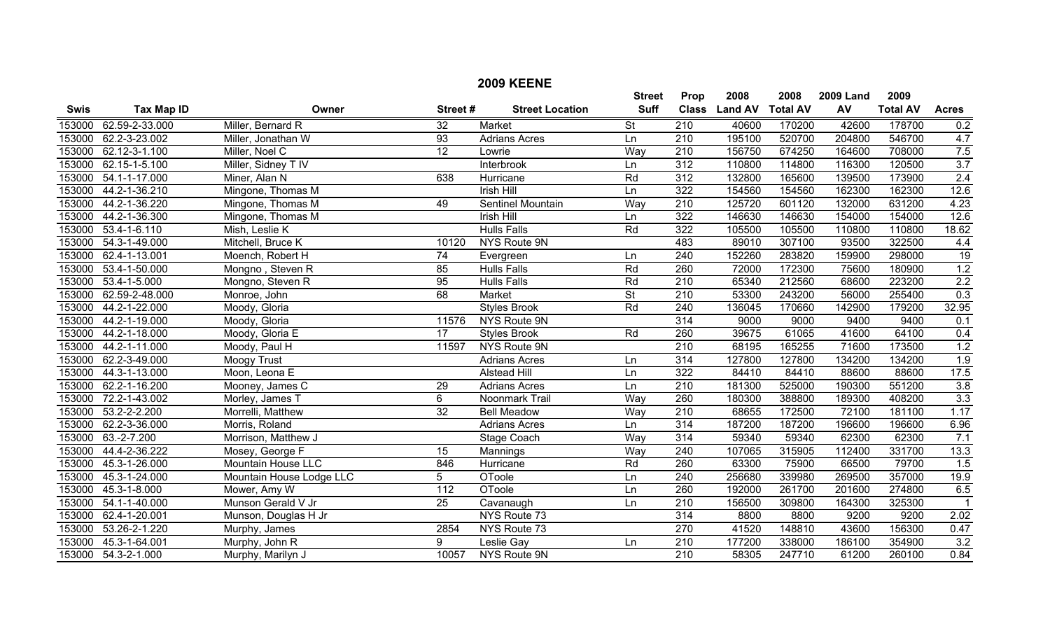|             |                     |                          |                  | <b>2009 KEENE</b>      |                          |                  |                |                 |                  |                 |                  |
|-------------|---------------------|--------------------------|------------------|------------------------|--------------------------|------------------|----------------|-----------------|------------------|-----------------|------------------|
|             |                     |                          |                  |                        | <b>Street</b>            | Prop             | 2008           | 2008            | <b>2009 Land</b> | 2009            |                  |
| <b>Swis</b> | <b>Tax Map ID</b>   | Owner                    | Street#          | <b>Street Location</b> | <b>Suff</b>              | <b>Class</b>     | <b>Land AV</b> | <b>Total AV</b> | AV               | <b>Total AV</b> | <b>Acres</b>     |
| 153000      | 62.59-2-33.000      | Miller, Bernard R        | $\overline{32}$  | Market                 | $\overline{\mathsf{St}}$ | $\overline{210}$ | 40600          | 170200          | 42600            | 178700          | 0.2              |
| 153000      | 62.2-3-23.002       | Miller, Jonathan W       | 93               | <b>Adrians Acres</b>   | Ln                       | 210              | 195100         | 520700          | 204800           | 546700          | 4.7              |
| 153000      | 62.12-3-1.100       | Miller, Noel C           | $\overline{12}$  | Lowrie                 | Way                      | $\overline{210}$ | 156750         | 674250          | 164600           | 708000          | 7.5              |
| 153000      | 62.15-1-5.100       | Miller, Sidney T IV      |                  | Interbrook             | Ln                       | 312              | 110800         | 114800          | 116300           | 120500          | 3.7              |
| 153000      | 54.1-1-17.000       | Miner, Alan N            | 638              | Hurricane              | Rd                       | 312              | 132800         | 165600          | 139500           | 173900          | 2.4              |
| 153000      | 44.2-1-36.210       | Mingone, Thomas M        |                  | <b>Irish Hill</b>      | Ln                       | 322              | 154560         | 154560          | 162300           | 162300          | 12.6             |
| 153000      | 44.2-1-36.220       | Mingone, Thomas M        | 49               | Sentinel Mountain      | Way                      | $\overline{210}$ | 125720         | 601120          | 132000           | 631200          | 4.23             |
| 153000      | 44.2-1-36.300       | Mingone, Thomas M        |                  | <b>Irish Hill</b>      | Ln                       | 322              | 146630         | 146630          | 154000           | 154000          | 12.6             |
| 153000      | $53.4 - 1 - 6.110$  | Mish, Leslie K           |                  | <b>Hulls Falls</b>     | Rd                       | 322              | 105500         | 105500          | 110800           | 110800          | 18.62            |
| 153000      | 54.3-1-49.000       | Mitchell, Bruce K        | 10120            | NYS Route 9N           |                          | 483              | 89010          | 307100          | 93500            | 322500          | 4.4              |
| 153000      | 62.4-1-13.001       | Moench, Robert H         | 74               | Evergreen              | Ln                       | $\overline{240}$ | 152260         | 283820          | 159900           | 298000          | 19               |
| 153000      | 53.4-1-50.000       | Mongno, Steven R         | 85               | <b>Hulls Falls</b>     | Rd                       | 260              | 72000          | 172300          | 75600            | 180900          | 1.2              |
| 153000      | 53.4-1-5.000        | Mongno, Steven R         | 95               | <b>Hulls Falls</b>     | Rd                       | 210              | 65340          | 212560          | 68600            | 223200          | $\overline{2.2}$ |
| 153000      | 62.59-2-48.000      | Monroe, John             | 68               | Market                 | $\overline{\mathsf{St}}$ | $\overline{210}$ | 53300          | 243200          | 56000            | 255400          | 0.3              |
| 153000      | 44.2-1-22.000       | Moody, Gloria            |                  | <b>Styles Brook</b>    | Rd                       | $\overline{240}$ | 136045         | 170660          | 142900           | 179200          | 32.95            |
| 153000      | 44.2-1-19.000       | Moody, Gloria            | 11576            | NYS Route 9N           |                          | 314              | 9000           | 9000            | 9400             | 9400            | 0.1              |
| 153000      | 44.2-1-18.000       | Moody, Gloria E          | 17               | <b>Styles Brook</b>    | Rd                       | 260              | 39675          | 61065           | 41600            | 64100           | 0.4              |
| 153000      | 44.2-1-11.000       | Moody, Paul H            | 11597            | NYS Route 9N           |                          | $\overline{210}$ | 68195          | 165255          | 71600            | 173500          | 1.2              |
| 153000      | 62.2-3-49.000       | <b>Moogy Trust</b>       |                  | <b>Adrians Acres</b>   | Ln                       | 314              | 127800         | 127800          | 134200           | 134200          | 1.9              |
| 153000      | 44.3-1-13.000       | Moon, Leona E            |                  | <b>Alstead Hill</b>    | Ln                       | 322              | 84410          | 84410           | 88600            | 88600           | 17.5             |
| 153000      | 62.2-1-16.200       | Mooney, James C          | 29               | Adrians Acres          | Ln                       | $\overline{210}$ | 181300         | 525000          | 190300           | 551200          | 3.8              |
| 153000      | 72.2-1-43.002       | Morley, James T          | 6                | Noonmark Trail         | Way                      | 260              | 180300         | 388800          | 189300           | 408200          | 3.3              |
| 153000      | 53.2-2-2.200        | Morrelli, Matthew        | $\overline{32}$  | <b>Bell Meadow</b>     | Way                      | $\overline{210}$ | 68655          | 172500          | 72100            | 181100          | 1.17             |
| 153000      | 62.2-3-36.000       | Morris, Roland           |                  | <b>Adrians Acres</b>   | Ln                       | 314              | 187200         | 187200          | 196600           | 196600          | 6.96             |
| 153000      | $63.-2-7.200$       | Morrison, Matthew J      |                  | Stage Coach            | Way                      | 314              | 59340          | 59340           | 62300            | 62300           | 7.1              |
| 153000      | 44.4-2-36.222       | Mosey, George F          | 15               | Mannings               | Way                      | $\overline{240}$ | 107065         | 315905          | 112400           | 331700          | 13.3             |
| 153000      | 45.3-1-26.000       | Mountain House LLC       | 846              | <b>Hurricane</b>       | Rd                       | 260              | 63300          | 75900           | 66500            | 79700           | 1.5              |
| 153000      | 45.3-1-24.000       | Mountain House Lodge LLC | 5                | OToole                 | Ln                       | 240              | 256680         | 339980          | 269500           | 357000          | 19.9             |
| 153000      | 45.3-1-8.000        | Mower, Amy W             | $\overline{112}$ | <b>OToole</b>          | Ln                       | 260              | 192000         | 261700          | 201600           | 274800          | 6.5              |
| 153000      | 54.1-1-40.000       | Munson Gerald V Jr       | $\overline{25}$  | Cavanaugh              | Ln                       | 210              | 156500         | 309800          | 164300           | 325300          |                  |
| 153000      | 62.4-1-20.001       | Munson, Douglas H Jr     |                  | NYS Route 73           |                          | 314              | 8800           | 8800            | 9200             | 9200            | 2.02             |
| 153000      | 53.26-2-1.220       | Murphy, James            | 2854             | NYS Route 73           |                          | 270              | 41520          | 148810          | 43600            | 156300          | 0.47             |
| 153000      | 45.3-1-64.001       | Murphy, John R           | $\overline{9}$   | Leslie Gay             | Ln                       | $\overline{210}$ | 177200         | 338000          | 186100           | 354900          | 3.2              |
|             | 153000 54.3-2-1.000 | Murphy, Marilyn J        | 10057            | NYS Route 9N           |                          | $\overline{210}$ | 58305          | 247710          | 61200            | 260100          | 0.84             |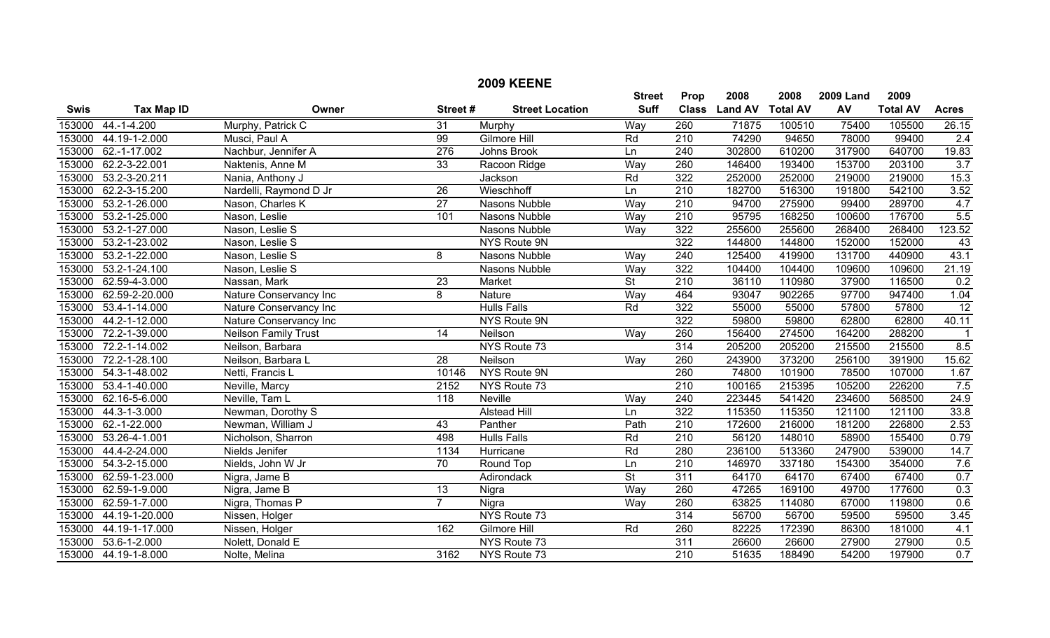|             |                   |                             |                 | <b>2009 KEENE</b>      |                          |                  |                |                 |                  |                 |                 |
|-------------|-------------------|-----------------------------|-----------------|------------------------|--------------------------|------------------|----------------|-----------------|------------------|-----------------|-----------------|
|             |                   |                             |                 |                        | <b>Street</b>            | Prop             | 2008           | 2008            | <b>2009 Land</b> | 2009            |                 |
| <b>Swis</b> | <b>Tax Map ID</b> | Owner                       | Street#         | <b>Street Location</b> | <b>Suff</b>              | <b>Class</b>     | <b>Land AV</b> | <b>Total AV</b> | AV               | <b>Total AV</b> | <b>Acres</b>    |
| 153000      | $44.-1-4.200$     | Murphy, Patrick C           | 31              | Murphy                 | Way                      | 260              | 71875          | 100510          | 75400            | 105500          | 26.15           |
| 153000      | 44.19-1-2.000     | Musci, Paul A               | 99              | Gilmore Hill           | Rd                       | $\overline{210}$ | 74290          | 94650           | 78000            | 99400           | 2.4             |
| 153000      | 62.-1-17.002      | Nachbur, Jennifer A         | 276             | Johns Brook            | Ln                       | 240              | 302800         | 610200          | 317900           | 640700          | 19.83           |
| 153000      | 62.2-3-22.001     | Naktenis, Anne M            | 33              | Racoon Ridge           | Way                      | 260              | 146400         | 193400          | 153700           | 203100          | 3.7             |
| 153000      | 53.2-3-20.211     | Nania, Anthony J            |                 | Jackson                | Rd                       | 322              | 252000         | 252000          | 219000           | 219000          | 15.3            |
| 153000      | 62.2-3-15.200     | Nardelli, Raymond D Jr      | $\overline{26}$ | Wieschhoff             | Ln                       | $\overline{210}$ | 182700         | 516300          | 191800           | 542100          | 3.52            |
| 153000      | 53.2-1-26.000     | Nason, Charles K            | $\overline{27}$ | Nasons Nubble          | Way                      | 210              | 94700          | 275900          | 99400            | 289700          | 4.7             |
| 153000      | 53.2-1-25.000     | Nason, Leslie               | 101             | Nasons Nubble          | Way                      | 210              | 95795          | 168250          | 100600           | 176700          | 5.5             |
| 153000      | 53.2-1-27.000     | Nason, Leslie S             |                 | Nasons Nubble          | Way                      | 322              | 255600         | 255600          | 268400           | 268400          | 123.52          |
| 153000      | 53.2-1-23.002     | Nason, Leslie S             |                 | NYS Route 9N           |                          | 322              | 144800         | 144800          | 152000           | 152000          | 43              |
| 153000      | 53.2-1-22.000     | Nason, Leslie S             | 8               | Nasons Nubble          | Way                      | 240              | 125400         | 419900          | 131700           | 440900          | 43.1            |
| 153000      | 53.2-1-24.100     | Nason, Leslie S             |                 | Nasons Nubble          | Way                      | 322              | 104400         | 104400          | 109600           | 109600          | 21.19           |
| 153000      | 62.59-4-3.000     | Nassan, Mark                | $\overline{23}$ | Market                 | $\overline{\mathsf{St}}$ | $\overline{210}$ | 36110          | 110980          | 37900            | 116500          | 0.2             |
| 153000      | 62.59-2-20.000    | Nature Conservancy Inc      | 8               | Nature                 | Way                      | 464              | 93047          | 902265          | 97700            | 947400          | 1.04            |
| 153000      | 53.4-1-14.000     | Nature Conservancy Inc      |                 | <b>Hulls Falls</b>     | Rd                       | 322              | 55000          | 55000           | 57800            | 57800           | $\overline{12}$ |
| 153000      | 44.2-1-12.000     | Nature Conservancy Inc      |                 | <b>NYS Route 9N</b>    |                          | 322              | 59800          | 59800           | 62800            | 62800           | 40.11           |
| 153000      | 72.2-1-39.000     | <b>Neilson Family Trust</b> | 14              | Neilson                | Way                      | 260              | 156400         | 274500          | 164200           | 288200          | -1              |
| 153000      | 72.2-1-14.002     | Neilson, Barbara            |                 | NYS Route 73           |                          | $\overline{314}$ | 205200         | 205200          | 215500           | 215500          | 8.5             |
| 153000      | 72.2-1-28.100     | Neilson, Barbara L          | 28              | Neilson                | Way                      | 260              | 243900         | 373200          | 256100           | 391900          | 15.62           |
| 153000      | 54.3-1-48.002     | Netti, Francis L            | 10146           | NYS Route 9N           |                          | 260              | 74800          | 101900          | 78500            | 107000          | 1.67            |
| 153000      | 53.4-1-40.000     | Neville, Marcy              | 2152            | NYS Route 73           |                          | $\overline{210}$ | 100165         | 215395          | 105200           | 226200          | 7.5             |
| 153000      | 62.16-5-6.000     | Neville, Tam L              | 118             | <b>Neville</b>         | Way                      | $\overline{240}$ | 223445         | 541420          | 234600           | 568500          | 24.9            |
| 153000      | 44.3-1-3.000      | Newman, Dorothy S           |                 | <b>Alstead Hill</b>    | Ln                       | 322              | 115350         | 115350          | 121100           | 121100          | 33.8            |
| 153000      | 62.-1-22.000      | Newman, William J           | 43              | Panther                | Path                     | $\overline{210}$ | 172600         | 216000          | 181200           | 226800          | 2.53            |
| 153000      | 53.26-4-1.001     | Nicholson, Sharron          | 498             | <b>Hulls Falls</b>     | Rd                       | $\overline{210}$ | 56120          | 148010          | 58900            | 155400          | 0.79            |
| 153000      | 44.4-2-24.000     | Nields Jenifer              | 1134            | Hurricane              | Rd                       | 280              | 236100         | 513360          | 247900           | 539000          | 14.7            |
| 153000      | 54.3-2-15.000     | Nields, John W Jr           | $\overline{70}$ | Round Top              | Ln                       | 210              | 146970         | 337180          | 154300           | 354000          | 7.6             |
| 153000      | 62.59-1-23.000    | Nigra, Jame B               |                 | Adirondack             | St                       | 311              | 64170          | 64170           | 67400            | 67400           | 0.7             |
| 153000      | 62.59-1-9.000     | Nigra, Jame B               | 13              | Nigra                  | Way                      | 260              | 47265          | 169100          | 49700            | 177600          | 0.3             |
| 153000      | 62.59-1-7.000     | Nigra, Thomas P             | $\overline{7}$  | Nigra                  | Way                      | 260              | 63825          | 114080          | 67000            | 119800          | 0.6             |
| 153000      | 44.19-1-20.000    | Nissen, Holger              |                 | NYS Route 73           |                          | $\overline{314}$ | 56700          | 56700           | 59500            | 59500           | 3.45            |
| 153000      | 44.19-1-17.000    | Nissen, Holger              | 162             | Gilmore Hill           | Rd                       | 260              | 82225          | 172390          | 86300            | 181000          | 4.1             |
| 153000      | 53.6-1-2.000      | Nolett, Donald E            |                 | NYS Route 73           |                          | 311              | 26600          | 26600           | 27900            | 27900           | 0.5             |
| 153000      | 44.19-1-8.000     | Nolte, Melina               | 3162            | NYS Route 73           |                          | $\overline{210}$ | 51635          | 188490          | 54200            | 197900          | 0.7             |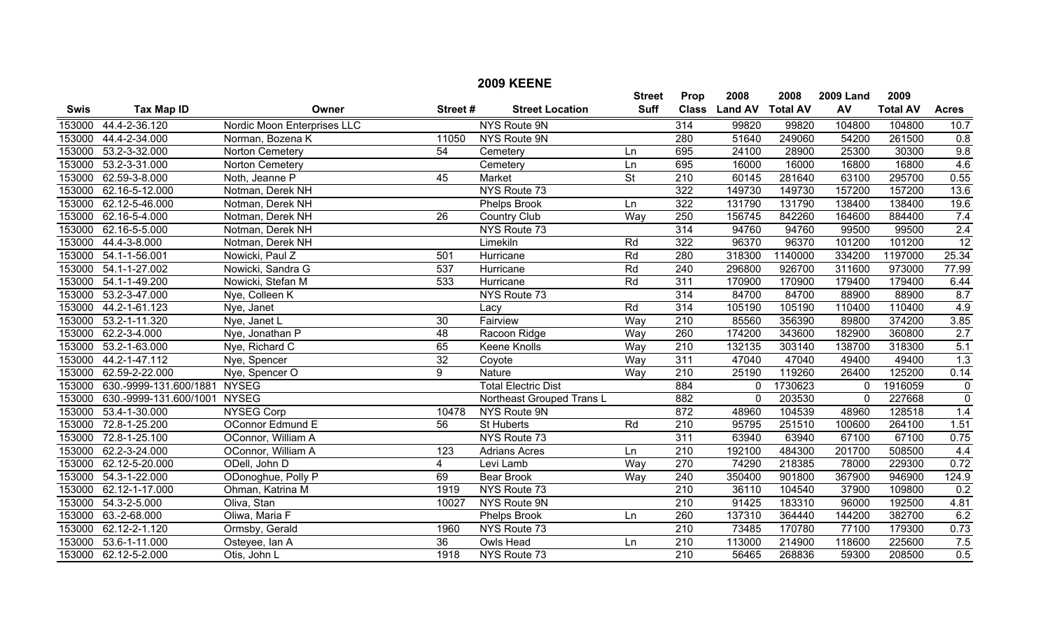|             |                        |                             |                  | <b>2009 KEENE</b>          |                          |                  |                |                 |                  |                 |                |
|-------------|------------------------|-----------------------------|------------------|----------------------------|--------------------------|------------------|----------------|-----------------|------------------|-----------------|----------------|
|             |                        |                             |                  |                            | <b>Street</b>            | Prop             | 2008           | 2008            | <b>2009 Land</b> | 2009            |                |
| <b>Swis</b> | <b>Tax Map ID</b>      | Owner                       | Street#          | <b>Street Location</b>     | <b>Suff</b>              | <b>Class</b>     | <b>Land AV</b> | <b>Total AV</b> | AV               | <b>Total AV</b> | <b>Acres</b>   |
| 153000      | 44.4-2-36.120          | Nordic Moon Enterprises LLC |                  | <b>NYS Route 9N</b>        |                          | 314              | 99820          | 99820           | 104800           | 104800          | 10.7           |
| 153000      | 44.4-2-34.000          | Norman, Bozena K            | 11050            | NYS Route 9N               |                          | 280              | 51640          | 249060          | 54200            | 261500          | 0.8            |
| 153000      | 53.2-3-32.000          | Norton Cemetery             | 54               | Cemetery                   | Ln                       | 695              | 24100          | 28900           | 25300            | 30300           | 9.8            |
| 153000      | 53.2-3-31.000          | Norton Cemetery             |                  | Cemetery                   | Ln                       | 695              | 16000          | 16000           | 16800            | 16800           | 4.6            |
| 153000      | 62.59-3-8.000          | Noth, Jeanne P              | 45               | <b>Market</b>              | $\overline{\mathsf{St}}$ | $\overline{210}$ | 60145          | 281640          | 63100            | 295700          | 0.55           |
| 153000      | 62.16-5-12.000         | Notman, Derek NH            |                  | NYS Route 73               |                          | 322              | 149730         | 149730          | 157200           | 157200          | 13.6           |
| 153000      | 62.12-5-46.000         | Notman, Derek NH            |                  | <b>Phelps Brook</b>        | Ln                       | 322              | 131790         | 131790          | 138400           | 138400          | 19.6           |
| 153000      | 62.16-5-4.000          | Notman, Derek NH            | $\overline{26}$  | <b>Country Club</b>        | Way                      | 250              | 156745         | 842260          | 164600           | 884400          | 7.4            |
| 153000      | 62.16-5-5.000          | Notman, Derek NH            |                  | NYS Route 73               |                          | 314              | 94760          | 94760           | 99500            | 99500           | 2.4            |
| 153000      | 44.4-3-8.000           | Notman, Derek NH            |                  | Limekiln                   | Rd                       | 322              | 96370          | 96370           | 101200           | 101200          | 12             |
| 153000      | 54.1-1-56.001          | Nowicki, Paul Z             | 501              | Hurricane                  | Rd                       | 280              | 318300         | 1140000         | 334200           | 1197000         | 25.34          |
| 153000      | 54.1-1-27.002          | Nowicki, Sandra G           | 537              | Hurricane                  | Rd                       | 240              | 296800         | 926700          | 311600           | 973000          | 77.99          |
| 153000      | 54.1-1-49.200          | Nowicki, Stefan M           | 533              | Hurricane                  | Rd                       | 311              | 170900         | 170900          | 179400           | 179400          | 6.44           |
| 153000      | 53.2-3-47.000          | Nye, Colleen K              |                  | NYS Route 73               |                          | $\overline{314}$ | 84700          | 84700           | 88900            | 88900           | 8.7            |
| 153000      | 44.2-1-61.123          | Nye, Janet                  |                  | Lacy                       | Rd                       | 314              | 105190         | 105190          | 110400           | 110400          | 4.9            |
| 153000      | 53.2-1-11.320          | Nye, Janet L                | 30               | Fairview                   | Way                      | $\overline{210}$ | 85560          | 356390          | 89800            | 374200          | 3.85           |
| 153000      | 62.2-3-4.000           | Nye, Jonathan P             | 48               | Racoon Ridge               | Way                      | 260              | 174200         | 343600          | 182900           | 360800          | 2.7            |
| 153000      | 53.2-1-63.000          | Nye, Richard C              | 65               | <b>Keene Knolls</b>        | Way                      | $\overline{210}$ | 132135         | 303140          | 138700           | 318300          | 5.1            |
| 153000      | 44.2-1-47.112          | Nye, Spencer                | $\overline{32}$  | Coyote                     | Way                      | $\overline{311}$ | 47040          | 47040           | 49400            | 49400           | 1.3            |
| 153000      | 62.59-2-22.000         | Nye, Spencer O              | 9                | <b>Nature</b>              | Way                      | $\overline{210}$ | 25190          | 119260          | 26400            | 125200          | 0.14           |
| 153000      | 630.-9999-131.600/1881 | <b>NYSEG</b>                |                  | <b>Total Electric Dist</b> |                          | 884              | $\mathbf 0$    | 1730623         | $\mathbf 0$      | 1916059         | $\mathbf 0$    |
| 153000      | 630.-9999-131.600/1001 | <b>NYSEG</b>                |                  | Northeast Grouped Trans L  |                          | 882              | $\mathbf 0$    | 203530          | $\mathbf 0$      | 227668          | $\overline{0}$ |
| 153000      | 53.4-1-30.000          | <b>NYSEG Corp</b>           | 10478            | NYS Route 9N               |                          | 872              | 48960          | 104539          | 48960            | 128518          | 1.4            |
| 153000      | 72.8-1-25.200          | <b>OConnor Edmund E</b>     | $\overline{56}$  | <b>St Huberts</b>          | Rd                       | $\overline{210}$ | 95795          | 251510          | 100600           | 264100          | 1.51           |
| 153000      | 72.8-1-25.100          | OConnor, William A          |                  | NYS Route 73               |                          | $\overline{311}$ | 63940          | 63940           | 67100            | 67100           | 0.75           |
| 153000      | 62.2-3-24.000          | OConnor, William A          | $\overline{123}$ | <b>Adrians Acres</b>       | Ln                       | 210              | 192100         | 484300          | 201700           | 508500          | 4.4            |
| 153000      | 62.12-5-20.000         | ODell, John D               | $\overline{4}$   | Levi Lamb                  | Way                      | $\overline{270}$ | 74290          | 218385          | 78000            | 229300          | 0.72           |
| 153000      | 54.3-1-22.000          | ODonoghue, Polly P          | 69               | <b>Bear Brook</b>          | Way                      | 240              | 350400         | 901800          | 367900           | 946900          | 124.9          |
| 153000      | 62.12-1-17.000         | Ohman, Katrina M            | 1919             | NYS Route 73               |                          | $\overline{210}$ | 36110          | 104540          | 37900            | 109800          | 0.2            |
| 153000      | 54.3-2-5.000           | Oliva, Stan                 | 10027            | NYS Route 9N               |                          | $\overline{210}$ | 91425          | 183310          | 96000            | 192500          | 4.81           |
| 153000      | 63.-2-68.000           | Oliwa, Maria F              |                  | Phelps Brook               | Ln                       | 260              | 137310         | 364440          | 144200           | 382700          | 6.2            |
| 153000      | 62.12-2-1.120          | Ormsby, Gerald              | 1960             | NYS Route 73               |                          | 210              | 73485          | 170780          | 77100            | 179300          | 0.73           |
| 153000      | 53.6-1-11.000          | Osteyee, Ian A              | $\overline{36}$  | <b>Owls Head</b>           | Ln                       | $\overline{210}$ | 113000         | 214900          | 118600           | 225600          | 7.5            |
| 153000      | 62.12-5-2.000          | Otis, John L                | 1918             | NYS Route 73               |                          | $\overline{210}$ | 56465          | 268836          | 59300            | 208500          | 0.5            |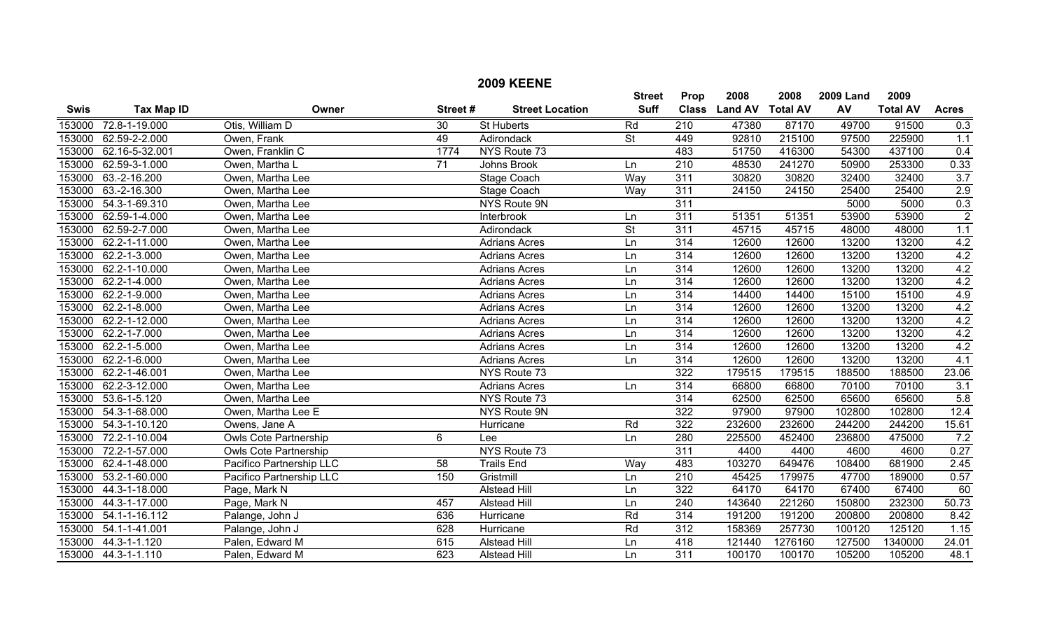|             |                             |                              |                 | <b>2009 KEENE</b>      |                          |                  |                |                 |                  |                 |                  |
|-------------|-----------------------------|------------------------------|-----------------|------------------------|--------------------------|------------------|----------------|-----------------|------------------|-----------------|------------------|
|             |                             |                              |                 |                        | <b>Street</b>            | Prop             | 2008           | 2008            | <b>2009 Land</b> | 2009            |                  |
| <b>Swis</b> | <b>Tax Map ID</b>           | Owner                        | Street#         | <b>Street Location</b> | <b>Suff</b>              | <b>Class</b>     | <b>Land AV</b> | <b>Total AV</b> | AV               | <b>Total AV</b> | <b>Acres</b>     |
| 153000      | 72.8-1-19.000               | Otis, William D              | 30              | <b>St Huberts</b>      | Rd                       | $\overline{210}$ | 47380          | 87170           | 49700            | 91500           | 0.3              |
| 153000      | 62.59-2-2.000               | Owen, Frank                  | 49              | Adirondack             | $\overline{\mathsf{St}}$ | 449              | 92810          | 215100          | 97500            | 225900          | 1.1              |
| 153000      | 62.16-5-32.001              | Owen, Franklin C             | 1774            | NYS Route 73           |                          | 483              | 51750          | 416300          | 54300            | 437100          | 0.4              |
| 153000      | 62.59-3-1.000               | Owen, Martha L               | $\overline{71}$ | Johns Brook            | Ln                       | $\overline{210}$ | 48530          | 241270          | 50900            | 253300          | 0.33             |
| 153000      | 63.-2-16.200                | Owen, Martha Lee             |                 | <b>Stage Coach</b>     | Way                      | 311              | 30820          | 30820           | 32400            | 32400           | $\overline{3.7}$ |
| 153000      | 63.-2-16.300                | Owen, Martha Lee             |                 | Stage Coach            | Way                      | 311              | 24150          | 24150           | 25400            | 25400           | 2.9              |
| 153000      | 54.3-1-69.310               | Owen, Martha Lee             |                 | NYS Route 9N           |                          | 311              |                |                 | 5000             | 5000            | 0.3              |
| 153000      | 62.59-1-4.000               | Owen, Martha Lee             |                 | Interbrook             | Ln                       | 311              | 51351          | 51351           | 53900            | 53900           | $\overline{2}$   |
| 153000      | 62.59-2-7.000               | Owen, Martha Lee             |                 | Adirondack             | $\overline{\mathsf{St}}$ | 311              | 45715          | 45715           | 48000            | 48000           | 1.1              |
| 153000      | $\overline{62.2}$ -1-11.000 | Owen, Martha Lee             |                 | <b>Adrians Acres</b>   | Ln                       | 314              | 12600          | 12600           | 13200            | 13200           | 4.2              |
| 153000      | 62.2-1-3.000                | Owen, Martha Lee             |                 | <b>Adrians Acres</b>   | Ln                       | 314              | 12600          | 12600           | 13200            | 13200           | 4.2              |
| 153000      | 62.2-1-10.000               | Owen, Martha Lee             |                 | <b>Adrians Acres</b>   | Ln                       | $\overline{314}$ | 12600          | 12600           | 13200            | 13200           | 4.2              |
| 153000      | 62.2-1-4.000                | Owen, Martha Lee             |                 | <b>Adrians Acres</b>   | Ln                       | $\overline{314}$ | 12600          | 12600           | 13200            | 13200           | 4.2              |
| 153000      | 62.2-1-9.000                | Owen, Martha Lee             |                 | <b>Adrians Acres</b>   | Ln                       | 314              | 14400          | 14400           | 15100            | 15100           | 4.9              |
| 153000      | 62.2-1-8.000                | Owen, Martha Lee             |                 | <b>Adrians Acres</b>   | Ln                       | 314              | 12600          | 12600           | 13200            | 13200           | 4.2              |
| 153000      | 62.2-1-12.000               | Owen, Martha Lee             |                 | <b>Adrians Acres</b>   | Ln                       | 314              | 12600          | 12600           | 13200            | 13200           | 4.2              |
| 153000      | 62.2-1-7.000                | Owen, Martha Lee             |                 | <b>Adrians Acres</b>   | Ln                       | 314              | 12600          | 12600           | 13200            | 13200           | 4.2              |
| 153000      | 62.2-1-5.000                | Owen, Martha Lee             |                 | <b>Adrians Acres</b>   | Ln                       | 314              | 12600          | 12600           | 13200            | 13200           | 4.2              |
| 153000      | 62.2-1-6.000                | Owen, Martha Lee             |                 | <b>Adrians Acres</b>   | Ln                       | 314              | 12600          | 12600           | 13200            | 13200           | 4.1              |
| 153000      | 62.2-1-46.001               | Owen, Martha Lee             |                 | NYS Route 73           |                          | 322              | 179515         | 179515          | 188500           | 188500          | 23.06            |
| 153000      | 62.2-3-12.000               | Owen, Martha Lee             |                 | <b>Adrians Acres</b>   | Ln                       | 314              | 66800          | 66800           | 70100            | 70100           | 3.1              |
| 153000      | 53.6-1-5.120                | Owen, Martha Lee             |                 | NYS Route 73           |                          | 314              | 62500          | 62500           | 65600            | 65600           | 5.8              |
| 153000      | 54.3-1-68.000               | Owen, Martha Lee E           |                 | <b>NYS Route 9N</b>    |                          | 322              | 97900          | 97900           | 102800           | 102800          | 12.4             |
| 153000      | 54.3-1-10.120               | Owens, Jane A                |                 | Hurricane              | Rd                       | 322              | 232600         | 232600          | 244200           | 244200          | 15.61            |
| 153000      | 72.2-1-10.004               | <b>Owls Cote Partnership</b> | 6               | Lee                    | Ln                       | 280              | 225500         | 452400          | 236800           | 475000          | 7.2              |
| 153000      | 72.2-1-57.000               | <b>Owls Cote Partnership</b> |                 | NYS Route 73           |                          | 311              | 4400           | 4400            | 4600             | 4600            | 0.27             |
| 153000      | 62.4-1-48.000               | Pacifico Partnership LLC     | $\overline{58}$ | <b>Trails End</b>      | Way                      | 483              | 103270         | 649476          | 108400           | 681900          | 2.45             |
| 153000      | 53.2-1-60.000               | Pacifico Partnership LLC     | 150             | Gristmill              | Ln                       | 210              | 45425          | 179975          | 47700            | 189000          | 0.57             |
| 153000      | 44.3-1-18.000               | Page, Mark N                 |                 | <b>Alstead Hill</b>    | Ln                       | 322              | 64170          | 64170           | 67400            | 67400           | 60               |
| 153000      | 44.3-1-17.000               | Page, Mark N                 | 457             | <b>Alstead Hill</b>    | Ln                       | $\overline{240}$ | 143640         | 221260          | 150800           | 232300          | 50.73            |
| 153000      | 54.1-1-16.112               | Palange, John J              | 636             | Hurricane              | Rd                       | $\overline{314}$ | 191200         | 191200          | 200800           | 200800          | 8.42             |
| 153000      | 54.1-1-41.001               | Palange, John J              | 628             | Hurricane              | Rd                       | 312              | 158369         | 257730          | 100120           | 125120          | 1.15             |
| 153000      | 44.3-1-1.120                | Palen, Edward M              | 615             | <b>Alstead Hill</b>    | Ln                       | 418              | 121440         | 1276160         | 127500           | 1340000         | 24.01            |
|             | 153000 44.3-1-1.110         | Palen, Edward M              | 623             | <b>Alstead Hill</b>    | Ln                       | $\overline{311}$ | 100170         | 100170          | 105200           | 105200          | 48.1             |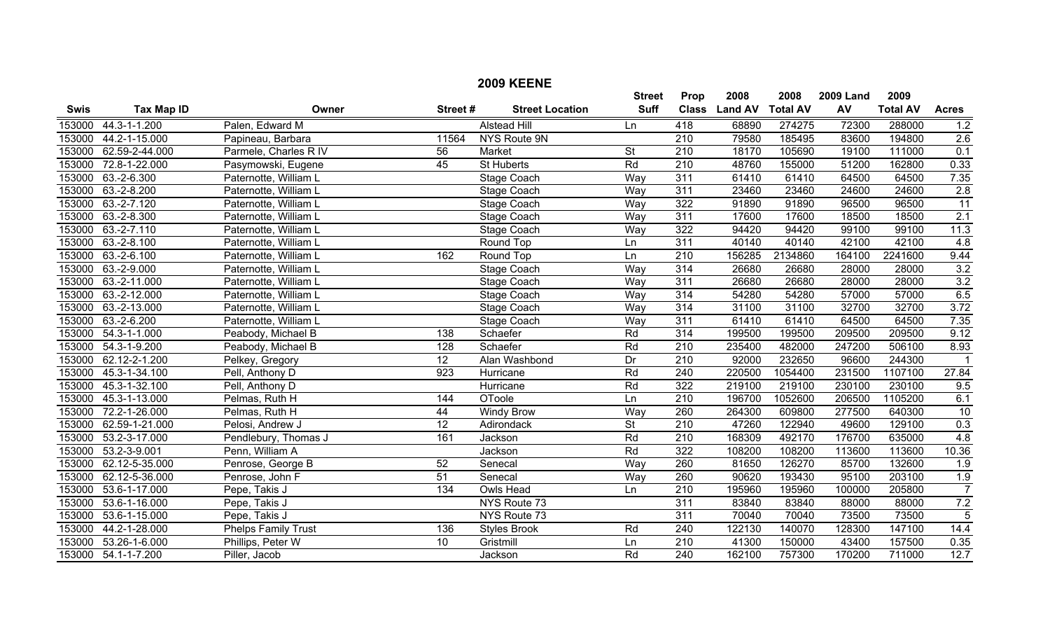|             |                     |                            |                 | <b>2009 KEENE</b>      |                 |                  |                |                 |                  |                 |                  |
|-------------|---------------------|----------------------------|-----------------|------------------------|-----------------|------------------|----------------|-----------------|------------------|-----------------|------------------|
|             |                     |                            |                 |                        | <b>Street</b>   | Prop             | 2008           | 2008            | <b>2009 Land</b> | 2009            |                  |
| <b>Swis</b> | <b>Tax Map ID</b>   | Owner                      | Street#         | <b>Street Location</b> | <b>Suff</b>     | <b>Class</b>     | <b>Land AV</b> | <b>Total AV</b> | AV               | <b>Total AV</b> | <b>Acres</b>     |
| 153000      | 44.3-1-1.200        | Palen, Edward M            |                 | <b>Alstead Hill</b>    | Ln              | 418              | 68890          | 274275          | 72300            | 288000          | 1.2              |
| 153000      | 44.2-1-15.000       | Papineau, Barbara          | 11564           | NYS Route 9N           |                 | 210              | 79580          | 185495          | 83600            | 194800          | 2.6              |
| 153000      | 62.59-2-44.000      | Parmele, Charles R IV      | 56              | Market                 | <b>St</b>       | $\overline{210}$ | 18170          | 105690          | 19100            | 111000          | 0.1              |
| 153000      | 72.8-1-22.000       | Pasymowski, Eugene         | $\overline{45}$ | <b>St Huberts</b>      | Rd              | 210              | 48760          | 155000          | 51200            | 162800          | 0.33             |
| 153000      | $63.-2-6.300$       | Paternotte, William L      |                 | <b>Stage Coach</b>     | Way             | 311              | 61410          | 61410           | 64500            | 64500           | 7.35             |
| 153000      | $63.-2-8.200$       | Paternotte, William L      |                 | <b>Stage Coach</b>     | Way             | 311              | 23460          | 23460           | 24600            | 24600           | 2.8              |
| 153000      | $63.-2-7.120$       | Paternotte, William L      |                 | Stage Coach            | Way             | 322              | 91890          | 91890           | 96500            | 96500           | $\overline{11}$  |
| 153000      | $63.-2-8.300$       | Paternotte, William L      |                 | Stage Coach            | Way             | 311              | 17600          | 17600           | 18500            | 18500           | 2.1              |
| 153000      | $63.-2-7.110$       | Paternotte, William L      |                 | Stage Coach            | Way             | 322              | 94420          | 94420           | 99100            | 99100           | 11.3             |
| 153000      | 63.-2-8.100         | Paternotte, William L      |                 | Round Top              | Ln              | 311              | 40140          | 40140           | 42100            | 42100           | 4.8              |
| 153000      | $63.-2-6.100$       | Paternotte, William L      | 162             | Round Top              | Ln              | $\overline{210}$ | 156285         | 2134860         | 164100           | 2241600         | 9.44             |
| 153000      | $63.-2-9.000$       | Paternotte, William L      |                 | <b>Stage Coach</b>     | Way             | 314              | 26680          | 26680           | 28000            | 28000           | 3.2              |
| 153000      | 63.-2-11.000        | Paternotte, William L      |                 | <b>Stage Coach</b>     | Way             | 311              | 26680          | 26680           | 28000            | 28000           | $\overline{3.2}$ |
| 153000      | 63.-2-12.000        | Paternotte, William L      |                 | <b>Stage Coach</b>     | Way             | 314              | 54280          | 54280           | 57000            | 57000           | 6.5              |
| 153000      | 63.-2-13.000        | Paternotte, William L      |                 | <b>Stage Coach</b>     | Way             | 314              | 31100          | 31100           | 32700            | 32700           | 3.72             |
| 153000      | $63.-2-6.200$       | Paternotte, William L      |                 | Stage Coach            | Way             | 311              | 61410          | 61410           | 64500            | 64500           | 7.35             |
| 153000      | 54.3-1-1.000        | Peabody, Michael B         | 138             | Schaefer               | Rd              | 314              | 199500         | 199500          | 209500           | 209500          | 9.12             |
| 153000      | 54.3-1-9.200        | Peabody, Michael B         | 128             | Schaefer               | Rd              | $\overline{210}$ | 235400         | 482000          | 247200           | 506100          | 8.93             |
| 153000      | 62.12-2-1.200       | Pelkey, Gregory            | $\overline{12}$ | Alan Washbond          | $\overline{Dr}$ | $\overline{210}$ | 92000          | 232650          | 96600            | 244300          |                  |
| 153000      | 45.3-1-34.100       | Pell, Anthony D            | 923             | Hurricane              | Rd              | $\overline{240}$ | 220500         | 1054400         | 231500           | 1107100         | 27.84            |
| 153000      | 45.3-1-32.100       | Pell, Anthony D            |                 | Hurricane              | Rd              | 322              | 219100         | 219100          | 230100           | 230100          | 9.5              |
| 153000      | 45.3-1-13.000       | Pelmas, Ruth H             | 144             | <b>OToole</b>          | Ln              | $\overline{210}$ | 196700         | 1052600         | 206500           | 1105200         | 6.1              |
| 153000      | 72.2-1-26.000       | Pelmas, Ruth H             | 44              | <b>Windy Brow</b>      | Way             | 260              | 264300         | 609800          | 277500           | 640300          | 10               |
| 153000      | 62.59-1-21.000      | Pelosi, Andrew J           | $\overline{12}$ | Adirondack             | <b>St</b>       | 210              | 47260          | 122940          | 49600            | 129100          | 0.3              |
| 153000      | 53.2-3-17.000       | Pendlebury, Thomas J       | 161             | Jackson                | Rd              | $\overline{210}$ | 168309         | 492170          | 176700           | 635000          | 4.8              |
| 153000      | 53.2-3-9.001        | Penn, William A            |                 | Jackson                | Rd              | 322              | 108200         | 108200          | 113600           | 113600          | 10.36            |
| 153000      | 62.12-5-35.000      | Penrose, George B          | 52              | Senecal                | Way             | 260              | 81650          | 126270          | 85700            | 132600          | $\overline{1.9}$ |
| 153000      | 62.12-5-36.000      | Penrose, John F            | 51              | Senecal                | Way             | 260              | 90620          | 193430          | 95100            | 203100          | 1.9              |
| 153000      | 53.6-1-17.000       | Pepe, Takis J              | 134             | Owls Head              | Ln              | $\overline{210}$ | 195960         | 195960          | 100000           | 205800          | $\overline{7}$   |
| 153000      | 53.6-1-16.000       | Pepe, Takis J              |                 | NYS Route 73           |                 | 311              | 83840          | 83840           | 88000            | 88000           | 7.2              |
| 153000      | 53.6-1-15.000       | Pepe, Takis J              |                 | NYS Route 73           |                 | 311              | 70040          | 70040           | 73500            | 73500           | $\overline{5}$   |
| 153000      | 44.2-1-28.000       | <b>Phelps Family Trust</b> | 136             | <b>Styles Brook</b>    | Rd              | 240              | 122130         | 140070          | 128300           | 147100          | 14.4             |
| 153000      | 53.26-1-6.000       | Phillips, Peter W          | $\overline{10}$ | Gristmill              | Ln              | $\overline{210}$ | 41300          | 150000          | 43400            | 157500          | 0.35             |
|             | 153000 54.1-1-7.200 | Piller, Jacob              |                 | Jackson                | Rd              | $\overline{240}$ | 162100         | 757300          | 170200           | 711000          | 12.7             |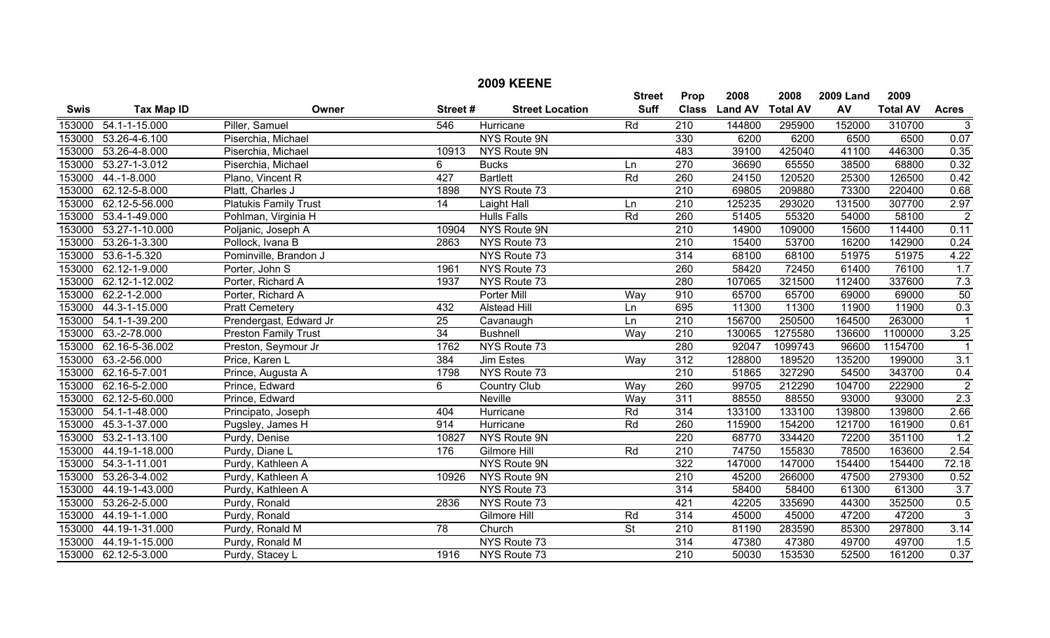|             |                       |                              |                 | <b>2009 KEENE</b>      |                              |                      |                        |                         |                        |                         |                      |
|-------------|-----------------------|------------------------------|-----------------|------------------------|------------------------------|----------------------|------------------------|-------------------------|------------------------|-------------------------|----------------------|
| <b>Swis</b> | <b>Tax Map ID</b>     | Owner                        | Street#         | <b>Street Location</b> | <b>Street</b><br><b>Suff</b> | Prop<br><b>Class</b> | 2008<br><b>Land AV</b> | 2008<br><b>Total AV</b> | <b>2009 Land</b><br>AV | 2009<br><b>Total AV</b> | <b>Acres</b>         |
|             | 153000 54.1-1-15.000  | Piller, Samuel               | 546             | <b>Hurricane</b>       | Rd                           | $\overline{210}$     | 144800                 | 295900                  | 152000                 | 310700                  | $\overline{3}$       |
| 153000      | 53.26-4-6.100         | Piserchia, Michael           |                 | <b>NYS Route 9N</b>    |                              | 330                  | 6200                   | 6200                    | 6500                   | 6500                    | 0.07                 |
| 153000      | 53.26-4-8.000         | Piserchia, Michael           | 10913           | NYS Route 9N           |                              | 483                  | 39100                  | 425040                  | 41100                  | 446300                  | 0.35                 |
| 153000      | 53.27-1-3.012         | Piserchia, Michael           | 6               | <b>Bucks</b>           | Ln                           | 270                  | 36690                  | 65550                   | 38500                  | 68800                   | 0.32                 |
| 153000      | 44.-1-8.000           | Plano, Vincent R             | 427             | <b>Bartlett</b>        | Rd                           | 260                  | 24150                  | 120520                  | 25300                  | 126500                  | 0.42                 |
| 153000      | 62.12-5-8.000         | Platt, Charles J             | 1898            | NYS Route 73           |                              | $\overline{210}$     | 69805                  | 209880                  | 73300                  | 220400                  | 0.68                 |
| 153000      | 62.12-5-56.000        | <b>Platukis Family Trust</b> | 14              | Laight Hall            | Ln                           | 210                  | 125235                 | 293020                  | 131500                 | 307700                  | 2.97                 |
| 153000      | 53.4-1-49.000         | Pohlman, Virginia H          |                 | <b>Hulls Falls</b>     | Rd                           | 260                  | 51405                  | 55320                   | 54000                  | 58100                   | $\overline{2}$       |
| 153000      | 53.27-1-10.000        | Poljanic, Joseph A           | 10904           | NYS Route 9N           |                              | $\overline{210}$     | 14900                  | 109000                  | 15600                  | 114400                  | 0.11                 |
|             | 153000 53.26-1-3.300  | Pollock, Ivana B             | 2863            | NYS Route 73           |                              | 210                  | 15400                  | 53700                   | 16200                  | 142900                  | 0.24                 |
| 153000      | 53.6-1-5.320          | Pominville, Brandon J        |                 | NYS Route 73           |                              | 314                  | 68100                  | 68100                   | 51975                  | 51975                   | 4.22                 |
| 153000      | 62.12-1-9.000         | Porter, John S               | 1961            | NYS Route 73           |                              | 260                  | 58420                  | 72450                   | 61400                  | 76100                   | 1.7                  |
| 153000      | 62.12-1-12.002        | Porter, Richard A            | 1937            | NYS Route 73           |                              | 280                  | 107065                 | 321500                  | 112400                 | 337600                  | 7.3                  |
| 153000      | 62.2-1-2.000          | Porter, Richard A            |                 | <b>Porter Mill</b>     | Way                          | 910                  | 65700                  | 65700                   | 69000                  | 69000                   | 50                   |
| 153000      | 44.3-1-15.000         | <b>Pratt Cemetery</b>        | 432             | <b>Alstead Hill</b>    | Ln                           | 695                  | 11300                  | 11300                   | 11900                  | 11900                   | 0.3                  |
| 153000      | 54.1-1-39.200         | Prendergast, Edward Jr       | $\overline{25}$ | Cavanaugh              | Ln                           | $\overline{210}$     | 156700                 | 250500                  | 164500                 | 263000                  | $\mathbf{1}$         |
|             | 153000 63.-2-78.000   | <b>Preston Family Trust</b>  | 34              | <b>Bushnell</b>        | Way                          | 210                  | 130065                 | 1275580                 | 136600                 | 1100000                 | 3.25                 |
|             | 153000 62.16-5-36.002 | Preston, Seymour Jr          | 1762            | NYS Route 73           |                              | 280                  | 92047                  | 1099743                 | 96600                  | 1154700                 | $\blacktriangleleft$ |
|             | 153000 63.-2-56.000   | Price, Karen L               | 384             | <b>Jim Estes</b>       | Way                          | $\overline{312}$     | 128800                 | 189520                  | 135200                 | 199000                  | $\overline{3.1}$     |
|             | 153000 62.16-5-7.001  | Prince, Augusta A            | 1798            | NYS Route 73           |                              | $\overline{210}$     | 51865                  | 327290                  | 54500                  | 343700                  | 0.4                  |
|             | 153000 62.16-5-2.000  | Prince, Edward               | 6               | <b>Country Club</b>    | Way                          | 260                  | 99705                  | 212290                  | 104700                 | 222900                  | $\overline{2}$       |
| 153000      | 62.12-5-60.000        | Prince, Edward               |                 | <b>Neville</b>         | Way                          | 311                  | 88550                  | 88550                   | 93000                  | 93000                   | 2.3                  |
| 153000      | 54.1-1-48.000         | Principato, Joseph           | 404             | Hurricane              | Rd                           | 314                  | 133100                 | 133100                  | 139800                 | 139800                  | 2.66                 |
| 153000      | 45.3-1-37.000         | Pugsley, James H             | 914             | Hurricane              | Rd                           | 260                  | 115900                 | 154200                  | 121700                 | 161900                  | 0.61                 |
| 153000      | 53.2-1-13.100         | Purdy, Denise                | 10827           | NYS Route 9N           |                              | 220                  | 68770                  | 334420                  | 72200                  | 351100                  | 1.2                  |
| 153000      | 44.19-1-18.000        | Purdy, Diane L               | 176             | Gilmore Hill           | Rd                           | $\overline{210}$     | 74750                  | 155830                  | 78500                  | 163600                  | 2.54                 |
| 153000      | 54.3-1-11.001         | Purdy, Kathleen A            |                 | <b>NYS Route 9N</b>    |                              | 322                  | 147000                 | 147000                  | 154400                 | 154400                  | 72.18                |
| 153000      | 53.26-3-4.002         | Purdy, Kathleen A            | 10926           | NYS Route 9N           |                              | 210                  | 45200                  | 266000                  | 47500                  | 279300                  | 0.52                 |
| 153000      | 44.19-1-43.000        | Purdy, Kathleen A            |                 | NYS Route 73           |                              | 314                  | 58400                  | 58400                   | 61300                  | 61300                   | 3.7                  |
| 153000      | 53.26-2-5.000         | Purdy, Ronald                | 2836            | NYS Route 73           |                              | 421                  | 42205                  | 335690                  | 44300                  | 352500                  | 0.5                  |
| 153000      | 44.19-1-1.000         | Purdy, Ronald                |                 | Gilmore Hill           | Rd                           | 314                  | 45000                  | 45000                   | 47200                  | 47200                   | 3                    |
| 153000      | 44.19-1-31.000        | Purdy, Ronald M              | $\overline{78}$ | Church                 | $\overline{\mathsf{St}}$     | 210                  | 81190                  | 283590                  | 85300                  | 297800                  | 3.14                 |
| 153000      | 44.19-1-15.000        | Purdy, Ronald M              |                 | NYS Route 73           |                              | 314                  | 47380                  | 47380                   | 49700                  | 49700                   | 1.5                  |
|             | 153000 62.12-5-3.000  | Purdy, Stacey L              | 1916            | NYS Route 73           |                              | $\overline{210}$     | 50030                  | 153530                  | 52500                  | 161200                  | 0.37                 |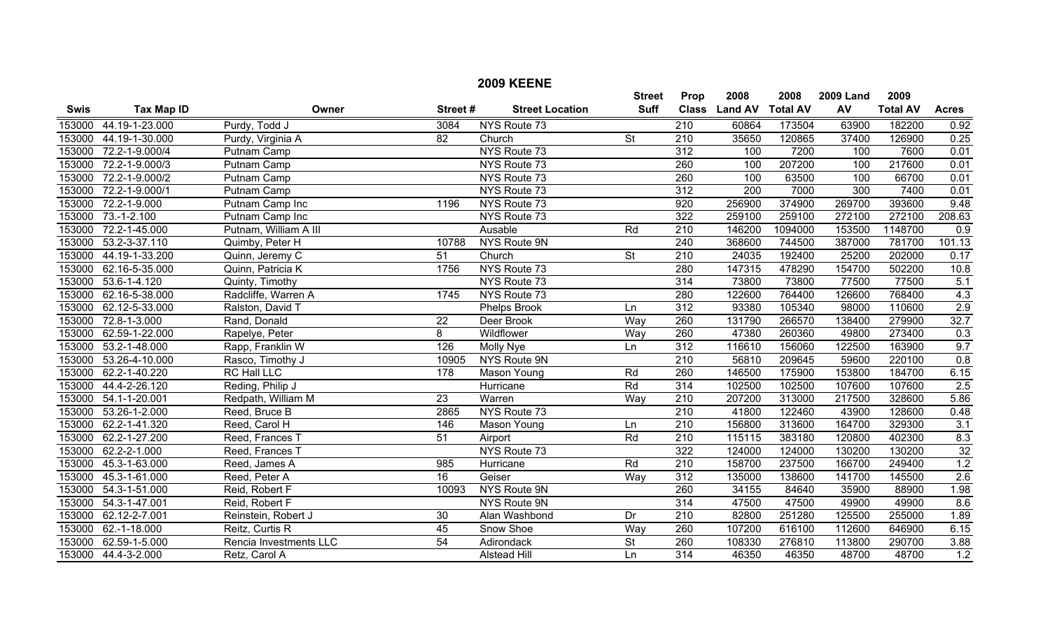|             |                      |                        |                 | <b>2009 KEENE</b>      |                          |                  |                |                 |                  |                 |                  |
|-------------|----------------------|------------------------|-----------------|------------------------|--------------------------|------------------|----------------|-----------------|------------------|-----------------|------------------|
|             |                      |                        |                 |                        | <b>Street</b>            | Prop             | 2008           | 2008            | <b>2009 Land</b> | 2009            |                  |
| <b>Swis</b> | <b>Tax Map ID</b>    | Owner                  | Street#         | <b>Street Location</b> | <b>Suff</b>              | <b>Class</b>     | <b>Land AV</b> | <b>Total AV</b> | AV               | <b>Total AV</b> | <b>Acres</b>     |
| 153000      | 44.19-1-23.000       | Purdy, Todd J          | 3084            | NYS Route 73           |                          | $\overline{210}$ | 60864          | 173504          | 63900            | 182200          | 0.92             |
| 153000      | 44.19-1-30.000       | Purdy, Virginia A      | 82              | Church                 | $\overline{\mathsf{St}}$ | 210              | 35650          | 120865          | 37400            | 126900          | 0.25             |
| 153000      | 72.2-1-9.000/4       | Putnam Camp            |                 | NYS Route 73           |                          | 312              | 100            | 7200            | 100              | 7600            | 0.01             |
| 153000      | 72.2-1-9.000/3       | <b>Putnam Camp</b>     |                 | NYS Route 73           |                          | 260              | 100            | 207200          | 100              | 217600          | 0.01             |
| 153000      | 72.2-1-9.000/2       | Putnam Camp            |                 | NYS Route 73           |                          | 260              | 100            | 63500           | 100              | 66700           | 0.01             |
| 153000      | $72.2 - 1 - 9.000/1$ | Putnam Camp            |                 | NYS Route 73           |                          | 312              | 200            | 7000            | 300              | 7400            | 0.01             |
| 153000      | 72.2-1-9.000         | Putnam Camp Inc        | 1196            | NYS Route 73           |                          | 920              | 256900         | 374900          | 269700           | 393600          | 9.48             |
| 153000      | $73.-1-2.100$        | Putnam Camp Inc        |                 | NYS Route 73           |                          | 322              | 259100         | 259100          | 272100           | 272100          | 208.63           |
| 153000      | 72.2-1-45.000        | Putnam, William A III  |                 | Ausable                | Rd                       | $\overline{210}$ | 146200         | 1094000         | 153500           | 1148700         | $\overline{0.9}$ |
| 153000      | 53.2-3-37.110        | Quimby, Peter H        | 10788           | NYS Route 9N           |                          | 240              | 368600         | 744500          | 387000           | 781700          | 101.13           |
| 153000      | 44.19-1-33.200       | Quinn, Jeremy C        | 51              | Church                 | $\overline{\mathsf{St}}$ | $\overline{210}$ | 24035          | 192400          | 25200            | 202000          | 0.17             |
| 153000      | 62.16-5-35.000       | Quinn, Patricia K      | 1756            | NYS Route 73           |                          | 280              | 147315         | 478290          | 154700           | 502200          | 10.8             |
| 153000      | 53.6-1-4.120         | Quinty, Timothy        |                 | NYS Route 73           |                          | $\overline{314}$ | 73800          | 73800           | 77500            | 77500           | 5.1              |
| 153000      | 62.16-5-38.000       | Radcliffe, Warren A    | 1745            | NYS Route 73           |                          | 280              | 122600         | 764400          | 126600           | 768400          | 4.3              |
| 153000      | 62.12-5-33.000       | Ralston, David T       |                 | <b>Phelps Brook</b>    | Ln                       | 312              | 93380          | 105340          | 98000            | 110600          | 2.9              |
| 153000      | 72.8-1-3.000         | Rand, Donald           | $\overline{22}$ | Deer Brook             | Way                      | 260              | 131790         | 266570          | 138400           | 279900          | 32.7             |
| 153000      | 62.59-1-22.000       | Rapelye, Peter         | 8               | Wildflower             | Way                      | 260              | 47380          | 260360          | 49800            | 273400          | 0.3              |
| 153000      | 53.2-1-48.000        | Rapp, Franklin W       | 126             | <b>Molly Nye</b>       | Ln                       | 312              | 116610         | 156060          | 122500           | 163900          | 9.7              |
| 153000      | 53.26-4-10.000       | Rasco, Timothy J       | 10905           | NYS Route 9N           |                          | $\overline{210}$ | 56810          | 209645          | 59600            | 220100          | 0.8              |
| 153000      | 62.2-1-40.220        | <b>RC Hall LLC</b>     | 178             | Mason Young            | Rd                       | 260              | 146500         | 175900          | 153800           | 184700          | 6.15             |
| 153000      | 44.4-2-26.120        | Reding, Philip J       |                 | Hurricane              | Rd                       | 314              | 102500         | 102500          | 107600           | 107600          | 2.5              |
| 153000      | 54.1-1-20.001        | Redpath, William M     | $\overline{23}$ | Warren                 | Way                      | $\overline{210}$ | 207200         | 313000          | 217500           | 328600          | 5.86             |
| 153000      | 53.26-1-2.000        | Reed, Bruce B          | 2865            | NYS Route 73           |                          | $\overline{210}$ | 41800          | 122460          | 43900            | 128600          | 0.48             |
| 153000      | 62.2-1-41.320        | Reed, Carol H          | 146             | Mason Young            | Ln                       | 210              | 156800         | 313600          | 164700           | 329300          | $\overline{3.1}$ |
| 153000      | 62.2-1-27.200        | Reed, Frances T        | 51              | Airport                | Rd                       | $\overline{210}$ | 115115         | 383180          | 120800           | 402300          | 8.3              |
| 153000      | 62.2-2-1.000         | Reed, Frances T        |                 | NYS Route 73           |                          | 322              | 124000         | 124000          | 130200           | 130200          | 32               |
| 153000      | 45.3-1-63.000        | Reed, James A          | 985             | Hurricane              | Rd                       | 210              | 158700         | 237500          | 166700           | 249400          | 1.2              |
| 153000      | 45.3-1-61.000        | Reed, Peter A          | 16              | Geiser                 | Way                      | 312              | 135000         | 138600          | 141700           | 145500          | 2.6              |
| 153000      | 54.3-1-51.000        | Reid, Robert F         | 10093           | NYS Route 9N           |                          | 260              | 34155          | 84640           | 35900            | 88900           | 1.98             |
| 153000      | 54.3-1-47.001        | Reid, Robert F         |                 | <b>NYS Route 9N</b>    |                          | 314              | 47500          | 47500           | 49900            | 49900           | 8.6              |
| 153000      | 62.12-2-7.001        | Reinstein, Robert J    | 30              | Alan Washbond          | Dr                       | $\overline{210}$ | 82800          | 251280          | 125500           | 255000          | 1.89             |
| 153000      | 62.-1-18.000         | Reitz, Curtis R        | 45              | Snow Shoe              | Way                      | 260              | 107200         | 616100          | 112600           | 646900          | 6.15             |
| 153000      | 62.59-1-5.000        | Rencia Investments LLC | $\overline{54}$ | Adirondack             | $\overline{\mathsf{St}}$ | 260              | 108330         | 276810          | 113800           | 290700          | 3.88             |
|             | 153000 44.4-3-2.000  | Retz, Carol A          |                 | <b>Alstead Hill</b>    | Ln                       | $\overline{314}$ | 46350          | 46350           | 48700            | 48700           | 1.2              |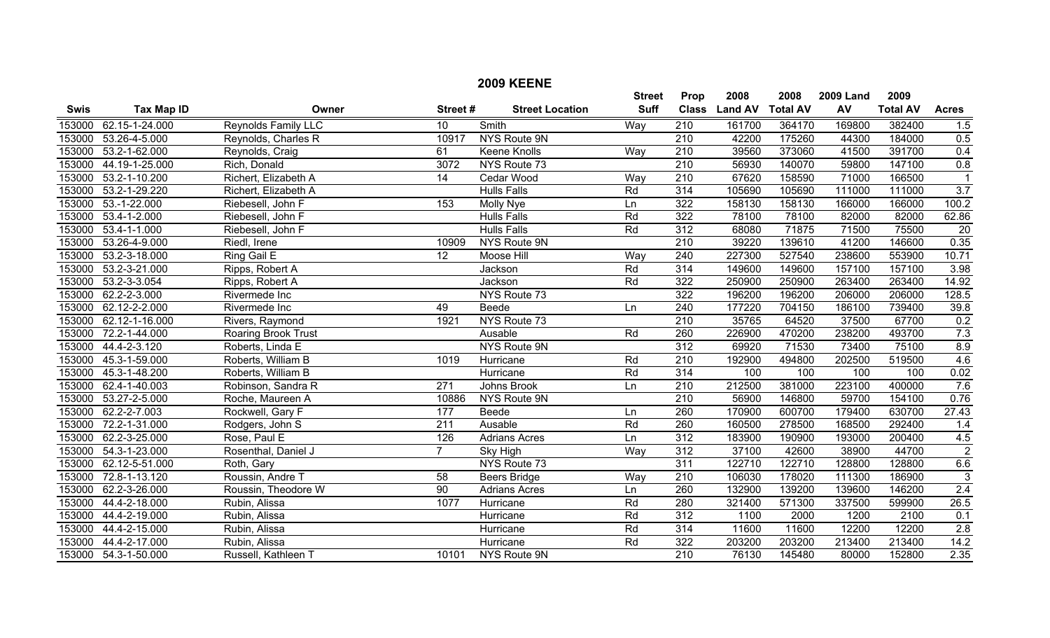|             |                      |                            |                  | <b>2009 KEENE</b>      |               |                  |                |                 |                  |                 |                  |
|-------------|----------------------|----------------------------|------------------|------------------------|---------------|------------------|----------------|-----------------|------------------|-----------------|------------------|
|             |                      |                            |                  |                        | <b>Street</b> | Prop             | 2008           | 2008            | <b>2009 Land</b> | 2009            |                  |
| <b>Swis</b> | <b>Tax Map ID</b>    | Owner                      | Street#          | <b>Street Location</b> | <b>Suff</b>   | <b>Class</b>     | <b>Land AV</b> | <b>Total AV</b> | AV               | <b>Total AV</b> | <b>Acres</b>     |
| 153000      | 62.15-1-24.000       | <b>Reynolds Family LLC</b> | 10               | Smith                  | Way           | 210              | 161700         | 364170          | 169800           | 382400          | 1.5              |
| 153000      | 53.26-4-5.000        | Reynolds, Charles R        | 10917            | NYS Route 9N           |               | $\overline{210}$ | 42200          | 175260          | 44300            | 184000          | 0.5              |
| 153000      | 53.2-1-62.000        | Reynolds, Craig            | 61               | <b>Keene Knolls</b>    | Way           | 210              | 39560          | 373060          | 41500            | 391700          | 0.4              |
| 153000      | 44.19-1-25.000       | Rich, Donald               | 3072             | NYS Route 73           |               | $\overline{210}$ | 56930          | 140070          | 59800            | 147100          | 0.8              |
| 153000      | 53.2-1-10.200        | Richert, Elizabeth A       | 14               | Cedar Wood             | Way           | 210              | 67620          | 158590          | 71000            | 166500          |                  |
| 153000      | 53.2-1-29.220        | Richert, Elizabeth A       |                  | <b>Hulls Falls</b>     | Rd            | 314              | 105690         | 105690          | 111000           | 111000          | $\overline{3.7}$ |
| 153000      | $53.-1-22.000$       | Riebesell, John F          | 153              | Molly Nye              | Ln            | 322              | 158130         | 158130          | 166000           | 166000          | 100.2            |
| 153000      | $53.4 - 1 - 2.000$   | Riebesell, John F          |                  | <b>Hulls Falls</b>     | Rd            | 322              | 78100          | 78100           | 82000            | 82000           | 62.86            |
| 153000      | $53.4 - 1 - 1.000$   | Riebesell, John F          |                  | <b>Hulls Falls</b>     | Rd            | $\overline{312}$ | 68080          | 71875           | 71500            | 75500           | 20               |
|             | 153000 53.26-4-9.000 | Riedl, Irene               | 10909            | NYS Route 9N           |               | 210              | 39220          | 139610          | 41200            | 146600          | 0.35             |
|             | 153000 53.2-3-18.000 | Ring Gail E                | 12               | Moose Hill             | Way           | 240              | 227300         | 527540          | 238600           | 553900          | 10.71            |
| 153000      | 53.2-3-21.000        | Ripps, Robert A            |                  | Jackson                | Rd            | 314              | 149600         | 149600          | 157100           | 157100          | 3.98             |
| 153000      | 53.2-3-3.054         | Ripps, Robert A            |                  | Jackson                | Rd            | 322              | 250900         | 250900          | 263400           | 263400          | 14.92            |
|             | 153000 62.2-2-3.000  | Rivermede Inc              |                  | NYS Route 73           |               | 322              | 196200         | 196200          | 206000           | 206000          | 128.5            |
|             | 153000 62.12-2-2.000 | Rivermede Inc              | 49               | Beede                  | Ln            | 240              | 177220         | 704150          | 186100           | 739400          | 39.8             |
| 153000      | 62.12-1-16.000       | Rivers, Raymond            | 1921             | NYS Route 73           |               | 210              | 35765          | 64520           | 37500            | 67700           | 0.2              |
| 153000      | 72.2-1-44.000        | Roaring Brook Trust        |                  | Ausable                | Rd            | 260              | 226900         | 470200          | 238200           | 493700          | 7.3              |
| 153000      | 44.4-2-3.120         | Roberts, Linda E           |                  | <b>NYS Route 9N</b>    |               | $\overline{312}$ | 69920          | 71530           | 73400            | 75100           | 8.9              |
| 153000      | 45.3-1-59.000        | Roberts, William B         | 1019             | Hurricane              | Rd            | $\overline{210}$ | 192900         | 494800          | 202500           | 519500          | 4.6              |
| 153000      | 45.3-1-48.200        | Roberts, William B         |                  | <b>Hurricane</b>       | Rd            | 314              | 100            | 100             | 100              | 100             | 0.02             |
| 153000      | 62.4-1-40.003        | Robinson, Sandra R         | 271              | Johns Brook            | Ln            | $\overline{210}$ | 212500         | 381000          | 223100           | 400000          | 7.6              |
| 153000      | 53.27-2-5.000        | Roche, Maureen A           | 10886            | NYS Route 9N           |               | $\overline{210}$ | 56900          | 146800          | 59700            | 154100          | 0.76             |
| 153000      | 62.2-2-7.003         | Rockwell, Gary F           | 177              | Beede                  | Ln            | 260              | 170900         | 600700          | 179400           | 630700          | 27.43            |
| 153000      | 72.2-1-31.000        | Rodgers, John S            | $\overline{211}$ | Ausable                | Rd            | 260              | 160500         | 278500          | 168500           | 292400          | 1.4              |
| 153000      | 62.2-3-25.000        | Rose, Paul E               | 126              | <b>Adrians Acres</b>   | Ln            | $\overline{312}$ | 183900         | 190900          | 193000           | 200400          | 4.5              |
| 153000      | 54.3-1-23.000        | Rosenthal, Daniel J        | $\overline{7}$   | Sky High               | Way           | $\overline{312}$ | 37100          | 42600           | 38900            | 44700           | $\overline{2}$   |
| 153000      | 62.12-5-51.000       | Roth, Gary                 |                  | NYS Route 73           |               | $\overline{311}$ | 122710         | 122710          | 128800           | 128800          | 6.6              |
| 153000      | 72.8-1-13.120        | Roussin, Andre T           | 58               | <b>Beers Bridge</b>    | Way           | 210              | 106030         | 178020          | 111300           | 186900          | 3                |
| 153000      | 62.2-3-26.000        | Roussin, Theodore W        | 90               | <b>Adrians Acres</b>   | Ln            | 260              | 132900         | 139200          | 139600           | 146200          | 2.4              |
| 153000      | 44.4-2-18.000        | Rubin, Alissa              | 1077             | Hurricane              | Rd            | 280              | 321400         | 571300          | 337500           | 599900          | 26.5             |
| 153000      | 44.4-2-19.000        | Rubin, Alissa              |                  | Hurricane              | Rd            | $\overline{312}$ | 1100           | 2000            | 1200             | 2100            | 0.1              |
| 153000      | 44.4-2-15.000        | Rubin, Alissa              |                  | Hurricane              | Rd            | $\overline{314}$ | 11600          | 11600           | 12200            | 12200           | 2.8              |
| 153000      | 44.4-2-17.000        | Rubin, Alissa              |                  | Hurricane              | Rd            | 322              | 203200         | 203200          | 213400           | 213400          | 14.2             |
|             | 153000 54.3-1-50.000 | Russell, Kathleen T        | 10101            | NYS Route 9N           |               | 210              | 76130          | 145480          | 80000            | 152800          | 2.35             |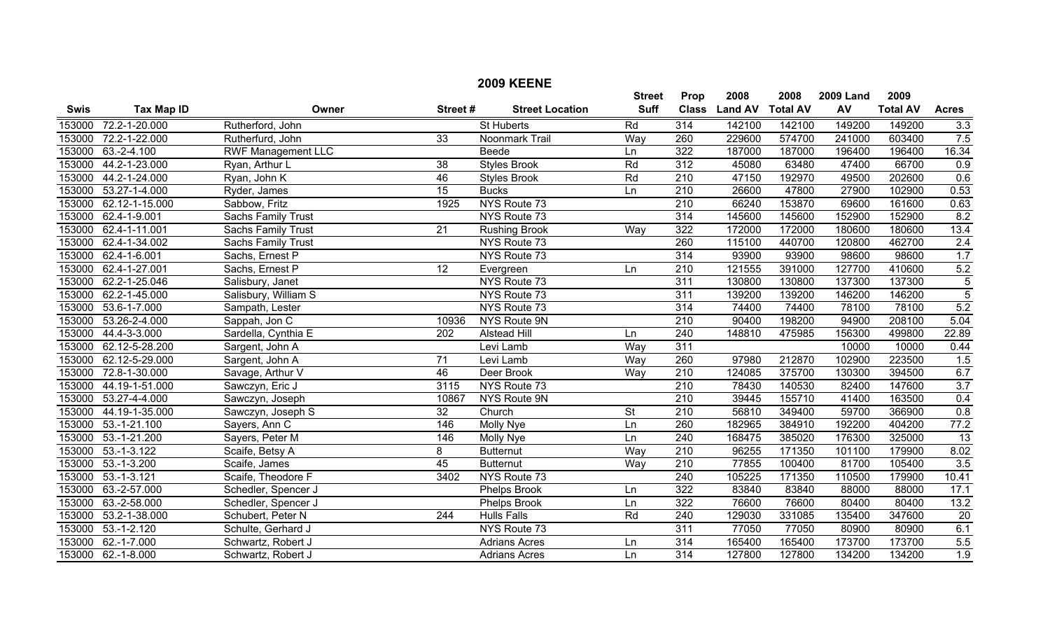|             |                    |                           |                 | <b>2009 KEENE</b>      |                          |                  |                |                 |                  |                 |                  |
|-------------|--------------------|---------------------------|-----------------|------------------------|--------------------------|------------------|----------------|-----------------|------------------|-----------------|------------------|
|             |                    |                           |                 |                        | <b>Street</b>            | Prop             | 2008           | 2008            | <b>2009 Land</b> | 2009            |                  |
| <b>Swis</b> | <b>Tax Map ID</b>  | Owner                     | Street#         | <b>Street Location</b> | <b>Suff</b>              | <b>Class</b>     | <b>Land AV</b> | <b>Total AV</b> | AV               | <b>Total AV</b> | <b>Acres</b>     |
| 153000      | 72.2-1-20.000      | Rutherford, John          |                 | <b>St Huberts</b>      | Rd                       | 314              | 142100         | 142100          | 149200           | 149200          | 3.3              |
| 153000      | 72.2-1-22.000      | Rutherfurd, John          | $\overline{33}$ | Noonmark Trail         | Way                      | 260              | 229600         | 574700          | 241000           | 603400          | 7.5              |
| 153000      | $63.-2-4.100$      | <b>RWF Management LLC</b> |                 | Beede                  | Ln                       | 322              | 187000         | 187000          | 196400           | 196400          | 16.34            |
| 153000      | 44.2-1-23.000      | Ryan, Arthur L            | $\overline{38}$ | <b>Styles Brook</b>    | Rd                       | 312              | 45080          | 63480           | 47400            | 66700           | 0.9              |
| 153000      | 44.2-1-24.000      | Ryan, John K              | 46              | <b>Styles Brook</b>    | Rd                       | $\overline{210}$ | 47150          | 192970          | 49500            | 202600          | 0.6              |
| 153000      | 53.27-1-4.000      | Ryder, James              | 15              | <b>Bucks</b>           | Ln                       | $\overline{210}$ | 26600          | 47800           | 27900            | 102900          | 0.53             |
| 153000      | 62.12-1-15.000     | Sabbow, Fritz             | 1925            | NYS Route 73           |                          | $\overline{210}$ | 66240          | 153870          | 69600            | 161600          | 0.63             |
| 153000      | 62.4-1-9.001       | <b>Sachs Family Trust</b> |                 | NYS Route 73           |                          | 314              | 145600         | 145600          | 152900           | 152900          | 8.2              |
| 153000      | 62.4-1-11.001      | Sachs Family Trust        | $\overline{21}$ | <b>Rushing Brook</b>   | Way                      | 322              | 172000         | 172000          | 180600           | 180600          | 13.4             |
| 153000      | 62.4-1-34.002      | Sachs Family Trust        |                 | NYS Route 73           |                          | 260              | 115100         | 440700          | 120800           | 462700          | 2.4              |
| 153000      | 62.4-1-6.001       | Sachs, Ernest P           |                 | NYS Route 73           |                          | 314              | 93900          | 93900           | 98600            | 98600           | 1.7              |
| 153000      | 62.4-1-27.001      | Sachs, Ernest P           | $\overline{12}$ | Evergreen              | Ln                       | $\overline{210}$ | 121555         | 391000          | 127700           | 410600          | 5.2              |
| 153000      | 62.2-1-25.046      | Salisbury, Janet          |                 | NYS Route 73           |                          | 311              | 130800         | 130800          | 137300           | 137300          | $\overline{5}$   |
| 153000      | 62.2-1-45.000      | Salisbury, William S      |                 | NYS Route 73           |                          | 311              | 139200         | 139200          | 146200           | 146200          | $\overline{5}$   |
| 153000      | 53.6-1-7.000       | Sampath, Lester           |                 | NYS Route 73           |                          | $\overline{314}$ | 74400          | 74400           | 78100            | 78100           | 5.2              |
| 153000      | 53.26-2-4.000      | Sappah, Jon C             | 10936           | NYS Route 9N           |                          | $\overline{210}$ | 90400          | 198200          | 94900            | 208100          | 5.04             |
| 153000      | 44.4-3-3.000       | Sardella, Cynthia E       | 202             | Alstead Hill           | Ln                       | 240              | 148810         | 475985          | 156300           | 499800          | 22.89            |
| 153000      | 62.12-5-28.200     | Sargent, John A           |                 | Levi Lamb              | Way                      | 311              |                |                 | 10000            | 10000           | 0.44             |
| 153000      | 62.12-5-29.000     | Sargent, John A           | $\overline{71}$ | Levi Lamb              | Way                      | 260              | 97980          | 212870          | 102900           | 223500          | 1.5              |
| 153000      | 72.8-1-30.000      | Savage, Arthur V          | 46              | Deer Brook             | Way                      | 210              | 124085         | 375700          | 130300           | 394500          | 6.7              |
| 153000      | 44.19-1-51.000     | Sawczyn, Eric J           | 3115            | NYS Route 73           |                          | 210              | 78430          | 140530          | 82400            | 147600          | $\overline{3.7}$ |
| 153000      | 53.27-4-4.000      | Sawczyn, Joseph           | 10867           | NYS Route 9N           |                          | $\overline{210}$ | 39445          | 155710          | 41400            | 163500          | 0.4              |
| 153000      | 44.19-1-35.000     | Sawczyn, Joseph S         | $\overline{32}$ | Church                 | $\overline{\mathsf{St}}$ | 210              | 56810          | 349400          | 59700            | 366900          | 0.8              |
| 153000      | $53.-1-21.100$     | Sayers, Ann C             | 146             | Molly Nye              | Ln                       | 260              | 182965         | 384910          | 192200           | 404200          | 77.2             |
| 153000      | $53.-1-21.200$     | Sayers, Peter M           | 146             | Molly Nye              | Ln                       | $\overline{240}$ | 168475         | 385020          | 176300           | 325000          | $\overline{13}$  |
| 153000      | $53.-1-3.122$      | Scaife, Betsy A           | 8               | <b>Butternut</b>       | Way                      | $\overline{210}$ | 96255          | 171350          | 101100           | 179900          | 8.02             |
| 153000      | $53.-1-3.200$      | Scaife, James             | 45              | <b>Butternut</b>       | Way                      | $\overline{210}$ | 77855          | 100400          | 81700            | 105400          | $\overline{3.5}$ |
| 153000      | $53.-1-3.121$      | Scaife, Theodore F        | 3402            | NYS Route 73           |                          | 240              | 105225         | 171350          | 110500           | 179900          | 10.41            |
| 153000      | 63.-2-57.000       | Schedler, Spencer J       |                 | <b>Phelps Brook</b>    | Ln                       | 322              | 83840          | 83840           | 88000            | 88000           | 17.1             |
| 153000      | 63.-2-58.000       | Schedler, Spencer J       |                 | <b>Phelps Brook</b>    | Ln                       | 322              | 76600          | 76600           | 80400            | 80400           | 13.2             |
| 153000      | 53.2-1-38.000      | Schubert, Peter N         | 244             | <b>Hulls Falls</b>     | Rd                       | $\overline{240}$ | 129030         | 331085          | 135400           | 347600          | $\overline{20}$  |
| 153000      | $53.-1-2.120$      | Schulte, Gerhard J        |                 | NYS Route 73           |                          | 311              | 77050          | 77050           | 80900            | 80900           | 6.1              |
| 153000      | $62.-1-7.000$      | Schwartz, Robert J        |                 | <b>Adrians Acres</b>   | Ln                       | 314              | 165400         | 165400          | 173700           | 173700          | 5.5              |
|             | 153000 62.-1-8.000 | Schwartz, Robert J        |                 | <b>Adrians Acres</b>   | Ln                       | $\overline{314}$ | 127800         | 127800          | 134200           | 134200          | 1.9              |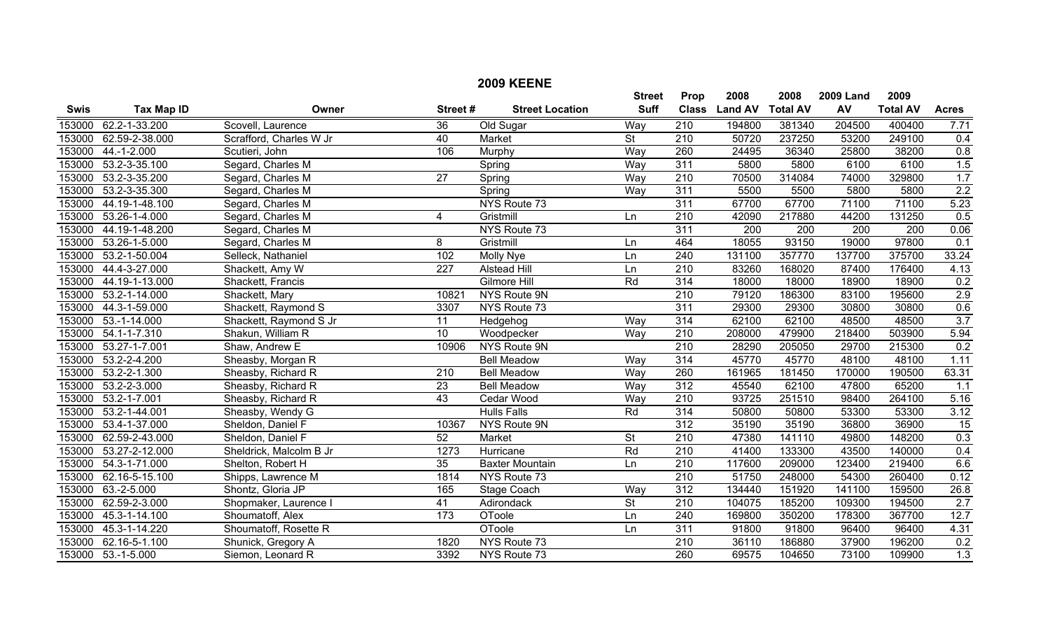|             |                    |                         |                  |                        | <b>Street</b>            | Prop             | 2008           | 2008            | <b>2009 Land</b> | 2009            |                  |
|-------------|--------------------|-------------------------|------------------|------------------------|--------------------------|------------------|----------------|-----------------|------------------|-----------------|------------------|
| <b>Swis</b> | <b>Tax Map ID</b>  | Owner                   | Street#          | <b>Street Location</b> | <b>Suff</b>              | <b>Class</b>     | <b>Land AV</b> | <b>Total AV</b> | AV               | <b>Total AV</b> | <b>Acres</b>     |
| 153000      | 62.2-1-33.200      | Scovell, Laurence       | $\overline{36}$  | Old Sugar              | Way                      | 210              | 194800         | 381340          | 204500           | 400400          | 7.71             |
| 153000      | 62.59-2-38.000     | Scrafford, Charles W Jr | 40               | Market                 | <b>St</b>                | 210              | 50720          | 237250          | 53200            | 249100          | 0.4              |
| 153000      | 44.-1-2.000        | Scutieri, John          | 106              | Murphy                 | Way                      | 260              | 24495          | 36340           | 25800            | 38200           | 0.8              |
| 153000      | 53.2-3-35.100      | Segard, Charles M       |                  | Spring                 | Way                      | 311              | 5800           | 5800            | 6100             | 6100            | 1.5              |
| 153000      | 53.2-3-35.200      | Segard, Charles M       | $\overline{27}$  | Spring                 | Way                      | $\overline{210}$ | 70500          | 314084          | 74000            | 329800          | 1.7              |
| 153000      | 53.2-3-35.300      | Segard, Charles M       |                  | Spring                 | Way                      | 311              | 5500           | 5500            | 5800             | 5800            | 2.2              |
| 153000      | 44.19-1-48.100     | Segard, Charles M       |                  | NYS Route 73           |                          | 311              | 67700          | 67700           | 71100            | 71100           | 5.23             |
| 153000      | 53.26-1-4.000      | Segard, Charles M       | 4                | Gristmill              | Ln                       | $\overline{210}$ | 42090          | 217880          | 44200            | 131250          | 0.5              |
| 153000      | 44.19-1-48.200     | Segard, Charles M       |                  | NYS Route 73           |                          | 311              | 200            | 200             | 200              | 200             | 0.06             |
| 153000      | 53.26-1-5.000      | Segard, Charles M       | 8                | Gristmill              | Ln                       | 464              | 18055          | 93150           | 19000            | 97800           | 0.1              |
| 153000      | 53.2-1-50.004      | Selleck, Nathaniel      | 102              | Molly Nye              | Ln                       | $\overline{240}$ | 131100         | 357770          | 137700           | 375700          | 33.24            |
| 153000      | 44.4-3-27.000      | Shackett, Amy W         | $\overline{227}$ | <b>Alstead Hill</b>    | Ln                       | $\overline{210}$ | 83260          | 168020          | 87400            | 176400          | 4.13             |
| 153000      | 44.19-1-13.000     | Shackett, Francis       |                  | Gilmore Hill           | Rd                       | 314              | 18000          | 18000           | 18900            | 18900           | 0.2              |
| 153000      | 53.2-1-14.000      | Shackett, Mary          | 10821            | <b>NYS Route 9N</b>    |                          | $\overline{210}$ | 79120          | 186300          | 83100            | 195600          | 2.9              |
| 153000      | 44.3-1-59.000      | Shackett, Raymond S     | 3307             | NYS Route 73           |                          | 311              | 29300          | 29300           | 30800            | 30800           | 0.6              |
| 153000      | 53.-1-14.000       | Shackett, Raymond S Jr  | $\overline{11}$  | Hedgehog               | Way                      | 314              | 62100          | 62100           | 48500            | 48500           | $\overline{3.7}$ |
| 153000      | 54.1-1-7.310       | Shakun, William R       | 10               | Woodpecker             | Way                      | 210              | 208000         | 479900          | 218400           | 503900          | 5.94             |
| 153000      | 53.27-1-7.001      | Shaw, Andrew E          | 10906            | NYS Route 9N           |                          | 210              | 28290          | 205050          | 29700            | 215300          | 0.2              |
| 153000      | 53.2-2-4.200       | Sheasby, Morgan R       |                  | <b>Bell Meadow</b>     | Way                      | $\overline{314}$ | 45770          | 45770           | 48100            | 48100           | 1.11             |
| 153000      | 53.2-2-1.300       | Sheasby, Richard R      | 210              | <b>Bell Meadow</b>     | Way                      | 260              | 161965         | 181450          | 170000           | 190500          | 63.31            |
| 153000      | 53.2-2-3.000       | Sheasby, Richard R      | 23               | <b>Bell Meadow</b>     | Way                      | 312              | 45540          | 62100           | 47800            | 65200           | 1.1              |
| 153000      | $53.2 - 1 - 7.001$ | Sheasby, Richard R      | $\overline{43}$  | Cedar Wood             | Way                      | $\overline{210}$ | 93725          | 251510          | 98400            | 264100          | 5.16             |
| 153000      | 53.2-1-44.001      | Sheasby, Wendy G        |                  | <b>Hulls Falls</b>     | Rd                       | 314              | 50800          | 50800           | 53300            | 53300           | 3.12             |
| 153000      | 53.4-1-37.000      | Sheldon, Daniel F       | 10367            | NYS Route 9N           |                          | $\overline{312}$ | 35190          | 35190           | 36800            | 36900           | 15               |
| 153000      | 62.59-2-43.000     | Sheldon, Daniel F       | 52               | Market                 | $\overline{\mathsf{St}}$ | 210              | 47380          | 141110          | 49800            | 148200          | 0.3              |
| 153000      | 53.27-2-12.000     | Sheldrick, Malcolm B Jr | 1273             | Hurricane              | Rd                       | $\overline{210}$ | 41400          | 133300          | 43500            | 140000          | 0.4              |
| 153000      | 54.3-1-71.000      | Shelton, Robert H       | $\overline{35}$  | Baxter Mountain        | Ln                       | $\overline{210}$ | 117600         | 209000          | 123400           | 219400          | 6.6              |
| 153000      | 62.16-5-15.100     | Shipps, Lawrence M      | 1814             | NYS Route 73           |                          | 210              | 51750          | 248000          | 54300            | 260400          | 0.12             |
| 153000      | 63.-2-5.000        | Shontz, Gloria JP       | 165              | Stage Coach            | Way                      | $\overline{312}$ | 134440         | 151920          | 141100           | 159500          | 26.8             |
| 153000      | 62.59-2-3.000      | Shopmaker, Laurence I   | 41               | Adirondack             | <b>St</b>                | 210              | 104075         | 185200          | 109300           | 194500          | 2.7              |
| 153000      | 45.3-1-14.100      | Shoumatoff, Alex        | $\overline{173}$ | OToole                 | Ln                       | $\overline{240}$ | 169800         | 350200          | 178300           | 367700          | 12.7             |
| 153000      | 45.3-1-14.220      | Shoumatoff, Rosette R   |                  | <b>OToole</b>          | Ln                       | 311              | 91800          | 91800           | 96400            | 96400           | 4.31             |
| 153000      | 62.16-5-1.100      | Shunick, Gregory A      | 1820             | NYS Route 73           |                          | 210              | 36110          | 186880          | 37900            | 196200          | 0.2              |
| 153000      | 53.-1-5.000        | Siemon, Leonard R       | 3392             | NYS Route 73           |                          | 260              | 69575          | 104650          | 73100            | 109900          | 1.3              |

## **2009 KEENE**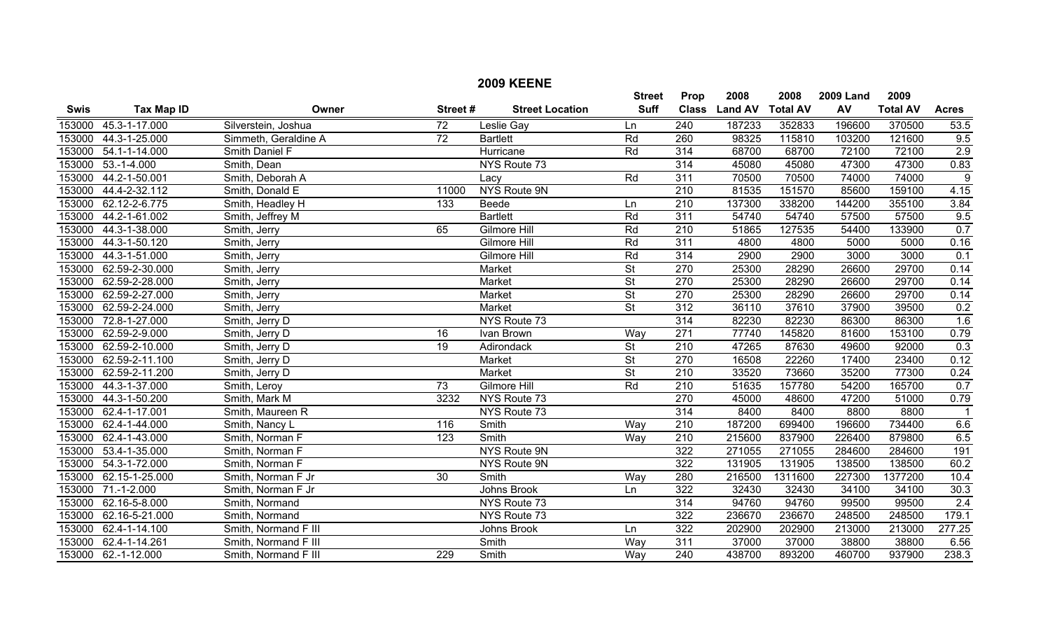|             |                       |                      |                  | <b>2009 KEENE</b>      |                          |                  |                |                 |                  |                 |                |
|-------------|-----------------------|----------------------|------------------|------------------------|--------------------------|------------------|----------------|-----------------|------------------|-----------------|----------------|
|             |                       |                      |                  |                        | <b>Street</b>            | Prop             | 2008           | 2008            | <b>2009 Land</b> | 2009            |                |
| <b>Swis</b> | <b>Tax Map ID</b>     | Owner                | Street#          | <b>Street Location</b> | <b>Suff</b>              | <b>Class</b>     | <b>Land AV</b> | <b>Total AV</b> | AV               | <b>Total AV</b> | <b>Acres</b>   |
| 153000      | 45.3-1-17.000         | Silverstein, Joshua  | $\overline{72}$  | Leslie Gay             | Ln                       | $\overline{240}$ | 187233         | 352833          | 196600           | 370500          | 53.5           |
| 153000      | 44.3-1-25.000         | Simmeth, Geraldine A | $\overline{72}$  | <b>Bartlett</b>        | Rd                       | 260              | 98325          | 115810          | 103200           | 121600          | 9.5            |
| 153000      | 54.1-1-14.000         | Smith Daniel F       |                  | Hurricane              | Rd                       | 314              | 68700          | 68700           | 72100            | 72100           | 2.9            |
| 153000      | $53.-1-4.000$         | Smith, Dean          |                  | NYS Route 73           |                          | 314              | 45080          | 45080           | 47300            | 47300           | 0.83           |
| 153000      | 44.2-1-50.001         | Smith, Deborah A     |                  | Lacy                   | Rd                       | 311              | 70500          | 70500           | 74000            | 74000           | $\overline{9}$ |
| 153000      | 44.4-2-32.112         | Smith, Donald E      | 11000            | NYS Route 9N           |                          | $\overline{210}$ | 81535          | 151570          | 85600            | 159100          | 4.15           |
| 153000      | 62.12-2-6.775         | Smith, Headley H     | $\overline{133}$ | Beede                  | Ln                       | $\overline{210}$ | 137300         | 338200          | 144200           | 355100          | 3.84           |
| 153000      | 44.2-1-61.002         | Smith, Jeffrey M     |                  | <b>Bartlett</b>        | Rd                       | 311              | 54740          | 54740           | 57500            | 57500           | 9.5            |
| 153000      | 44.3-1-38.000         | Smith, Jerry         | 65               | Gilmore Hill           | Rd                       | $\overline{210}$ | 51865          | 127535          | 54400            | 133900          | 0.7            |
| 153000      | 44.3-1-50.120         | Smith, Jerry         |                  | Gilmore Hill           | Rd                       | 311              | 4800           | 4800            | 5000             | 5000            | 0.16           |
| 153000      | 44.3-1-51.000         | Smith, Jerry         |                  | Gilmore Hill           | Rd                       | 314              | 2900           | 2900            | 3000             | 3000            | 0.1            |
| 153000      | 62.59-2-30.000        | Smith, Jerry         |                  | <b>Market</b>          | $\overline{\mathsf{St}}$ | $\overline{270}$ | 25300          | 28290           | 26600            | 29700           | 0.14           |
| 153000      | 62.59-2-28.000        | Smith, Jerry         |                  | Market                 | $\overline{\mathsf{St}}$ | $\overline{270}$ | 25300          | 28290           | 26600            | 29700           | 0.14           |
| 153000      | 62.59-2-27.000        | Smith, Jerry         |                  | Market                 | St                       | 270              | 25300          | 28290           | 26600            | 29700           | 0.14           |
| 153000      | 62.59-2-24.000        | Smith, Jerry         |                  | Market                 | $\overline{\mathsf{St}}$ | 312              | 36110          | 37610           | 37900            | 39500           | 0.2            |
| 153000      | 72.8-1-27.000         | Smith, Jerry D       |                  | NYS Route 73           |                          | $\overline{314}$ | 82230          | 82230           | 86300            | 86300           | 1.6            |
| 153000      | 62.59-2-9.000         | Smith, Jerry D       | 16               | Ivan Brown             | Wav                      | 271              | 77740          | 145820          | 81600            | 153100          | 0.79           |
| 153000      | 62.59-2-10.000        | Smith, Jerry D       | 19               | Adirondack             | $\overline{\mathsf{St}}$ | 210              | 47265          | 87630           | 49600            | 92000           | 0.3            |
|             | 153000 62.59-2-11.100 | Smith, Jerry D       |                  | Market                 | $\overline{\mathsf{St}}$ | 270              | 16508          | 22260           | 17400            | 23400           | 0.12           |
|             | 153000 62.59-2-11.200 | Smith, Jerry D       |                  | Market                 | $\overline{\mathsf{St}}$ | $\overline{210}$ | 33520          | 73660           | 35200            | 77300           | 0.24           |
| 153000      | 44.3-1-37.000         | Smith, Leroy         | $\overline{73}$  | <b>Gilmore Hill</b>    | Rd                       | $\overline{210}$ | 51635          | 157780          | 54200            | 165700          | 0.7            |
| 153000      | 44.3-1-50.200         | Smith, Mark M        | 3232             | NYS Route 73           |                          | 270              | 45000          | 48600           | 47200            | 51000           | 0.79           |
| 153000      | 62.4-1-17.001         | Smith, Maureen R     |                  | NYS Route 73           |                          | 314              | 8400           | 8400            | 8800             | 8800            | $\mathbf{1}$   |
|             | 153000 62.4-1-44.000  | Smith, Nancy L       | 116              | Smith                  | Way                      | $\overline{210}$ | 187200         | 699400          | 196600           | 734400          | 6.6            |
| 153000      | 62.4-1-43.000         | Smith, Norman F      | $\overline{123}$ | Smith                  | Wav                      | $\overline{210}$ | 215600         | 837900          | 226400           | 879800          | 6.5            |
| 153000      | 53.4-1-35.000         | Smith, Norman F      |                  | NYS Route 9N           |                          | 322              | 271055         | 271055          | 284600           | 284600          | 191            |
| 153000      | 54.3-1-72.000         | Smith, Norman F      |                  | NYS Route 9N           |                          | 322              | 131905         | 131905          | 138500           | 138500          | 60.2           |
| 153000      | 62.15-1-25.000        | Smith, Norman F Jr   | 30               | Smith                  | Way                      | 280              | 216500         | 1311600         | 227300           | 1377200         | 10.4           |
| 153000      | $71.-1-2.000$         | Smith, Norman F Jr   |                  | Johns Brook            | Ln                       | $\overline{322}$ | 32430          | 32430           | 34100            | 34100           | 30.3           |
| 153000      | 62.16-5-8.000         | Smith, Normand       |                  | NYS Route 73           |                          | 314              | 94760          | 94760           | 99500            | 99500           | 2.4            |
| 153000      | 62.16-5-21.000        | Smith, Normand       |                  | NYS Route 73           |                          | 322              | 236670         | 236670          | 248500           | 248500          | 179.1          |
| 153000      | 62.4-1-14.100         | Smith, Normand F III |                  | Johns Brook            | Ln                       | 322              | 202900         | 202900          | 213000           | 213000          | 277.25         |
| 153000      | 62.4-1-14.261         | Smith, Normand F III |                  | Smith                  | Way                      | 311              | 37000          | 37000           | 38800            | 38800           | 6.56           |
|             | 153000 62.-1-12.000   | Smith, Normand F III | 229              | Smith                  | Way                      | 240              | 438700         | 893200          | 460700           | 937900          | 238.3          |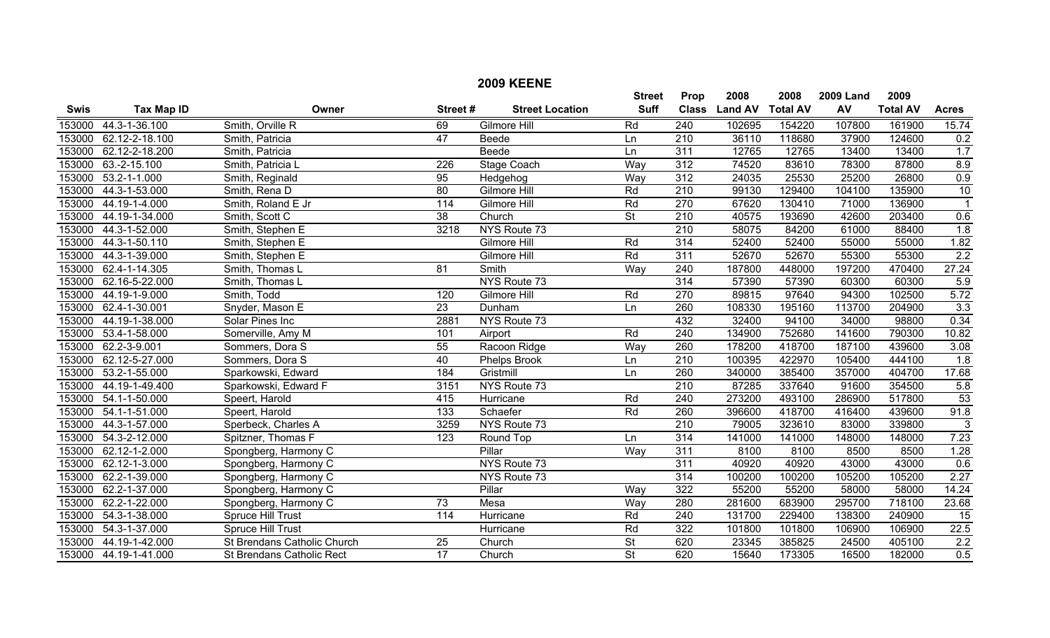| <b>2009 KEENE</b> |                    |                                  |                  |                        |                          |                  |                |                 |                  |                 |                         |
|-------------------|--------------------|----------------------------------|------------------|------------------------|--------------------------|------------------|----------------|-----------------|------------------|-----------------|-------------------------|
|                   |                    |                                  |                  |                        | <b>Street</b>            | Prop             | 2008           | 2008            | <b>2009 Land</b> | 2009            |                         |
| <b>Swis</b>       | <b>Tax Map ID</b>  | Owner                            | Street#          | <b>Street Location</b> | <b>Suff</b>              | <b>Class</b>     | <b>Land AV</b> | <b>Total AV</b> | AV               | <b>Total AV</b> | <b>Acres</b>            |
| 153000            | 44.3-1-36.100      | Smith, Orville R                 | 69               | <b>Gilmore Hill</b>    | Rd                       | 240              | 102695         | 154220          | 107800           | 161900          | 15.74                   |
| 153000            | 62.12-2-18.100     | Smith, Patricia                  | 47               | Beede                  | Ln                       | 210              | 36110          | 118680          | 37900            | 124600          | 0.2                     |
| 153000            | 62.12-2-18.200     | Smith, Patricia                  |                  | Beede                  | Ln                       | 311              | 12765          | 12765           | 13400            | 13400           | 1.7                     |
| 153000            | 63.-2-15.100       | Smith, Patricia L                | 226              | <b>Stage Coach</b>     | Way                      | $\overline{312}$ | 74520          | 83610           | 78300            | 87800           | 8.9                     |
| 153000            | $53.2 - 1 - 1.000$ | Smith, Reginald                  | 95               | Hedgehog               | Way                      | 312              | 24035          | 25530           | 25200            | 26800           | 0.9                     |
| 153000            | 44.3-1-53.000      | Smith, Rena D                    | 80               | <b>Gilmore Hill</b>    | Rd                       | 210              | 99130          | 129400          | 104100           | 135900          | $\overline{10}$         |
| 153000            | 44.19-1-4.000      | Smith, Roland E Jr               | 114              | Gilmore Hill           | Rd                       | 270              | 67620          | 130410          | 71000            | 136900          | $\overline{\mathbf{1}}$ |
| 153000            | 44.19-1-34.000     | Smith, Scott C                   | 38               | Church                 | $\overline{\mathsf{St}}$ | $\overline{210}$ | 40575          | 193690          | 42600            | 203400          | 0.6                     |
| 153000            | 44.3-1-52.000      | Smith, Stephen E                 | 3218             | NYS Route 73           |                          | $\overline{210}$ | 58075          | 84200           | 61000            | 88400           | $\overline{1.8}$        |
| 153000            | 44.3-1-50.110      | Smith, Stephen E                 |                  | Gilmore Hill           | Rd                       | 314              | 52400          | 52400           | 55000            | 55000           | 1.82                    |
| 153000            | 44.3-1-39.000      | Smith, Stephen E                 |                  | Gilmore Hill           | Rd                       | $\overline{311}$ | 52670          | 52670           | 55300            | 55300           | $\overline{2.2}$        |
| 153000            | 62.4-1-14.305      | Smith, Thomas L                  | $\overline{81}$  | Smith                  | Way                      | $\overline{240}$ | 187800         | 448000          | 197200           | 470400          | 27.24                   |
| 153000            | 62.16-5-22.000     | Smith, Thomas L                  |                  | NYS Route 73           |                          | 314              | 57390          | 57390           | 60300            | 60300           | 5.9                     |
| 153000            | 44.19-1-9.000      | Smith, Todd                      | 120              | Gilmore Hill           | Rd                       | 270              | 89815          | 97640           | 94300            | 102500          | 5.72                    |
| 153000            | 62.4-1-30.001      | Snyder, Mason E                  | 23               | Dunham                 | Ln                       | 260              | 108330         | 195160          | 113700           | 204900          | 3.3                     |
| 153000            | 44.19-1-38.000     | Solar Pines Inc                  | 2881             | NYS Route 73           |                          | 432              | 32400          | 94100           | 34000            | 98800           | 0.34                    |
| 153000            | 53.4-1-58.000      | Somerville, Amy M                | 101              | Airport                | Rd                       | 240              | 134900         | 752680          | 141600           | 790300          | 10.82                   |
| 153000            | 62.2-3-9.001       | Sommers, Dora S                  | 55               | Racoon Ridge           | Way                      | 260              | 178200         | 418700          | 187100           | 439600          | 3.08                    |
| 153000            | 62.12-5-27.000     | Sommers, Dora S                  | 40               | <b>Phelps Brook</b>    | Ln                       | $\overline{210}$ | 100395         | 422970          | 105400           | 444100          | 1.8                     |
| 153000            | 53.2-1-55.000      | Sparkowski, Edward               | 184              | Gristmill              | Ln                       | 260              | 340000         | 385400          | 357000           | 404700          | 17.68                   |
| 153000            | 44.19-1-49.400     | Sparkowski, Edward F             | 3151             | NYS Route 73           |                          | $\overline{210}$ | 87285          | 337640          | 91600            | 354500          | 5.8                     |
| 153000            | 54.1-1-50.000      | Speert, Harold                   | 415              | Hurricane              | Rd                       | 240              | 273200         | 493100          | 286900           | 517800          | 53                      |
| 153000            | 54.1-1-51.000      | Speert, Harold                   | $\overline{133}$ | Schaefer               | Rd                       | 260              | 396600         | 418700          | 416400           | 439600          | 91.8                    |
| 153000            | 44.3-1-57.000      | Sperbeck, Charles A              | 3259             | NYS Route 73           |                          | 210              | 79005          | 323610          | 83000            | 339800          | 3                       |
| 153000            | 54.3-2-12.000      | Spitzner, Thomas F               | $\overline{123}$ | Round Top              | Ln                       | $\overline{314}$ | 141000         | 141000          | 148000           | 148000          | 7.23                    |
| 153000            | 62.12-1-2.000      | Spongberg, Harmony C             |                  | Pillar                 | Way                      | 311              | 8100           | 8100            | 8500             | 8500            | 1.28                    |
| 153000            | 62.12-1-3.000      | Spongberg, Harmony C             |                  | NYS Route 73           |                          | 311              | 40920          | 40920           | 43000            | 43000           | 0.6                     |
| 153000            | 62.2-1-39.000      | Spongberg, Harmony C             |                  | NYS Route 73           |                          | 314              | 100200         | 100200          | 105200           | 105200          | 2.27                    |
| 153000            | 62.2-1-37.000      | Spongberg, Harmony C             |                  | Pillar                 | Way                      | 322              | 55200          | 55200           | 58000            | 58000           | 14.24                   |
| 153000            | 62.2-1-22.000      | Spongberg, Harmony C             | 73               | Mesa                   | Way                      | 280              | 281600         | 683900          | 295700           | 718100          | 23.68                   |
| 153000            | 54.3-1-38.000      | <b>Spruce Hill Trust</b>         | $\overline{114}$ | Hurricane              | Rd                       | $\overline{240}$ | 131700         | 229400          | 138300           | 240900          | 15                      |
| 153000            | 54.3-1-37.000      | Spruce Hill Trust                |                  | Hurricane              | Rd                       | 322              | 101800         | 101800          | 106900           | 106900          | 22.5                    |
| 153000            | 44.19-1-42.000     | St Brendans Catholic Church      | 25               | Church                 | $\overline{\mathsf{St}}$ | 620              | 23345          | 385825          | 24500            | 405100          | 2.2                     |
| 153000            | 44.19-1-41.000     | <b>St Brendans Catholic Rect</b> | $\overline{17}$  | Church                 | $\overline{\mathsf{St}}$ | 620              | 15640          | 173305          | 16500            | 182000          | 0.5                     |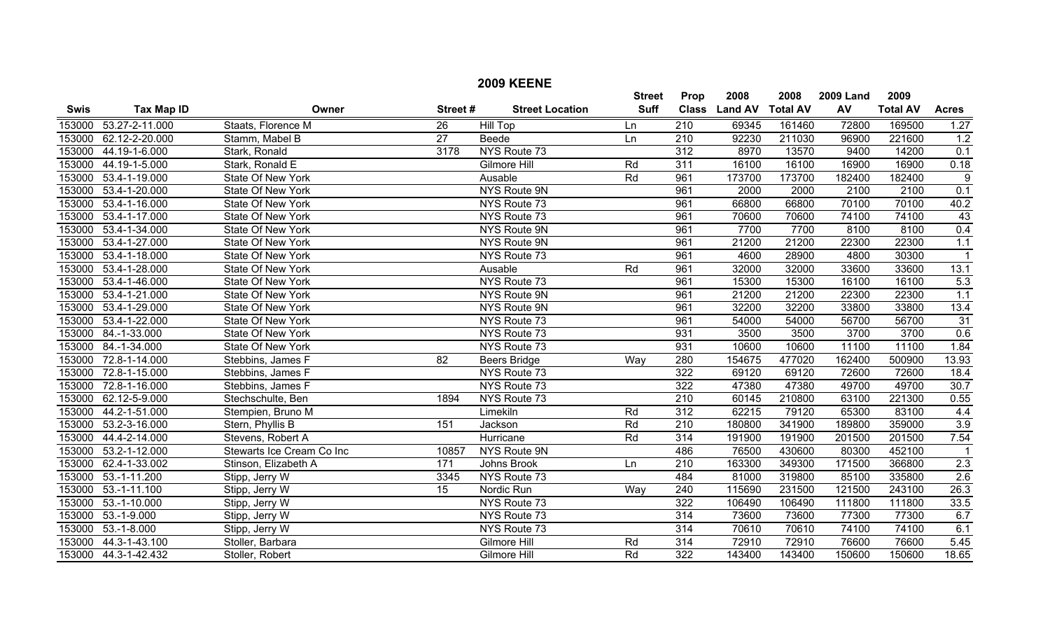|             |                       |                           |                 | <b>2009 KEENE</b>      |               |                  |                |                 |                  |                 |                         |
|-------------|-----------------------|---------------------------|-----------------|------------------------|---------------|------------------|----------------|-----------------|------------------|-----------------|-------------------------|
|             |                       |                           |                 |                        | <b>Street</b> | Prop             | 2008           | 2008            | <b>2009 Land</b> | 2009            |                         |
| <b>Swis</b> | <b>Tax Map ID</b>     | Owner                     | Street#         | <b>Street Location</b> | <b>Suff</b>   | <b>Class</b>     | <b>Land AV</b> | <b>Total AV</b> | AV               | <b>Total AV</b> | <b>Acres</b>            |
|             | 153000 53.27-2-11.000 | Staats, Florence M        | 26              | <b>Hill Top</b>        | Ln            | $\overline{210}$ | 69345          | 161460          | 72800            | 169500          | 1.27                    |
| 153000      | 62.12-2-20.000        | Stamm, Mabel B            | $\overline{27}$ | Beede                  | Ln            | $\overline{210}$ | 92230          | 211030          | 96900            | 221600          | 1.2                     |
| 153000      | 44.19-1-6.000         | Stark, Ronald             | 3178            | NYS Route 73           |               | $\overline{312}$ | 8970           | 13570           | 9400             | 14200           | 0.1                     |
| 153000      | 44.19-1-5.000         | Stark, Ronald E           |                 | Gilmore Hill           | Rd            | 311              | 16100          | 16100           | 16900            | 16900           | 0.18                    |
| 153000      | 53.4-1-19.000         | State Of New York         |                 | Ausable                | Rd            | 961              | 173700         | 173700          | 182400           | 182400          | 9                       |
| 153000      | 53.4-1-20.000         | State Of New York         |                 | <b>NYS Route 9N</b>    |               | 961              | 2000           | 2000            | 2100             | 2100            | 0.1                     |
| 153000      | 53.4-1-16.000         | State Of New York         |                 | NYS Route 73           |               | 961              | 66800          | 66800           | 70100            | 70100           | 40.2                    |
| 153000      | 53.4-1-17.000         | State Of New York         |                 | NYS Route 73           |               | 961              | 70600          | 70600           | 74100            | 74100           | 43                      |
| 153000      | 53.4-1-34.000         | State Of New York         |                 | NYS Route 9N           |               | 961              | 7700           | 7700            | 8100             | 8100            | 0.4                     |
|             | 153000 53.4-1-27.000  | State Of New York         |                 | NYS Route 9N           |               | 961              | 21200          | 21200           | 22300            | 22300           | 1.1                     |
| 153000      | 53.4-1-18.000         | State Of New York         |                 | NYS Route 73           |               | 961              | 4600           | 28900           | 4800             | 30300           | $\overline{\mathbf{1}}$ |
| 153000      | 53.4-1-28.000         | State Of New York         |                 | Ausable                | Rd            | 961              | 32000          | 32000           | 33600            | 33600           | 13.1                    |
|             | 153000 53.4-1-46.000  | State Of New York         |                 | NYS Route 73           |               | 961              | 15300          | 15300           | 16100            | 16100           | 5.3                     |
|             | 153000 53.4-1-21.000  | State Of New York         |                 | NYS Route 9N           |               | 961              | 21200          | 21200           | 22300            | 22300           | 1.1                     |
|             | 153000 53.4-1-29.000  | State Of New York         |                 | NYS Route 9N           |               | 961              | 32200          | 32200           | 33800            | 33800           | 13.4                    |
|             | 153000 53.4-1-22.000  | State Of New York         |                 | NYS Route 73           |               | 961              | 54000          | 54000           | 56700            | 56700           | 31                      |
| 153000      | 84.-1-33.000          | State Of New York         |                 | NYS Route 73           |               | 931              | 3500           | 3500            | 3700             | 3700            | 0.6                     |
|             | 153000 84.-1-34.000   | State Of New York         |                 | NYS Route 73           |               | 931              | 10600          | 10600           | 11100            | 11100           | 1.84                    |
|             | 153000 72.8-1-14.000  | Stebbins, James F         | 82              | <b>Beers Bridge</b>    | Way           | 280              | 154675         | 477020          | 162400           | 500900          | 13.93                   |
|             | 153000 72.8-1-15.000  | Stebbins, James F         |                 | NYS Route 73           |               | 322              | 69120          | 69120           | 72600            | 72600           | 18.4                    |
| 153000      | 72.8-1-16.000         | Stebbins, James F         |                 | NYS Route 73           |               | $\overline{322}$ | 47380          | 47380           | 49700            | 49700           | 30.7                    |
|             | 153000 62.12-5-9.000  | Stechschulte, Ben         | 1894            | NYS Route 73           |               | 210              | 60145          | 210800          | 63100            | 221300          | 0.55                    |
| 153000      | 44.2-1-51.000         | Stempien, Bruno M         |                 | Limekiln               | Rd            | $\overline{312}$ | 62215          | 79120           | 65300            | 83100           | 4.4                     |
|             | 153000 53.2-3-16.000  | Stern, Phyllis B          | 151             | Jackson                | Rd            | 210              | 180800         | 341900          | 189800           | 359000          | 3.9                     |
| 153000      | 44.4-2-14.000         | Stevens, Robert A         |                 | Hurricane              | Rd            | 314              | 191900         | 191900          | 201500           | 201500          | 7.54                    |
| 153000      | 53.2-1-12.000         | Stewarts Ice Cream Co Inc | 10857           | <b>NYS Route 9N</b>    |               | 486              | 76500          | 430600          | 80300            | 452100          | $\overline{1}$          |
|             | 153000 62.4-1-33.002  | Stinson, Elizabeth A      | 171             | Johns Brook            | Ln            | 210              | 163300         | 349300          | 171500           | 366800          | 2.3                     |
|             | 153000 53.-1-11.200   | Stipp, Jerry W            | 3345            | NYS Route 73           |               | 484              | 81000          | 319800          | 85100            | 335800          | 2.6                     |
| 153000      | $53.-1-11.100$        | Stipp, Jerry W            | $\overline{15}$ | Nordic Run             | Way           | $\overline{240}$ | 115690         | 231500          | 121500           | 243100          | 26.3                    |
| 153000      | 53.-1-10.000          | Stipp, Jerry W            |                 | NYS Route 73           |               | 322              | 106490         | 106490          | 111800           | 111800          | 33.5                    |
| 153000      | 53.-1-9.000           | Stipp, Jerry W            |                 | NYS Route 73           |               | 314              | 73600          | 73600           | 77300            | 77300           | 6.7                     |
| 153000      | $53.-1-8.000$         | Stipp, Jerry W            |                 | NYS Route 73           |               | $\overline{314}$ | 70610          | 70610           | 74100            | 74100           | 6.1                     |
| 153000      | 44.3-1-43.100         | Stoller, Barbara          |                 | Gilmore Hill           | Rd            | 314              | 72910          | 72910           | 76600            | 76600           | 5.45                    |
|             | 153000 44.3-1-42.432  | Stoller, Robert           |                 | Gilmore Hill           | Rd            | $\overline{322}$ | 143400         | 143400          | 150600           | 150600          | 18.65                   |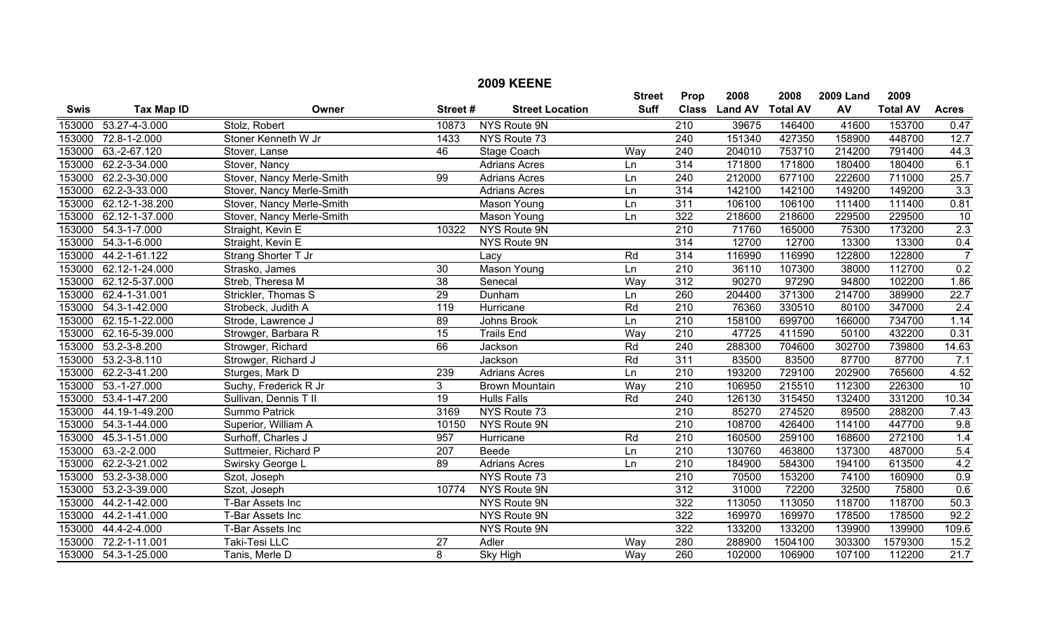|             |                      |                           |                  | <b>2009 KEENE</b>      |               |                  |                |                 |                  |                 |                  |
|-------------|----------------------|---------------------------|------------------|------------------------|---------------|------------------|----------------|-----------------|------------------|-----------------|------------------|
|             |                      |                           |                  |                        | <b>Street</b> | Prop             | 2008           | 2008            | <b>2009 Land</b> | 2009            |                  |
| <b>Swis</b> | <b>Tax Map ID</b>    | Owner                     | Street#          | <b>Street Location</b> | <b>Suff</b>   | <b>Class</b>     | <b>Land AV</b> | <b>Total AV</b> | AV               | <b>Total AV</b> | <b>Acres</b>     |
| 153000      | 53.27-4-3.000        | Stolz, Robert             | 10873            | NYS Route 9N           |               | $\overline{210}$ | 39675          | 146400          | 41600            | 153700          | 0.47             |
| 153000      | 72.8-1-2.000         | Stoner Kenneth W Jr       | 1433             | NYS Route 73           |               | 240              | 151340         | 427350          | 158900           | 448700          | 12.7             |
| 153000      | 63.-2-67.120         | Stover, Lanse             | 46               | Stage Coach            | Way           | 240              | 204010         | 753710          | 214200           | 791400          | 44.3             |
| 153000      | 62.2-3-34.000        | Stover, Nancy             |                  | <b>Adrians Acres</b>   | Ln            | 314              | 171800         | 171800          | 180400           | 180400          | 6.1              |
| 153000      | 62.2-3-30.000        | Stover, Nancy Merle-Smith | 99               | <b>Adrians Acres</b>   | Ln            | 240              | 212000         | 677100          | 222600           | 711000          | 25.7             |
| 153000      | 62.2-3-33.000        | Stover, Nancy Merle-Smith |                  | <b>Adrians Acres</b>   | Ln            | 314              | 142100         | 142100          | 149200           | 149200          | $\overline{3.3}$ |
| 153000      | 62.12-1-38.200       | Stover, Nancy Merle-Smith |                  | Mason Young            | Ln            | 311              | 106100         | 106100          | 111400           | 111400          | 0.81             |
| 153000      | 62.12-1-37.000       | Stover, Nancy Merle-Smith |                  | <b>Mason Young</b>     | Ln            | $\overline{322}$ | 218600         | 218600          | 229500           | 229500          | 10               |
| 153000      | 54.3-1-7.000         | Straight, Kevin E         | 10322            | NYS Route 9N           |               | $\overline{210}$ | 71760          | 165000          | 75300            | 173200          | 2.3              |
| 153000      | 54.3-1-6.000         | Straight, Kevin E         |                  | NYS Route 9N           |               | 314              | 12700          | 12700           | 13300            | 13300           | 0.4              |
| 153000      | 44.2-1-61.122        | Strang Shorter T Jr       |                  | Lacy                   | Rd            | 314              | 116990         | 116990          | 122800           | 122800          | $\overline{7}$   |
| 153000      | 62.12-1-24.000       | Strasko, James            | $\overline{30}$  | <b>Mason Young</b>     | Ln            | $\overline{210}$ | 36110          | 107300          | 38000            | 112700          | 0.2              |
| 153000      | 62.12-5-37.000       | Streb, Theresa M          | $\overline{38}$  | Senecal                | Way           | $\overline{312}$ | 90270          | 97290           | 94800            | 102200          | 1.86             |
| 153000      | 62.4-1-31.001        | Strickler, Thomas S       | $\overline{29}$  | Dunham                 | Ln            | 260              | 204400         | 371300          | 214700           | 389900          | 22.7             |
| 153000      | 54.3-1-42.000        | Strobeck, Judith A        | $\overline{119}$ | Hurricane              | Rd            | $\overline{210}$ | 76360          | 330510          | 80100            | 347000          | 2.4              |
| 153000      | 62.15-1-22.000       | Strode, Lawrence J        | 89               | Johns Brook            | Ln            | $\overline{210}$ | 158100         | 699700          | 166000           | 734700          | 1.14             |
| 153000      | 62.16-5-39.000       | Strowger, Barbara R       | 15               | <b>Trails End</b>      | Wav           | 210              | 47725          | 411590          | 50100            | 432200          | 0.31             |
| 153000      | 53.2-3-8.200         | Strowger, Richard         | 66               | Jackson                | Rd            | 240              | 288300         | 704600          | 302700           | 739800          | 14.63            |
| 153000      | $53.2 - 3 - 8.110$   | Strowger, Richard J       |                  | Jackson                | Rd            | 311              | 83500          | 83500           | 87700            | 87700           | 7.1              |
| 153000      | 62.2-3-41.200        | Sturges, Mark D           | 239              | <b>Adrians Acres</b>   | Ln            | $\overline{210}$ | 193200         | 729100          | 202900           | 765600          | 4.52             |
| 153000      | $53.-1-27.000$       | Suchy, Frederick R Jr     | $\overline{3}$   | <b>Brown Mountain</b>  | Way           | $\overline{210}$ | 106950         | 215510          | 112300           | 226300          | 10               |
| 153000      | 53.4-1-47.200        | Sullivan, Dennis T II     | 19               | <b>Hulls Falls</b>     | Rd            | 240              | 126130         | 315450          | 132400           | 331200          | 10.34            |
| 153000      | 44.19-1-49.200       | Summo Patrick             | 3169             | NYS Route 73           |               | 210              | 85270          | 274520          | 89500            | 288200          | 7.43             |
| 153000      | 54.3-1-44.000        | Superior, William A       | 10150            | NYS Route 9N           |               | $\overline{210}$ | 108700         | 426400          | 114100           | 447700          | 9.8              |
| 153000      | 45.3-1-51.000        | Surhoff, Charles J        | 957              | Hurricane              | Rd            | $\overline{210}$ | 160500         | 259100          | 168600           | 272100          | 1.4              |
| 153000      | 63.-2-2.000          | Suttmeier, Richard P      | 207              | Beede                  | Ln            | 210              | 130760         | 463800          | 137300           | 487000          | 5.4              |
| 153000      | 62.2-3-21.002        | Swirsky George L          | 89               | <b>Adrians Acres</b>   | Ln            | 210              | 184900         | 584300          | 194100           | 613500          | 4.2              |
| 153000      | 53.2-3-38.000        | Szot, Joseph              |                  | NYS Route 73           |               | 210              | 70500          | 153200          | 74100            | 160900          | 0.9              |
| 153000      | 53.2-3-39.000        | Szot, Joseph              | 10774            | NYS Route 9N           |               | $\overline{312}$ | 31000          | 72200           | 32500            | 75800           | 0.6              |
| 153000      | 44.2-1-42.000        | T-Bar Assets Inc          |                  | NYS Route 9N           |               | 322              | 113050         | 113050          | 118700           | 118700          | 50.3             |
| 153000      | 44.2-1-41.000        | T-Bar Assets Inc          |                  | NYS Route 9N           |               | 322              | 169970         | 169970          | 178500           | 178500          | 92.2             |
| 153000      | 44.4-2-4.000         | T-Bar Assets Inc          |                  | NYS Route 9N           |               | 322              | 133200         | 133200          | 139900           | 139900          | 109.6            |
| 153000      | 72.2-1-11.001        | Taki-Tesi LLC             | 27               | Adler                  | Way           | 280              | 288900         | 1504100         | 303300           | 1579300         | 15.2             |
|             | 153000 54.3-1-25.000 | Tanis, Merle D            | 8                | Sky High               | Way           | 260              | 102000         | 106900          | 107100           | 112200          | 21.7             |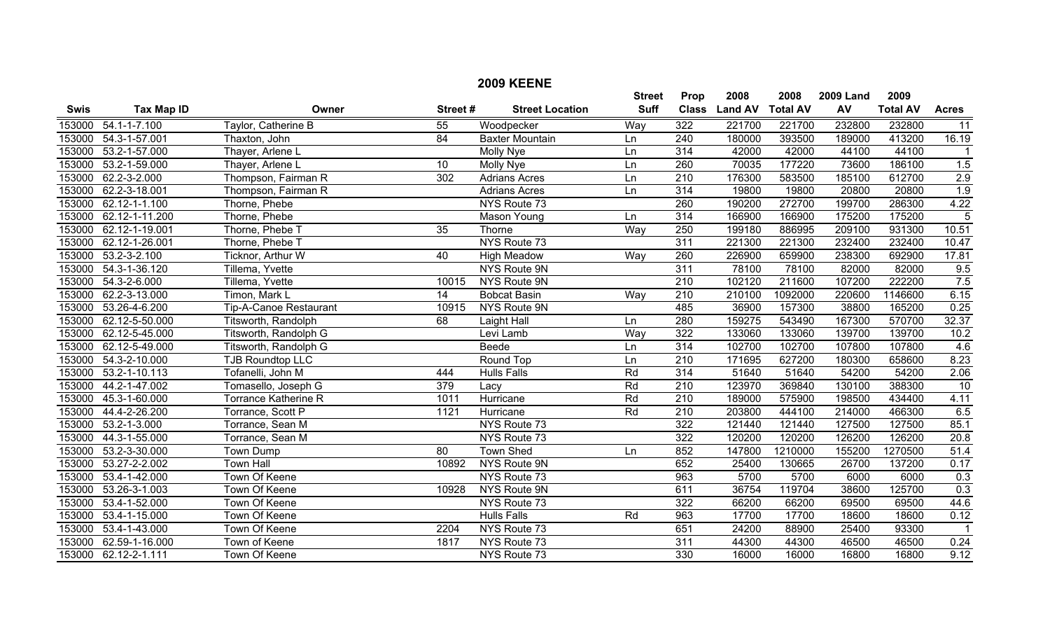|             |                      |                               |                 | <b>2009 KEENE</b>      |               |                  |                |                 |                  |                 |                |
|-------------|----------------------|-------------------------------|-----------------|------------------------|---------------|------------------|----------------|-----------------|------------------|-----------------|----------------|
|             |                      |                               |                 |                        | <b>Street</b> | Prop             | 2008           | 2008            | <b>2009 Land</b> | 2009            |                |
| <b>Swis</b> | <b>Tax Map ID</b>    | Owner                         | Street#         | <b>Street Location</b> | <b>Suff</b>   | <b>Class</b>     | <b>Land AV</b> | <b>Total AV</b> | AV               | <b>Total AV</b> | <b>Acres</b>   |
| 153000      | $54.1 - 1 - 7.100$   | Taylor, Catherine B           | 55              | Woodpecker             | Way           | 322              | 221700         | 221700          | 232800           | 232800          | 11             |
| 153000      | 54.3-1-57.001        | Thaxton, John                 | $\overline{84}$ | <b>Baxter Mountain</b> | Ln            | $\overline{240}$ | 180000         | 393500          | 189000           | 413200          | 16.19          |
| 153000      | 53.2-1-57.000        | Thayer, Arlene L              |                 | Molly Nye              | Ln            | 314              | 42000          | 42000           | 44100            | 44100           | -1             |
| 153000      | 53.2-1-59.000        | Thayer, Arlene L              | 10              | <b>Molly Nye</b>       | Ln            | 260              | 70035          | 177220          | 73600            | 186100          | 1.5            |
| 153000      | 62.2-3-2.000         | Thompson, Fairman R           | 302             | <b>Adrians Acres</b>   | Ln            | $\overline{210}$ | 176300         | 583500          | 185100           | 612700          | 2.9            |
| 153000      | 62.2-3-18.001        | Thompson, Fairman R           |                 | <b>Adrians Acres</b>   | Ln            | $\overline{314}$ | 19800          | 19800           | 20800            | 20800           | 1.9            |
| 153000      | $62.12 - 1 - 1.100$  | Thorne, Phebe                 |                 | NYS Route 73           |               | 260              | 190200         | 272700          | 199700           | 286300          | 4.22           |
| 153000      | 62.12-1-11.200       | Thorne, Phebe                 |                 | Mason Young            | Ln            | 314              | 166900         | 166900          | 175200           | 175200          | $\overline{5}$ |
| 153000      | 62.12-1-19.001       | Thorne, Phebe T               | 35              | Thorne                 | Way           | 250              | 199180         | 886995          | 209100           | 931300          | 10.51          |
| 153000      | 62.12-1-26.001       | Thorne, Phebe T               |                 | NYS Route 73           |               | 311              | 221300         | 221300          | 232400           | 232400          | 10.47          |
| 153000      | $53.2 - 3 - 2.100$   | Ticknor, Arthur W             | 40              | <b>High Meadow</b>     | Way           | 260              | 226900         | 659900          | 238300           | 692900          | 17.81          |
| 153000      | 54.3-1-36.120        | Tillema, Yvette               |                 | NYS Route 9N           |               | 311              | 78100          | 78100           | 82000            | 82000           | 9.5            |
| 153000      | 54.3-2-6.000         | Tillema, Yvette               | 10015           | NYS Route 9N           |               | $\overline{210}$ | 102120         | 211600          | 107200           | 222200          | 7.5            |
| 153000      | 62.2-3-13.000        | Timon, Mark L                 | $\overline{14}$ | <b>Bobcat Basin</b>    | Way           | $\overline{210}$ | 210100         | 1092000         | 220600           | 1146600         | 6.15           |
| 153000      | 53.26-4-6.200        | <b>Tip-A-Canoe Restaurant</b> | 10915           | NYS Route 9N           |               | 485              | 36900          | 157300          | 38800            | 165200          | 0.25           |
| 153000      | 62.12-5-50.000       | Titsworth, Randolph           | 68              | Laight Hall            | Ln            | 280              | 159275         | 543490          | 167300           | 570700          | 32.37          |
| 153000      | 62.12-5-45.000       | Titsworth, Randolph G         |                 | Levi Lamb              | Way           | 322              | 133060         | 133060          | 139700           | 139700          | 10.2           |
| 153000      | 62.12-5-49.000       | Titsworth, Randolph G         |                 | <b>Beede</b>           | Ln            | $\overline{314}$ | 102700         | 102700          | 107800           | 107800          | 4.6            |
| 153000      | 54.3-2-10.000        | <b>TJB Roundtop LLC</b>       |                 | Round Top              | Ln            | 210              | 171695         | 627200          | 180300           | 658600          | 8.23           |
| 153000      | 53.2-1-10.113        | Tofanelli, John M             | 444             | <b>Hulls Falls</b>     | Rd            | 314              | 51640          | 51640           | 54200            | 54200           | 2.06           |
| 153000      | 44.2-1-47.002        | Tomasello, Joseph G           | 379             | Lacy                   | Rd            | $\overline{210}$ | 123970         | 369840          | 130100           | 388300          | 10             |
| 153000      | 45.3-1-60.000        | <b>Torrance Katherine R</b>   | 1011            | Hurricane              | Rd            | $\overline{210}$ | 189000         | 575900          | 198500           | 434400          | 4.11           |
| 153000      | 44.4-2-26.200        | Torrance, Scott P             | 1121            | Hurricane              | Rd            | 210              | 203800         | 444100          | 214000           | 466300          | 6.5            |
| 153000      | 53.2-1-3.000         | Torrance, Sean M              |                 | NYS Route 73           |               | 322              | 121440         | 121440          | 127500           | 127500          | 85.1           |
| 153000      | 44.3-1-55.000        | Torrance, Sean M              |                 | NYS Route 73           |               | $\overline{322}$ | 120200         | 120200          | 126200           | 126200          | 20.8           |
| 153000      | 53.2-3-30.000        | Town Dump                     | 80              | <b>Town Shed</b>       | Ln            | 852              | 147800         | 1210000         | 155200           | 1270500         | 51.4           |
| 153000      | 53.27-2-2.002        | <b>Town Hall</b>              | 10892           | NYS Route 9N           |               | 652              | 25400          | 130665          | 26700            | 137200          | 0.17           |
| 153000      | 53.4-1-42.000        | Town Of Keene                 |                 | NYS Route 73           |               | 963              | 5700           | 5700            | 6000             | 6000            | 0.3            |
| 153000      | 53.26-3-1.003        | Town Of Keene                 | 10928           | NYS Route 9N           |               | 611              | 36754          | 119704          | 38600            | 125700          | 0.3            |
| 153000      | 53.4-1-52.000        | <b>Town Of Keene</b>          |                 | NYS Route 73           |               | 322              | 66200          | 66200           | 69500            | 69500           | 44.6           |
| 153000      | 53.4-1-15.000        | Town Of Keene                 |                 | <b>Hulls Falls</b>     | Rd            | 963              | 17700          | 17700           | 18600            | 18600           | 0.12           |
| 153000      | 53.4-1-43.000        | Town Of Keene                 | 2204            | NYS Route 73           |               | 651              | 24200          | 88900           | 25400            | 93300           | $\overline{1}$ |
| 153000      | 62.59-1-16.000       | Town of Keene                 | 1817            | NYS Route 73           |               | $\overline{311}$ | 44300          | 44300           | 46500            | 46500           | 0.24           |
|             | 153000 62.12-2-1.111 | Town Of Keene                 |                 | NYS Route 73           |               | 330              | 16000          | 16000           | 16800            | 16800           | 9.12           |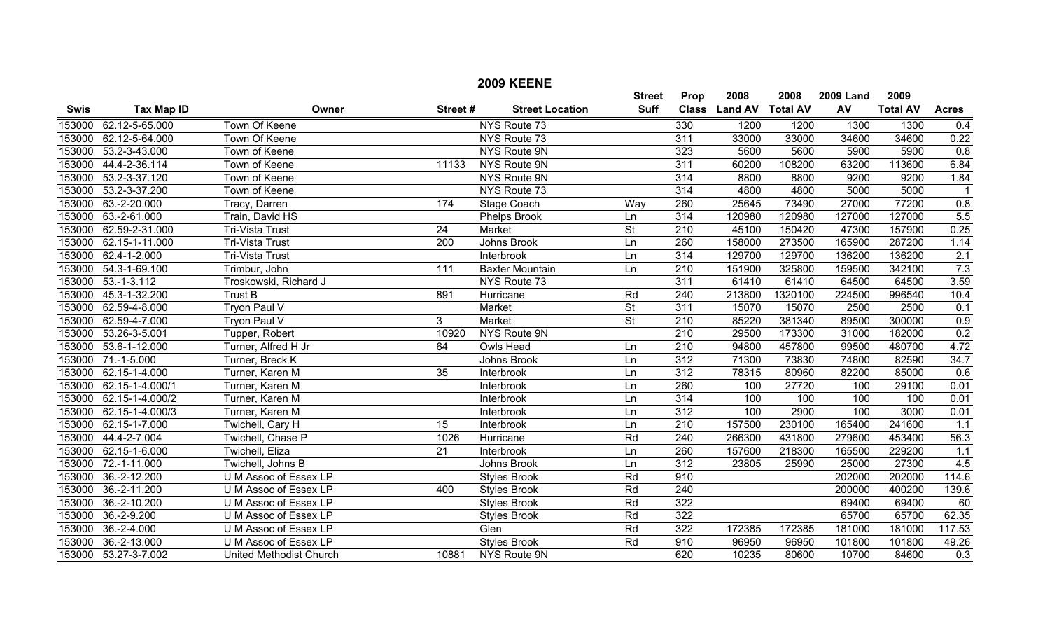|             |                       |                                |                 | <b>2009 KEENE</b>      |                          |                  |                  |         |                  |                 |                  |
|-------------|-----------------------|--------------------------------|-----------------|------------------------|--------------------------|------------------|------------------|---------|------------------|-----------------|------------------|
|             |                       |                                |                 |                        | <b>Street</b>            | Prop             | 2008             | 2008    | <b>2009 Land</b> | 2009            |                  |
| <b>Swis</b> | <b>Tax Map ID</b>     | Owner                          | Street#         | <b>Street Location</b> | <b>Suff</b>              | <b>Class</b>     | Land AV Total AV |         | AV               | <b>Total AV</b> | <b>Acres</b>     |
| 153000      | 62.12-5-65.000        | Town Of Keene                  |                 | NYS Route 73           |                          | 330              | 1200             | 1200    | 1300             | 1300            | 0.4              |
| 153000      | 62.12-5-64.000        | <b>Town Of Keene</b>           |                 | NYS Route 73           |                          | 311              | 33000            | 33000   | 34600            | 34600           | 0.22             |
| 153000      | 53.2-3-43.000         | Town of Keene                  |                 | NYS Route 9N           |                          | 323              | 5600             | 5600    | 5900             | 5900            | $\overline{0.8}$ |
| 153000      | 44.4-2-36.114         | Town of Keene                  | 11133           | NYS Route 9N           |                          | 311              | 60200            | 108200  | 63200            | 113600          | 6.84             |
| 153000      | 53.2-3-37.120         | Town of Keene                  |                 | NYS Route 9N           |                          | 314              | 8800             | 8800    | 9200             | 9200            | 1.84             |
| 153000      | 53.2-3-37.200         | Town of Keene                  |                 | NYS Route 73           |                          | 314              | 4800             | 4800    | 5000             | 5000            | $\mathbf{1}$     |
| 153000      | 63.-2-20.000          | Tracy, Darren                  | 174             | Stage Coach            | Way                      | 260              | 25645            | 73490   | 27000            | 77200           | 0.8              |
| 153000      | 63.-2-61.000          | Train, David HS                |                 | Phelps Brook           | Ln                       | 314              | 120980           | 120980  | 127000           | 127000          | 5.5              |
| 153000      | 62.59-2-31.000        | Tri-Vista Trust                | $\overline{24}$ | Market                 | $\overline{\mathsf{St}}$ | $\overline{210}$ | 45100            | 150420  | 47300            | 157900          | 0.25             |
|             | 153000 62.15-1-11.000 | Tri-Vista Trust                | 200             | Johns Brook            | Ln                       | 260              | 158000           | 273500  | 165900           | 287200          | 1.14             |
|             | 153000 62.4-1-2.000   | Tri-Vista Trust                |                 | Interbrook             | Ln                       | 314              | 129700           | 129700  | 136200           | 136200          | 2.1              |
|             | 153000 54.3-1-69.100  | Trimbur, John                  | 111             | <b>Baxter Mountain</b> | Ln                       | 210              | 151900           | 325800  | 159500           | 342100          | 7.3              |
| 153000      | $53.-1-3.112$         | Troskowski, Richard J          |                 | NYS Route 73           |                          | $\overline{311}$ | 61410            | 61410   | 64500            | 64500           | 3.59             |
| 153000      | 45.3-1-32.200         | <b>Trust B</b>                 | 891             | Hurricane              | Rd                       | 240              | 213800           | 1320100 | 224500           | 996540          | 10.4             |
|             | 153000 62.59-4-8.000  | Tryon Paul V                   |                 | Market                 | $\overline{\mathsf{St}}$ | 311              | 15070            | 15070   | 2500             | 2500            | 0.1              |
|             | 153000 62.59-4-7.000  | <b>Tryon Paul V</b>            | 3 <sup>1</sup>  | Market                 | $\overline{\mathsf{St}}$ | 210              | 85220            | 381340  | 89500            | 300000          | 0.9              |
|             | 153000 53.26-3-5.001  | Tupper, Robert                 | 10920           | NYS Route 9N           |                          | 210              | 29500            | 173300  | 31000            | 182000          | 0.2              |
| 153000      | 53.6-1-12.000         | Turner, Alfred H Jr            | 64              | <b>Owls Head</b>       | Ln                       | $\overline{210}$ | 94800            | 457800  | 99500            | 480700          | 4.72             |
| 153000      | $71.-1-5.000$         | Turner, Breck K                |                 | Johns Brook            | Ln                       | 312              | 71300            | 73830   | 74800            | 82590           | 34.7             |
|             | 153000 62.15-1-4.000  | Turner, Karen M                | 35              | Interbrook             | Ln                       | $\overline{312}$ | 78315            | 80960   | 82200            | 85000           | 0.6              |
| 153000      | 62.15-1-4.000/1       | Turner, Karen M                |                 | Interbrook             | Ln                       | 260              | 100              | 27720   | 100              | 29100           | 0.01             |
| 153000      | 62.15-1-4.000/2       | Turner, Karen M                |                 | Interbrook             | Ln                       | 314              | 100              | 100     | 100              | 100             | 0.01             |
| 153000      | 62.15-1-4.000/3       | Turner, Karen M                |                 | Interbrook             | Ln                       | $\overline{312}$ | 100              | 2900    | 100              | 3000            | 0.01             |
| 153000      | 62.15-1-7.000         | Twichell, Cary H               | 15              | Interbrook             | Ln                       | $\overline{210}$ | 157500           | 230100  | 165400           | 241600          | 1.1              |
| 153000      | 44.4-2-7.004          | Twichell, Chase P              | 1026            | Hurricane              | Rd                       | 240              | 266300           | 431800  | 279600           | 453400          | 56.3             |
| 153000      | 62.15-1-6.000         | Twichell, Eliza                | 21              | Interbrook             | Ln                       | 260              | 157600           | 218300  | 165500           | 229200          | 1.1              |
| 153000      | 72.-1-11.000          | Twichell, Johns B              |                 | Johns Brook            | Ln                       | $\overline{312}$ | 23805            | 25990   | 25000            | 27300           | 4.5              |
| 153000      | 36.-2-12.200          | U M Assoc of Essex LP          |                 | <b>Styles Brook</b>    | Rd                       | 910              |                  |         | 202000           | 202000          | 114.6            |
| 153000      | 36.-2-11.200          | U M Assoc of Essex LP          | 400             | Styles Brook           | Rd                       | 240              |                  |         | 200000           | 400200          | 139.6            |
| 153000      | 36.-2-10.200          | U M Assoc of Essex LP          |                 | <b>Styles Brook</b>    | Rd                       | 322              |                  |         | 69400            | 69400           | 60               |
| 153000      | $36.-2-9.200$         | U M Assoc of Essex LP          |                 | <b>Styles Brook</b>    | Rd                       | 322              |                  |         | 65700            | 65700           | 62.35            |
| 153000      | $36.-2-4.000$         | U M Assoc of Essex LP          |                 | Glen                   | Rd                       | 322              | 172385           | 172385  | 181000           | 181000          | 117.53           |
| 153000      | 36.-2-13.000          | U M Assoc of Essex LP          |                 | <b>Styles Brook</b>    | Rd                       | 910              | 96950            | 96950   | 101800           | 101800          | 49.26            |
|             | 153000 53.27-3-7.002  | <b>United Methodist Church</b> | 10881           | NYS Route 9N           |                          | 620              | 10235            | 80600   | 10700            | 84600           | 0.3              |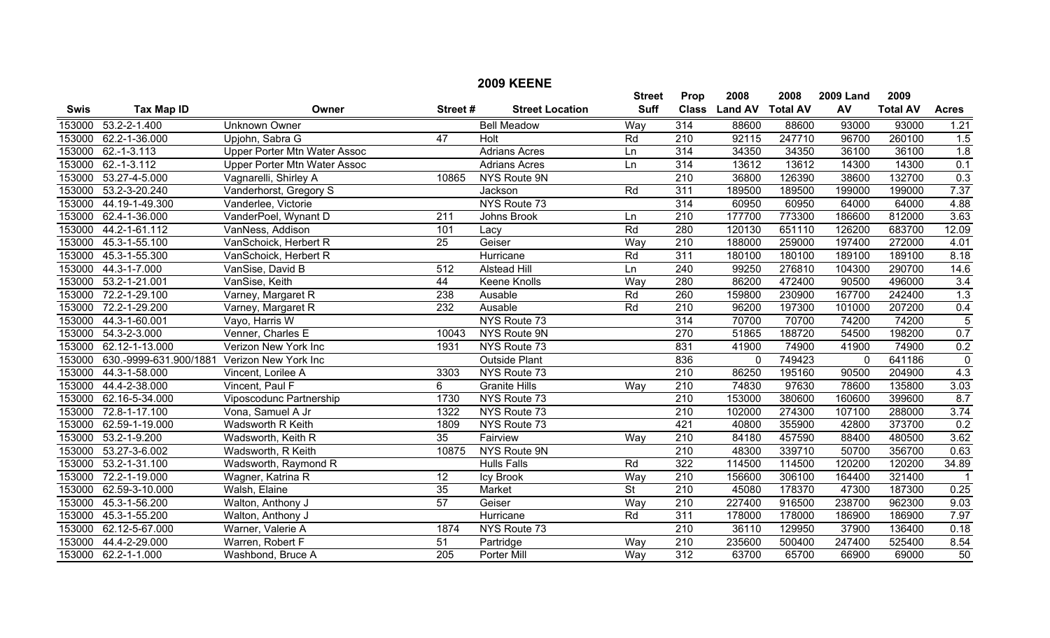|             |                        |                              |                  | <b>2009 KEENE</b>      |                          |                  |                |                 |                  |                 |                  |
|-------------|------------------------|------------------------------|------------------|------------------------|--------------------------|------------------|----------------|-----------------|------------------|-----------------|------------------|
|             |                        |                              |                  |                        | <b>Street</b>            | Prop             | 2008           | 2008            | <b>2009 Land</b> | 2009            |                  |
| <b>Swis</b> | <b>Tax Map ID</b>      | Owner                        | Street#          | <b>Street Location</b> | <b>Suff</b>              | <b>Class</b>     | <b>Land AV</b> | <b>Total AV</b> | AV               | <b>Total AV</b> | <b>Acres</b>     |
| 153000      | $53.2 - 2 - 1.400$     | <b>Unknown Owner</b>         |                  | <b>Bell Meadow</b>     | Way                      | 314              | 88600          | 88600           | 93000            | 93000           | 1.21             |
| 153000      | 62.2-1-36.000          | Upjohn, Sabra G              | $\overline{47}$  | Holt                   | Rd                       | 210              | 92115          | 247710          | 96700            | 260100          | 1.5              |
| 153000      | $62.-1-3.113$          | Upper Porter Mtn Water Assoc |                  | <b>Adrians Acres</b>   | Ln                       | 314              | 34350          | 34350           | 36100            | 36100           | 1.8              |
| 153000      | $62 - 1 - 3.112$       | Upper Porter Mtn Water Assoc |                  | <b>Adrians Acres</b>   | Ln                       | 314              | 13612          | 13612           | 14300            | 14300           | 0.1              |
| 153000      | 53.27-4-5.000          | Vagnarelli, Shirley A        | 10865            | NYS Route 9N           |                          | $\overline{210}$ | 36800          | 126390          | 38600            | 132700          | 0.3              |
| 153000      | 53.2-3-20.240          | Vanderhorst, Gregory S       |                  | Jackson                | Rd                       | 311              | 189500         | 189500          | 199000           | 199000          | 7.37             |
| 153000      | 44.19-1-49.300         | Vanderlee, Victorie          |                  | NYS Route 73           |                          | 314              | 60950          | 60950           | 64000            | 64000           | 4.88             |
| 153000      | 62.4-1-36.000          | VanderPoel, Wynant D         | 211              | Johns Brook            | Ln                       | $\overline{210}$ | 177700         | 773300          | 186600           | 812000          | 3.63             |
| 153000      | 44.2-1-61.112          | VanNess, Addison             | 101              | Lacy                   | Rd                       | 280              | 120130         | 651110          | 126200           | 683700          | 12.09            |
| 153000      | 45.3-1-55.100          | VanSchoick, Herbert R        | 25               | Geiser                 | Way                      | 210              | 188000         | 259000          | 197400           | 272000          | 4.01             |
| 153000      | 45.3-1-55.300          | VanSchoick, Herbert R        |                  | Hurricane              | Rd                       | $\overline{311}$ | 180100         | 180100          | 189100           | 189100          | 8.18             |
| 153000      | 44.3-1-7.000           | VanSise, David B             | $\overline{512}$ | <b>Alstead Hill</b>    | Ln                       | $\overline{240}$ | 99250          | 276810          | 104300           | 290700          | 14.6             |
| 153000      | 53.2-1-21.001          | VanSise, Keith               | 44               | <b>Keene Knolls</b>    | Way                      | 280              | 86200          | 472400          | 90500            | 496000          | $\overline{3.4}$ |
| 153000      | 72.2-1-29.100          | Varney, Margaret R           | 238              | Ausable                | Rd                       | 260              | 159800         | 230900          | 167700           | 242400          | 1.3              |
| 153000      | 72.2-1-29.200          | Varney, Margaret R           | 232              | Ausable                | Rd                       | $\overline{210}$ | 96200          | 197300          | 101000           | 207200          | 0.4              |
| 153000      | 44.3-1-60.001          | Vayo, Harris W               |                  | NYS Route 73           |                          | 314              | 70700          | 70700           | 74200            | 74200           | $\overline{5}$   |
| 153000      | 54.3-2-3.000           | Venner, Charles E            | 10043            | <b>NYS Route 9N</b>    |                          | 270              | 51865          | 188720          | 54500            | 198200          | 0.7              |
| 153000      | 62.12-1-13.000         | Verizon New York Inc         | 1931             | NYS Route 73           |                          | 831              | 41900          | 74900           | 41900            | 74900           | 0.2              |
| 153000      | 630.-9999-631.900/1881 | Verizon New York Inc         |                  | <b>Outside Plant</b>   |                          | 836              | $\mathbf 0$    | 749423          | 0                | 641186          | $\overline{0}$   |
| 153000      | 44.3-1-58.000          | Vincent, Lorilee A           | 3303             | NYS Route 73           |                          | $\overline{210}$ | 86250          | 195160          | 90500            | 204900          | 4.3              |
| 153000      | 44.4-2-38.000          | Vincent, Paul F              | 6                | <b>Granite Hills</b>   | Way                      | $\overline{210}$ | 74830          | 97630           | 78600            | 135800          | 3.03             |
| 153000      | 62.16-5-34.000         | Viposcodunc Partnership      | 1730             | NYS Route 73           |                          | $\overline{210}$ | 153000         | 380600          | 160600           | 399600          | 8.7              |
| 153000      | 72.8-1-17.100          | Vona, Samuel A Jr            | 1322             | NYS Route 73           |                          | $\overline{210}$ | 102000         | 274300          | 107100           | 288000          | 3.74             |
| 153000      | 62.59-1-19.000         | Wadsworth R Keith            | 1809             | NYS Route 73           |                          | 421              | 40800          | 355900          | 42800            | 373700          | 0.2              |
| 153000      | 53.2-1-9.200           | Wadsworth, Keith R           | $\overline{35}$  | Fairview               | Way                      | 210              | 84180          | 457590          | 88400            | 480500          | 3.62             |
| 153000      | 53.27-3-6.002          | Wadsworth, R Keith           | 10875            | NYS Route 9N           |                          | $\overline{210}$ | 48300          | 339710          | 50700            | 356700          | 0.63             |
| 153000      | 53.2-1-31.100          | Wadsworth, Raymond R         |                  | <b>Hulls Falls</b>     | Rd                       | 322              | 114500         | 114500          | 120200           | 120200          | 34.89            |
| 153000      | 72.2-1-19.000          | Wagner, Katrina R            | 12               | Icy Brook              | Way                      | 210              | 156600         | 306100          | 164400           | 321400          | -1               |
| 153000      | 62.59-3-10.000         | Walsh, Elaine                | 35               | Market                 | $\overline{\mathsf{St}}$ | $\overline{210}$ | 45080          | 178370          | 47300            | 187300          | 0.25             |
| 153000      | 45.3-1-56.200          | Walton, Anthony J            | 57               | Geiser                 | Way                      | 210              | 227400         | 916500          | 238700           | 962300          | 9.03             |
| 153000      | 45.3-1-55.200          | Walton, Anthony J            |                  | Hurricane              | Rd                       | 311              | 178000         | 178000          | 186900           | 186900          | 7.97             |
| 153000      | 62.12-5-67.000         | Warner, Valerie A            | 1874             | NYS Route 73           |                          | $\overline{210}$ | 36110          | 129950          | 37900            | 136400          | 0.18             |
| 153000      | 44.4-2-29.000          | Warren, Robert F             | 51               | Partridge              | Way                      | $\overline{210}$ | 235600         | 500400          | 247400           | 525400          | 8.54             |
|             | 153000 62.2-1-1.000    | Washbond, Bruce A            | $\overline{205}$ | Porter Mill            | Way                      | 312              | 63700          | 65700           | 66900            | 69000           | 50               |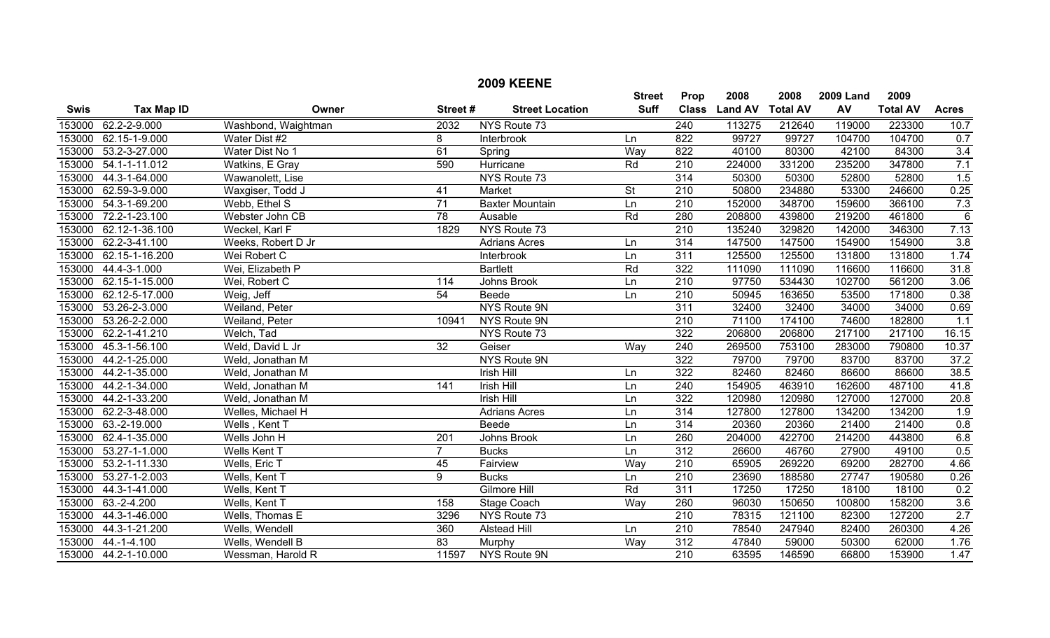|             |                      |                     |                 | <b>2009 KEENE</b>      |                          |                  |                |                 |                  |                 |                |
|-------------|----------------------|---------------------|-----------------|------------------------|--------------------------|------------------|----------------|-----------------|------------------|-----------------|----------------|
|             |                      |                     |                 |                        | <b>Street</b>            | Prop             | 2008           | 2008            | <b>2009 Land</b> | 2009            |                |
| <b>Swis</b> | <b>Tax Map ID</b>    | Owner               | Street#         | <b>Street Location</b> | <b>Suff</b>              | <b>Class</b>     | <b>Land AV</b> | <b>Total AV</b> | AV               | <b>Total AV</b> | <b>Acres</b>   |
| 153000      | 62.2-2-9.000         | Washbond, Waightman | 2032            | NYS Route 73           |                          | 240              | 113275         | 212640          | 119000           | 223300          | 10.7           |
| 153000      | 62.15-1-9.000        | Water Dist #2       | 8               | Interbrook             | Ln                       | 822              | 99727          | 99727           | 104700           | 104700          | 0.7            |
| 153000      | 53.2-3-27.000        | Water Dist No 1     | 61              | Spring                 | Way                      | 822              | 40100          | 80300           | 42100            | 84300           | 3.4            |
| 153000      | 54.1-1-11.012        | Watkins, E Gray     | 590             | Hurricane              | Rd                       | 210              | 224000         | 331200          | 235200           | 347800          | 7.1            |
| 153000      | 44.3-1-64.000        | Wawanolett, Lise    |                 | NYS Route 73           |                          | 314              | 50300          | 50300           | 52800            | 52800           | 1.5            |
| 153000      | 62.59-3-9.000        | Waxgiser, Todd J    | 41              | Market                 | $\overline{\mathsf{St}}$ | 210              | 50800          | 234880          | 53300            | 246600          | 0.25           |
| 153000      | 54.3-1-69.200        | Webb, Ethel S       | $\overline{71}$ | <b>Baxter Mountain</b> | Ln                       | $\overline{210}$ | 152000         | 348700          | 159600           | 366100          | 7.3            |
| 153000      | 72.2-1-23.100        | Webster John CB     | 78              | Ausable                | Rd                       | 280              | 208800         | 439800          | 219200           | 461800          | $\overline{6}$ |
| 153000      | 62.12-1-36.100       | Weckel, Karl F      | 1829            | NYS Route 73           |                          | $\overline{210}$ | 135240         | 329820          | 142000           | 346300          | 7.13           |
| 153000      | 62.2-3-41.100        | Weeks, Robert D Jr  |                 | <b>Adrians Acres</b>   | Ln                       | 314              | 147500         | 147500          | 154900           | 154900          | 3.8            |
| 153000      | 62.15-1-16.200       | Wei Robert C        |                 | Interbrook             | Ln                       | 311              | 125500         | 125500          | 131800           | 131800          | 1.74           |
| 153000      | 44.4-3-1.000         | Wei, Elizabeth P    |                 | <b>Bartlett</b>        | Rd                       | $\overline{322}$ | 111090         | 111090          | 116600           | 116600          | 31.8           |
| 153000      | 62.15-1-15.000       | Wei, Robert C       | 114             | Johns Brook            | Ln                       | 210              | 97750          | 534430          | 102700           | 561200          | 3.06           |
| 153000      | 62.12-5-17.000       | Weig, Jeff          | 54              | Beede                  | Ln                       | 210              | 50945          | 163650          | 53500            | 171800          | 0.38           |
| 153000      | 53.26-2-3.000        | Weiland, Peter      |                 | NYS Route 9N           |                          | 311              | 32400          | 32400           | 34000            | 34000           | 0.69           |
| 153000      | 53.26-2-2.000        | Weiland, Peter      | 10941           | NYS Route 9N           |                          | $\overline{210}$ | 71100          | 174100          | 74600            | 182800          | 1.1            |
| 153000      | 62.2-1-41.210        | Welch, Tad          |                 | NYS Route 73           |                          | 322              | 206800         | 206800          | 217100           | 217100          | 16.15          |
| 153000      | 45.3-1-56.100        | Weld, David L Jr    | 32              | Geiser                 | Way                      | 240              | 269500         | 753100          | 283000           | 790800          | 10.37          |
| 153000      | 44.2-1-25.000        | Weld, Jonathan M    |                 | <b>NYS Route 9N</b>    |                          | 322              | 79700          | 79700           | 83700            | 83700           | 37.2           |
| 153000      | 44.2-1-35.000        | Weld, Jonathan M    |                 | <b>Irish Hill</b>      | Ln                       | $\overline{322}$ | 82460          | 82460           | 86600            | 86600           | 38.5           |
| 153000      | 44.2-1-34.000        | Weld, Jonathan M    | 141             | <b>Irish Hill</b>      | Ln                       | $\overline{240}$ | 154905         | 463910          | 162600           | 487100          | 41.8           |
| 153000      | 44.2-1-33.200        | Weld, Jonathan M    |                 | <b>Irish Hill</b>      | Ln                       | 322              | 120980         | 120980          | 127000           | 127000          | 20.8           |
| 153000      | 62.2-3-48.000        | Welles, Michael H   |                 | <b>Adrians Acres</b>   | Ln                       | 314              | 127800         | 127800          | 134200           | 134200          | 1.9            |
| 153000      | 63.-2-19.000         | Wells, Kent T       |                 | Beede                  | Ln                       | $\overline{314}$ | 20360          | 20360           | 21400            | 21400           | 0.8            |
| 153000      | 62.4-1-35.000        | Wells John H        | 201             | Johns Brook            | Ln                       | 260              | 204000         | 422700          | 214200           | 443800          | 6.8            |
| 153000      | 53.27-1-1.000        | Wells Kent T        | $\overline{7}$  | <b>Bucks</b>           | Ln                       | 312              | 26600          | 46760           | 27900            | 49100           | 0.5            |
| 153000      | 53.2-1-11.330        | Wells, Eric T       | 45              | Fairview               | Way                      | 210              | 65905          | 269220          | 69200            | 282700          | 4.66           |
| 153000      | 53.27-1-2.003        | Wells, Kent T       | 9               | <b>Bucks</b>           | Ln                       | 210              | 23690          | 188580          | 27747            | 190580          | 0.26           |
| 153000      | 44.3-1-41.000        | Wells, Kent T       |                 | <b>Gilmore Hill</b>    | Rd                       | $\overline{311}$ | 17250          | 17250           | 18100            | 18100           | 0.2            |
| 153000      | $63.-2-4.200$        | Wells, Kent T       | 158             | Stage Coach            | Wav                      | 260              | 96030          | 150650          | 100800           | 158200          | 3.6            |
| 153000      | 44.3-1-46.000        | Wells, Thomas E     | 3296            | NYS Route 73           |                          | 210              | 78315          | 121100          | 82300            | 127200          | 2.7            |
| 153000      | 44.3-1-21.200        | Wells, Wendell      | 360             | <b>Alstead Hill</b>    | Ln                       | $\overline{210}$ | 78540          | 247940          | 82400            | 260300          | 4.26           |
| 153000      | $44.-1-4.100$        | Wells, Wendell B    | 83              | Murphy                 | Way                      | 312              | 47840          | 59000           | 50300            | 62000           | 1.76           |
|             | 153000 44.2-1-10.000 | Wessman, Harold R   | 11597           | NYS Route 9N           |                          | $\overline{210}$ | 63595          | 146590          | 66800            | 153900          | 1.47           |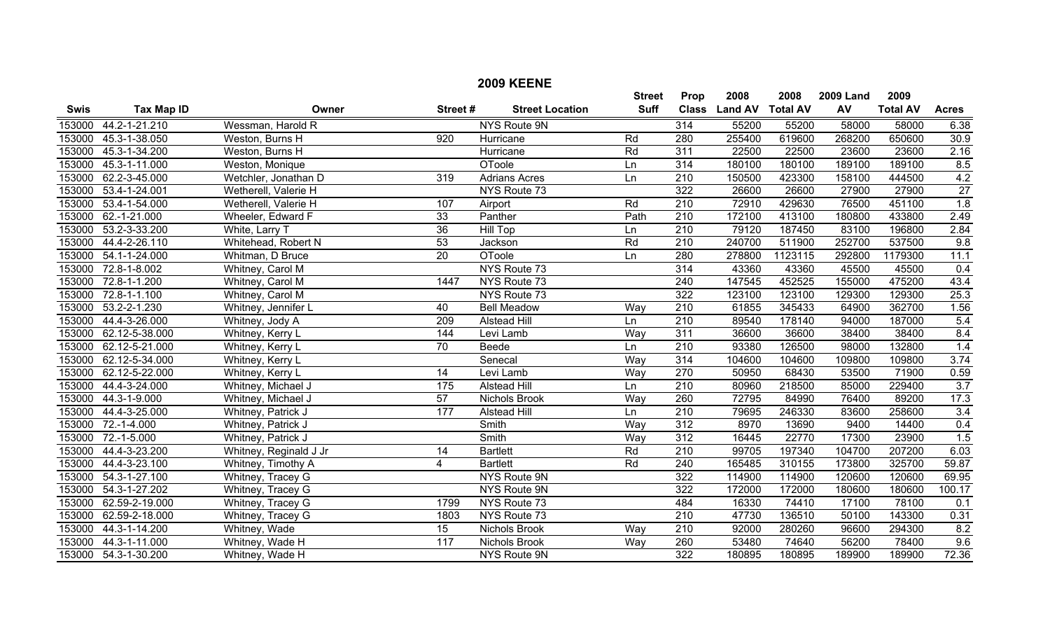| <b>2009 KEENE</b> |                      |                        |                  |                        |               |                  |                |                 |                  |                 |                  |
|-------------------|----------------------|------------------------|------------------|------------------------|---------------|------------------|----------------|-----------------|------------------|-----------------|------------------|
|                   |                      |                        |                  |                        | <b>Street</b> | Prop             | 2008           | 2008            | <b>2009 Land</b> | 2009            |                  |
| <b>Swis</b>       | <b>Tax Map ID</b>    | Owner                  | Street#          | <b>Street Location</b> | <b>Suff</b>   | <b>Class</b>     | <b>Land AV</b> | <b>Total AV</b> | AV               | <b>Total AV</b> | <b>Acres</b>     |
| 153000            | 44.2-1-21.210        | Wessman, Harold R      |                  | NYS Route 9N           |               | 314              | 55200          | 55200           | 58000            | 58000           | 6.38             |
| 153000            | 45.3-1-38.050        | Weston, Burns H        | $\overline{920}$ | Hurricane              | Rd            | 280              | 255400         | 619600          | 268200           | 650600          | 30.9             |
| 153000            | 45.3-1-34.200        | Weston, Burns H        |                  | Hurricane              | Rd            | 311              | 22500          | 22500           | 23600            | 23600           | 2.16             |
| 153000            | 45.3-1-11.000        | Weston, Monique        |                  | <b>OToole</b>          | Ln            | 314              | 180100         | 180100          | 189100           | 189100          | 8.5              |
| 153000            | 62.2-3-45.000        | Wetchler, Jonathan D   | 319              | <b>Adrians Acres</b>   | Ln            | $\overline{210}$ | 150500         | 423300          | 158100           | 444500          | 4.2              |
| 153000            | 53.4-1-24.001        | Wetherell, Valerie H   |                  | NYS Route 73           |               | 322              | 26600          | 26600           | 27900            | 27900           | $\overline{27}$  |
| 153000            | 53.4-1-54.000        | Wetherell, Valerie H   | 107              | Airport                | Rd            | 210              | 72910          | 429630          | 76500            | 451100          | 1.8              |
| 153000            | 62.-1-21.000         | Wheeler, Edward F      | 33               | Panther                | Path          | $\overline{210}$ | 172100         | 413100          | 180800           | 433800          | 2.49             |
| 153000            | 53.2-3-33.200        | White, Larry T         | $\overline{36}$  | <b>Hill Top</b>        | Ln            | $\overline{210}$ | 79120          | 187450          | 83100            | 196800          | 2.84             |
| 153000            | 44.4-2-26.110        | Whitehead, Robert N    | 53               | Jackson                | Rd            | 210              | 240700         | 511900          | 252700           | 537500          | 9.8              |
| 153000            | 54.1-1-24.000        | Whitman, D Bruce       | $\overline{20}$  | <b>OToole</b>          | Ln            | 280              | 278800         | 1123115         | 292800           | 1179300         | 11.1             |
| 153000            | 72.8-1-8.002         | Whitney, Carol M       |                  | NYS Route 73           |               | $\overline{314}$ | 43360          | 43360           | 45500            | 45500           | 0.4              |
| 153000            | 72.8-1-1.200         | Whitney, Carol M       | 1447             | NYS Route 73           |               | $\overline{240}$ | 147545         | 452525          | 155000           | 475200          | 43.4             |
| 153000            | 72.8-1-1.100         | Whitney, Carol M       |                  | NYS Route 73           |               | 322              | 123100         | 123100          | 129300           | 129300          | 25.3             |
| 153000            | 53.2-2-1.230         | Whitney, Jennifer L    | 40               | <b>Bell Meadow</b>     | Way           | $\overline{210}$ | 61855          | 345433          | 64900            | 362700          | 1.56             |
| 153000            | 44.4-3-26.000        | Whitney, Jody A        | $\overline{209}$ | <b>Alstead Hill</b>    | Ln            | 210              | 89540          | 178140          | 94000            | 187000          | 5.4              |
| 153000            | 62.12-5-38.000       | Whitney, Kerry L       | 144              | Levi Lamb              | Way           | 311              | 36600          | 36600           | 38400            | 38400           | 8.4              |
| 153000            | 62.12-5-21.000       | Whitney, Kerry L       | $\overline{70}$  | Beede                  | Ln            | $\overline{210}$ | 93380          | 126500          | 98000            | 132800          | 1.4              |
| 153000            | 62.12-5-34.000       | Whitney, Kerry L       |                  | Senecal                | Way           | 314              | 104600         | 104600          | 109800           | 109800          | 3.74             |
| 153000            | 62.12-5-22.000       | Whitney, Kerry L       | $\overline{14}$  | Levi Lamb              | Way           | 270              | 50950          | 68430           | 53500            | 71900           | 0.59             |
| 153000            | 44.4-3-24.000        | Whitney, Michael J     | 175              | Alstead Hill           | Ln            | $\overline{210}$ | 80960          | 218500          | 85000            | 229400          | $\overline{3.7}$ |
| 153000            | 44.3-1-9.000         | Whitney, Michael J     | 57               | Nichols Brook          | Way           | 260              | 72795          | 84990           | 76400            | 89200           | 17.3             |
| 153000            | 44.4-3-25.000        | Whitney, Patrick J     | 177              | <b>Alstead Hill</b>    | Ln            | $\overline{210}$ | 79695          | 246330          | 83600            | 258600          | 3.4              |
| 153000            | 72.-1-4.000          | Whitney, Patrick J     |                  | Smith                  | Way           | 312              | 8970           | 13690           | 9400             | 14400           | 0.4              |
| 153000            | 72.-1-5.000          | Whitney, Patrick J     |                  | Smith                  | Way           | 312              | 16445          | 22770           | 17300            | 23900           | 1.5              |
| 153000            | 44.4-3-23.200        | Whitney, Reginald J Jr | 14               | <b>Bartlett</b>        | Rd            | $\overline{210}$ | 99705          | 197340          | 104700           | 207200          | 6.03             |
| 153000            | 44.4-3-23.100        | Whitney, Timothy A     | $\overline{4}$   | <b>Bartlett</b>        | Rd            | $\overline{240}$ | 165485         | 310155          | 173800           | 325700          | 59.87            |
| 153000            | 54.3-1-27.100        | Whitney, Tracey G      |                  | NYS Route 9N           |               | 322              | 114900         | 114900          | 120600           | 120600          | 69.95            |
| 153000            | 54.3-1-27.202        | Whitney, Tracey G      |                  | NYS Route 9N           |               | 322              | 172000         | 172000          | 180600           | 180600          | 100.17           |
| 153000            | 62.59-2-19.000       | Whitney, Tracey G      | 1799             | NYS Route 73           |               | 484              | 16330          | 74410           | 17100            | 78100           | 0.1              |
| 153000            | 62.59-2-18.000       | Whitney, Tracey G      | 1803             | NYS Route 73           |               | $\overline{210}$ | 47730          | 136510          | 50100            | 143300          | 0.31             |
| 153000            | 44.3-1-14.200        | Whitney, Wade          | 15               | Nichols Brook          | Way           | 210              | 92000          | 280260          | 96600            | 294300          | 8.2              |
| 153000            | 44.3-1-11.000        | Whitney, Wade H        | 117              | Nichols Brook          | Way           | 260              | 53480          | 74640           | 56200            | 78400           | 9.6              |
|                   | 153000 54.3-1-30.200 | Whitney, Wade H        |                  | <b>NYS Route 9N</b>    |               | 322              | 180895         | 180895          | 189900           | 189900          | 72.36            |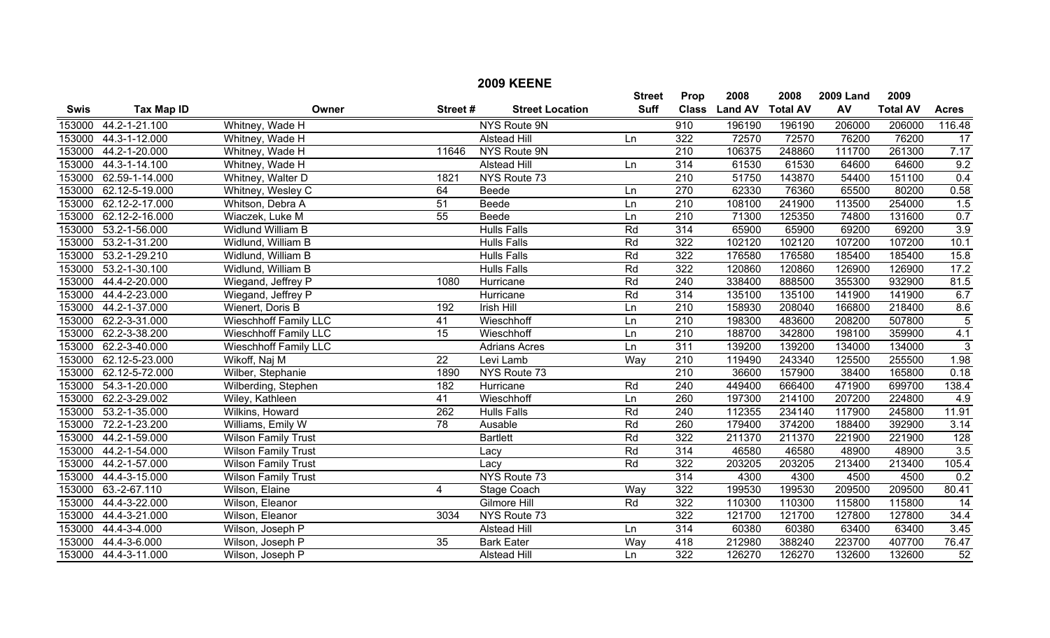| <b>2009 KEENE</b> |                      |                              |                 |                        |               |                  |                |                 |                  |                 |                  |
|-------------------|----------------------|------------------------------|-----------------|------------------------|---------------|------------------|----------------|-----------------|------------------|-----------------|------------------|
|                   |                      |                              |                 |                        | <b>Street</b> | Prop             | 2008           | 2008            | <b>2009 Land</b> | 2009            |                  |
| <b>Swis</b>       | <b>Tax Map ID</b>    | Owner                        | Street#         | <b>Street Location</b> | <b>Suff</b>   | <b>Class</b>     | <b>Land AV</b> | <b>Total AV</b> | AV               | <b>Total AV</b> | <b>Acres</b>     |
| 153000            | 44.2-1-21.100        | Whitney, Wade H              |                 | <b>NYS Route 9N</b>    |               | 910              | 196190         | 196190          | 206000           | 206000          | 116.48           |
| 153000            | 44.3-1-12.000        | Whitney, Wade H              |                 | Alstead Hill           | Ln            | 322              | 72570          | 72570           | 76200            | 76200           | 17               |
| 153000            | 44.2-1-20.000        | Whitney, Wade H              | 11646           | NYS Route 9N           |               | $\overline{210}$ | 106375         | 248860          | 111700           | 261300          | 7.17             |
| 153000            | 44.3-1-14.100        | Whitney, Wade H              |                 | <b>Alstead Hill</b>    | Ln            | 314              | 61530          | 61530           | 64600            | 64600           | 9.2              |
| 153000            | 62.59-1-14.000       | Whitney, Walter D            | 1821            | NYS Route 73           |               | $\overline{210}$ | 51750          | 143870          | 54400            | 151100          | 0.4              |
| 153000            | 62.12-5-19.000       | Whitney, Wesley C            | 64              | Beede                  | Ln            | 270              | 62330          | 76360           | 65500            | 80200           | 0.58             |
| 153000            | 62.12-2-17.000       | Whitson, Debra A             | 51              | Beede                  | Ln            | $\overline{210}$ | 108100         | 241900          | 113500           | 254000          | 1.5              |
| 153000            | 62.12-2-16.000       | Wiaczek, Luke M              | $\overline{55}$ | <b>Beede</b>           | Ln            | $\overline{210}$ | 71300          | 125350          | 74800            | 131600          | 0.7              |
| 153000            | 53.2-1-56.000        | Widlund William B            |                 | <b>Hulls Falls</b>     | Rd            | $\overline{314}$ | 65900          | 65900           | 69200            | 69200           | 3.9              |
| 153000            | 53.2-1-31.200        | Widlund, William B           |                 | <b>Hulls Falls</b>     | Rd            | 322              | 102120         | 102120          | 107200           | 107200          | 10.1             |
| 153000            | 53.2-1-29.210        | Widlund, William B           |                 | <b>Hulls Falls</b>     | Rd            | 322              | 176580         | 176580          | 185400           | 185400          | 15.8             |
| 153000            | 53.2-1-30.100        | Widlund, William B           |                 | <b>Hulls Falls</b>     | Rd            | 322              | 120860         | 120860          | 126900           | 126900          | 17.2             |
| 153000            | 44.4-2-20.000        | Wiegand, Jeffrey P           | 1080            | Hurricane              | Rd            | 240              | 338400         | 888500          | 355300           | 932900          | 81.5             |
| 153000            | 44.4-2-23.000        | Wiegand, Jeffrey P           |                 | Hurricane              | Rd            | 314              | 135100         | 135100          | 141900           | 141900          | 6.7              |
| 153000            | 44.2-1-37.000        | Wienert, Doris B             | 192             | <b>Irish Hill</b>      | Ln            | $\overline{210}$ | 158930         | 208040          | 166800           | 218400          | 8.6              |
| 153000            | 62.2-3-31.000        | <b>Wieschhoff Family LLC</b> | 41              | Wieschhoff             | Ln            | $\overline{210}$ | 198300         | 483600          | 208200           | 507800          | $\overline{5}$   |
| 153000            | 62.2-3-38.200        | <b>Wieschhoff Family LLC</b> | 15              | Wieschhoff             | Ln            | 210              | 188700         | 342800          | 198100           | 359900          | 4.1              |
| 153000            | 62.2-3-40.000        | Wieschhoff Family LLC        |                 | Adrians Acres          | Ln            | 311              | 139200         | 139200          | 134000           | 134000          | 3                |
| 153000            | 62.12-5-23.000       | Wikoff, Naj M                | $\overline{22}$ | Levi Lamb              | Way           | $\overline{210}$ | 119490         | 243340          | 125500           | 255500          | 1.98             |
| 153000            | 62.12-5-72.000       | Wilber, Stephanie            | 1890            | NYS Route 73           |               | $\overline{210}$ | 36600          | 157900          | 38400            | 165800          | 0.18             |
| 153000            | 54.3-1-20.000        | Wilberding, Stephen          | 182             | Hurricane              | Rd            | 240              | 449400         | 666400          | 471900           | 699700          | 138.4            |
| 153000            | 62.2-3-29.002        | Wiley, Kathleen              | 41              | Wieschhoff             | Ln            | 260              | 197300         | 214100          | 207200           | 224800          | 4.9              |
| 153000            | 53.2-1-35.000        | Wilkins, Howard              | 262             | <b>Hulls Falls</b>     | Rd            | $\overline{240}$ | 112355         | 234140          | 117900           | 245800          | 11.91            |
| 153000            | 72.2-1-23.200        | Williams, Emily W            | 78              | Ausable                | Rd            | 260              | 179400         | 374200          | 188400           | 392900          | 3.14             |
| 153000            | 44.2-1-59.000        | <b>Wilson Family Trust</b>   |                 | <b>Bartlett</b>        | Rd            | 322              | 211370         | 211370          | 221900           | 221900          | 128              |
| 153000            | 44.2-1-54.000        | <b>Wilson Family Trust</b>   |                 | Lacy                   | Rd            | $\overline{314}$ | 46580          | 46580           | 48900            | 48900           | $\overline{3.5}$ |
| 153000            | 44.2-1-57.000        | <b>Wilson Family Trust</b>   |                 | Lacy                   | Rd            | 322              | 203205         | 203205          | 213400           | 213400          | 105.4            |
| 153000            | 44.4-3-15.000        | Wilson Family Trust          |                 | NYS Route 73           |               | 314              | 4300           | 4300            | 4500             | 4500            | 0.2              |
| 153000            | 63.-2-67.110         | Wilson, Elaine               | $\overline{4}$  | Stage Coach            | Way           | 322              | 199530         | 199530          | 209500           | 209500          | 80.41            |
| 153000            | 44.4-3-22.000        | Wilson, Eleanor              |                 | <b>Gilmore Hill</b>    | Rd            | 322              | 110300         | 110300          | 115800           | 115800          | $\overline{14}$  |
| 153000            | 44.4-3-21.000        | Wilson, Eleanor              | 3034            | NYS Route 73           |               | 322              | 121700         | 121700          | 127800           | 127800          | 34.4             |
| 153000            | 44.4-3-4.000         | Wilson, Joseph P             |                 | <b>Alstead Hill</b>    | Ln            | 314              | 60380          | 60380           | 63400            | 63400           | $\frac{1}{3.45}$ |
| 153000            | 44.4-3-6.000         | Wilson, Joseph P             | $\overline{35}$ | <b>Bark Eater</b>      | Way           | 418              | 212980         | 388240          | 223700           | 407700          | 76.47            |
|                   | 153000 44.4-3-11.000 | Wilson, Joseph P             |                 | <b>Alstead Hill</b>    | Ln            | 322              | 126270         | 126270          | 132600           | 132600          | 52               |